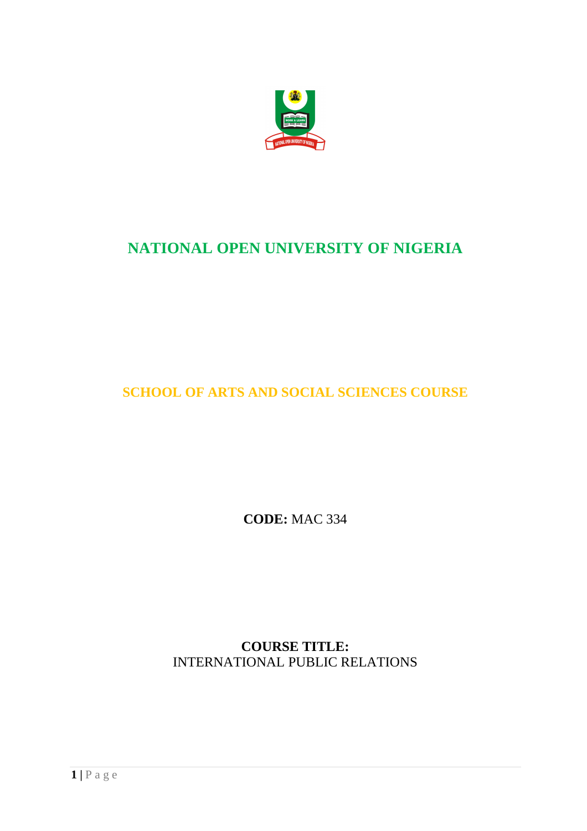

# **NATIONAL OPEN UNIVERSITY OF NIGERIA**

**SCHOOL OF ARTS AND SOCIAL SCIENCES COURSE** 

**CODE:** MAC 334

**COURSE TITLE:**  INTERNATIONAL PUBLIC RELATIONS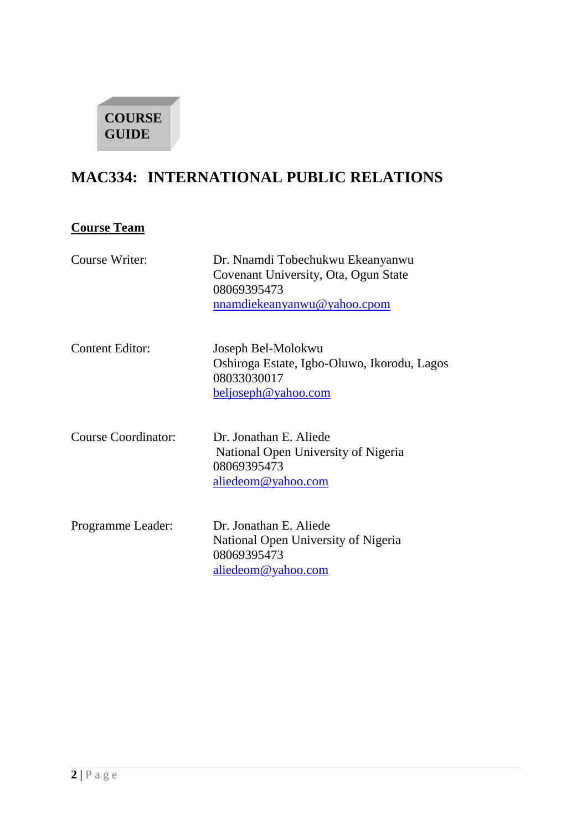

# **MAC334: INTERNATIONAL PUBLIC RELATIONS**

# **Course Team**

| Course Writer:             | Dr. Nnamdi Tobechukwu Ekeanyanwu<br>Covenant University, Ota, Ogun State<br>08069395473<br>nnamdiekeanyanwu@yahoo.cpom |
|----------------------------|------------------------------------------------------------------------------------------------------------------------|
| <b>Content Editor:</b>     | Joseph Bel-Molokwu<br>Oshiroga Estate, Igbo-Oluwo, Ikorodu, Lagos<br>08033030017<br>beljoseph@yahoo.com                |
| <b>Course Coordinator:</b> | Dr. Jonathan E. Aliede<br>National Open University of Nigeria<br>08069395473<br>aliedeom@yahoo.com                     |
| Programme Leader:          | Dr. Jonathan E. Aliede<br>National Open University of Nigeria<br>08069395473<br>aliedeom@yahoo.com                     |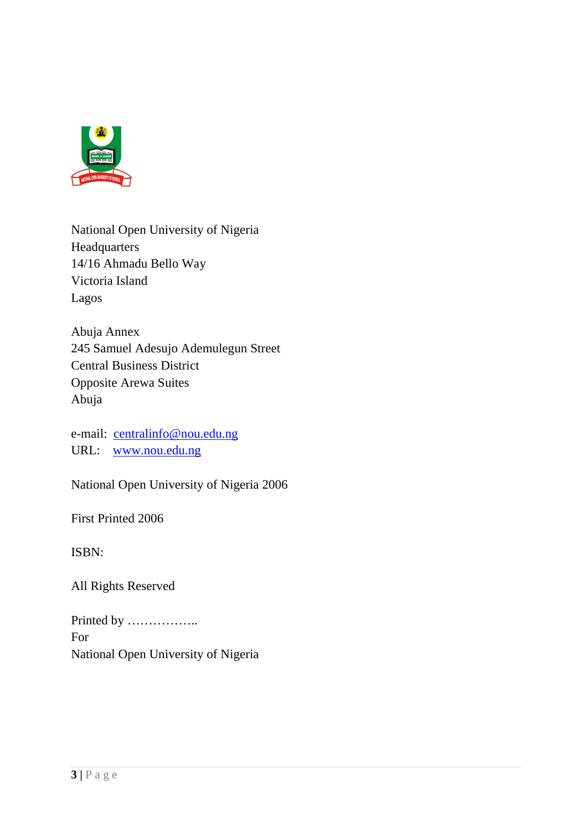

National Open University of Nigeria Headquarters 14/16 Ahmadu Bello Way Victoria Island Lagos

Abuja Annex 245 Samuel Adesujo Ademulegun Street Central Business District Opposite Arewa Suites Abuja

e-mail: centralinfo@nou.edu.ng URL: www.nou.edu.ng

National Open University of Nigeria 2006

First Printed 2006

ISBN:

All Rights Reserved

Printed by …………….. For National Open University of Nigeria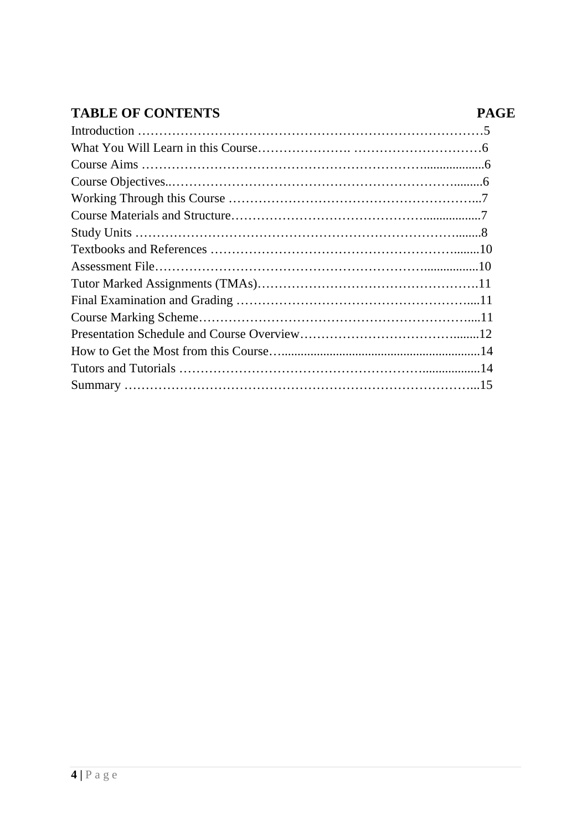# TABLE OF CONTENTS PAGE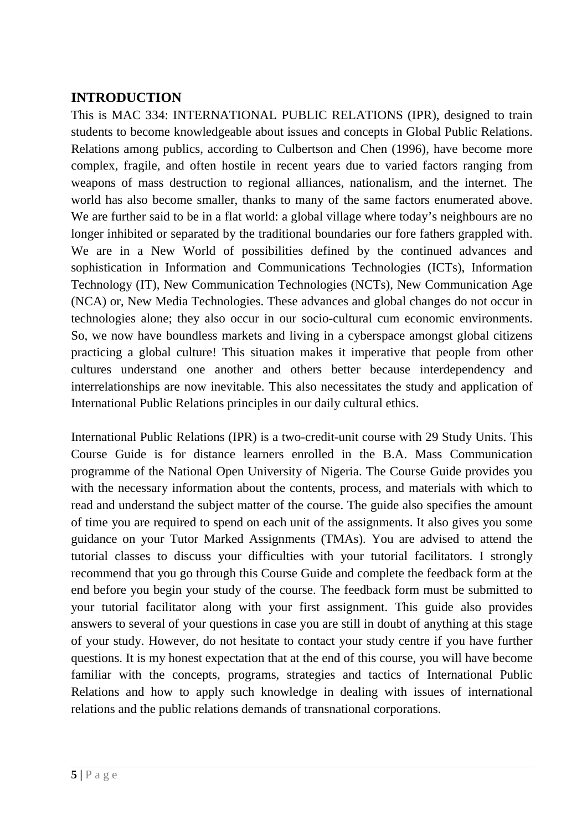# **INTRODUCTION**

This is MAC 334: INTERNATIONAL PUBLIC RELATIONS (IPR), designed to train students to become knowledgeable about issues and concepts in Global Public Relations. Relations among publics, according to Culbertson and Chen (1996), have become more complex, fragile, and often hostile in recent years due to varied factors ranging from weapons of mass destruction to regional alliances, nationalism, and the internet. The world has also become smaller, thanks to many of the same factors enumerated above. We are further said to be in a flat world: a global village where today's neighbours are no longer inhibited or separated by the traditional boundaries our fore fathers grappled with. We are in a New World of possibilities defined by the continued advances and sophistication in Information and Communications Technologies (ICTs), Information Technology (IT), New Communication Technologies (NCTs), New Communication Age (NCA) or, New Media Technologies. These advances and global changes do not occur in technologies alone; they also occur in our socio-cultural cum economic environments. So, we now have boundless markets and living in a cyberspace amongst global citizens practicing a global culture! This situation makes it imperative that people from other cultures understand one another and others better because interdependency and interrelationships are now inevitable. This also necessitates the study and application of International Public Relations principles in our daily cultural ethics.

International Public Relations (IPR) is a two-credit-unit course with 29 Study Units. This Course Guide is for distance learners enrolled in the B.A. Mass Communication programme of the National Open University of Nigeria. The Course Guide provides you with the necessary information about the contents, process, and materials with which to read and understand the subject matter of the course. The guide also specifies the amount of time you are required to spend on each unit of the assignments. It also gives you some guidance on your Tutor Marked Assignments (TMAs). You are advised to attend the tutorial classes to discuss your difficulties with your tutorial facilitators. I strongly recommend that you go through this Course Guide and complete the feedback form at the end before you begin your study of the course. The feedback form must be submitted to your tutorial facilitator along with your first assignment. This guide also provides answers to several of your questions in case you are still in doubt of anything at this stage of your study. However, do not hesitate to contact your study centre if you have further questions. It is my honest expectation that at the end of this course, you will have become familiar with the concepts, programs, strategies and tactics of International Public Relations and how to apply such knowledge in dealing with issues of international relations and the public relations demands of transnational corporations.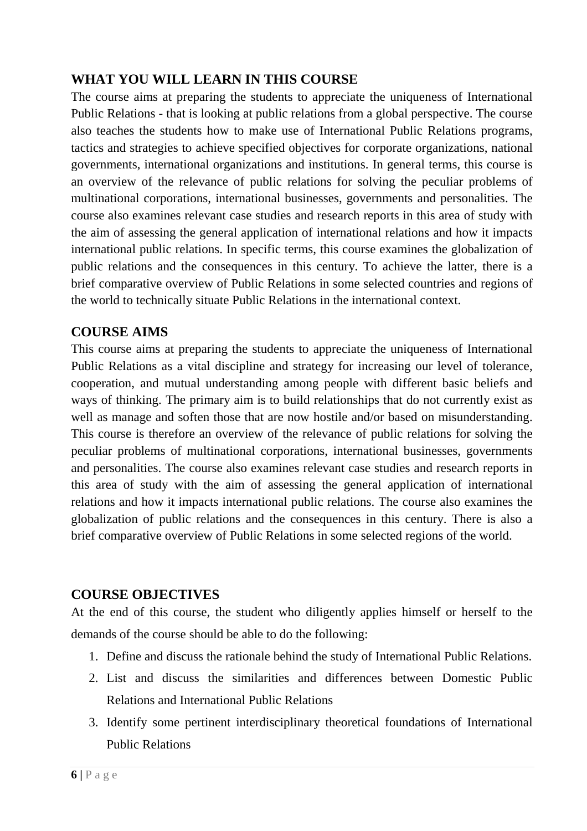# **WHAT YOU WILL LEARN IN THIS COURSE**

The course aims at preparing the students to appreciate the uniqueness of International Public Relations - that is looking at public relations from a global perspective. The course also teaches the students how to make use of International Public Relations programs, tactics and strategies to achieve specified objectives for corporate organizations, national governments, international organizations and institutions. In general terms, this course is an overview of the relevance of public relations for solving the peculiar problems of multinational corporations, international businesses, governments and personalities. The course also examines relevant case studies and research reports in this area of study with the aim of assessing the general application of international relations and how it impacts international public relations. In specific terms, this course examines the globalization of public relations and the consequences in this century. To achieve the latter, there is a brief comparative overview of Public Relations in some selected countries and regions of the world to technically situate Public Relations in the international context.

#### **COURSE AIMS**

This course aims at preparing the students to appreciate the uniqueness of International Public Relations as a vital discipline and strategy for increasing our level of tolerance, cooperation, and mutual understanding among people with different basic beliefs and ways of thinking. The primary aim is to build relationships that do not currently exist as well as manage and soften those that are now hostile and/or based on misunderstanding. This course is therefore an overview of the relevance of public relations for solving the peculiar problems of multinational corporations, international businesses, governments and personalities. The course also examines relevant case studies and research reports in this area of study with the aim of assessing the general application of international relations and how it impacts international public relations. The course also examines the globalization of public relations and the consequences in this century. There is also a brief comparative overview of Public Relations in some selected regions of the world.

## **COURSE OBJECTIVES**

At the end of this course, the student who diligently applies himself or herself to the demands of the course should be able to do the following:

- 1. Define and discuss the rationale behind the study of International Public Relations.
- 2. List and discuss the similarities and differences between Domestic Public Relations and International Public Relations
- 3. Identify some pertinent interdisciplinary theoretical foundations of International Public Relations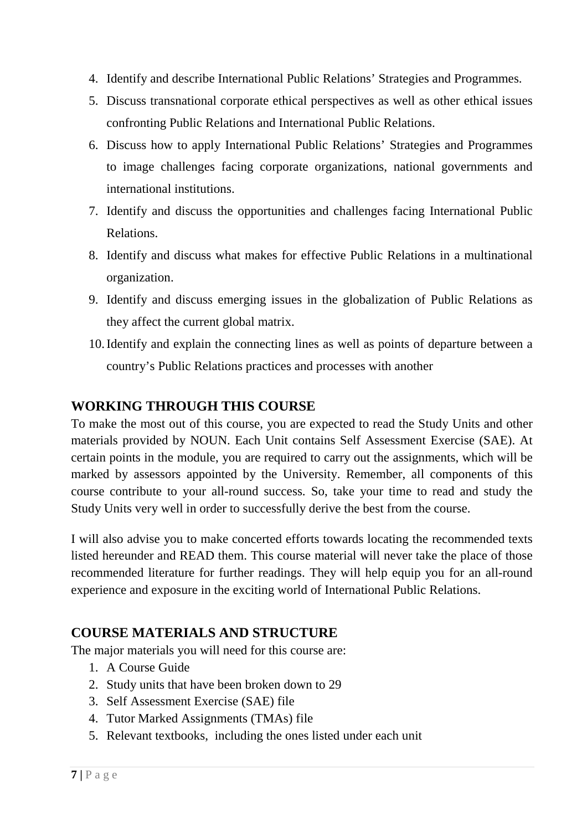- 4. Identify and describe International Public Relations' Strategies and Programmes.
- 5. Discuss transnational corporate ethical perspectives as well as other ethical issues confronting Public Relations and International Public Relations.
- 6. Discuss how to apply International Public Relations' Strategies and Programmes to image challenges facing corporate organizations, national governments and international institutions.
- 7. Identify and discuss the opportunities and challenges facing International Public Relations.
- 8. Identify and discuss what makes for effective Public Relations in a multinational organization.
- 9. Identify and discuss emerging issues in the globalization of Public Relations as they affect the current global matrix.
- 10.Identify and explain the connecting lines as well as points of departure between a country's Public Relations practices and processes with another

## **WORKING THROUGH THIS COURSE**

To make the most out of this course, you are expected to read the Study Units and other materials provided by NOUN. Each Unit contains Self Assessment Exercise (SAE). At certain points in the module, you are required to carry out the assignments, which will be marked by assessors appointed by the University. Remember, all components of this course contribute to your all-round success. So, take your time to read and study the Study Units very well in order to successfully derive the best from the course.

I will also advise you to make concerted efforts towards locating the recommended texts listed hereunder and READ them. This course material will never take the place of those recommended literature for further readings. They will help equip you for an all-round experience and exposure in the exciting world of International Public Relations.

#### **COURSE MATERIALS AND STRUCTURE**

The major materials you will need for this course are:

- 1. A Course Guide
- 2. Study units that have been broken down to 29
- 3. Self Assessment Exercise (SAE) file
- 4. Tutor Marked Assignments (TMAs) file
- 5. Relevant textbooks, including the ones listed under each unit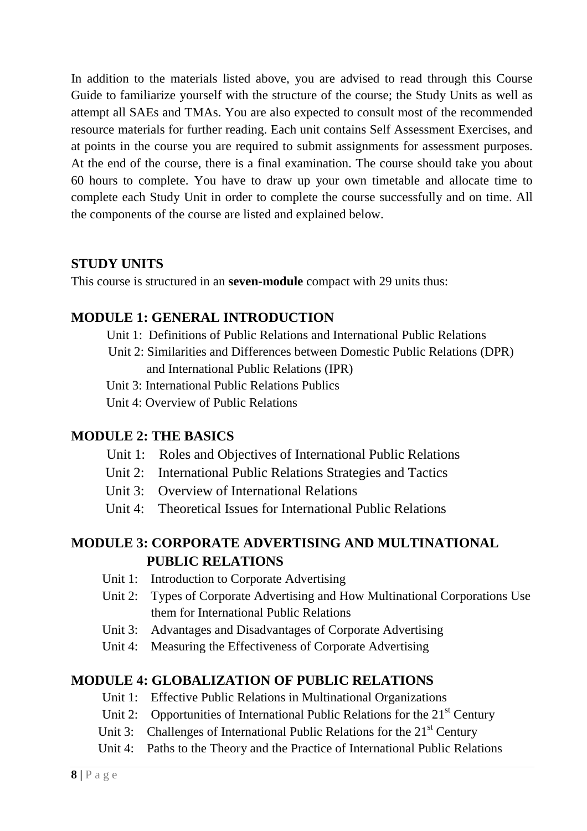In addition to the materials listed above, you are advised to read through this Course Guide to familiarize yourself with the structure of the course; the Study Units as well as attempt all SAEs and TMAs. You are also expected to consult most of the recommended resource materials for further reading. Each unit contains Self Assessment Exercises, and at points in the course you are required to submit assignments for assessment purposes. At the end of the course, there is a final examination. The course should take you about 60 hours to complete. You have to draw up your own timetable and allocate time to complete each Study Unit in order to complete the course successfully and on time. All the components of the course are listed and explained below.

#### **STUDY UNITS**

This course is structured in an **seven-module** compact with 29 units thus:

# **MODULE 1: GENERAL INTRODUCTION**

Unit 1: Definitions of Public Relations and International Public Relations

- Unit 2: Similarities and Differences between Domestic Public Relations (DPR) and International Public Relations (IPR)
- Unit 3: International Public Relations Publics
- Unit 4: Overview of Public Relations

## **MODULE 2: THE BASICS**

- Unit 1: Roles and Objectives of International Public Relations
- Unit 2: International Public Relations Strategies and Tactics
- Unit 3: Overview of International Relations
- Unit 4: Theoretical Issues for International Public Relations

# **MODULE 3: CORPORATE ADVERTISING AND MULTINATIONAL PUBLIC RELATIONS**

- Unit 1: Introduction to Corporate Advertising
- Unit 2: Types of Corporate Advertising and How Multinational Corporations Use them for International Public Relations
- Unit 3: Advantages and Disadvantages of Corporate Advertising
- Unit 4: Measuring the Effectiveness of Corporate Advertising

## **MODULE 4: GLOBALIZATION OF PUBLIC RELATIONS**

- Unit 1: Effective Public Relations in Multinational Organizations
- Unit 2: Opportunities of International Public Relations for the  $21<sup>st</sup>$  Century
- Unit 3: Challenges of International Public Relations for the  $21<sup>st</sup>$  Century
- Unit 4: Paths to the Theory and the Practice of International Public Relations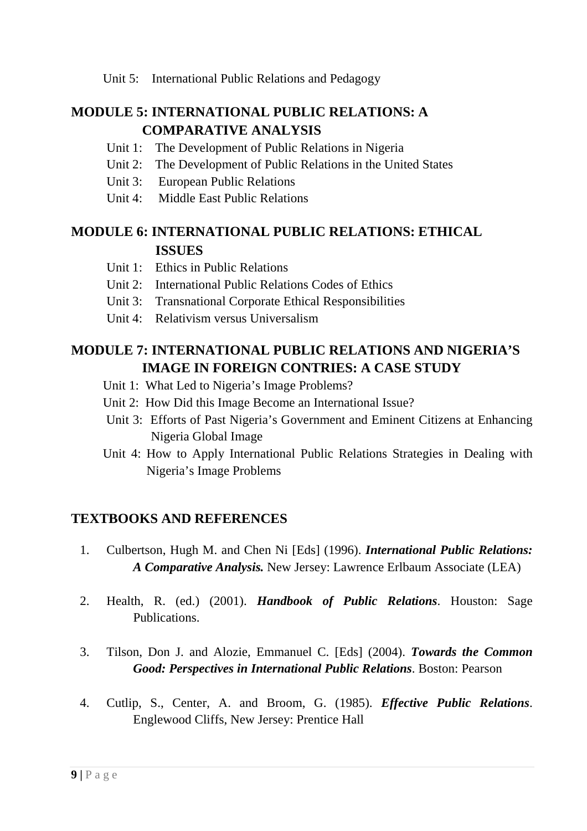Unit 5: International Public Relations and Pedagogy

# **MODULE 5: INTERNATIONAL PUBLIC RELATIONS: A COMPARATIVE ANALYSIS**

- Unit 1: The Development of Public Relations in Nigeria
- Unit 2: The Development of Public Relations in the United States
- Unit 3: European Public Relations
- Unit 4: Middle East Public Relations

## **MODULE 6: INTERNATIONAL PUBLIC RELATIONS: ETHICAL ISSUES**

- Unit 1: Ethics in Public Relations
- Unit 2: International Public Relations Codes of Ethics
- Unit 3: Transnational Corporate Ethical Responsibilities
- Unit 4: Relativism versus Universalism

# **MODULE 7: INTERNATIONAL PUBLIC RELATIONS AND NIGERIA'S IMAGE IN FOREIGN CONTRIES: A CASE STUDY**

- Unit 1: What Led to Nigeria's Image Problems?
- Unit 2: How Did this Image Become an International Issue?
- Unit 3: Efforts of Past Nigeria's Government and Eminent Citizens at Enhancing Nigeria Global Image
- Unit 4: How to Apply International Public Relations Strategies in Dealing with Nigeria's Image Problems

## **TEXTBOOKS AND REFERENCES**

- 1. Culbertson, Hugh M. and Chen Ni [Eds] (1996). *International Public Relations: A Comparative Analysis.* New Jersey: Lawrence Erlbaum Associate (LEA)
- 2. Health, R. (ed.) (2001). *Handbook of Public Relations*. Houston: Sage Publications.
- 3. Tilson, Don J. and Alozie, Emmanuel C. [Eds] (2004). *Towards the Common Good: Perspectives in International Public Relations*. Boston: Pearson
- 4. Cutlip, S., Center, A. and Broom, G. (1985). *Effective Public Relations*. Englewood Cliffs, New Jersey: Prentice Hall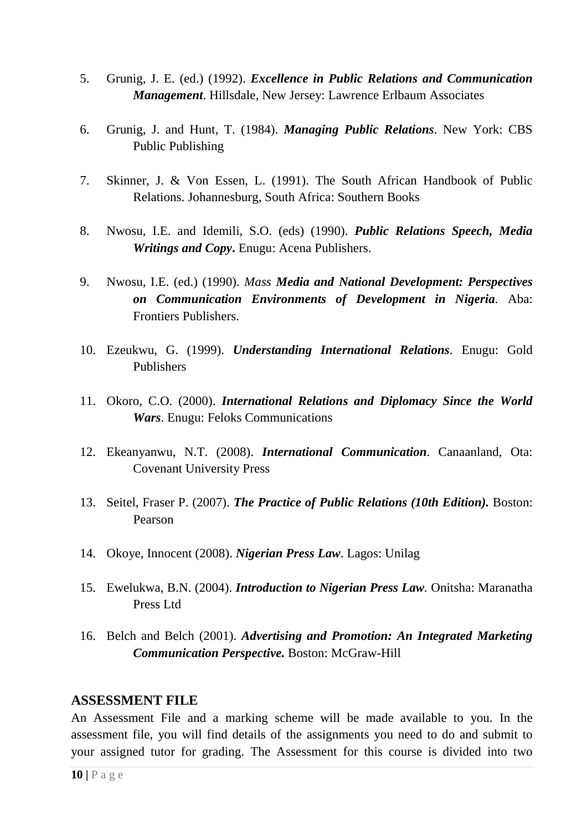- 5. Grunig, J. E. (ed.) (1992). *Excellence in Public Relations and Communication Management*. Hillsdale, New Jersey: Lawrence Erlbaum Associates
- 6. Grunig, J. and Hunt, T. (1984). *Managing Public Relations*. New York: CBS Public Publishing
- 7. Skinner, J. & Von Essen, L. (1991). The South African Handbook of Public Relations. Johannesburg, South Africa: Southern Books
- 8. Nwosu, I.E. and Idemili, S.O. (eds) (1990). *Public Relations Speech, Media Writings and Copy***.** Enugu: Acena Publishers.
- 9. Nwosu, I.E. (ed.) (1990). *Mass Media and National Development: Perspectives on Communication Environments of Development in Nigeria.* Aba: Frontiers Publishers.
- 10. Ezeukwu, G. (1999). *Understanding International Relations*. Enugu: Gold Publishers
- 11. Okoro, C.O. (2000). *International Relations and Diplomacy Since the World Wars*. Enugu: Feloks Communications
- 12. Ekeanyanwu, N.T. (2008). *International Communication*. Canaanland, Ota: Covenant University Press
- 13. Seitel, Fraser P. (2007). *The Practice of Public Relations (10th Edition).* Boston: Pearson
- 14. Okoye, Innocent (2008). *Nigerian Press Law*. Lagos: Unilag
- 15. Ewelukwa, B.N. (2004). *Introduction to Nigerian Press Law.* Onitsha: Maranatha Press Ltd
- 16. Belch and Belch (2001). *Advertising and Promotion: An Integrated Marketing Communication Perspective.* Boston: McGraw-Hill

#### **ASSESSMENT FILE**

An Assessment File and a marking scheme will be made available to you. In the assessment file, you will find details of the assignments you need to do and submit to your assigned tutor for grading. The Assessment for this course is divided into two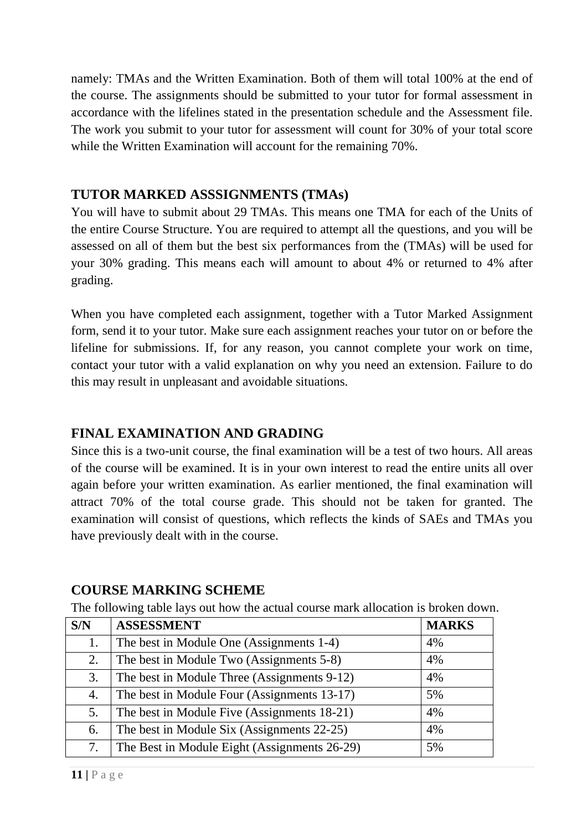namely: TMAs and the Written Examination. Both of them will total 100% at the end of the course. The assignments should be submitted to your tutor for formal assessment in accordance with the lifelines stated in the presentation schedule and the Assessment file. The work you submit to your tutor for assessment will count for 30% of your total score while the Written Examination will account for the remaining 70%.

#### **TUTOR MARKED ASSSIGNMENTS (TMAs)**

You will have to submit about 29 TMAs. This means one TMA for each of the Units of the entire Course Structure. You are required to attempt all the questions, and you will be assessed on all of them but the best six performances from the (TMAs) will be used for your 30% grading. This means each will amount to about 4% or returned to 4% after grading.

When you have completed each assignment, together with a Tutor Marked Assignment form, send it to your tutor. Make sure each assignment reaches your tutor on or before the lifeline for submissions. If, for any reason, you cannot complete your work on time, contact your tutor with a valid explanation on why you need an extension. Failure to do this may result in unpleasant and avoidable situations.

# **FINAL EXAMINATION AND GRADING**

Since this is a two-unit course, the final examination will be a test of two hours. All areas of the course will be examined. It is in your own interest to read the entire units all over again before your written examination. As earlier mentioned, the final examination will attract 70% of the total course grade. This should not be taken for granted. The examination will consist of questions, which reflects the kinds of SAEs and TMAs you have previously dealt with in the course.

## **COURSE MARKING SCHEME**

The following table lays out how the actual course mark allocation is broken down.

| S/N | <b>ASSESSMENT</b>                            | <b>MARKS</b> |
|-----|----------------------------------------------|--------------|
| 1.  | The best in Module One (Assignments 1-4)     | 4%           |
| 2.  | The best in Module Two (Assignments 5-8)     | 4%           |
| 3.  | The best in Module Three (Assignments 9-12)  | 4%           |
| 4.  | The best in Module Four (Assignments 13-17)  | 5%           |
| 5.  | The best in Module Five (Assignments 18-21)  | 4%           |
| 6.  | The best in Module Six (Assignments 22-25)   | 4%           |
| 7.  | The Best in Module Eight (Assignments 26-29) | 5%           |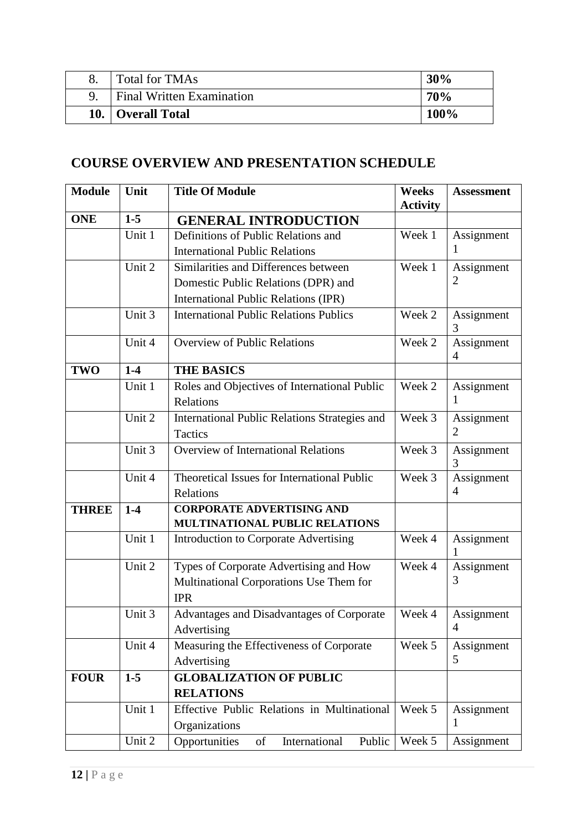| Total for TMAs                   | 30%  |
|----------------------------------|------|
| <b>Final Written Examination</b> | 70%  |
| 10. Overall Total                | 100% |

# **COURSE OVERVIEW AND PRESENTATION SCHEDULE**

| <b>Module</b> | Unit   | <b>Title Of Module</b>                                | <b>Weeks</b><br><b>Activity</b> | <b>Assessment</b> |
|---------------|--------|-------------------------------------------------------|---------------------------------|-------------------|
| <b>ONE</b>    | $1-5$  | <b>GENERAL INTRODUCTION</b>                           |                                 |                   |
|               | Unit 1 | Definitions of Public Relations and                   | Week 1                          | Assignment        |
|               |        | <b>International Public Relations</b>                 |                                 | 1                 |
|               | Unit 2 | Similarities and Differences between                  | Week 1                          | Assignment        |
|               |        | Domestic Public Relations (DPR) and                   |                                 | $\overline{2}$    |
|               |        | <b>International Public Relations (IPR)</b>           |                                 |                   |
|               | Unit 3 | <b>International Public Relations Publics</b>         | Week 2                          | Assignment<br>3   |
|               | Unit 4 | <b>Overview of Public Relations</b>                   | Week 2                          | Assignment<br>4   |
| <b>TWO</b>    | $1-4$  | <b>THE BASICS</b>                                     |                                 |                   |
|               | Unit 1 | Roles and Objectives of International Public          | Week 2                          | Assignment        |
|               |        | Relations                                             |                                 | 1                 |
|               | Unit 2 | International Public Relations Strategies and         | Week 3                          | Assignment        |
|               |        | Tactics                                               |                                 | $\overline{2}$    |
|               | Unit 3 | <b>Overview of International Relations</b>            | Week 3                          | Assignment<br>3   |
|               | Unit 4 | Theoretical Issues for International Public           | Week 3                          | Assignment        |
|               |        | Relations                                             |                                 | 4                 |
| <b>THREE</b>  | $1-4$  | <b>CORPORATE ADVERTISING AND</b>                      |                                 |                   |
|               |        | MULTINATIONAL PUBLIC RELATIONS                        |                                 |                   |
|               | Unit 1 | <b>Introduction to Corporate Advertising</b>          | Week 4                          | Assignment        |
|               | Unit 2 | Types of Corporate Advertising and How                | Week 4                          | Assignment        |
|               |        | Multinational Corporations Use Them for<br><b>IPR</b> |                                 | 3                 |
|               | Unit 3 | Advantages and Disadvantages of Corporate             | Week 4                          | Assignment        |
|               |        | Advertising                                           |                                 | 4                 |
|               | Unit 4 | Measuring the Effectiveness of Corporate              | Week 5                          | Assignment        |
|               |        | Advertising                                           |                                 | 5                 |
| <b>FOUR</b>   | $1-5$  | <b>GLOBALIZATION OF PUBLIC</b>                        |                                 |                   |
|               |        | <b>RELATIONS</b>                                      |                                 |                   |
|               | Unit 1 | Effective Public Relations in Multinational           | Week 5                          | Assignment        |
|               |        | Organizations                                         |                                 | 1                 |
|               | Unit 2 | Opportunities<br>of<br>International<br>Public        | Week 5                          | Assignment        |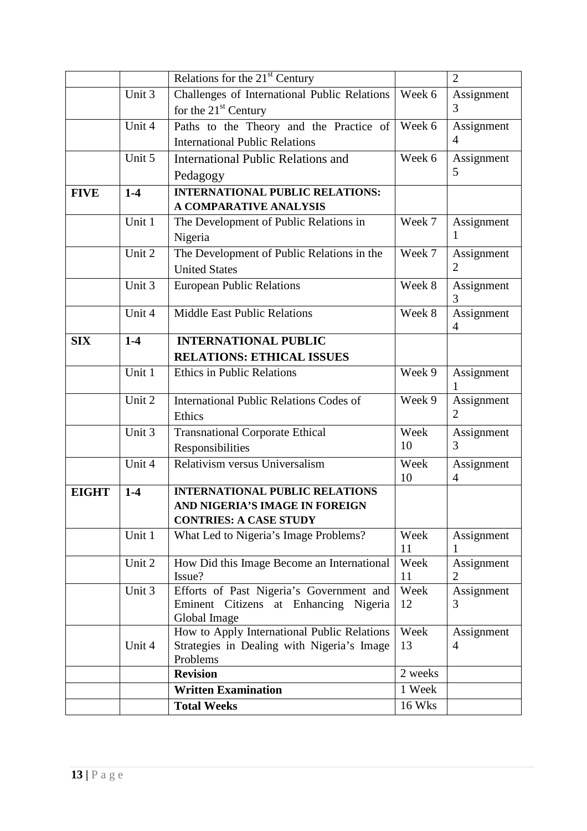|              |        | Relations for the 21 <sup>st</sup> Century                                                               |               | $\overline{2}$               |
|--------------|--------|----------------------------------------------------------------------------------------------------------|---------------|------------------------------|
|              | Unit 3 | Challenges of International Public Relations                                                             | Week 6        | Assignment                   |
|              |        | for the 21 <sup>st</sup> Century                                                                         |               | 3                            |
|              | Unit 4 | Paths to the Theory and the Practice of                                                                  | Week 6        | Assignment                   |
|              |        | <b>International Public Relations</b>                                                                    |               | $\overline{4}$               |
|              | Unit 5 | <b>International Public Relations and</b>                                                                | Week 6        | Assignment<br>5              |
|              |        | Pedagogy                                                                                                 |               |                              |
| <b>FIVE</b>  | $1-4$  | <b>INTERNATIONAL PUBLIC RELATIONS:</b><br>A COMPARATIVE ANALYSIS                                         |               |                              |
|              | Unit 1 | The Development of Public Relations in                                                                   | Week 7        | Assignment                   |
|              |        | Nigeria                                                                                                  |               | 1                            |
|              | Unit 2 | The Development of Public Relations in the                                                               | Week 7        | Assignment                   |
|              |        | <b>United States</b>                                                                                     |               | 2                            |
|              | Unit 3 | <b>European Public Relations</b>                                                                         | Week 8        | Assignment<br>3              |
|              | Unit 4 | <b>Middle East Public Relations</b>                                                                      | Week 8        | Assignment<br>4              |
| <b>SIX</b>   | $1-4$  | <b>INTERNATIONAL PUBLIC</b>                                                                              |               |                              |
|              |        | <b>RELATIONS: ETHICAL ISSUES</b>                                                                         |               |                              |
|              | Unit 1 | <b>Ethics in Public Relations</b>                                                                        | Week 9        | Assignment                   |
|              | Unit 2 | <b>International Public Relations Codes of</b><br>Ethics                                                 | Week 9        | Assignment<br>$\overline{2}$ |
|              | Unit 3 | <b>Transnational Corporate Ethical</b><br>Responsibilities                                               | Week<br>10    | Assignment<br>3              |
|              | Unit 4 | Relativism versus Universalism                                                                           | Week<br>10    | Assignment<br>4              |
| <b>EIGHT</b> | $1-4$  | <b>INTERNATIONAL PUBLIC RELATIONS</b><br>AND NIGERIA'S IMAGE IN FOREIGN<br><b>CONTRIES: A CASE STUDY</b> |               |                              |
|              | Unit 1 | What Led to Nigeria's Image Problems?                                                                    | Week<br>11    | Assignment                   |
|              | Unit 2 | How Did this Image Become an International<br>Issue?                                                     | Week<br>11    | Assignment<br>$\overline{2}$ |
|              | Unit 3 | Efforts of Past Nigeria's Government and<br>Eminent Citizens at Enhancing Nigeria<br>Global Image        | Week<br>12    | Assignment<br>3              |
|              | Unit 4 | How to Apply International Public Relations<br>Strategies in Dealing with Nigeria's Image<br>Problems    | Week<br>13    | Assignment<br>$\overline{4}$ |
|              |        | <b>Revision</b>                                                                                          | 2 weeks       |                              |
|              |        | <b>Written Examination</b>                                                                               | 1 Week        |                              |
|              |        | <b>Total Weeks</b>                                                                                       | <b>16 Wks</b> |                              |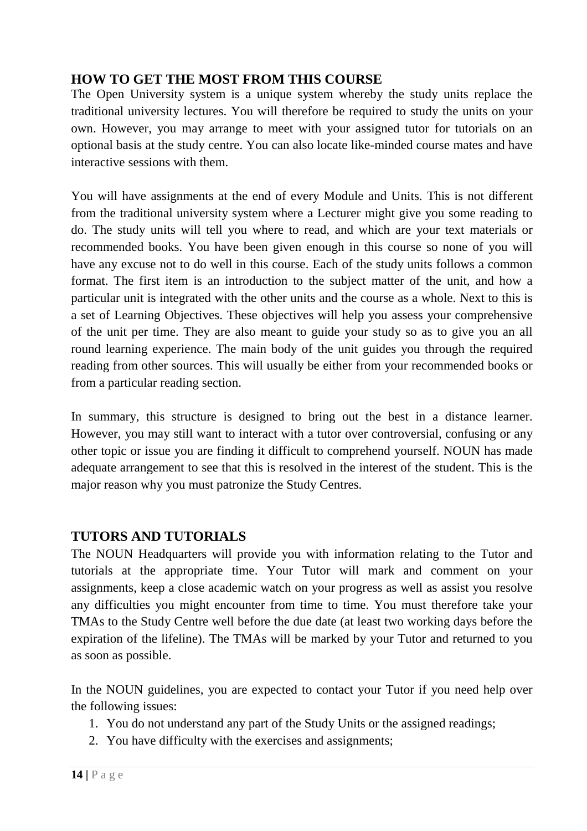## **HOW TO GET THE MOST FROM THIS COURSE**

The Open University system is a unique system whereby the study units replace the traditional university lectures. You will therefore be required to study the units on your own. However, you may arrange to meet with your assigned tutor for tutorials on an optional basis at the study centre. You can also locate like-minded course mates and have interactive sessions with them.

You will have assignments at the end of every Module and Units. This is not different from the traditional university system where a Lecturer might give you some reading to do. The study units will tell you where to read, and which are your text materials or recommended books. You have been given enough in this course so none of you will have any excuse not to do well in this course. Each of the study units follows a common format. The first item is an introduction to the subject matter of the unit, and how a particular unit is integrated with the other units and the course as a whole. Next to this is a set of Learning Objectives. These objectives will help you assess your comprehensive of the unit per time. They are also meant to guide your study so as to give you an all round learning experience. The main body of the unit guides you through the required reading from other sources. This will usually be either from your recommended books or from a particular reading section.

In summary, this structure is designed to bring out the best in a distance learner. However, you may still want to interact with a tutor over controversial, confusing or any other topic or issue you are finding it difficult to comprehend yourself. NOUN has made adequate arrangement to see that this is resolved in the interest of the student. This is the major reason why you must patronize the Study Centres.

## **TUTORS AND TUTORIALS**

The NOUN Headquarters will provide you with information relating to the Tutor and tutorials at the appropriate time. Your Tutor will mark and comment on your assignments, keep a close academic watch on your progress as well as assist you resolve any difficulties you might encounter from time to time. You must therefore take your TMAs to the Study Centre well before the due date (at least two working days before the expiration of the lifeline). The TMAs will be marked by your Tutor and returned to you as soon as possible.

In the NOUN guidelines, you are expected to contact your Tutor if you need help over the following issues:

- 1. You do not understand any part of the Study Units or the assigned readings;
- 2. You have difficulty with the exercises and assignments;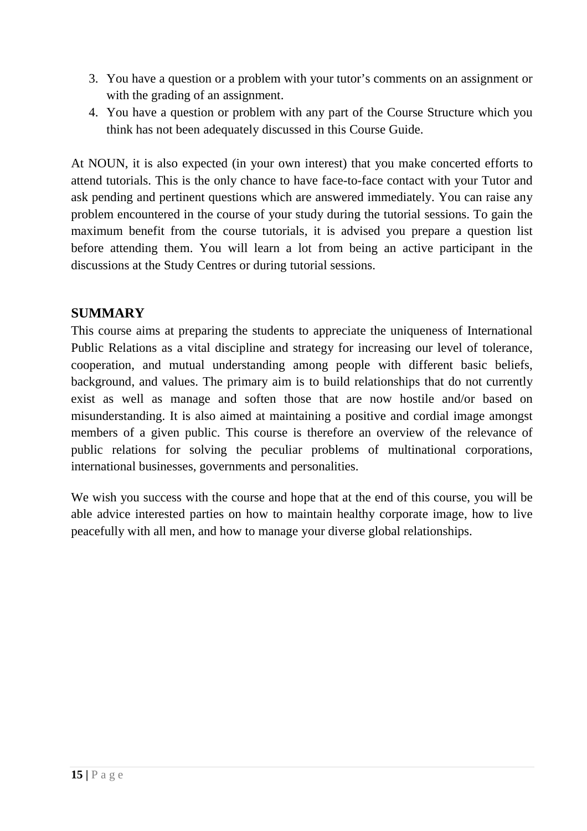- 3. You have a question or a problem with your tutor's comments on an assignment or with the grading of an assignment.
- 4. You have a question or problem with any part of the Course Structure which you think has not been adequately discussed in this Course Guide.

At NOUN, it is also expected (in your own interest) that you make concerted efforts to attend tutorials. This is the only chance to have face-to-face contact with your Tutor and ask pending and pertinent questions which are answered immediately. You can raise any problem encountered in the course of your study during the tutorial sessions. To gain the maximum benefit from the course tutorials, it is advised you prepare a question list before attending them. You will learn a lot from being an active participant in the discussions at the Study Centres or during tutorial sessions.

#### **SUMMARY**

This course aims at preparing the students to appreciate the uniqueness of International Public Relations as a vital discipline and strategy for increasing our level of tolerance, cooperation, and mutual understanding among people with different basic beliefs, background, and values. The primary aim is to build relationships that do not currently exist as well as manage and soften those that are now hostile and/or based on misunderstanding. It is also aimed at maintaining a positive and cordial image amongst members of a given public. This course is therefore an overview of the relevance of public relations for solving the peculiar problems of multinational corporations, international businesses, governments and personalities.

We wish you success with the course and hope that at the end of this course, you will be able advice interested parties on how to maintain healthy corporate image, how to live peacefully with all men, and how to manage your diverse global relationships.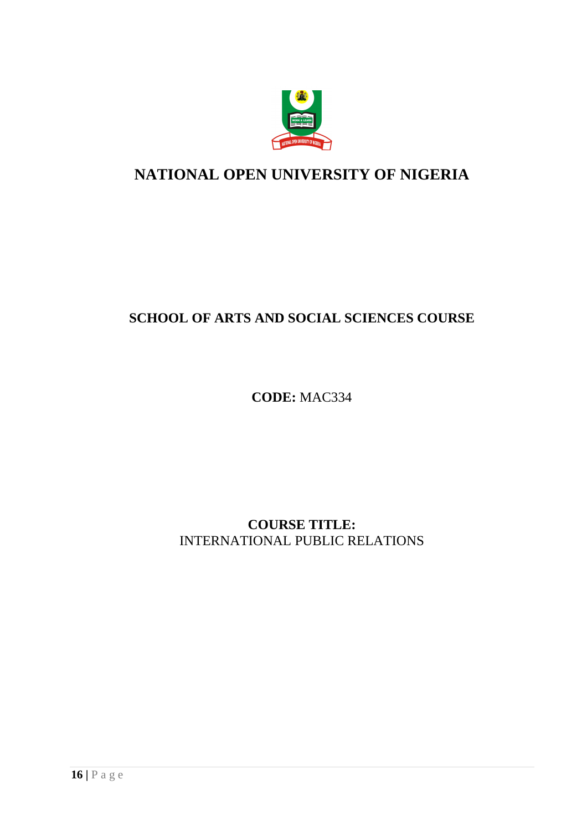

# **NATIONAL OPEN UNIVERSITY OF NIGERIA**

# **SCHOOL OF ARTS AND SOCIAL SCIENCES COURSE**

**CODE:** MAC334

**COURSE TITLE:**  INTERNATIONAL PUBLIC RELATIONS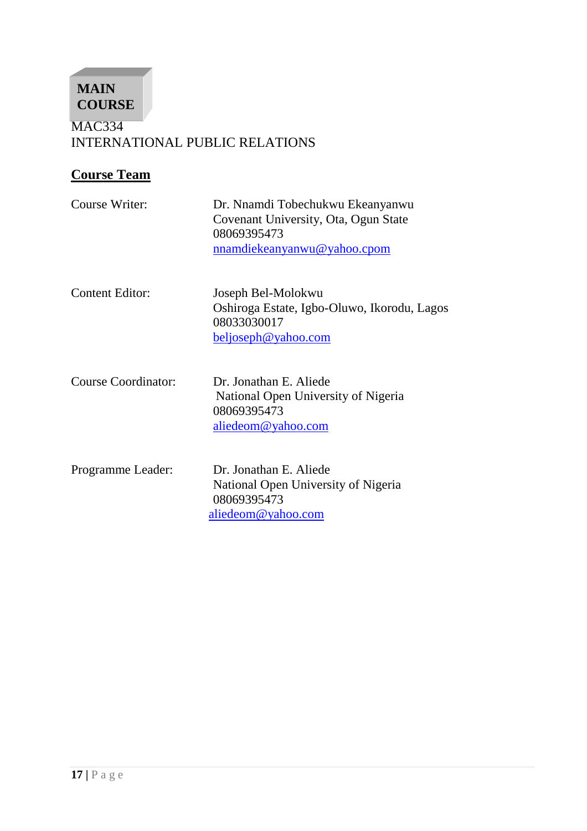MAC334 INTERNATIONAL PUBLIC RELATIONS **MAIN COURSE** 

# **Course Team**

 $\overline{\phantom{a}}$ 

| Course Writer:         | Dr. Nnamdi Tobechukwu Ekeanyanwu<br>Covenant University, Ota, Ogun State<br>08069395473<br>nnamdiekeanyanwu@yahoo.cpom |
|------------------------|------------------------------------------------------------------------------------------------------------------------|
| <b>Content Editor:</b> | Joseph Bel-Molokwu<br>Oshiroga Estate, Igbo-Oluwo, Ikorodu, Lagos<br>08033030017<br><u>beljoseph@yahoo.com</u>         |
| Course Coordinator:    | Dr. Jonathan E. Aliede<br>National Open University of Nigeria<br>08069395473<br>aliedeom@yahoo.com                     |
| Programme Leader:      | Dr. Jonathan E. Aliede<br>National Open University of Nigeria<br>08069395473<br>aliedeom@yahoo.com                     |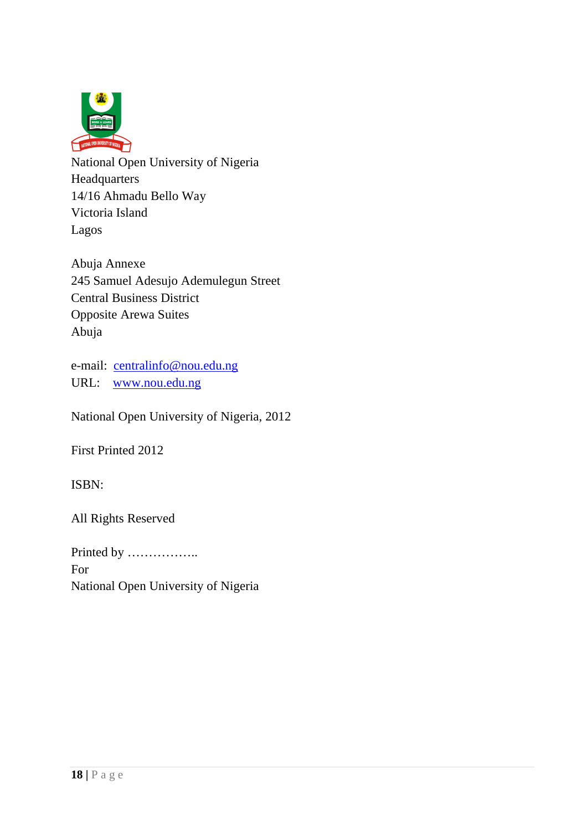

National Open University of Nigeria Headquarters 14/16 Ahmadu Bello Way Victoria Island Lagos

Abuja Annexe 245 Samuel Adesujo Ademulegun Street Central Business District Opposite Arewa Suites Abuja

e-mail: centralinfo@nou.edu.ng URL: www.nou.edu.ng

National Open University of Nigeria, 2012

First Printed 2012

ISBN:

All Rights Reserved

Printed by …………….. For National Open University of Nigeria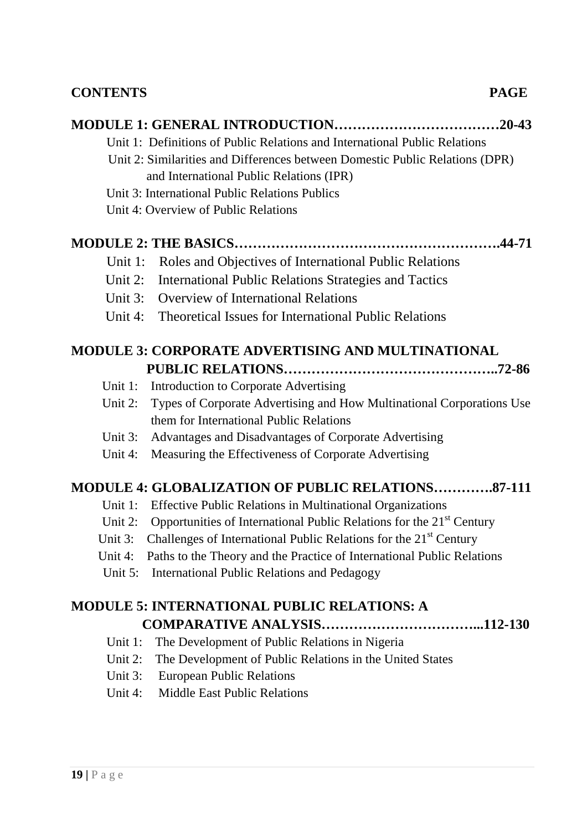## **CONTENTS PAGE**

|            | .20-43                                                                           |
|------------|----------------------------------------------------------------------------------|
|            | Unit 1: Definitions of Public Relations and International Public Relations       |
|            | Unit 2: Similarities and Differences between Domestic Public Relations (DPR)     |
|            | and International Public Relations (IPR)                                         |
|            | Unit 3: International Public Relations Publics                                   |
|            | Unit 4: Overview of Public Relations                                             |
|            |                                                                                  |
| Unit 1:    | Roles and Objectives of International Public Relations                           |
| Unit 2:    | <b>International Public Relations Strategies and Tactics</b>                     |
| Unit 3:    | <b>Overview of International Relations</b>                                       |
| Unit 4:    | <b>Theoretical Issues for International Public Relations</b>                     |
|            | <b>MODULE 3: CORPORATE ADVERTISING AND MULTINATIONAL</b>                         |
|            |                                                                                  |
| Unit $1$ : | Introduction to Corporate Advertising                                            |
| Unit 2:    | Types of Corporate Advertising and How Multinational Corporations Use            |
|            | them for International Public Relations                                          |
| Unit 3:    | Advantages and Disadvantages of Corporate Advertising                            |
| Unit 4:    | Measuring the Effectiveness of Corporate Advertising                             |
|            | <b>MODULE 4: GLOBALIZATION OF PUBLIC RELATIONS87-111</b>                         |
| Unit 1:    | <b>Effective Public Relations in Multinational Organizations</b>                 |
| Unit 2:    | Opportunities of International Public Relations for the 21 <sup>st</sup> Century |
| Unit 3:    | Challenges of International Public Relations for the 21 <sup>st</sup> Century    |
| Unit 4:    | Paths to the Theory and the Practice of International Public Relations           |
|            | Unit 5: International Public Relations and Pedagogy                              |
|            | <b>MODULE 5: INTERNATIONAL PUBLIC RELATIONS: A</b>                               |
|            |                                                                                  |
| Unit $1$ : | The Development of Public Relations in Nigeria                                   |
|            |                                                                                  |

- Unit 2: The Development of Public Relations in the United States Unit 3: European Public Relations
- Unit 4: Middle East Public Relations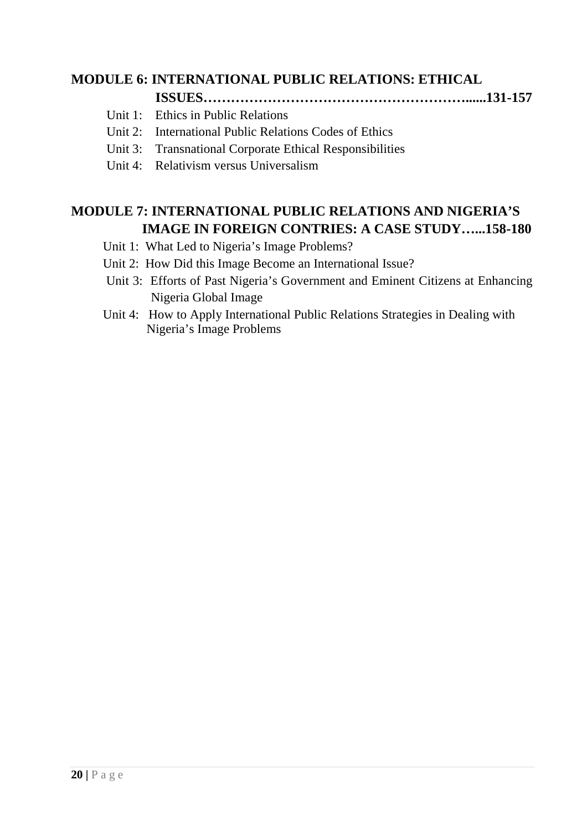# **MODULE 6: INTERNATIONAL PUBLIC RELATIONS: ETHICAL**

- **ISSUES…………………………………………………......131-157**
- Unit 1: Ethics in Public Relations
- Unit 2: International Public Relations Codes of Ethics
- Unit 3: Transnational Corporate Ethical Responsibilities
- Unit 4: Relativism versus Universalism

# **MODULE 7: INTERNATIONAL PUBLIC RELATIONS AND NIGERIA'S IMAGE IN FOREIGN CONTRIES: A CASE STUDY…...158-180**

- Unit 1: What Led to Nigeria's Image Problems?
- Unit 2: How Did this Image Become an International Issue?
- Unit 3: Efforts of Past Nigeria's Government and Eminent Citizens at Enhancing Nigeria Global Image
- Unit 4: How to Apply International Public Relations Strategies in Dealing with Nigeria's Image Problems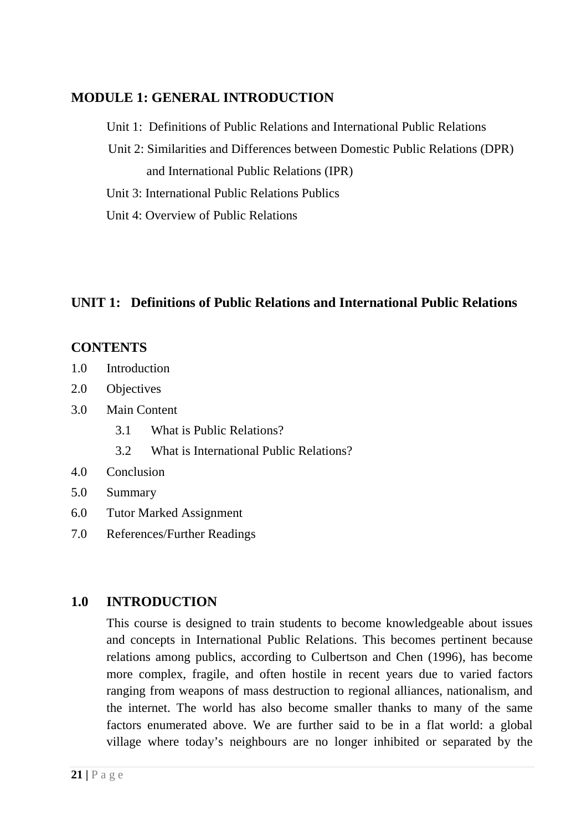# **MODULE 1: GENERAL INTRODUCTION**

Unit 1: Definitions of Public Relations and International Public Relations

- Unit 2: Similarities and Differences between Domestic Public Relations (DPR) and International Public Relations (IPR)
- Unit 3: International Public Relations Publics
- Unit 4: Overview of Public Relations

# **UNIT 1: Definitions of Public Relations and International Public Relations**

# **CONTENTS**

- 1.0 Introduction
- 2.0 Objectives
- 3.0 Main Content
	- 3.1 What is Public Relations?
	- 3.2 What is International Public Relations?
- 4.0 Conclusion
- 5.0 Summary
- 6.0 Tutor Marked Assignment
- 7.0 References/Further Readings

# **1.0 INTRODUCTION**

This course is designed to train students to become knowledgeable about issues and concepts in International Public Relations. This becomes pertinent because relations among publics, according to Culbertson and Chen (1996), has become more complex, fragile, and often hostile in recent years due to varied factors ranging from weapons of mass destruction to regional alliances, nationalism, and the internet. The world has also become smaller thanks to many of the same factors enumerated above. We are further said to be in a flat world: a global village where today's neighbours are no longer inhibited or separated by the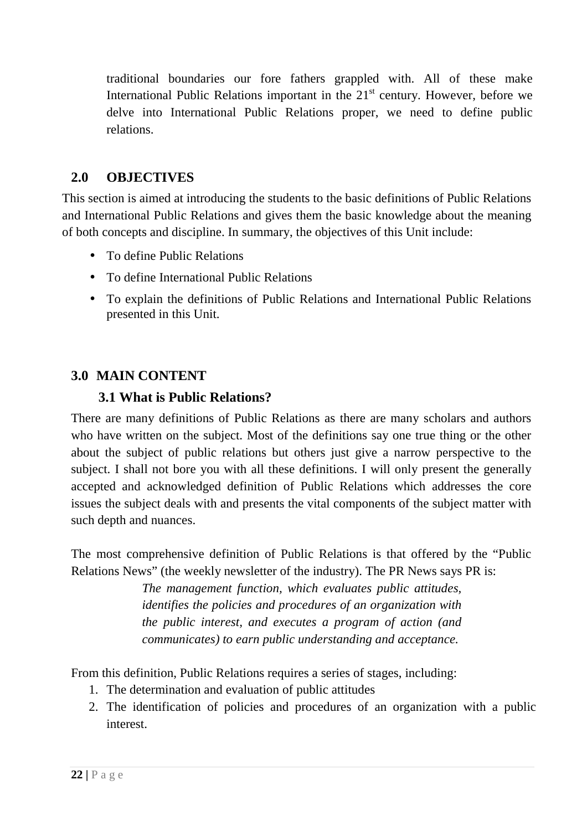traditional boundaries our fore fathers grappled with. All of these make International Public Relations important in the  $21<sup>st</sup>$  century. However, before we delve into International Public Relations proper, we need to define public relations.

# **2.0 OBJECTIVES**

This section is aimed at introducing the students to the basic definitions of Public Relations and International Public Relations and gives them the basic knowledge about the meaning of both concepts and discipline. In summary, the objectives of this Unit include:

- To define Public Relations
- To define International Public Relations
- To explain the definitions of Public Relations and International Public Relations presented in this Unit.

# **3.0 MAIN CONTENT**

#### **3.1 What is Public Relations?**

There are many definitions of Public Relations as there are many scholars and authors who have written on the subject. Most of the definitions say one true thing or the other about the subject of public relations but others just give a narrow perspective to the subject. I shall not bore you with all these definitions. I will only present the generally accepted and acknowledged definition of Public Relations which addresses the core issues the subject deals with and presents the vital components of the subject matter with such depth and nuances.

The most comprehensive definition of Public Relations is that offered by the "Public Relations News" (the weekly newsletter of the industry). The PR News says PR is:

> *The management function, which evaluates public attitudes, identifies the policies and procedures of an organization with the public interest, and executes a program of action (and communicates) to earn public understanding and acceptance.*

From this definition, Public Relations requires a series of stages, including:

- 1. The determination and evaluation of public attitudes
- 2. The identification of policies and procedures of an organization with a public interest.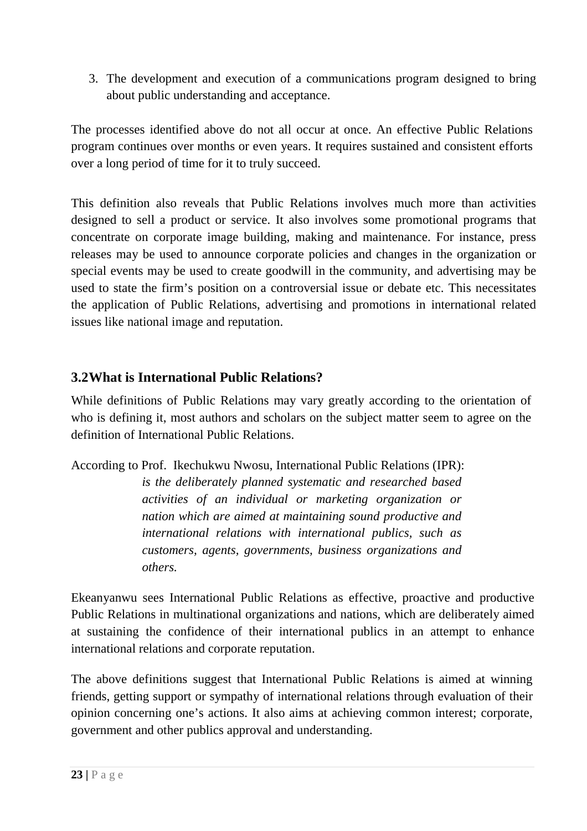3. The development and execution of a communications program designed to bring about public understanding and acceptance.

The processes identified above do not all occur at once. An effective Public Relations program continues over months or even years. It requires sustained and consistent efforts over a long period of time for it to truly succeed.

This definition also reveals that Public Relations involves much more than activities designed to sell a product or service. It also involves some promotional programs that concentrate on corporate image building, making and maintenance. For instance, press releases may be used to announce corporate policies and changes in the organization or special events may be used to create goodwill in the community, and advertising may be used to state the firm's position on a controversial issue or debate etc. This necessitates the application of Public Relations, advertising and promotions in international related issues like national image and reputation.

# **3.2What is International Public Relations?**

While definitions of Public Relations may vary greatly according to the orientation of who is defining it, most authors and scholars on the subject matter seem to agree on the definition of International Public Relations.

According to Prof. Ikechukwu Nwosu, International Public Relations (IPR):

*is the deliberately planned systematic and researched based activities of an individual or marketing organization or nation which are aimed at maintaining sound productive and international relations with international publics, such as customers, agents, governments, business organizations and others.* 

Ekeanyanwu sees International Public Relations as effective, proactive and productive Public Relations in multinational organizations and nations, which are deliberately aimed at sustaining the confidence of their international publics in an attempt to enhance international relations and corporate reputation.

The above definitions suggest that International Public Relations is aimed at winning friends, getting support or sympathy of international relations through evaluation of their opinion concerning one's actions. It also aims at achieving common interest; corporate, government and other publics approval and understanding.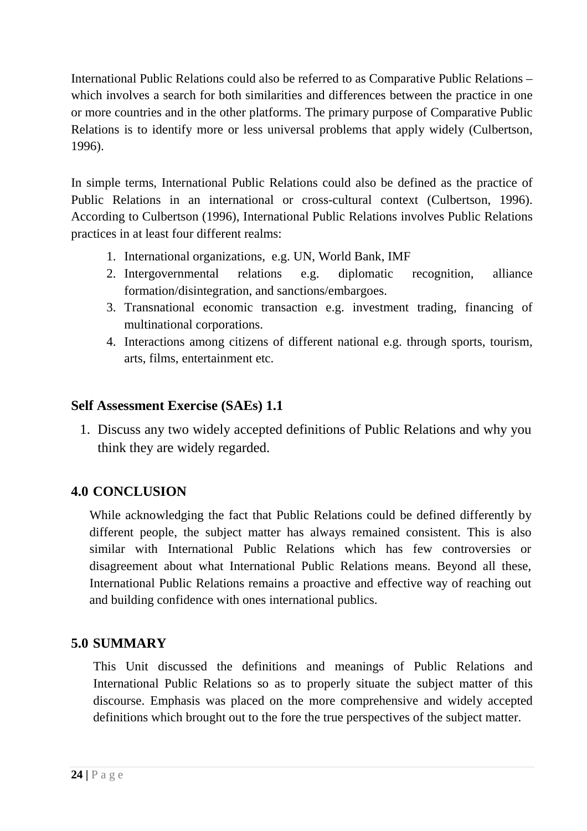International Public Relations could also be referred to as Comparative Public Relations – which involves a search for both similarities and differences between the practice in one or more countries and in the other platforms. The primary purpose of Comparative Public Relations is to identify more or less universal problems that apply widely (Culbertson, 1996).

In simple terms, International Public Relations could also be defined as the practice of Public Relations in an international or cross-cultural context (Culbertson, 1996). According to Culbertson (1996), International Public Relations involves Public Relations practices in at least four different realms:

- 1. International organizations, e.g. UN, World Bank, IMF
- 2. Intergovernmental relations e.g. diplomatic recognition, alliance formation/disintegration, and sanctions/embargoes.
- 3. Transnational economic transaction e.g. investment trading, financing of multinational corporations.
- 4. Interactions among citizens of different national e.g. through sports, tourism, arts, films, entertainment etc.

## **Self Assessment Exercise (SAEs) 1.1**

1. Discuss any two widely accepted definitions of Public Relations and why you think they are widely regarded.

# **4.0 CONCLUSION**

While acknowledging the fact that Public Relations could be defined differently by different people, the subject matter has always remained consistent. This is also similar with International Public Relations which has few controversies or disagreement about what International Public Relations means. Beyond all these, International Public Relations remains a proactive and effective way of reaching out and building confidence with ones international publics.

# **5.0 SUMMARY**

This Unit discussed the definitions and meanings of Public Relations and International Public Relations so as to properly situate the subject matter of this discourse. Emphasis was placed on the more comprehensive and widely accepted definitions which brought out to the fore the true perspectives of the subject matter.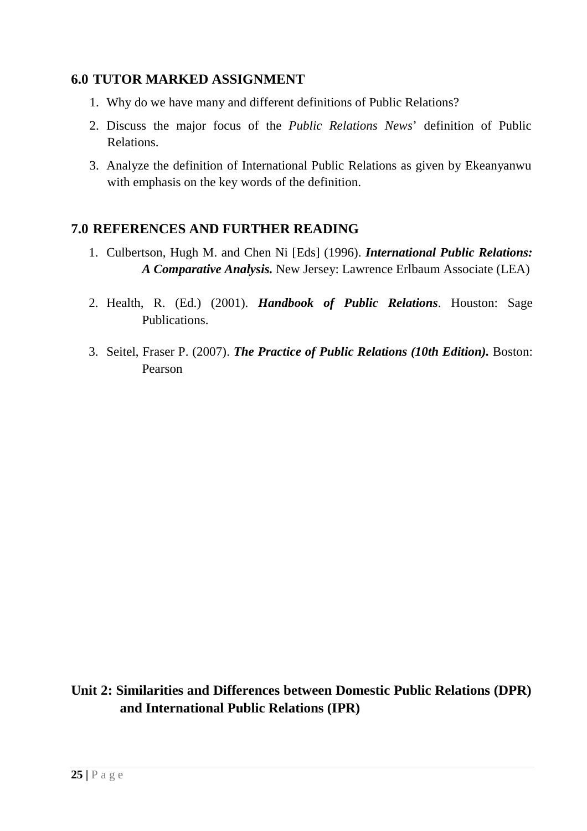#### **6.0 TUTOR MARKED ASSIGNMENT**

- 1. Why do we have many and different definitions of Public Relations?
- 2. Discuss the major focus of the *Public Relations News*' definition of Public Relations.
- 3. Analyze the definition of International Public Relations as given by Ekeanyanwu with emphasis on the key words of the definition.

#### **7.0 REFERENCES AND FURTHER READING**

- 1. Culbertson, Hugh M. and Chen Ni [Eds] (1996). *International Public Relations: A Comparative Analysis.* New Jersey: Lawrence Erlbaum Associate (LEA)
- 2. Health, R. (Ed.) (2001). *Handbook of Public Relations*. Houston: Sage Publications.
- 3. Seitel, Fraser P. (2007). *The Practice of Public Relations (10th Edition).* Boston: Pearson

**Unit 2: Similarities and Differences between Domestic Public Relations (DPR) and International Public Relations (IPR)**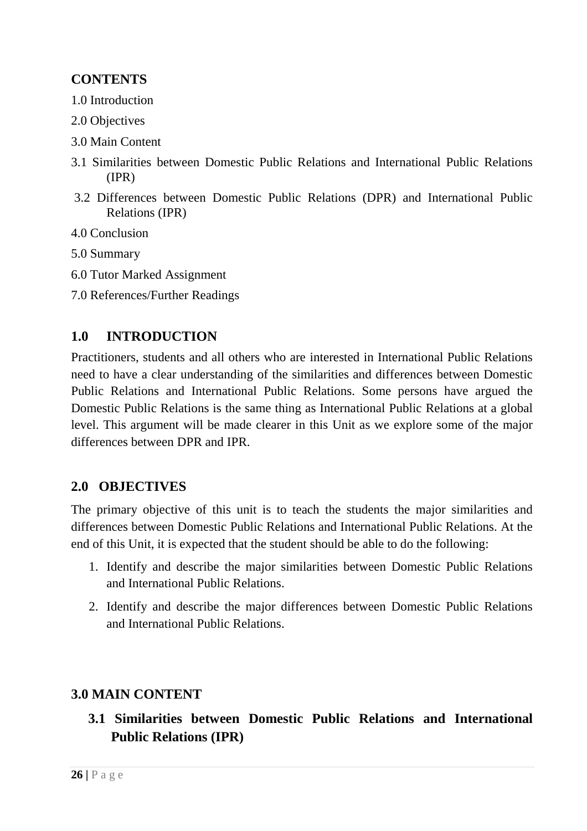# **CONTENTS**

- 1.0 Introduction
- 2.0 Objectives
- 3.0 Main Content
- 3.1 Similarities between Domestic Public Relations and International Public Relations (IPR)
- 3.2 Differences between Domestic Public Relations (DPR) and International Public Relations (IPR)
- 4.0 Conclusion
- 5.0 Summary
- 6.0 Tutor Marked Assignment
- 7.0 References/Further Readings

## **1.0 INTRODUCTION**

Practitioners, students and all others who are interested in International Public Relations need to have a clear understanding of the similarities and differences between Domestic Public Relations and International Public Relations. Some persons have argued the Domestic Public Relations is the same thing as International Public Relations at a global level. This argument will be made clearer in this Unit as we explore some of the major differences between DPR and IPR.

#### **2.0 OBJECTIVES**

The primary objective of this unit is to teach the students the major similarities and differences between Domestic Public Relations and International Public Relations. At the end of this Unit, it is expected that the student should be able to do the following:

- 1. Identify and describe the major similarities between Domestic Public Relations and International Public Relations.
- 2. Identify and describe the major differences between Domestic Public Relations and International Public Relations.

#### **3.0 MAIN CONTENT**

 **3.1 Similarities between Domestic Public Relations and International Public Relations (IPR)**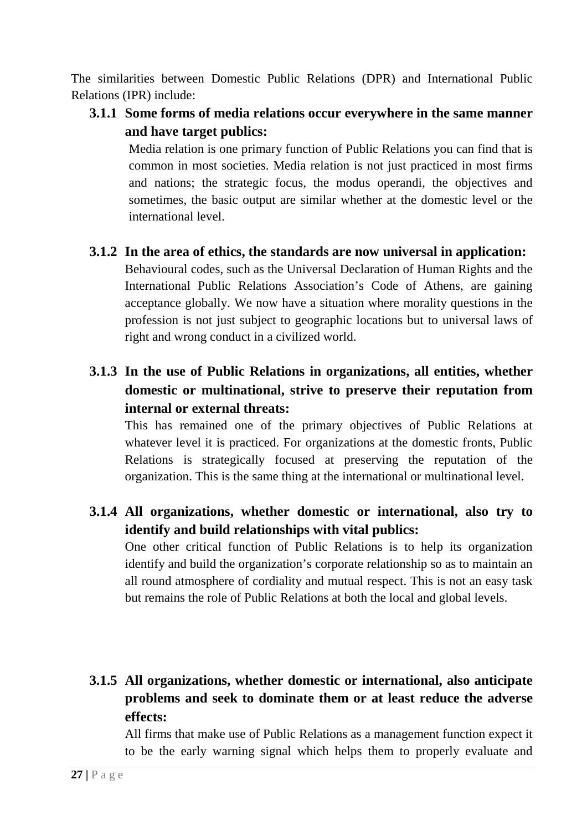The similarities between Domestic Public Relations (DPR) and International Public Relations (IPR) include:

**3.1.1 Some forms of media relations occur everywhere in the same manner and have target publics:** 

Media relation is one primary function of Public Relations you can find that is common in most societies. Media relation is not just practiced in most firms and nations; the strategic focus, the modus operandi, the objectives and sometimes, the basic output are similar whether at the domestic level or the international level.

- **3.1.2 In the area of ethics, the standards are now universal in application:** Behavioural codes, such as the Universal Declaration of Human Rights and the International Public Relations Association's Code of Athens, are gaining acceptance globally. We now have a situation where morality questions in the profession is not just subject to geographic locations but to universal laws of right and wrong conduct in a civilized world.
- **3.1.3 In the use of Public Relations in organizations, all entities, whether domestic or multinational, strive to preserve their reputation from internal or external threats:**

This has remained one of the primary objectives of Public Relations at whatever level it is practiced. For organizations at the domestic fronts, Public Relations is strategically focused at preserving the reputation of the organization. This is the same thing at the international or multinational level.

**3.1.4 All organizations, whether domestic or international, also try to identify and build relationships with vital publics:** 

One other critical function of Public Relations is to help its organization identify and build the organization's corporate relationship so as to maintain an all round atmosphere of cordiality and mutual respect. This is not an easy task but remains the role of Public Relations at both the local and global levels.

# **3.1.5 All organizations, whether domestic or international, also anticipate problems and seek to dominate them or at least reduce the adverse effects:**

All firms that make use of Public Relations as a management function expect it to be the early warning signal which helps them to properly evaluate and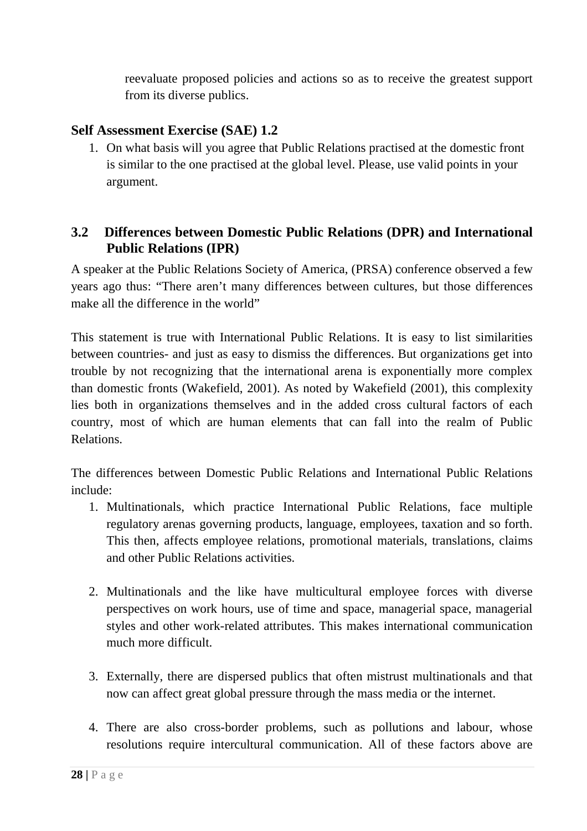reevaluate proposed policies and actions so as to receive the greatest support from its diverse publics.

#### **Self Assessment Exercise (SAE) 1.2**

1. On what basis will you agree that Public Relations practised at the domestic front is similar to the one practised at the global level. Please, use valid points in your argument.

#### **3.2 Differences between Domestic Public Relations (DPR) and International Public Relations (IPR)**

A speaker at the Public Relations Society of America, (PRSA) conference observed a few years ago thus: "There aren't many differences between cultures, but those differences make all the difference in the world"

This statement is true with International Public Relations. It is easy to list similarities between countries- and just as easy to dismiss the differences. But organizations get into trouble by not recognizing that the international arena is exponentially more complex than domestic fronts (Wakefield, 2001). As noted by Wakefield (2001), this complexity lies both in organizations themselves and in the added cross cultural factors of each country, most of which are human elements that can fall into the realm of Public Relations.

The differences between Domestic Public Relations and International Public Relations include:

- 1. Multinationals, which practice International Public Relations, face multiple regulatory arenas governing products, language, employees, taxation and so forth. This then, affects employee relations, promotional materials, translations, claims and other Public Relations activities.
- 2. Multinationals and the like have multicultural employee forces with diverse perspectives on work hours, use of time and space, managerial space, managerial styles and other work-related attributes. This makes international communication much more difficult.
- 3. Externally, there are dispersed publics that often mistrust multinationals and that now can affect great global pressure through the mass media or the internet.
- 4. There are also cross-border problems, such as pollutions and labour, whose resolutions require intercultural communication. All of these factors above are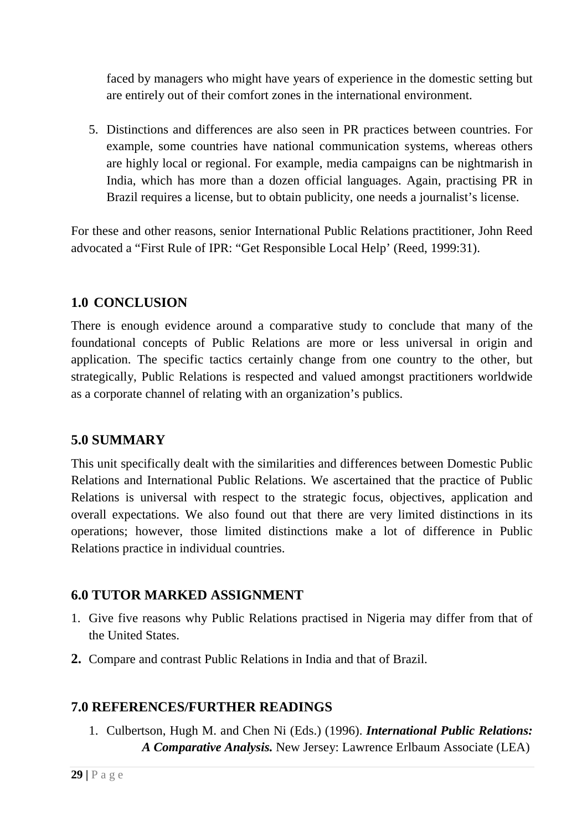faced by managers who might have years of experience in the domestic setting but are entirely out of their comfort zones in the international environment.

5. Distinctions and differences are also seen in PR practices between countries. For example, some countries have national communication systems, whereas others are highly local or regional. For example, media campaigns can be nightmarish in India, which has more than a dozen official languages. Again, practising PR in Brazil requires a license, but to obtain publicity, one needs a journalist's license.

For these and other reasons, senior International Public Relations practitioner, John Reed advocated a "First Rule of IPR: "Get Responsible Local Help' (Reed, 1999:31).

## **1.0 CONCLUSION**

There is enough evidence around a comparative study to conclude that many of the foundational concepts of Public Relations are more or less universal in origin and application. The specific tactics certainly change from one country to the other, but strategically, Public Relations is respected and valued amongst practitioners worldwide as a corporate channel of relating with an organization's publics.

## **5.0 SUMMARY**

This unit specifically dealt with the similarities and differences between Domestic Public Relations and International Public Relations. We ascertained that the practice of Public Relations is universal with respect to the strategic focus, objectives, application and overall expectations. We also found out that there are very limited distinctions in its operations; however, those limited distinctions make a lot of difference in Public Relations practice in individual countries.

## **6.0 TUTOR MARKED ASSIGNMENT**

- 1. Give five reasons why Public Relations practised in Nigeria may differ from that of the United States.
- **2.** Compare and contrast Public Relations in India and that of Brazil.

## **7.0 REFERENCES/FURTHER READINGS**

1. Culbertson, Hugh M. and Chen Ni (Eds.) (1996). *International Public Relations: A Comparative Analysis.* New Jersey: Lawrence Erlbaum Associate (LEA)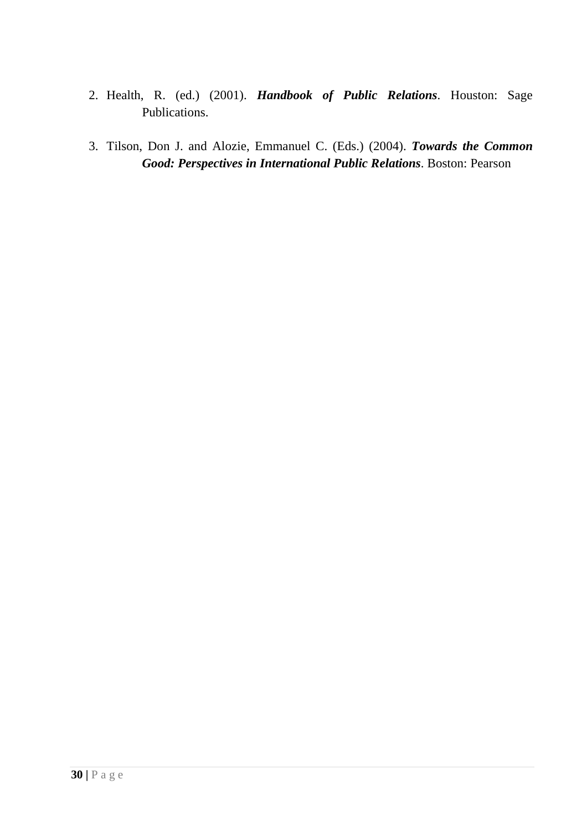- 2. Health, R. (ed.) (2001). *Handbook of Public Relations*. Houston: Sage Publications.
- 3. Tilson, Don J. and Alozie, Emmanuel C. (Eds.) (2004). *Towards the Common Good: Perspectives in International Public Relations*. Boston: Pearson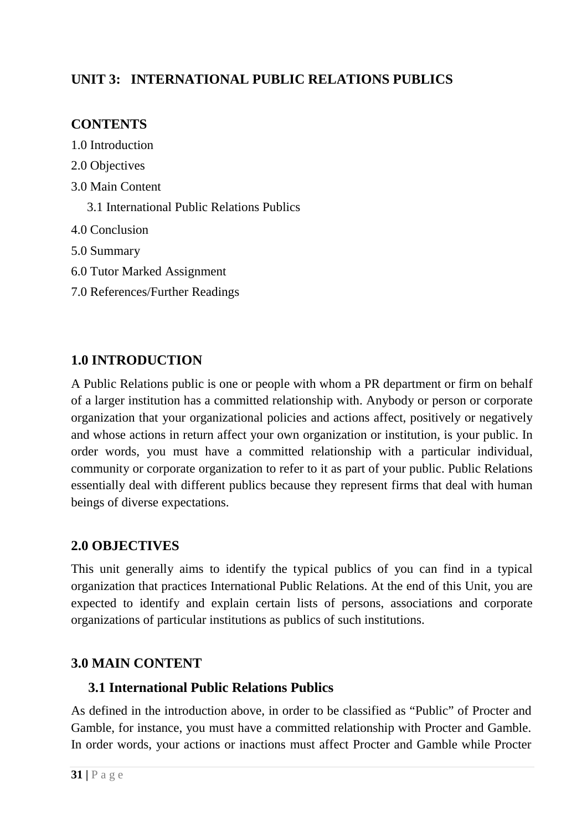# **UNIT 3: INTERNATIONAL PUBLIC RELATIONS PUBLICS**

# **CONTENTS**

- 1.0 Introduction
- 2.0 Objectives
- 3.0 Main Content
	- 3.1 International Public Relations Publics
- 4.0 Conclusion
- 5.0 Summary
- 6.0 Tutor Marked Assignment
- 7.0 References/Further Readings

# **1.0 INTRODUCTION**

A Public Relations public is one or people with whom a PR department or firm on behalf of a larger institution has a committed relationship with. Anybody or person or corporate organization that your organizational policies and actions affect, positively or negatively and whose actions in return affect your own organization or institution, is your public. In order words, you must have a committed relationship with a particular individual, community or corporate organization to refer to it as part of your public. Public Relations essentially deal with different publics because they represent firms that deal with human beings of diverse expectations.

## **2.0 OBJECTIVES**

This unit generally aims to identify the typical publics of you can find in a typical organization that practices International Public Relations. At the end of this Unit, you are expected to identify and explain certain lists of persons, associations and corporate organizations of particular institutions as publics of such institutions.

# **3.0 MAIN CONTENT**

## **3.1 International Public Relations Publics**

As defined in the introduction above, in order to be classified as "Public" of Procter and Gamble, for instance, you must have a committed relationship with Procter and Gamble. In order words, your actions or inactions must affect Procter and Gamble while Procter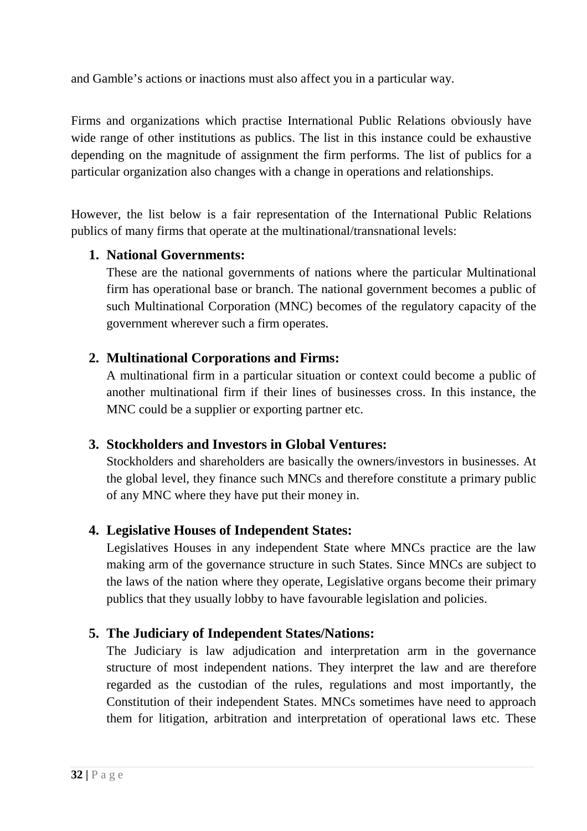and Gamble's actions or inactions must also affect you in a particular way.

Firms and organizations which practise International Public Relations obviously have wide range of other institutions as publics. The list in this instance could be exhaustive depending on the magnitude of assignment the firm performs. The list of publics for a particular organization also changes with a change in operations and relationships.

However, the list below is a fair representation of the International Public Relations publics of many firms that operate at the multinational/transnational levels:

## **1. National Governments:**

These are the national governments of nations where the particular Multinational firm has operational base or branch. The national government becomes a public of such Multinational Corporation (MNC) becomes of the regulatory capacity of the government wherever such a firm operates.

#### **2. Multinational Corporations and Firms:**

A multinational firm in a particular situation or context could become a public of another multinational firm if their lines of businesses cross. In this instance, the MNC could be a supplier or exporting partner etc.

## **3. Stockholders and Investors in Global Ventures:**

Stockholders and shareholders are basically the owners/investors in businesses. At the global level, they finance such MNCs and therefore constitute a primary public of any MNC where they have put their money in.

## **4. Legislative Houses of Independent States:**

Legislatives Houses in any independent State where MNCs practice are the law making arm of the governance structure in such States. Since MNCs are subject to the laws of the nation where they operate, Legislative organs become their primary publics that they usually lobby to have favourable legislation and policies.

## **5. The Judiciary of Independent States/Nations:**

The Judiciary is law adjudication and interpretation arm in the governance structure of most independent nations. They interpret the law and are therefore regarded as the custodian of the rules, regulations and most importantly, the Constitution of their independent States. MNCs sometimes have need to approach them for litigation, arbitration and interpretation of operational laws etc. These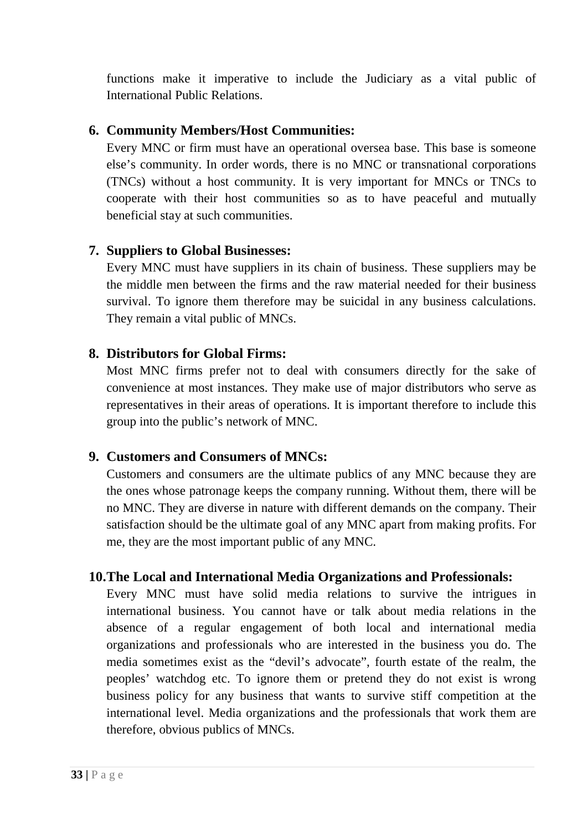functions make it imperative to include the Judiciary as a vital public of International Public Relations.

#### **6. Community Members/Host Communities:**

Every MNC or firm must have an operational oversea base. This base is someone else's community. In order words, there is no MNC or transnational corporations (TNCs) without a host community. It is very important for MNCs or TNCs to cooperate with their host communities so as to have peaceful and mutually beneficial stay at such communities.

#### **7. Suppliers to Global Businesses:**

Every MNC must have suppliers in its chain of business. These suppliers may be the middle men between the firms and the raw material needed for their business survival. To ignore them therefore may be suicidal in any business calculations. They remain a vital public of MNCs.

#### **8. Distributors for Global Firms:**

Most MNC firms prefer not to deal with consumers directly for the sake of convenience at most instances. They make use of major distributors who serve as representatives in their areas of operations. It is important therefore to include this group into the public's network of MNC.

#### **9. Customers and Consumers of MNCs:**

Customers and consumers are the ultimate publics of any MNC because they are the ones whose patronage keeps the company running. Without them, there will be no MNC. They are diverse in nature with different demands on the company. Their satisfaction should be the ultimate goal of any MNC apart from making profits. For me, they are the most important public of any MNC.

#### **10.The Local and International Media Organizations and Professionals:**

Every MNC must have solid media relations to survive the intrigues in international business. You cannot have or talk about media relations in the absence of a regular engagement of both local and international media organizations and professionals who are interested in the business you do. The media sometimes exist as the "devil's advocate", fourth estate of the realm, the peoples' watchdog etc. To ignore them or pretend they do not exist is wrong business policy for any business that wants to survive stiff competition at the international level. Media organizations and the professionals that work them are therefore, obvious publics of MNCs.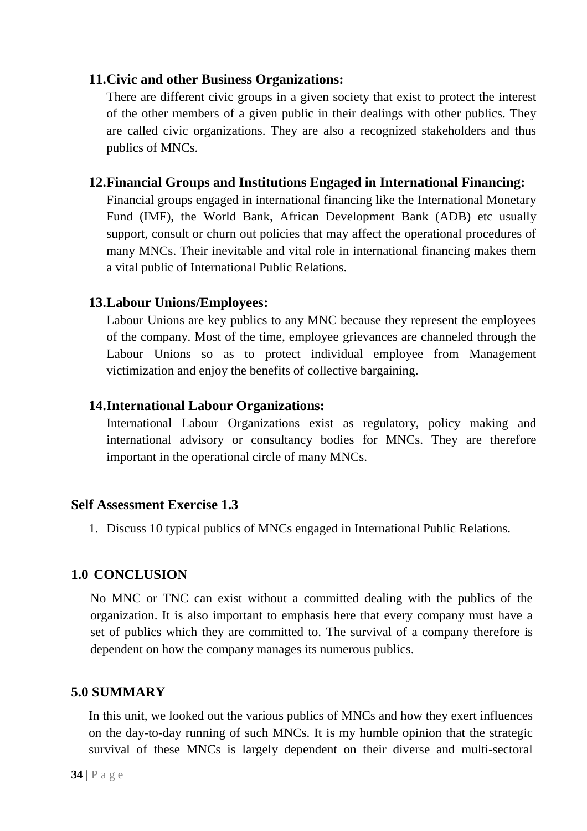#### **11.Civic and other Business Organizations:**

There are different civic groups in a given society that exist to protect the interest of the other members of a given public in their dealings with other publics. They are called civic organizations. They are also a recognized stakeholders and thus publics of MNCs.

#### **12.Financial Groups and Institutions Engaged in International Financing:**

Financial groups engaged in international financing like the International Monetary Fund (IMF), the World Bank, African Development Bank (ADB) etc usually support, consult or churn out policies that may affect the operational procedures of many MNCs. Their inevitable and vital role in international financing makes them a vital public of International Public Relations.

#### **13.Labour Unions/Employees:**

Labour Unions are key publics to any MNC because they represent the employees of the company. Most of the time, employee grievances are channeled through the Labour Unions so as to protect individual employee from Management victimization and enjoy the benefits of collective bargaining.

#### **14.International Labour Organizations:**

International Labour Organizations exist as regulatory, policy making and international advisory or consultancy bodies for MNCs. They are therefore important in the operational circle of many MNCs.

#### **Self Assessment Exercise 1.3**

1. Discuss 10 typical publics of MNCs engaged in International Public Relations.

#### **1.0 CONCLUSION**

No MNC or TNC can exist without a committed dealing with the publics of the organization. It is also important to emphasis here that every company must have a set of publics which they are committed to. The survival of a company therefore is dependent on how the company manages its numerous publics.

#### **5.0 SUMMARY**

In this unit, we looked out the various publics of MNCs and how they exert influences on the day-to-day running of such MNCs. It is my humble opinion that the strategic survival of these MNCs is largely dependent on their diverse and multi-sectoral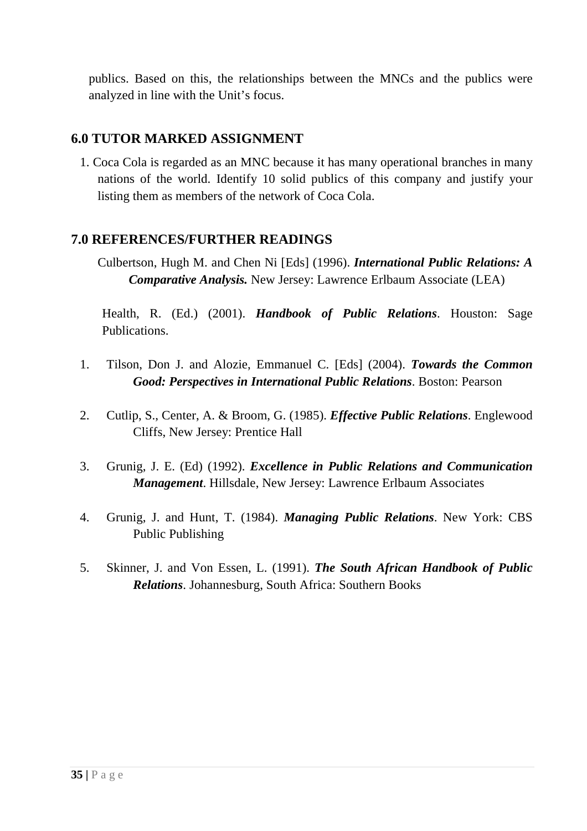publics. Based on this, the relationships between the MNCs and the publics were analyzed in line with the Unit's focus.

#### **6.0 TUTOR MARKED ASSIGNMENT**

1. Coca Cola is regarded as an MNC because it has many operational branches in many nations of the world. Identify 10 solid publics of this company and justify your listing them as members of the network of Coca Cola.

#### **7.0 REFERENCES/FURTHER READINGS**

Culbertson, Hugh M. and Chen Ni [Eds] (1996). *International Public Relations: A Comparative Analysis.* New Jersey: Lawrence Erlbaum Associate (LEA)

Health, R. (Ed.) (2001). *Handbook of Public Relations*. Houston: Sage Publications.

- 1. Tilson, Don J. and Alozie, Emmanuel C. [Eds] (2004). *Towards the Common Good: Perspectives in International Public Relations*. Boston: Pearson
- 2. Cutlip, S., Center, A. & Broom, G. (1985). *Effective Public Relations*. Englewood Cliffs, New Jersey: Prentice Hall
- 3. Grunig, J. E. (Ed) (1992). *Excellence in Public Relations and Communication Management*. Hillsdale, New Jersey: Lawrence Erlbaum Associates
- 4. Grunig, J. and Hunt, T. (1984). *Managing Public Relations*. New York: CBS Public Publishing
- 5. Skinner, J. and Von Essen, L. (1991). *The South African Handbook of Public Relations*. Johannesburg, South Africa: Southern Books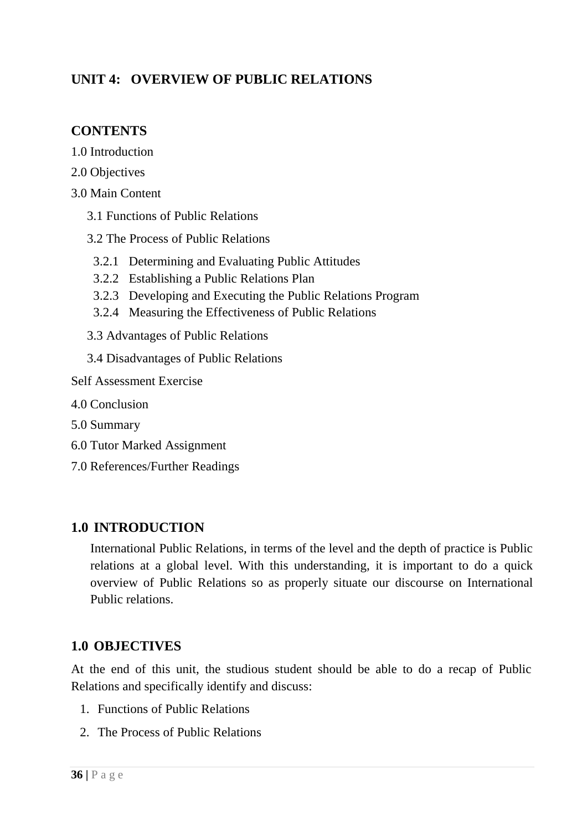# **UNIT 4: OVERVIEW OF PUBLIC RELATIONS**

#### **CONTENTS**

- 1.0 Introduction
- 2.0 Objectives
- 3.0 Main Content
	- 3.1 Functions of Public Relations
	- 3.2 The Process of Public Relations
	- 3.2.1 Determining and Evaluating Public Attitudes
	- 3.2.2 Establishing a Public Relations Plan
	- 3.2.3 Developing and Executing the Public Relations Program
	- 3.2.4 Measuring the Effectiveness of Public Relations
	- 3.3 Advantages of Public Relations
	- 3.4 Disadvantages of Public Relations

#### Self Assessment Exercise

- 4.0 Conclusion
- 5.0 Summary
- 6.0 Tutor Marked Assignment
- 7.0 References/Further Readings

#### **1.0 INTRODUCTION**

International Public Relations, in terms of the level and the depth of practice is Public relations at a global level. With this understanding, it is important to do a quick overview of Public Relations so as properly situate our discourse on International Public relations.

## **1.0 OBJECTIVES**

At the end of this unit, the studious student should be able to do a recap of Public Relations and specifically identify and discuss:

- 1. Functions of Public Relations
- 2. The Process of Public Relations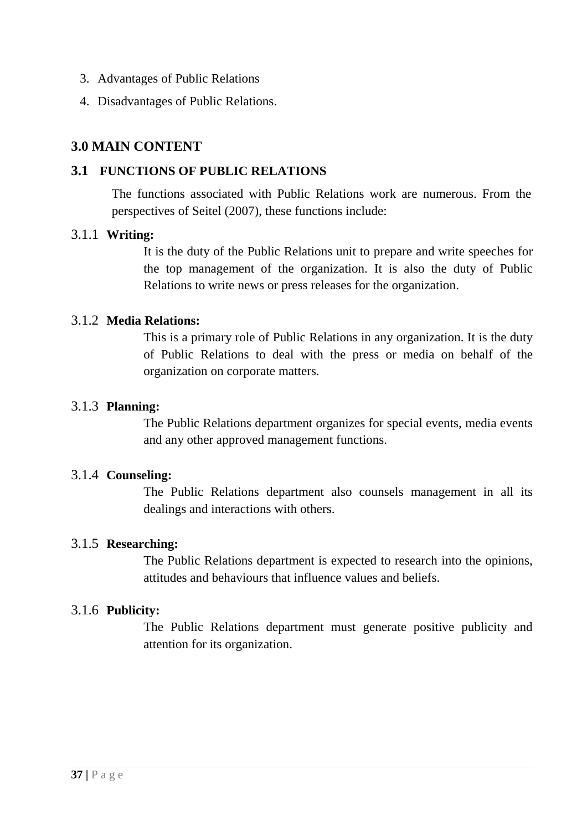- 3. Advantages of Public Relations
- 4. Disadvantages of Public Relations.

### **3.0 MAIN CONTENT**

#### **3.1 FUNCTIONS OF PUBLIC RELATIONS**

The functions associated with Public Relations work are numerous. From the perspectives of Seitel (2007), these functions include:

#### 3.1.1 **Writing:**

It is the duty of the Public Relations unit to prepare and write speeches for the top management of the organization. It is also the duty of Public Relations to write news or press releases for the organization.

#### 3.1.2 **Media Relations:**

This is a primary role of Public Relations in any organization. It is the duty of Public Relations to deal with the press or media on behalf of the organization on corporate matters.

#### 3.1.3 **Planning:**

The Public Relations department organizes for special events, media events and any other approved management functions.

#### 3.1.4 **Counseling:**

The Public Relations department also counsels management in all its dealings and interactions with others.

#### 3.1.5 **Researching:**

The Public Relations department is expected to research into the opinions, attitudes and behaviours that influence values and beliefs.

### 3.1.6 **Publicity:**

The Public Relations department must generate positive publicity and attention for its organization.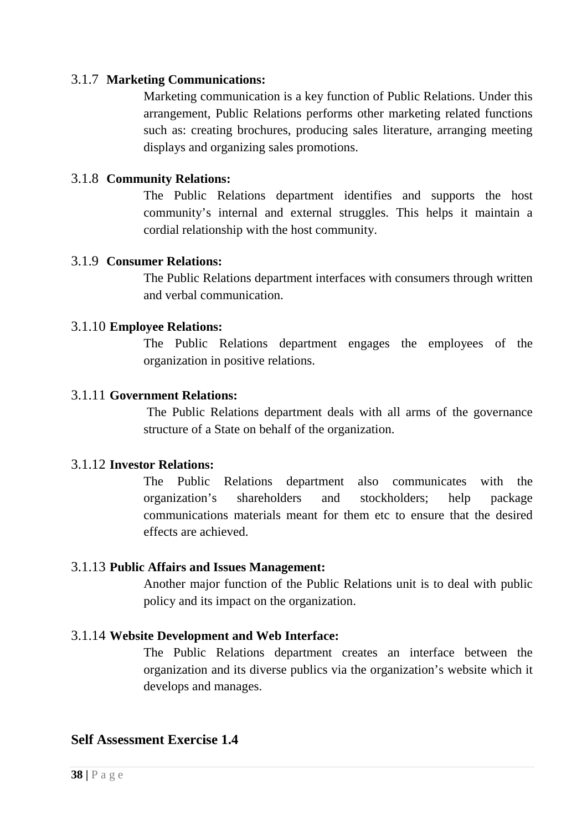#### 3.1.7 **Marketing Communications:**

Marketing communication is a key function of Public Relations. Under this arrangement, Public Relations performs other marketing related functions such as: creating brochures, producing sales literature, arranging meeting displays and organizing sales promotions.

#### 3.1.8 **Community Relations:**

The Public Relations department identifies and supports the host community's internal and external struggles. This helps it maintain a cordial relationship with the host community.

#### 3.1.9 **Consumer Relations:**

The Public Relations department interfaces with consumers through written and verbal communication.

#### 3.1.10 **Employee Relations:**

The Public Relations department engages the employees of the organization in positive relations.

#### 3.1.11 **Government Relations:**

The Public Relations department deals with all arms of the governance structure of a State on behalf of the organization.

#### 3.1.12 **Investor Relations:**

The Public Relations department also communicates with the organization's shareholders and stockholders; help package communications materials meant for them etc to ensure that the desired effects are achieved.

#### 3.1.13 **Public Affairs and Issues Management:**

Another major function of the Public Relations unit is to deal with public policy and its impact on the organization.

#### 3.1.14 **Website Development and Web Interface:**

The Public Relations department creates an interface between the organization and its diverse publics via the organization's website which it develops and manages.

#### **Self Assessment Exercise 1.4**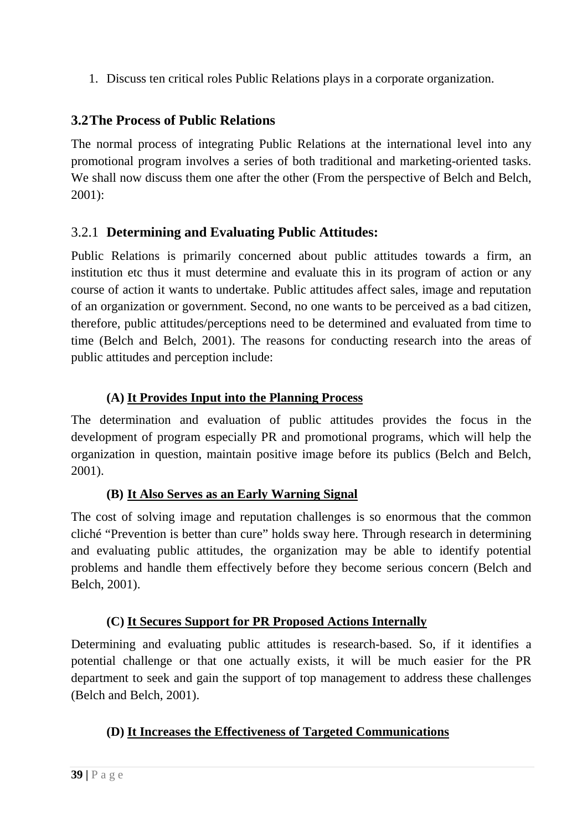1. Discuss ten critical roles Public Relations plays in a corporate organization.

# **3.2The Process of Public Relations**

The normal process of integrating Public Relations at the international level into any promotional program involves a series of both traditional and marketing-oriented tasks. We shall now discuss them one after the other (From the perspective of Belch and Belch, 2001):

# 3.2.1 **Determining and Evaluating Public Attitudes:**

Public Relations is primarily concerned about public attitudes towards a firm, an institution etc thus it must determine and evaluate this in its program of action or any course of action it wants to undertake. Public attitudes affect sales, image and reputation of an organization or government. Second, no one wants to be perceived as a bad citizen, therefore, public attitudes/perceptions need to be determined and evaluated from time to time (Belch and Belch, 2001). The reasons for conducting research into the areas of public attitudes and perception include:

## **(A) It Provides Input into the Planning Process**

The determination and evaluation of public attitudes provides the focus in the development of program especially PR and promotional programs, which will help the organization in question, maintain positive image before its publics (Belch and Belch, 2001).

## **(B) It Also Serves as an Early Warning Signal**

The cost of solving image and reputation challenges is so enormous that the common cliché "Prevention is better than cure" holds sway here. Through research in determining and evaluating public attitudes, the organization may be able to identify potential problems and handle them effectively before they become serious concern (Belch and Belch, 2001).

## **(C) It Secures Support for PR Proposed Actions Internally**

Determining and evaluating public attitudes is research-based. So, if it identifies a potential challenge or that one actually exists, it will be much easier for the PR department to seek and gain the support of top management to address these challenges (Belch and Belch, 2001).

## **(D) It Increases the Effectiveness of Targeted Communications**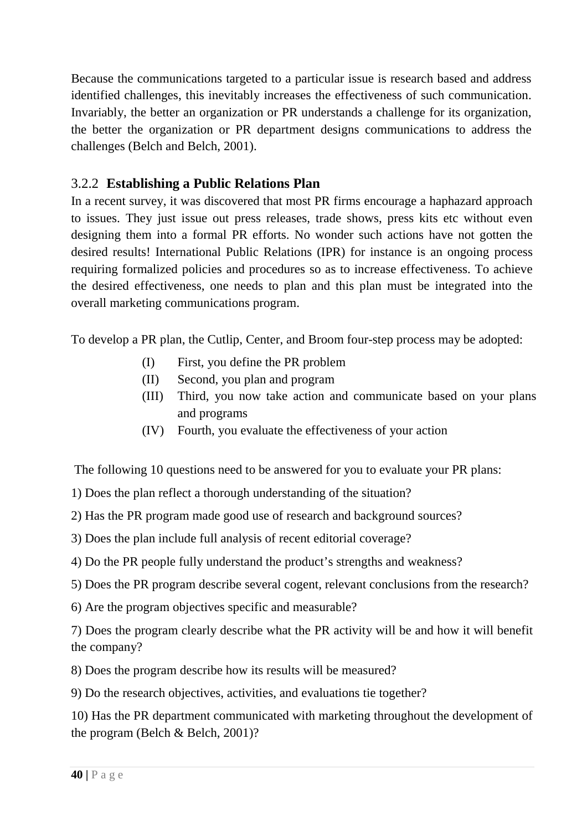Because the communications targeted to a particular issue is research based and address identified challenges, this inevitably increases the effectiveness of such communication. Invariably, the better an organization or PR understands a challenge for its organization, the better the organization or PR department designs communications to address the challenges (Belch and Belch, 2001).

## 3.2.2 **Establishing a Public Relations Plan**

In a recent survey, it was discovered that most PR firms encourage a haphazard approach to issues. They just issue out press releases, trade shows, press kits etc without even designing them into a formal PR efforts. No wonder such actions have not gotten the desired results! International Public Relations (IPR) for instance is an ongoing process requiring formalized policies and procedures so as to increase effectiveness. To achieve the desired effectiveness, one needs to plan and this plan must be integrated into the overall marketing communications program.

To develop a PR plan, the Cutlip, Center, and Broom four-step process may be adopted:

- (I) First, you define the PR problem
- (II) Second, you plan and program
- (III) Third, you now take action and communicate based on your plans and programs
- (IV) Fourth, you evaluate the effectiveness of your action

The following 10 questions need to be answered for you to evaluate your PR plans:

1) Does the plan reflect a thorough understanding of the situation?

2) Has the PR program made good use of research and background sources?

3) Does the plan include full analysis of recent editorial coverage?

4) Do the PR people fully understand the product's strengths and weakness?

5) Does the PR program describe several cogent, relevant conclusions from the research?

6) Are the program objectives specific and measurable?

7) Does the program clearly describe what the PR activity will be and how it will benefit the company?

8) Does the program describe how its results will be measured?

9) Do the research objectives, activities, and evaluations tie together?

10) Has the PR department communicated with marketing throughout the development of the program (Belch & Belch, 2001)?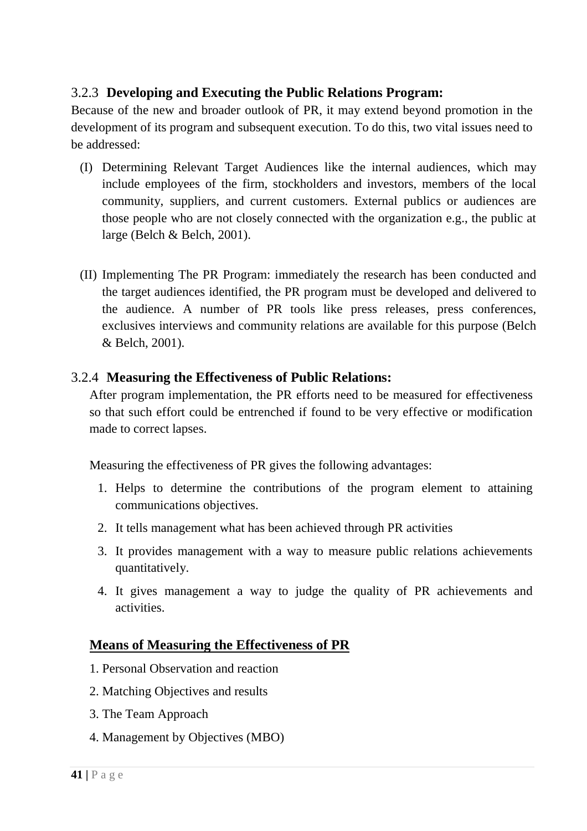### 3.2.3 **Developing and Executing the Public Relations Program:**

Because of the new and broader outlook of PR, it may extend beyond promotion in the development of its program and subsequent execution. To do this, two vital issues need to be addressed:

- (I) Determining Relevant Target Audiences like the internal audiences, which may include employees of the firm, stockholders and investors, members of the local community, suppliers, and current customers. External publics or audiences are those people who are not closely connected with the organization e.g., the public at large (Belch & Belch, 2001).
- (II) Implementing The PR Program: immediately the research has been conducted and the target audiences identified, the PR program must be developed and delivered to the audience. A number of PR tools like press releases, press conferences, exclusives interviews and community relations are available for this purpose (Belch & Belch, 2001).

#### 3.2.4 **Measuring the Effectiveness of Public Relations:**

After program implementation, the PR efforts need to be measured for effectiveness so that such effort could be entrenched if found to be very effective or modification made to correct lapses.

Measuring the effectiveness of PR gives the following advantages:

- 1. Helps to determine the contributions of the program element to attaining communications objectives.
- 2. It tells management what has been achieved through PR activities
- 3. It provides management with a way to measure public relations achievements quantitatively.
- 4. It gives management a way to judge the quality of PR achievements and activities.

### **Means of Measuring the Effectiveness of PR**

- 1. Personal Observation and reaction
- 2. Matching Objectives and results
- 3. The Team Approach
- 4. Management by Objectives (MBO)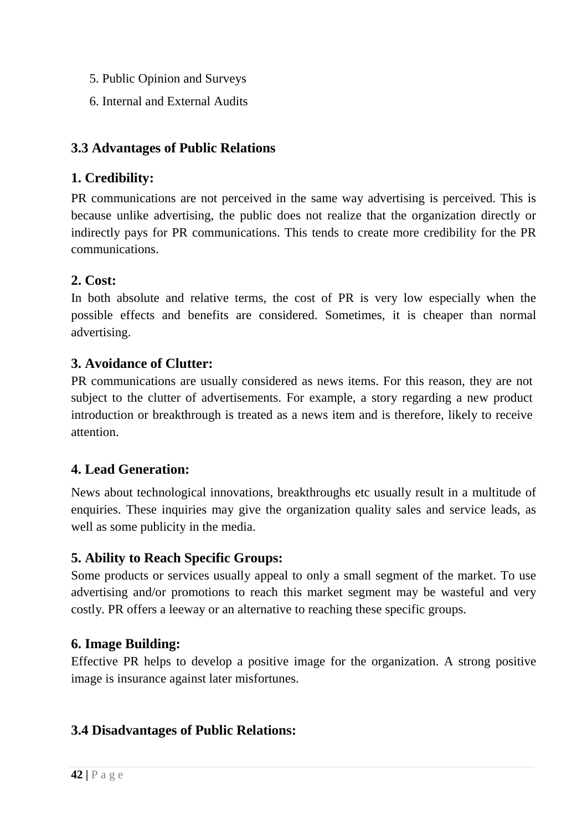- 5. Public Opinion and Surveys
- 6. Internal and External Audits

## **3.3 Advantages of Public Relations**

## **1. Credibility:**

PR communications are not perceived in the same way advertising is perceived. This is because unlike advertising, the public does not realize that the organization directly or indirectly pays for PR communications. This tends to create more credibility for the PR communications.

## **2. Cost:**

In both absolute and relative terms, the cost of PR is very low especially when the possible effects and benefits are considered. Sometimes, it is cheaper than normal advertising.

## **3. Avoidance of Clutter:**

PR communications are usually considered as news items. For this reason, they are not subject to the clutter of advertisements. For example, a story regarding a new product introduction or breakthrough is treated as a news item and is therefore, likely to receive attention.

## **4. Lead Generation:**

News about technological innovations, breakthroughs etc usually result in a multitude of enquiries. These inquiries may give the organization quality sales and service leads, as well as some publicity in the media.

## **5. Ability to Reach Specific Groups:**

Some products or services usually appeal to only a small segment of the market. To use advertising and/or promotions to reach this market segment may be wasteful and very costly. PR offers a leeway or an alternative to reaching these specific groups.

### **6. Image Building:**

Effective PR helps to develop a positive image for the organization. A strong positive image is insurance against later misfortunes.

### **3.4 Disadvantages of Public Relations:**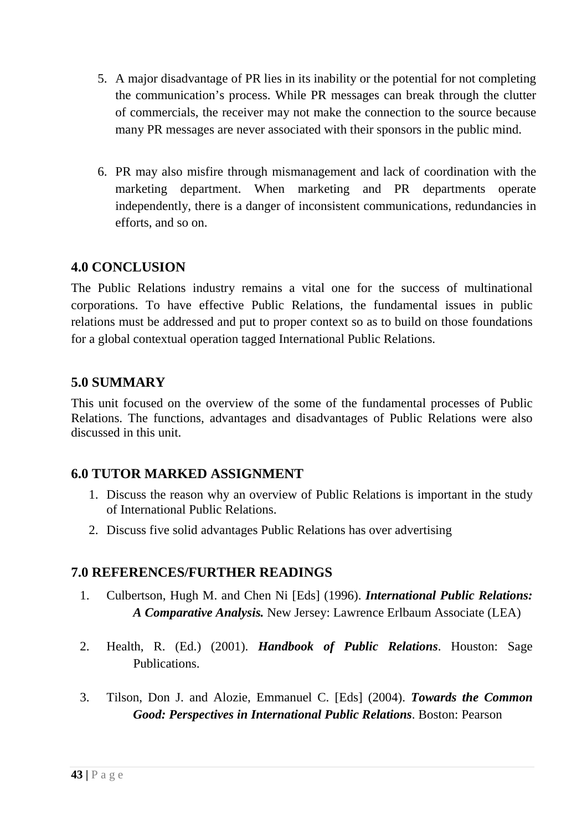- 5. A major disadvantage of PR lies in its inability or the potential for not completing the communication's process. While PR messages can break through the clutter of commercials, the receiver may not make the connection to the source because many PR messages are never associated with their sponsors in the public mind.
- 6. PR may also misfire through mismanagement and lack of coordination with the marketing department. When marketing and PR departments operate independently, there is a danger of inconsistent communications, redundancies in efforts, and so on.

### **4.0 CONCLUSION**

The Public Relations industry remains a vital one for the success of multinational corporations. To have effective Public Relations, the fundamental issues in public relations must be addressed and put to proper context so as to build on those foundations for a global contextual operation tagged International Public Relations.

## **5.0 SUMMARY**

This unit focused on the overview of the some of the fundamental processes of Public Relations. The functions, advantages and disadvantages of Public Relations were also discussed in this unit.

## **6.0 TUTOR MARKED ASSIGNMENT**

- 1. Discuss the reason why an overview of Public Relations is important in the study of International Public Relations.
- 2. Discuss five solid advantages Public Relations has over advertising

### **7.0 REFERENCES/FURTHER READINGS**

- 1. Culbertson, Hugh M. and Chen Ni [Eds] (1996). *International Public Relations: A Comparative Analysis.* New Jersey: Lawrence Erlbaum Associate (LEA)
- 2. Health, R. (Ed.) (2001). *Handbook of Public Relations*. Houston: Sage Publications.
- 3. Tilson, Don J. and Alozie, Emmanuel C. [Eds] (2004). *Towards the Common Good: Perspectives in International Public Relations*. Boston: Pearson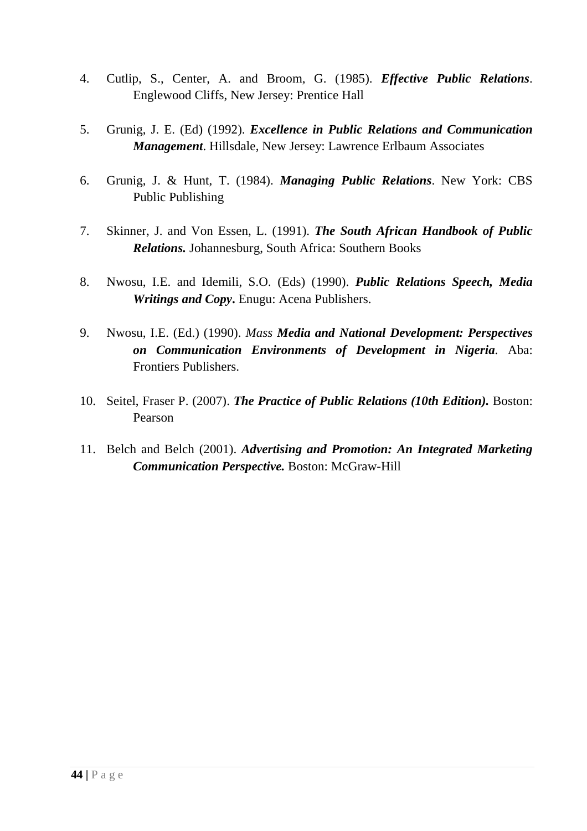- 4. Cutlip, S., Center, A. and Broom, G. (1985). *Effective Public Relations*. Englewood Cliffs, New Jersey: Prentice Hall
- 5. Grunig, J. E. (Ed) (1992). *Excellence in Public Relations and Communication Management*. Hillsdale, New Jersey: Lawrence Erlbaum Associates
- 6. Grunig, J. & Hunt, T. (1984). *Managing Public Relations*. New York: CBS Public Publishing
- 7. Skinner, J. and Von Essen, L. (1991). *The South African Handbook of Public Relations.* Johannesburg, South Africa: Southern Books
- 8. Nwosu, I.E. and Idemili, S.O. (Eds) (1990). *Public Relations Speech, Media Writings and Copy***.** Enugu: Acena Publishers.
- 9. Nwosu, I.E. (Ed.) (1990). *Mass Media and National Development: Perspectives on Communication Environments of Development in Nigeria.* Aba: Frontiers Publishers.
- 10. Seitel, Fraser P. (2007). *The Practice of Public Relations (10th Edition).* Boston: Pearson
- 11. Belch and Belch (2001). *Advertising and Promotion: An Integrated Marketing Communication Perspective.* Boston: McGraw-Hill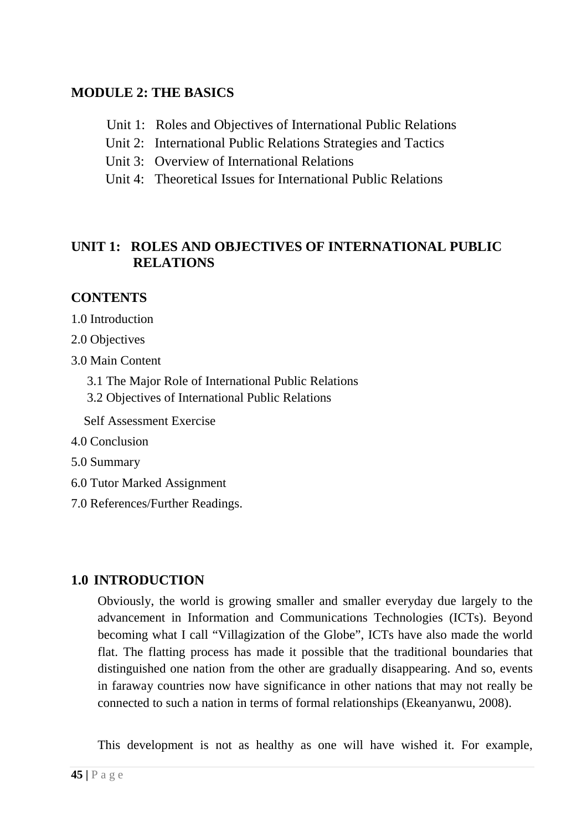## **MODULE 2: THE BASICS**

- Unit 1: Roles and Objectives of International Public Relations
- Unit 2: International Public Relations Strategies and Tactics
- Unit 3: Overview of International Relations
- Unit 4: Theoretical Issues for International Public Relations

## **UNIT 1: ROLES AND OBJECTIVES OF INTERNATIONAL PUBLIC RELATIONS**

## **CONTENTS**

1.0 Introduction

2.0 Objectives

- 3.0 Main Content
	- 3.1 The Major Role of International Public Relations
	- 3.2 Objectives of International Public Relations

Self Assessment Exercise

- 4.0 Conclusion
- 5.0 Summary
- 6.0 Tutor Marked Assignment
- 7.0 References/Further Readings.

## **1.0 INTRODUCTION**

Obviously, the world is growing smaller and smaller everyday due largely to the advancement in Information and Communications Technologies (ICTs). Beyond becoming what I call "Villagization of the Globe", ICTs have also made the world flat. The flatting process has made it possible that the traditional boundaries that distinguished one nation from the other are gradually disappearing. And so, events in faraway countries now have significance in other nations that may not really be connected to such a nation in terms of formal relationships (Ekeanyanwu, 2008).

This development is not as healthy as one will have wished it. For example,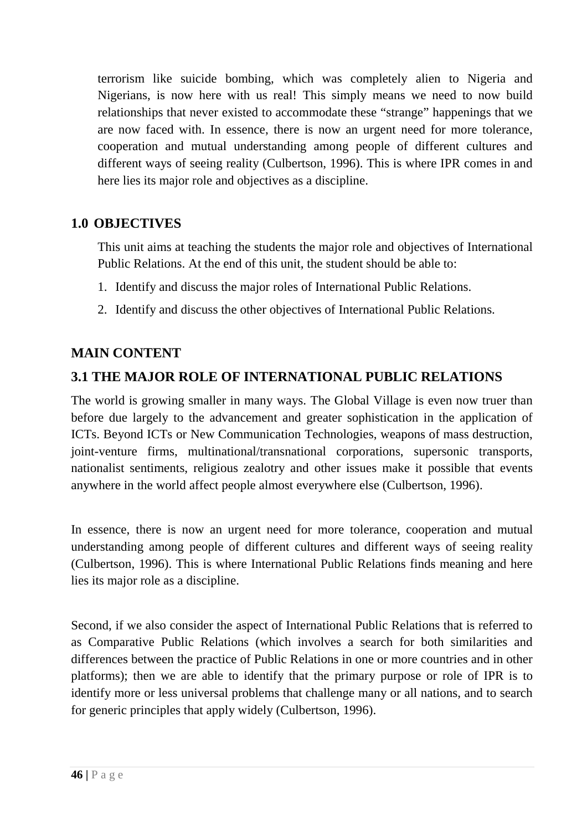terrorism like suicide bombing, which was completely alien to Nigeria and Nigerians, is now here with us real! This simply means we need to now build relationships that never existed to accommodate these "strange" happenings that we are now faced with. In essence, there is now an urgent need for more tolerance, cooperation and mutual understanding among people of different cultures and different ways of seeing reality (Culbertson, 1996). This is where IPR comes in and here lies its major role and objectives as a discipline.

### **1.0 OBJECTIVES**

This unit aims at teaching the students the major role and objectives of International Public Relations. At the end of this unit, the student should be able to:

- 1. Identify and discuss the major roles of International Public Relations.
- 2. Identify and discuss the other objectives of International Public Relations.

## **MAIN CONTENT**

## **3.1 THE MAJOR ROLE OF INTERNATIONAL PUBLIC RELATIONS**

The world is growing smaller in many ways. The Global Village is even now truer than before due largely to the advancement and greater sophistication in the application of ICTs. Beyond ICTs or New Communication Technologies, weapons of mass destruction, joint-venture firms, multinational/transnational corporations, supersonic transports, nationalist sentiments, religious zealotry and other issues make it possible that events anywhere in the world affect people almost everywhere else (Culbertson, 1996).

In essence, there is now an urgent need for more tolerance, cooperation and mutual understanding among people of different cultures and different ways of seeing reality (Culbertson, 1996). This is where International Public Relations finds meaning and here lies its major role as a discipline.

Second, if we also consider the aspect of International Public Relations that is referred to as Comparative Public Relations (which involves a search for both similarities and differences between the practice of Public Relations in one or more countries and in other platforms); then we are able to identify that the primary purpose or role of IPR is to identify more or less universal problems that challenge many or all nations, and to search for generic principles that apply widely (Culbertson, 1996).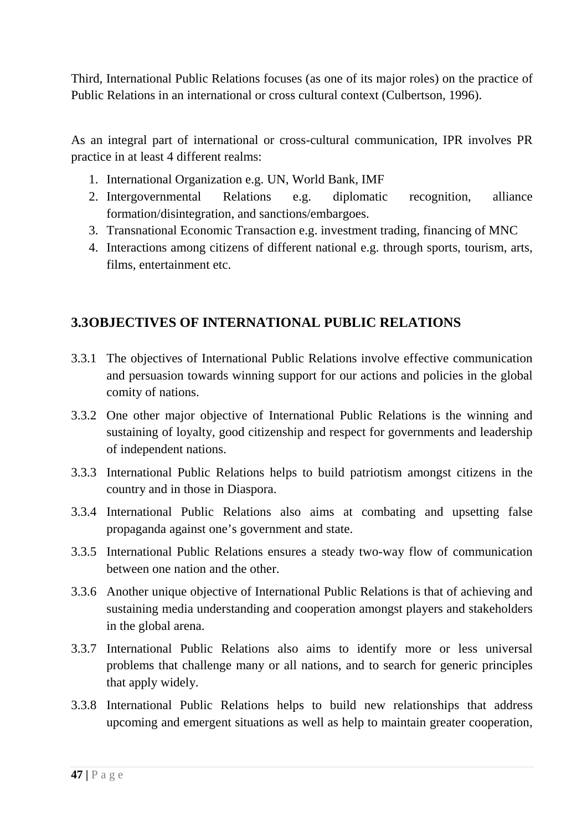Third, International Public Relations focuses (as one of its major roles) on the practice of Public Relations in an international or cross cultural context (Culbertson, 1996).

As an integral part of international or cross-cultural communication, IPR involves PR practice in at least 4 different realms:

- 1. International Organization e.g. UN, World Bank, IMF
- 2. Intergovernmental Relations e.g. diplomatic recognition, alliance formation/disintegration, and sanctions/embargoes.
- 3. Transnational Economic Transaction e.g. investment trading, financing of MNC
- 4. Interactions among citizens of different national e.g. through sports, tourism, arts, films, entertainment etc.

# **3.3OBJECTIVES OF INTERNATIONAL PUBLIC RELATIONS**

- 3.3.1 The objectives of International Public Relations involve effective communication and persuasion towards winning support for our actions and policies in the global comity of nations.
- 3.3.2 One other major objective of International Public Relations is the winning and sustaining of loyalty, good citizenship and respect for governments and leadership of independent nations.
- 3.3.3 International Public Relations helps to build patriotism amongst citizens in the country and in those in Diaspora.
- 3.3.4 International Public Relations also aims at combating and upsetting false propaganda against one's government and state.
- 3.3.5 International Public Relations ensures a steady two-way flow of communication between one nation and the other.
- 3.3.6 Another unique objective of International Public Relations is that of achieving and sustaining media understanding and cooperation amongst players and stakeholders in the global arena.
- 3.3.7 International Public Relations also aims to identify more or less universal problems that challenge many or all nations, and to search for generic principles that apply widely.
- 3.3.8 International Public Relations helps to build new relationships that address upcoming and emergent situations as well as help to maintain greater cooperation,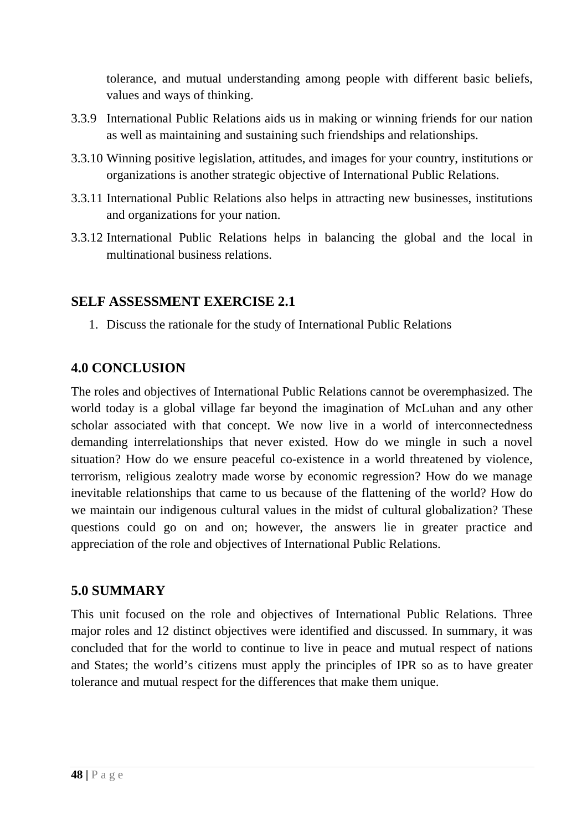tolerance, and mutual understanding among people with different basic beliefs, values and ways of thinking.

- 3.3.9 International Public Relations aids us in making or winning friends for our nation as well as maintaining and sustaining such friendships and relationships.
- 3.3.10 Winning positive legislation, attitudes, and images for your country, institutions or organizations is another strategic objective of International Public Relations.
- 3.3.11 International Public Relations also helps in attracting new businesses, institutions and organizations for your nation.
- 3.3.12 International Public Relations helps in balancing the global and the local in multinational business relations.

### **SELF ASSESSMENT EXERCISE 2.1**

1. Discuss the rationale for the study of International Public Relations

### **4.0 CONCLUSION**

The roles and objectives of International Public Relations cannot be overemphasized. The world today is a global village far beyond the imagination of McLuhan and any other scholar associated with that concept. We now live in a world of interconnectedness demanding interrelationships that never existed. How do we mingle in such a novel situation? How do we ensure peaceful co-existence in a world threatened by violence, terrorism, religious zealotry made worse by economic regression? How do we manage inevitable relationships that came to us because of the flattening of the world? How do we maintain our indigenous cultural values in the midst of cultural globalization? These questions could go on and on; however, the answers lie in greater practice and appreciation of the role and objectives of International Public Relations.

## **5.0 SUMMARY**

This unit focused on the role and objectives of International Public Relations. Three major roles and 12 distinct objectives were identified and discussed. In summary, it was concluded that for the world to continue to live in peace and mutual respect of nations and States; the world's citizens must apply the principles of IPR so as to have greater tolerance and mutual respect for the differences that make them unique.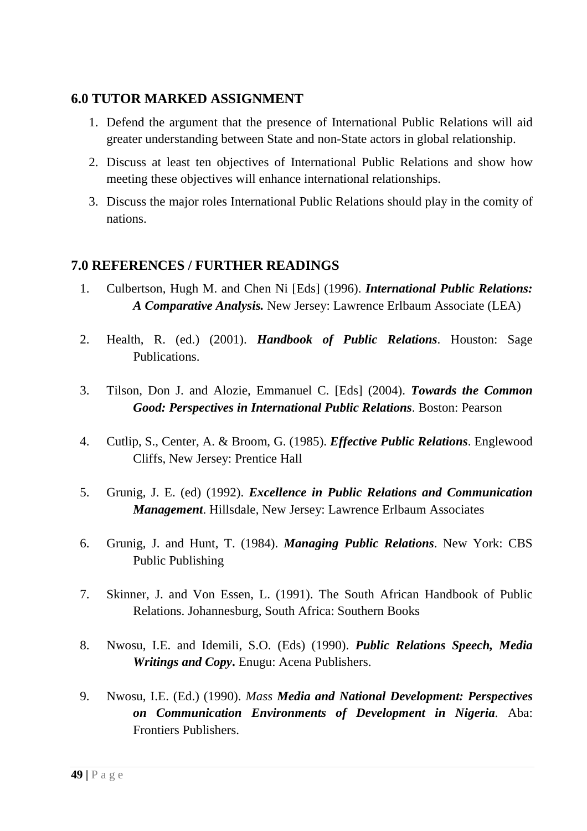### **6.0 TUTOR MARKED ASSIGNMENT**

- 1. Defend the argument that the presence of International Public Relations will aid greater understanding between State and non-State actors in global relationship.
- 2. Discuss at least ten objectives of International Public Relations and show how meeting these objectives will enhance international relationships.
- 3. Discuss the major roles International Public Relations should play in the comity of nations.

### **7.0 REFERENCES / FURTHER READINGS**

- 1. Culbertson, Hugh M. and Chen Ni [Eds] (1996). *International Public Relations: A Comparative Analysis.* New Jersey: Lawrence Erlbaum Associate (LEA)
- 2. Health, R. (ed.) (2001). *Handbook of Public Relations*. Houston: Sage Publications.
- 3. Tilson, Don J. and Alozie, Emmanuel C. [Eds] (2004). *Towards the Common Good: Perspectives in International Public Relations*. Boston: Pearson
- 4. Cutlip, S., Center, A. & Broom, G. (1985). *Effective Public Relations*. Englewood Cliffs, New Jersey: Prentice Hall
- 5. Grunig, J. E. (ed) (1992). *Excellence in Public Relations and Communication Management*. Hillsdale, New Jersey: Lawrence Erlbaum Associates
- 6. Grunig, J. and Hunt, T. (1984). *Managing Public Relations*. New York: CBS Public Publishing
- 7. Skinner, J. and Von Essen, L. (1991). The South African Handbook of Public Relations. Johannesburg, South Africa: Southern Books
- 8. Nwosu, I.E. and Idemili, S.O. (Eds) (1990). *Public Relations Speech, Media Writings and Copy***.** Enugu: Acena Publishers.
- 9. Nwosu, I.E. (Ed.) (1990). *Mass Media and National Development: Perspectives on Communication Environments of Development in Nigeria.* Aba: Frontiers Publishers.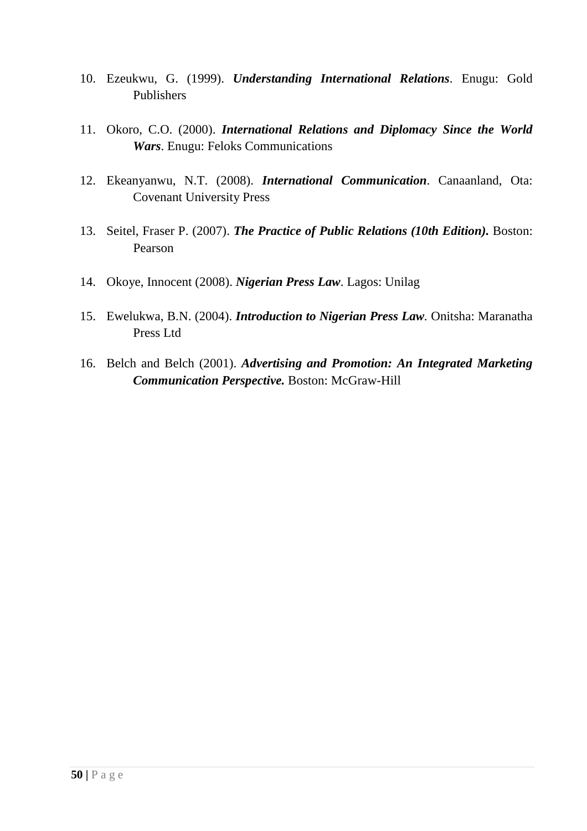- 10. Ezeukwu, G. (1999). *Understanding International Relations*. Enugu: Gold Publishers
- 11. Okoro, C.O. (2000). *International Relations and Diplomacy Since the World Wars*. Enugu: Feloks Communications
- 12. Ekeanyanwu, N.T. (2008). *International Communication*. Canaanland, Ota: Covenant University Press
- 13. Seitel, Fraser P. (2007). *The Practice of Public Relations (10th Edition).* Boston: Pearson
- 14. Okoye, Innocent (2008). *Nigerian Press Law*. Lagos: Unilag
- 15. Ewelukwa, B.N. (2004). *Introduction to Nigerian Press Law.* Onitsha: Maranatha Press Ltd
- 16. Belch and Belch (2001). *Advertising and Promotion: An Integrated Marketing Communication Perspective.* Boston: McGraw-Hill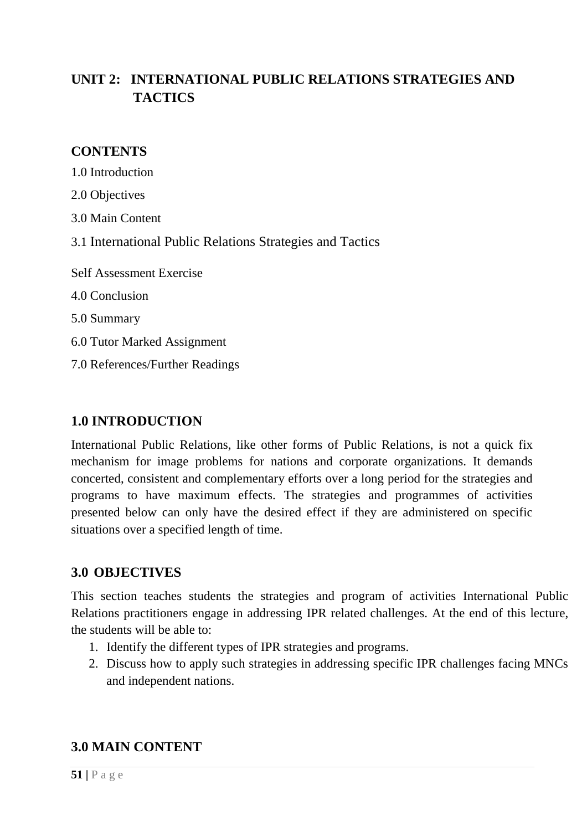# **UNIT 2: INTERNATIONAL PUBLIC RELATIONS STRATEGIES AND TACTICS**

### **CONTENTS**

| 1.0 Introduction                                          |
|-----------------------------------------------------------|
| 2.0 Objectives                                            |
| 3.0 Main Content                                          |
| 3.1 International Public Relations Strategies and Tactics |
| <b>Self Assessment Exercise</b>                           |
| 4.0 Conclusion                                            |
| 5.0 Summary                                               |
| 6.0 Tutor Marked Assignment                               |
| 7.0 References/Further Readings                           |
|                                                           |

### **1.0 INTRODUCTION**

International Public Relations, like other forms of Public Relations, is not a quick fix mechanism for image problems for nations and corporate organizations. It demands concerted, consistent and complementary efforts over a long period for the strategies and programs to have maximum effects. The strategies and programmes of activities presented below can only have the desired effect if they are administered on specific situations over a specified length of time.

### **3.0 OBJECTIVES**

This section teaches students the strategies and program of activities International Public Relations practitioners engage in addressing IPR related challenges. At the end of this lecture, the students will be able to:

- 1. Identify the different types of IPR strategies and programs.
- 2. Discuss how to apply such strategies in addressing specific IPR challenges facing MNCs and independent nations.

## **3.0 MAIN CONTENT**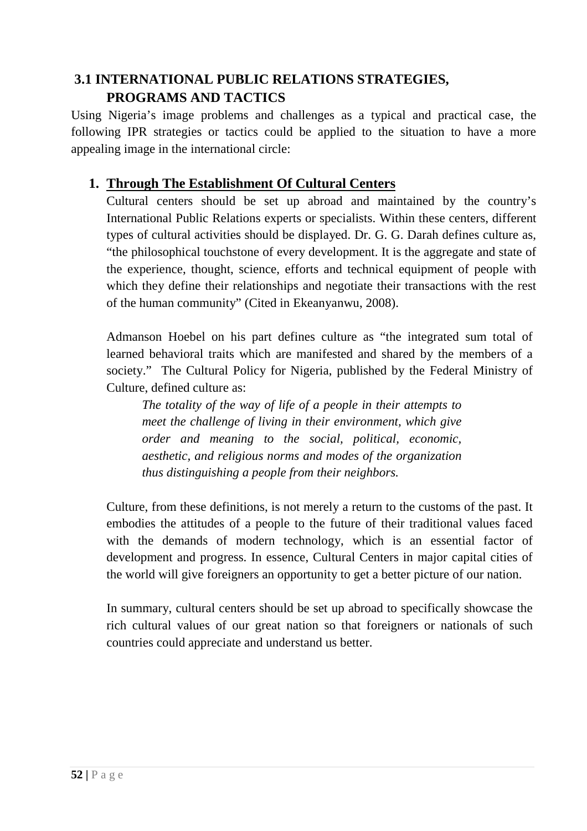# **3.1 INTERNATIONAL PUBLIC RELATIONS STRATEGIES, PROGRAMS AND TACTICS**

Using Nigeria's image problems and challenges as a typical and practical case, the following IPR strategies or tactics could be applied to the situation to have a more appealing image in the international circle:

## **1. Through The Establishment Of Cultural Centers**

Cultural centers should be set up abroad and maintained by the country's International Public Relations experts or specialists. Within these centers, different types of cultural activities should be displayed. Dr. G. G. Darah defines culture as, "the philosophical touchstone of every development. It is the aggregate and state of the experience, thought, science, efforts and technical equipment of people with which they define their relationships and negotiate their transactions with the rest of the human community" (Cited in Ekeanyanwu, 2008).

Admanson Hoebel on his part defines culture as "the integrated sum total of learned behavioral traits which are manifested and shared by the members of a society." The Cultural Policy for Nigeria, published by the Federal Ministry of Culture, defined culture as:

*The totality of the way of life of a people in their attempts to meet the challenge of living in their environment, which give order and meaning to the social, political, economic, aesthetic, and religious norms and modes of the organization thus distinguishing a people from their neighbors.* 

Culture, from these definitions, is not merely a return to the customs of the past. It embodies the attitudes of a people to the future of their traditional values faced with the demands of modern technology, which is an essential factor of development and progress. In essence, Cultural Centers in major capital cities of the world will give foreigners an opportunity to get a better picture of our nation.

In summary, cultural centers should be set up abroad to specifically showcase the rich cultural values of our great nation so that foreigners or nationals of such countries could appreciate and understand us better.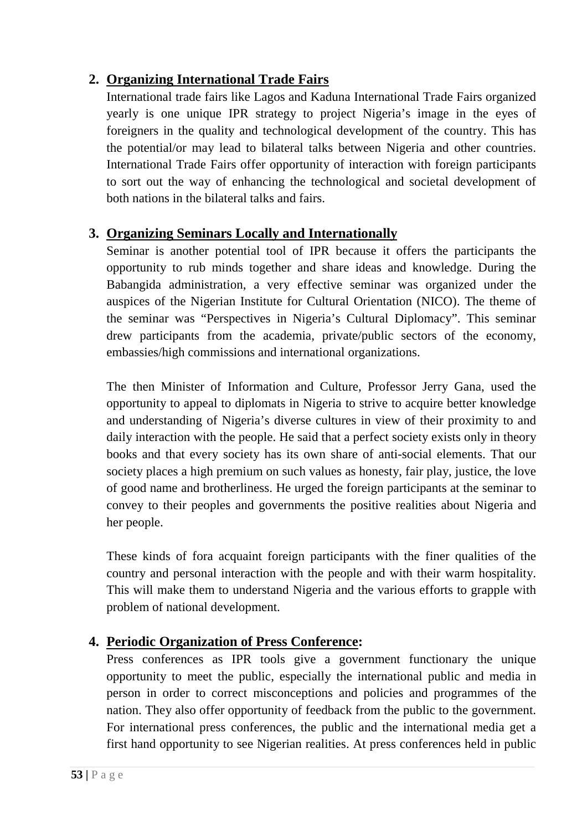## **2. Organizing International Trade Fairs**

International trade fairs like Lagos and Kaduna International Trade Fairs organized yearly is one unique IPR strategy to project Nigeria's image in the eyes of foreigners in the quality and technological development of the country. This has the potential/or may lead to bilateral talks between Nigeria and other countries. International Trade Fairs offer opportunity of interaction with foreign participants to sort out the way of enhancing the technological and societal development of both nations in the bilateral talks and fairs.

## **3. Organizing Seminars Locally and Internationally**

Seminar is another potential tool of IPR because it offers the participants the opportunity to rub minds together and share ideas and knowledge. During the Babangida administration, a very effective seminar was organized under the auspices of the Nigerian Institute for Cultural Orientation (NICO). The theme of the seminar was "Perspectives in Nigeria's Cultural Diplomacy". This seminar drew participants from the academia, private/public sectors of the economy, embassies/high commissions and international organizations.

The then Minister of Information and Culture, Professor Jerry Gana, used the opportunity to appeal to diplomats in Nigeria to strive to acquire better knowledge and understanding of Nigeria's diverse cultures in view of their proximity to and daily interaction with the people. He said that a perfect society exists only in theory books and that every society has its own share of anti-social elements. That our society places a high premium on such values as honesty, fair play, justice, the love of good name and brotherliness. He urged the foreign participants at the seminar to convey to their peoples and governments the positive realities about Nigeria and her people.

These kinds of fora acquaint foreign participants with the finer qualities of the country and personal interaction with the people and with their warm hospitality. This will make them to understand Nigeria and the various efforts to grapple with problem of national development.

# **4. Periodic Organization of Press Conference:**

Press conferences as IPR tools give a government functionary the unique opportunity to meet the public, especially the international public and media in person in order to correct misconceptions and policies and programmes of the nation. They also offer opportunity of feedback from the public to the government. For international press conferences, the public and the international media get a first hand opportunity to see Nigerian realities. At press conferences held in public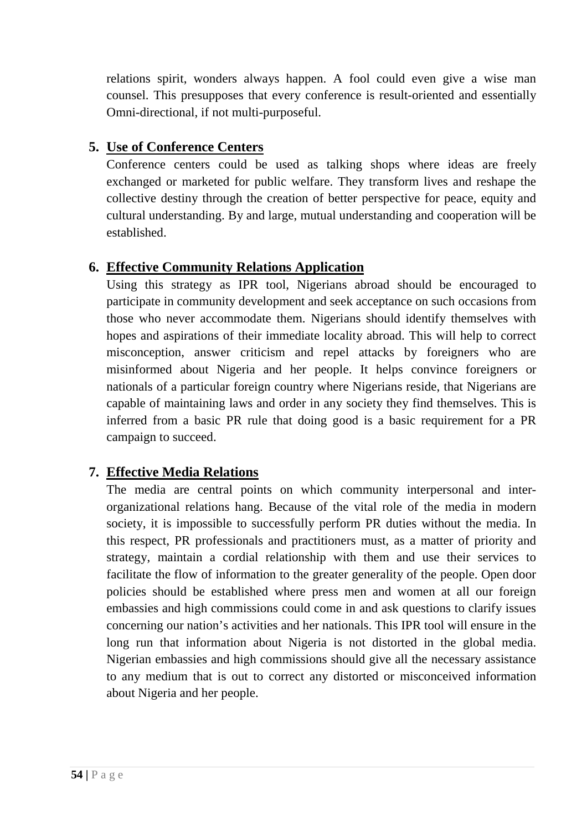relations spirit, wonders always happen. A fool could even give a wise man counsel. This presupposes that every conference is result-oriented and essentially Omni-directional, if not multi-purposeful.

# **5. Use of Conference Centers**

Conference centers could be used as talking shops where ideas are freely exchanged or marketed for public welfare. They transform lives and reshape the collective destiny through the creation of better perspective for peace, equity and cultural understanding. By and large, mutual understanding and cooperation will be established.

## **6. Effective Community Relations Application**

Using this strategy as IPR tool, Nigerians abroad should be encouraged to participate in community development and seek acceptance on such occasions from those who never accommodate them. Nigerians should identify themselves with hopes and aspirations of their immediate locality abroad. This will help to correct misconception, answer criticism and repel attacks by foreigners who are misinformed about Nigeria and her people. It helps convince foreigners or nationals of a particular foreign country where Nigerians reside, that Nigerians are capable of maintaining laws and order in any society they find themselves. This is inferred from a basic PR rule that doing good is a basic requirement for a PR campaign to succeed.

# **7. Effective Media Relations**

The media are central points on which community interpersonal and interorganizational relations hang. Because of the vital role of the media in modern society, it is impossible to successfully perform PR duties without the media. In this respect, PR professionals and practitioners must, as a matter of priority and strategy, maintain a cordial relationship with them and use their services to facilitate the flow of information to the greater generality of the people. Open door policies should be established where press men and women at all our foreign embassies and high commissions could come in and ask questions to clarify issues concerning our nation's activities and her nationals. This IPR tool will ensure in the long run that information about Nigeria is not distorted in the global media. Nigerian embassies and high commissions should give all the necessary assistance to any medium that is out to correct any distorted or misconceived information about Nigeria and her people.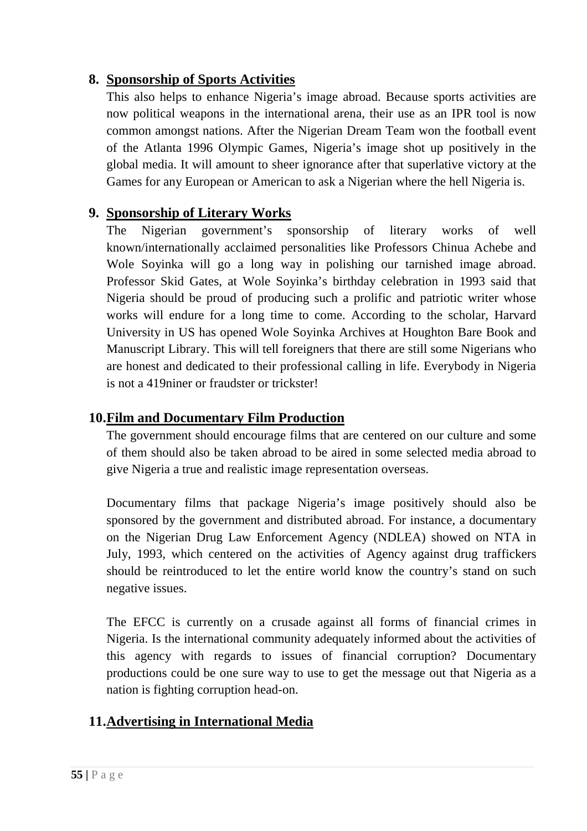### **8. Sponsorship of Sports Activities**

This also helps to enhance Nigeria's image abroad. Because sports activities are now political weapons in the international arena, their use as an IPR tool is now common amongst nations. After the Nigerian Dream Team won the football event of the Atlanta 1996 Olympic Games, Nigeria's image shot up positively in the global media. It will amount to sheer ignorance after that superlative victory at the Games for any European or American to ask a Nigerian where the hell Nigeria is.

## **9. Sponsorship of Literary Works**

The Nigerian government's sponsorship of literary works of well known/internationally acclaimed personalities like Professors Chinua Achebe and Wole Soyinka will go a long way in polishing our tarnished image abroad. Professor Skid Gates, at Wole Soyinka's birthday celebration in 1993 said that Nigeria should be proud of producing such a prolific and patriotic writer whose works will endure for a long time to come. According to the scholar, Harvard University in US has opened Wole Soyinka Archives at Houghton Bare Book and Manuscript Library. This will tell foreigners that there are still some Nigerians who are honest and dedicated to their professional calling in life. Everybody in Nigeria is not a 419niner or fraudster or trickster!

### **10.Film and Documentary Film Production**

The government should encourage films that are centered on our culture and some of them should also be taken abroad to be aired in some selected media abroad to give Nigeria a true and realistic image representation overseas.

Documentary films that package Nigeria's image positively should also be sponsored by the government and distributed abroad. For instance, a documentary on the Nigerian Drug Law Enforcement Agency (NDLEA) showed on NTA in July, 1993, which centered on the activities of Agency against drug traffickers should be reintroduced to let the entire world know the country's stand on such negative issues.

The EFCC is currently on a crusade against all forms of financial crimes in Nigeria. Is the international community adequately informed about the activities of this agency with regards to issues of financial corruption? Documentary productions could be one sure way to use to get the message out that Nigeria as a nation is fighting corruption head-on.

## **11.Advertising in International Media**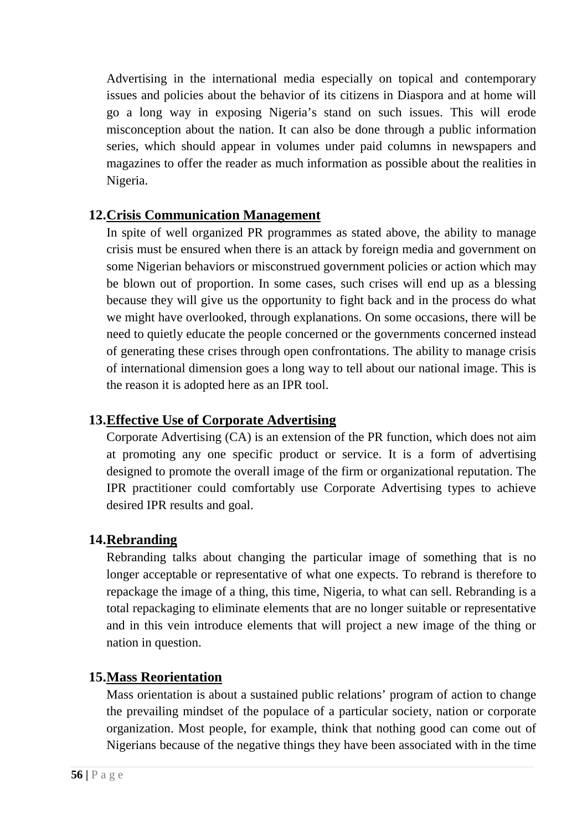Advertising in the international media especially on topical and contemporary issues and policies about the behavior of its citizens in Diaspora and at home will go a long way in exposing Nigeria's stand on such issues. This will erode misconception about the nation. It can also be done through a public information series, which should appear in volumes under paid columns in newspapers and magazines to offer the reader as much information as possible about the realities in Nigeria.

### **12.Crisis Communication Management**

In spite of well organized PR programmes as stated above, the ability to manage crisis must be ensured when there is an attack by foreign media and government on some Nigerian behaviors or misconstrued government policies or action which may be blown out of proportion. In some cases, such crises will end up as a blessing because they will give us the opportunity to fight back and in the process do what we might have overlooked, through explanations. On some occasions, there will be need to quietly educate the people concerned or the governments concerned instead of generating these crises through open confrontations. The ability to manage crisis of international dimension goes a long way to tell about our national image. This is the reason it is adopted here as an IPR tool.

## **13.Effective Use of Corporate Advertising**

Corporate Advertising (CA) is an extension of the PR function, which does not aim at promoting any one specific product or service. It is a form of advertising designed to promote the overall image of the firm or organizational reputation. The IPR practitioner could comfortably use Corporate Advertising types to achieve desired IPR results and goal.

### **14.Rebranding**

Rebranding talks about changing the particular image of something that is no longer acceptable or representative of what one expects. To rebrand is therefore to repackage the image of a thing, this time, Nigeria, to what can sell. Rebranding is a total repackaging to eliminate elements that are no longer suitable or representative and in this vein introduce elements that will project a new image of the thing or nation in question.

## **15.Mass Reorientation**

Mass orientation is about a sustained public relations' program of action to change the prevailing mindset of the populace of a particular society, nation or corporate organization. Most people, for example, think that nothing good can come out of Nigerians because of the negative things they have been associated with in the time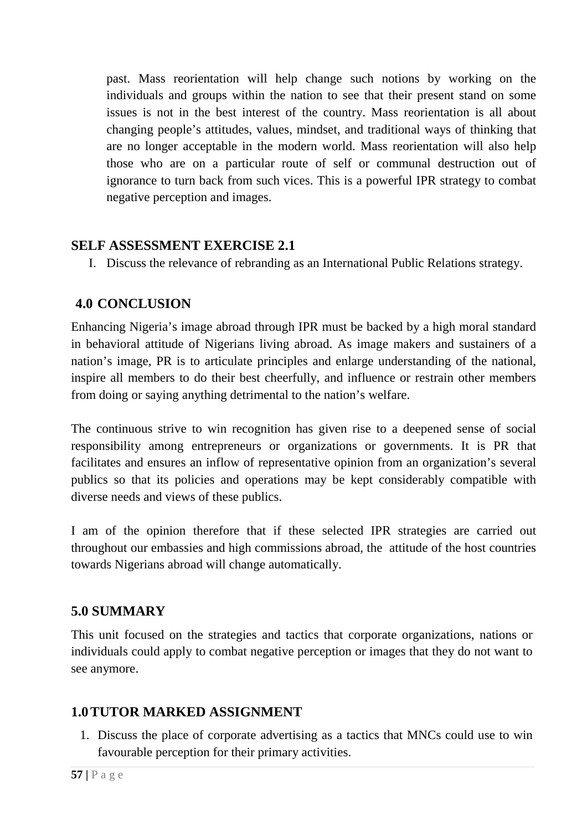past. Mass reorientation will help change such notions by working on the individuals and groups within the nation to see that their present stand on some issues is not in the best interest of the country. Mass reorientation is all about changing people's attitudes, values, mindset, and traditional ways of thinking that are no longer acceptable in the modern world. Mass reorientation will also help those who are on a particular route of self or communal destruction out of ignorance to turn back from such vices. This is a powerful IPR strategy to combat negative perception and images.

### **SELF ASSESSMENT EXERCISE 2.1**

I. Discuss the relevance of rebranding as an International Public Relations strategy.

## **4.0 CONCLUSION**

Enhancing Nigeria's image abroad through IPR must be backed by a high moral standard in behavioral attitude of Nigerians living abroad. As image makers and sustainers of a nation's image, PR is to articulate principles and enlarge understanding of the national, inspire all members to do their best cheerfully, and influence or restrain other members from doing or saying anything detrimental to the nation's welfare.

The continuous strive to win recognition has given rise to a deepened sense of social responsibility among entrepreneurs or organizations or governments. It is PR that facilitates and ensures an inflow of representative opinion from an organization's several publics so that its policies and operations may be kept considerably compatible with diverse needs and views of these publics.

I am of the opinion therefore that if these selected IPR strategies are carried out throughout our embassies and high commissions abroad, the attitude of the host countries towards Nigerians abroad will change automatically.

## **5.0 SUMMARY**

This unit focused on the strategies and tactics that corporate organizations, nations or individuals could apply to combat negative perception or images that they do not want to see anymore.

## **1.0TUTOR MARKED ASSIGNMENT**

1. Discuss the place of corporate advertising as a tactics that MNCs could use to win favourable perception for their primary activities.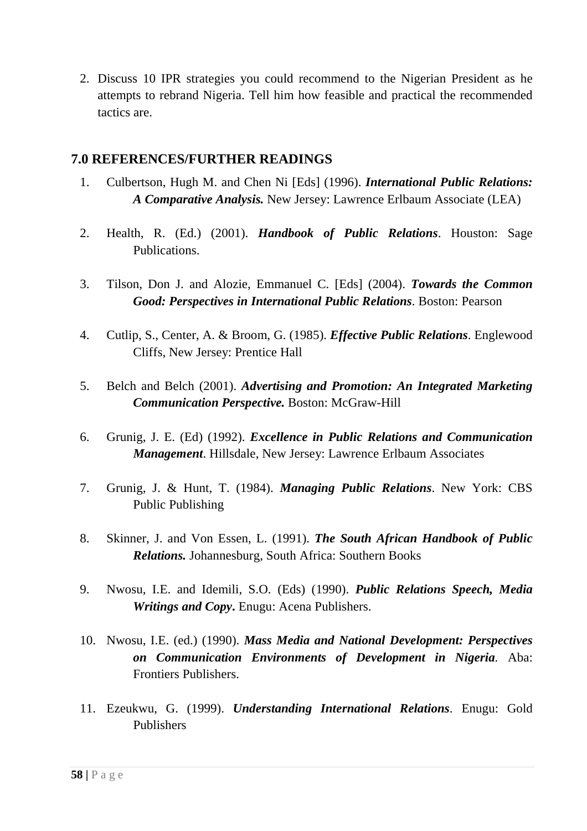2. Discuss 10 IPR strategies you could recommend to the Nigerian President as he attempts to rebrand Nigeria. Tell him how feasible and practical the recommended tactics are.

#### **7.0 REFERENCES/FURTHER READINGS**

- 1. Culbertson, Hugh M. and Chen Ni [Eds] (1996). *International Public Relations: A Comparative Analysis.* New Jersey: Lawrence Erlbaum Associate (LEA)
- 2. Health, R. (Ed.) (2001). *Handbook of Public Relations*. Houston: Sage Publications.
- 3. Tilson, Don J. and Alozie, Emmanuel C. [Eds] (2004). *Towards the Common Good: Perspectives in International Public Relations*. Boston: Pearson
- 4. Cutlip, S., Center, A. & Broom, G. (1985). *Effective Public Relations*. Englewood Cliffs, New Jersey: Prentice Hall
- 5. Belch and Belch (2001). *Advertising and Promotion: An Integrated Marketing Communication Perspective.* Boston: McGraw-Hill
- 6. Grunig, J. E. (Ed) (1992). *Excellence in Public Relations and Communication Management*. Hillsdale, New Jersey: Lawrence Erlbaum Associates
- 7. Grunig, J. & Hunt, T. (1984). *Managing Public Relations*. New York: CBS Public Publishing
- 8. Skinner, J. and Von Essen, L. (1991). *The South African Handbook of Public Relations.* Johannesburg, South Africa: Southern Books
- 9. Nwosu, I.E. and Idemili, S.O. (Eds) (1990). *Public Relations Speech, Media Writings and Copy***.** Enugu: Acena Publishers.
- 10. Nwosu, I.E. (ed.) (1990). *Mass Media and National Development: Perspectives on Communication Environments of Development in Nigeria.* Aba: Frontiers Publishers.
- 11. Ezeukwu, G. (1999). *Understanding International Relations*. Enugu: Gold Publishers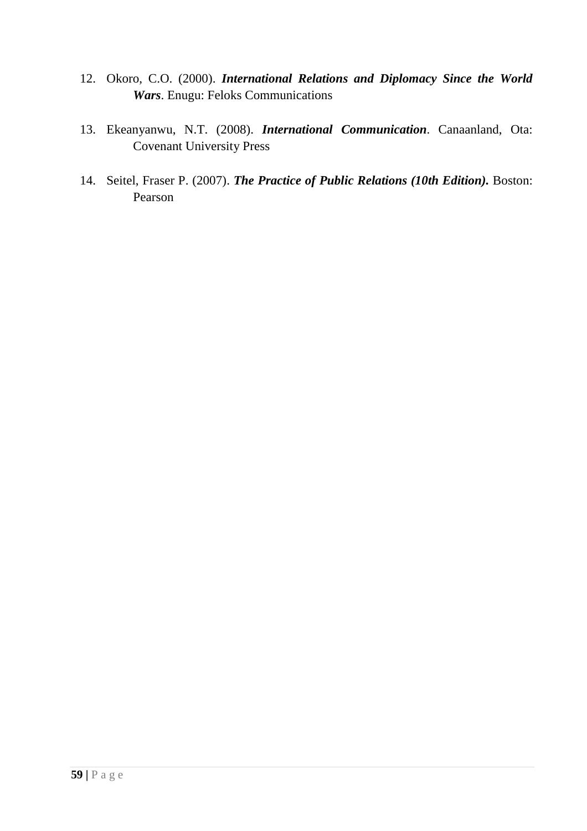- 12. Okoro, C.O. (2000). *International Relations and Diplomacy Since the World Wars*. Enugu: Feloks Communications
- 13. Ekeanyanwu, N.T. (2008). *International Communication*. Canaanland, Ota: Covenant University Press
- 14. Seitel, Fraser P. (2007). *The Practice of Public Relations (10th Edition).* Boston: Pearson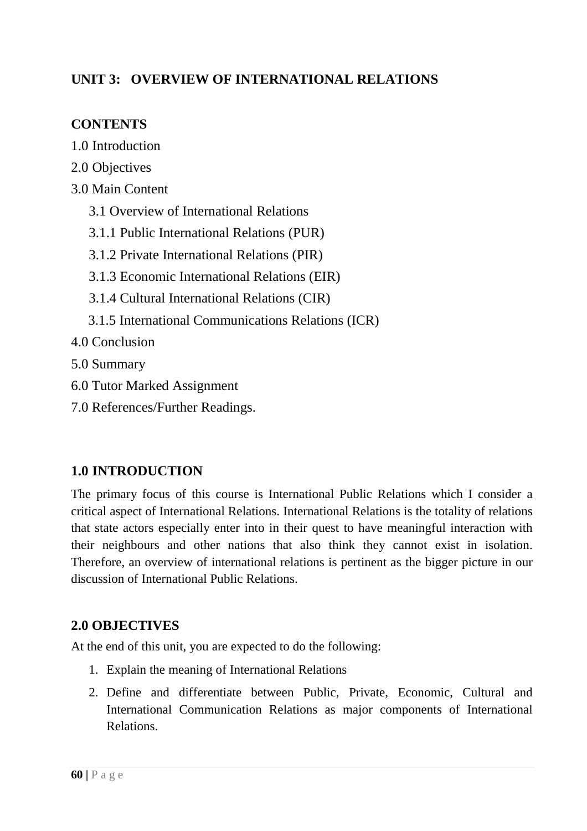## **UNIT 3: OVERVIEW OF INTERNATIONAL RELATIONS**

### **CONTENTS**

- 1.0 Introduction
- 2.0 Objectives
- 3.0 Main Content
	- 3.1 Overview of International Relations
	- 3.1.1 Public International Relations (PUR)
	- 3.1.2 Private International Relations (PIR)
	- 3.1.3 Economic International Relations (EIR)
	- 3.1.4 Cultural International Relations (CIR)
	- 3.1.5 International Communications Relations (ICR)

4.0 Conclusion

5.0 Summary

- 6.0 Tutor Marked Assignment
- 7.0 References/Further Readings.

### **1.0 INTRODUCTION**

The primary focus of this course is International Public Relations which I consider a critical aspect of International Relations. International Relations is the totality of relations that state actors especially enter into in their quest to have meaningful interaction with their neighbours and other nations that also think they cannot exist in isolation. Therefore, an overview of international relations is pertinent as the bigger picture in our discussion of International Public Relations.

### **2.0 OBJECTIVES**

At the end of this unit, you are expected to do the following:

- 1. Explain the meaning of International Relations
- 2. Define and differentiate between Public, Private, Economic, Cultural and International Communication Relations as major components of International Relations.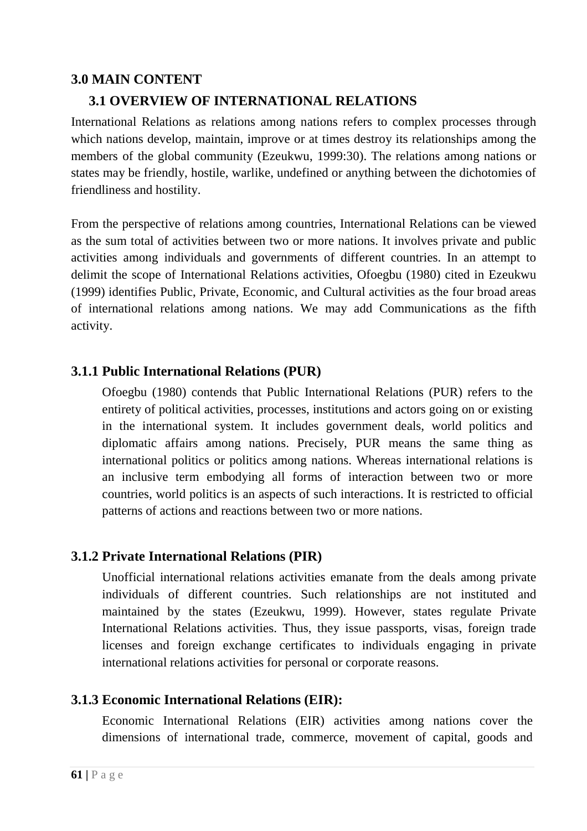### **3.0 MAIN CONTENT**

### **3.1 OVERVIEW OF INTERNATIONAL RELATIONS**

International Relations as relations among nations refers to complex processes through which nations develop, maintain, improve or at times destroy its relationships among the members of the global community (Ezeukwu, 1999:30). The relations among nations or states may be friendly, hostile, warlike, undefined or anything between the dichotomies of friendliness and hostility.

From the perspective of relations among countries, International Relations can be viewed as the sum total of activities between two or more nations. It involves private and public activities among individuals and governments of different countries. In an attempt to delimit the scope of International Relations activities, Ofoegbu (1980) cited in Ezeukwu (1999) identifies Public, Private, Economic, and Cultural activities as the four broad areas of international relations among nations. We may add Communications as the fifth activity.

### **3.1.1 Public International Relations (PUR)**

Ofoegbu (1980) contends that Public International Relations (PUR) refers to the entirety of political activities, processes, institutions and actors going on or existing in the international system. It includes government deals, world politics and diplomatic affairs among nations. Precisely, PUR means the same thing as international politics or politics among nations. Whereas international relations is an inclusive term embodying all forms of interaction between two or more countries, world politics is an aspects of such interactions. It is restricted to official patterns of actions and reactions between two or more nations.

### **3.1.2 Private International Relations (PIR)**

Unofficial international relations activities emanate from the deals among private individuals of different countries. Such relationships are not instituted and maintained by the states (Ezeukwu, 1999). However, states regulate Private International Relations activities. Thus, they issue passports, visas, foreign trade licenses and foreign exchange certificates to individuals engaging in private international relations activities for personal or corporate reasons.

#### **3.1.3 Economic International Relations (EIR):**

Economic International Relations (EIR) activities among nations cover the dimensions of international trade, commerce, movement of capital, goods and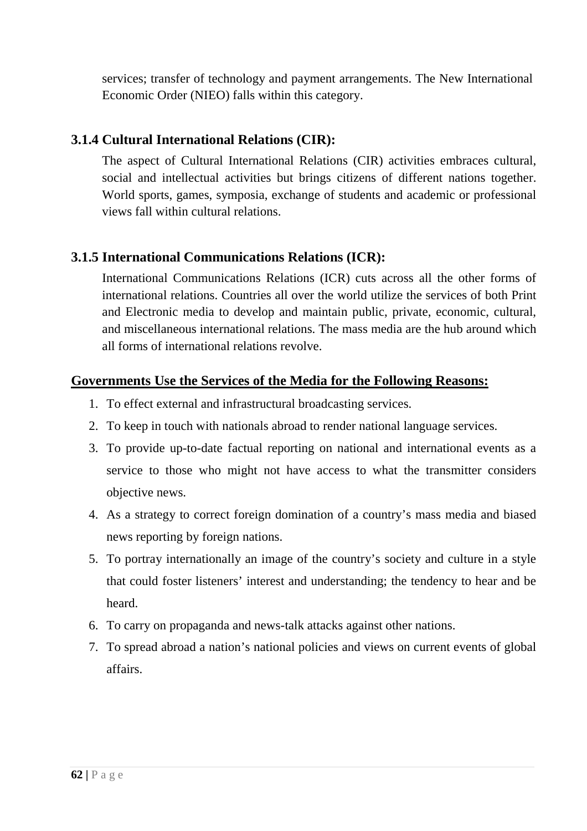services; transfer of technology and payment arrangements. The New International Economic Order (NIEO) falls within this category.

### **3.1.4 Cultural International Relations (CIR):**

The aspect of Cultural International Relations (CIR) activities embraces cultural, social and intellectual activities but brings citizens of different nations together. World sports, games, symposia, exchange of students and academic or professional views fall within cultural relations.

## **3.1.5 International Communications Relations (ICR):**

International Communications Relations (ICR) cuts across all the other forms of international relations. Countries all over the world utilize the services of both Print and Electronic media to develop and maintain public, private, economic, cultural, and miscellaneous international relations. The mass media are the hub around which all forms of international relations revolve.

### **Governments Use the Services of the Media for the Following Reasons:**

- 1. To effect external and infrastructural broadcasting services.
- 2. To keep in touch with nationals abroad to render national language services.
- 3. To provide up-to-date factual reporting on national and international events as a service to those who might not have access to what the transmitter considers objective news.
- 4. As a strategy to correct foreign domination of a country's mass media and biased news reporting by foreign nations.
- 5. To portray internationally an image of the country's society and culture in a style that could foster listeners' interest and understanding; the tendency to hear and be heard.
- 6. To carry on propaganda and news-talk attacks against other nations.
- 7. To spread abroad a nation's national policies and views on current events of global affairs.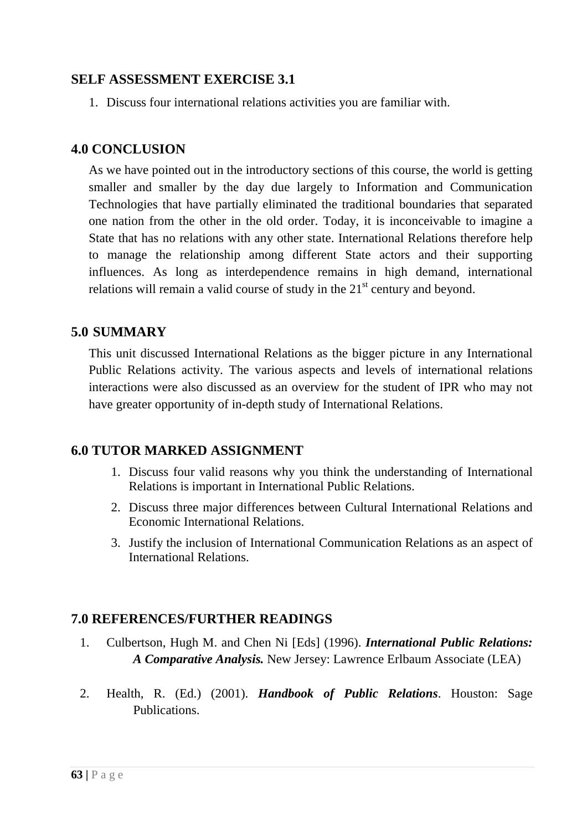#### **SELF ASSESSMENT EXERCISE 3.1**

1. Discuss four international relations activities you are familiar with.

#### **4.0 CONCLUSION**

As we have pointed out in the introductory sections of this course, the world is getting smaller and smaller by the day due largely to Information and Communication Technologies that have partially eliminated the traditional boundaries that separated one nation from the other in the old order. Today, it is inconceivable to imagine a State that has no relations with any other state. International Relations therefore help to manage the relationship among different State actors and their supporting influences. As long as interdependence remains in high demand, international relations will remain a valid course of study in the  $21<sup>st</sup>$  century and beyond.

#### **5.0 SUMMARY**

This unit discussed International Relations as the bigger picture in any International Public Relations activity. The various aspects and levels of international relations interactions were also discussed as an overview for the student of IPR who may not have greater opportunity of in-depth study of International Relations.

#### **6.0 TUTOR MARKED ASSIGNMENT**

- 1. Discuss four valid reasons why you think the understanding of International Relations is important in International Public Relations.
- 2. Discuss three major differences between Cultural International Relations and Economic International Relations.
- 3. Justify the inclusion of International Communication Relations as an aspect of International Relations.

### **7.0 REFERENCES/FURTHER READINGS**

- 1. Culbertson, Hugh M. and Chen Ni [Eds] (1996). *International Public Relations: A Comparative Analysis.* New Jersey: Lawrence Erlbaum Associate (LEA)
- 2. Health, R. (Ed.) (2001). *Handbook of Public Relations*. Houston: Sage **Publications**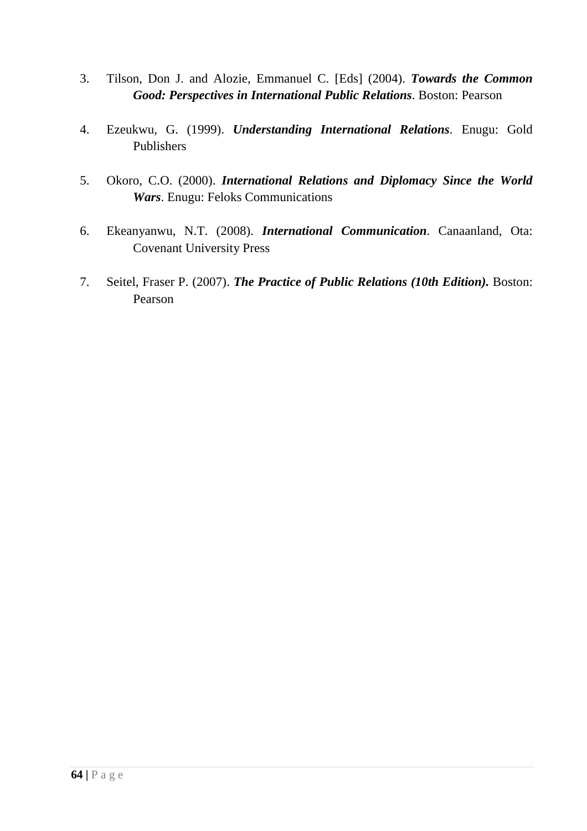- 3. Tilson, Don J. and Alozie, Emmanuel C. [Eds] (2004). *Towards the Common Good: Perspectives in International Public Relations*. Boston: Pearson
- 4. Ezeukwu, G. (1999). *Understanding International Relations*. Enugu: Gold Publishers
- 5. Okoro, C.O. (2000). *International Relations and Diplomacy Since the World Wars*. Enugu: Feloks Communications
- 6. Ekeanyanwu, N.T. (2008). *International Communication*. Canaanland, Ota: Covenant University Press
- 7. Seitel, Fraser P. (2007). *The Practice of Public Relations (10th Edition).* Boston: Pearson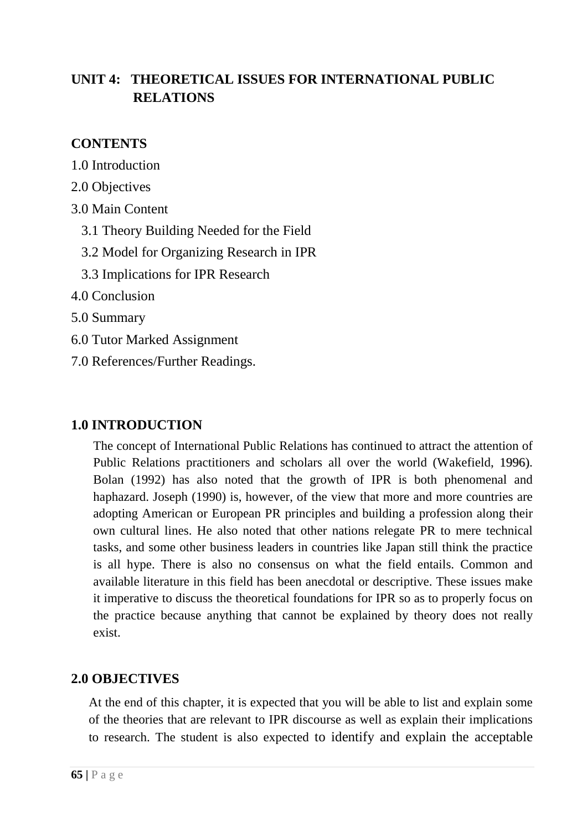# **UNIT 4: THEORETICAL ISSUES FOR INTERNATIONAL PUBLIC RELATIONS**

## **CONTENTS**

- 1.0 Introduction
- 2.0 Objectives
- 3.0 Main Content
	- 3.1 Theory Building Needed for the Field
	- 3.2 Model for Organizing Research in IPR
	- 3.3 Implications for IPR Research
- 4.0 Conclusion
- 5.0 Summary
- 6.0 Tutor Marked Assignment
- 7.0 References/Further Readings.

### **1.0 INTRODUCTION**

The concept of International Public Relations has continued to attract the attention of Public Relations practitioners and scholars all over the world (Wakefield, 1996). Bolan (1992) has also noted that the growth of IPR is both phenomenal and haphazard. Joseph (1990) is, however, of the view that more and more countries are adopting American or European PR principles and building a profession along their own cultural lines. He also noted that other nations relegate PR to mere technical tasks, and some other business leaders in countries like Japan still think the practice is all hype. There is also no consensus on what the field entails. Common and available literature in this field has been anecdotal or descriptive. These issues make it imperative to discuss the theoretical foundations for IPR so as to properly focus on the practice because anything that cannot be explained by theory does not really exist.

## **2.0 OBJECTIVES**

At the end of this chapter, it is expected that you will be able to list and explain some of the theories that are relevant to IPR discourse as well as explain their implications to research. The student is also expected to identify and explain the acceptable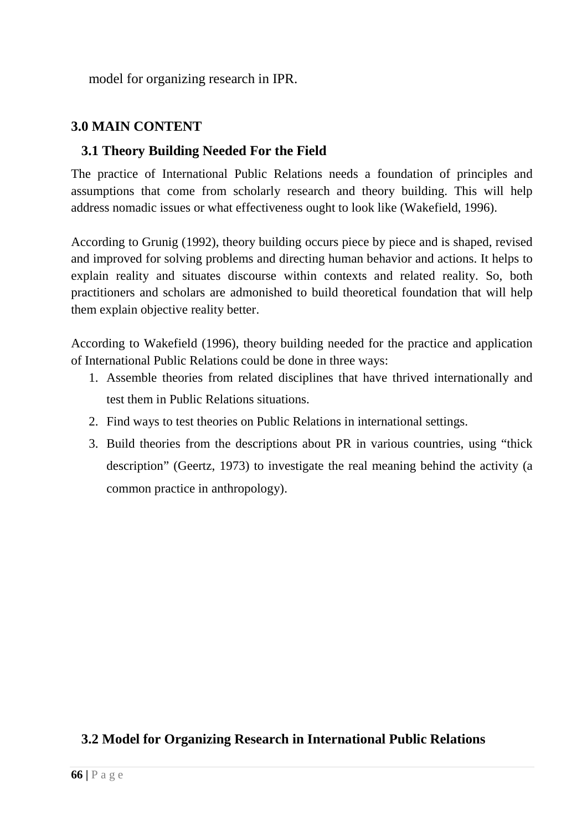model for organizing research in IPR.

# **3.0 MAIN CONTENT**

### **3.1 Theory Building Needed For the Field**

The practice of International Public Relations needs a foundation of principles and assumptions that come from scholarly research and theory building. This will help address nomadic issues or what effectiveness ought to look like (Wakefield, 1996).

According to Grunig (1992), theory building occurs piece by piece and is shaped, revised and improved for solving problems and directing human behavior and actions. It helps to explain reality and situates discourse within contexts and related reality. So, both practitioners and scholars are admonished to build theoretical foundation that will help them explain objective reality better.

According to Wakefield (1996), theory building needed for the practice and application of International Public Relations could be done in three ways:

- 1. Assemble theories from related disciplines that have thrived internationally and test them in Public Relations situations.
- 2. Find ways to test theories on Public Relations in international settings.
- 3. Build theories from the descriptions about PR in various countries, using "thick description" (Geertz, 1973) to investigate the real meaning behind the activity (a common practice in anthropology).

## **3.2 Model for Organizing Research in International Public Relations**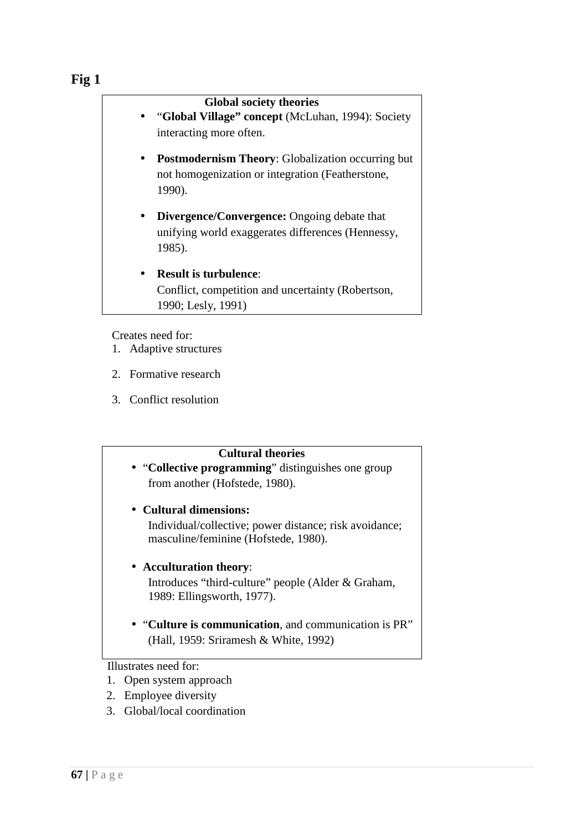#### **Fig 1**

|           | <b>Global society theories</b><br>• "Global Village" concept (McLuhan, 1994): Society<br>interacting more often.       |
|-----------|------------------------------------------------------------------------------------------------------------------------|
|           | <b>Postmodernism Theory:</b> Globalization occurring but<br>not homogenization or integration (Featherstone,<br>1990). |
| $\bullet$ | <b>Divergence/Convergence:</b> Ongoing debate that<br>unifying world exaggerates differences (Hennessy,<br>1985).      |
|           | <b>Result is turbulence:</b><br>Conflict, competition and uncertainty (Robertson,<br>1990; Lesly, 1991)                |

Creates need for:

- 1. Adaptive structures
- 2. Formative research
- 3. Conflict resolution

#### **Cultural theories**

• "**Collective programming**" distinguishes one group from another (Hofstede, 1980).

# • **Cultural dimensions:**

Individual/collective; power distance; risk avoidance; masculine/feminine (Hofstede, 1980).

#### • **Acculturation theory**:

Introduces "third-culture" people (Alder & Graham, 1989: Ellingsworth, 1977).

• "**Culture is communication**, and communication is PR" (Hall, 1959: Sriramesh & White, 1992)

Illustrates need for:

- 1. Open system approach
- 2. Employee diversity
- 3. Global/local coordination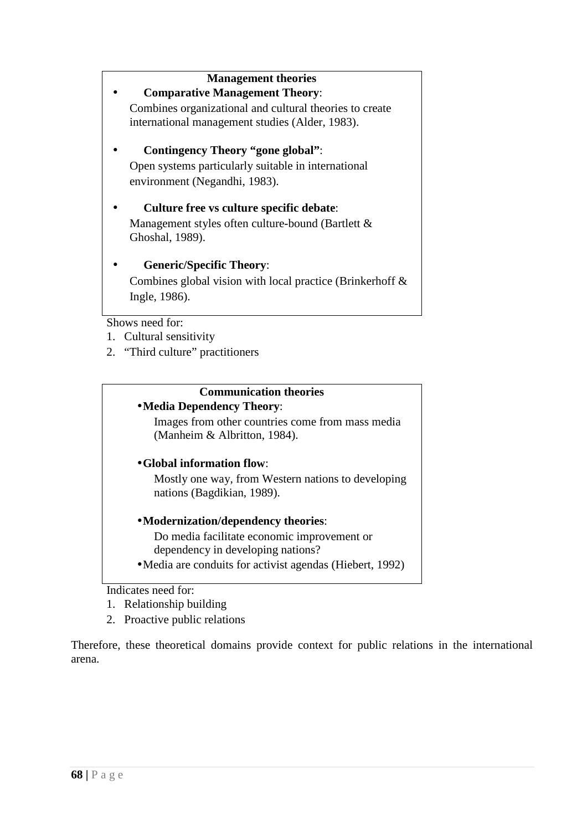# **Management theories**  • **Comparative Management Theory**: Combines organizational and cultural theories to create international management studies (Alder, 1983). • **Contingency Theory "gone global"**: Open systems particularly suitable in international environment (Negandhi, 1983). • **Culture free vs culture specific debate**: Management styles often culture-bound (Bartlett & Ghoshal, 1989). • **Generic/Specific Theory**: Combines global vision with local practice (Brinkerhoff & Ingle, 1986).

Shows need for:

- 1. Cultural sensitivity
- 2. "Third culture" practitioners

#### **Communication theories**

#### •**Media Dependency Theory**:

Images from other countries come from mass media (Manheim & Albritton, 1984).

#### •**Global information flow**:

Mostly one way, from Western nations to developing nations (Bagdikian, 1989).

#### •**Modernization/dependency theories**:

Do media facilitate economic improvement or dependency in developing nations?

•Media are conduits for activist agendas (Hiebert, 1992)

#### Indicates need for:

- 1. Relationship building
- 2. Proactive public relations

Therefore, these theoretical domains provide context for public relations in the international arena.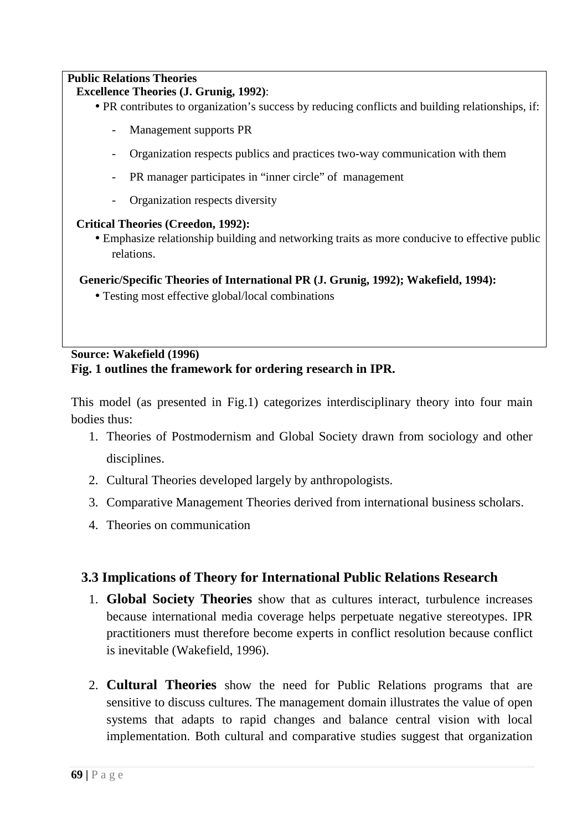#### **Public Relations Theories**

#### **Excellence Theories (J. Grunig, 1992)**:

- PR contributes to organization's success by reducing conflicts and building relationships, if:
	- Management supports PR
	- Organization respects publics and practices two-way communication with them
	- PR manager participates in "inner circle" of management
	- Organization respects diversity

#### **Critical Theories (Creedon, 1992):**

• Emphasize relationship building and networking traits as more conducive to effective public relations.

#### **Generic/Specific Theories of International PR (J. Grunig, 1992); Wakefield, 1994):**

• Testing most effective global/local combinations

#### **Source: Wakefield (1996) Fig. 1 outlines the framework for ordering research in IPR.**

This model (as presented in Fig.1) categorizes interdisciplinary theory into four main bodies thus:

- 1. Theories of Postmodernism and Global Society drawn from sociology and other disciplines.
- 2. Cultural Theories developed largely by anthropologists.
- 3. Comparative Management Theories derived from international business scholars.
- 4. Theories on communication

### **3.3 Implications of Theory for International Public Relations Research**

- 1. **Global Society Theories** show that as cultures interact, turbulence increases because international media coverage helps perpetuate negative stereotypes. IPR practitioners must therefore become experts in conflict resolution because conflict is inevitable (Wakefield, 1996).
- 2. **Cultural Theories** show the need for Public Relations programs that are sensitive to discuss cultures. The management domain illustrates the value of open systems that adapts to rapid changes and balance central vision with local implementation. Both cultural and comparative studies suggest that organization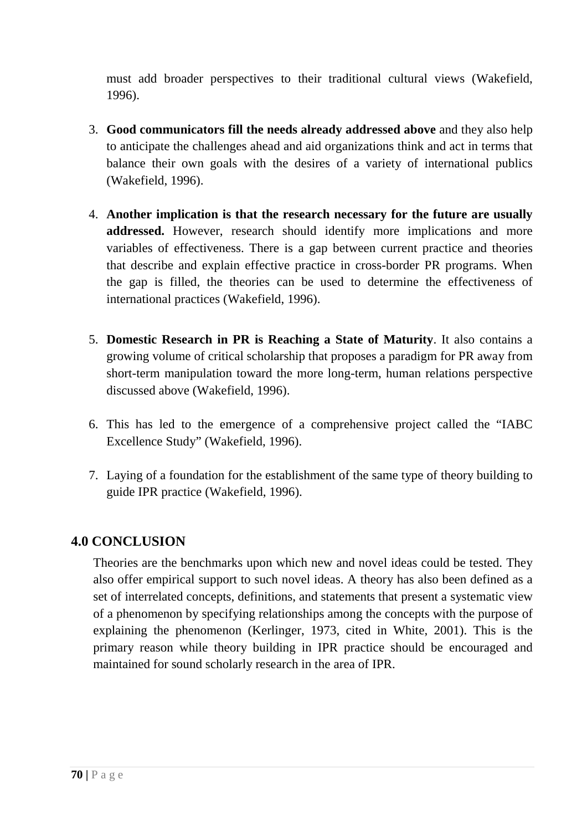must add broader perspectives to their traditional cultural views (Wakefield, 1996).

- 3. **Good communicators fill the needs already addressed above** and they also help to anticipate the challenges ahead and aid organizations think and act in terms that balance their own goals with the desires of a variety of international publics (Wakefield, 1996).
- 4. **Another implication is that the research necessary for the future are usually addressed.** However, research should identify more implications and more variables of effectiveness. There is a gap between current practice and theories that describe and explain effective practice in cross-border PR programs. When the gap is filled, the theories can be used to determine the effectiveness of international practices (Wakefield, 1996).
- 5. **Domestic Research in PR is Reaching a State of Maturity**. It also contains a growing volume of critical scholarship that proposes a paradigm for PR away from short-term manipulation toward the more long-term, human relations perspective discussed above (Wakefield, 1996).
- 6. This has led to the emergence of a comprehensive project called the "IABC Excellence Study" (Wakefield, 1996).
- 7. Laying of a foundation for the establishment of the same type of theory building to guide IPR practice (Wakefield, 1996).

### **4.0 CONCLUSION**

Theories are the benchmarks upon which new and novel ideas could be tested. They also offer empirical support to such novel ideas. A theory has also been defined as a set of interrelated concepts, definitions, and statements that present a systematic view of a phenomenon by specifying relationships among the concepts with the purpose of explaining the phenomenon (Kerlinger, 1973, cited in White, 2001). This is the primary reason while theory building in IPR practice should be encouraged and maintained for sound scholarly research in the area of IPR.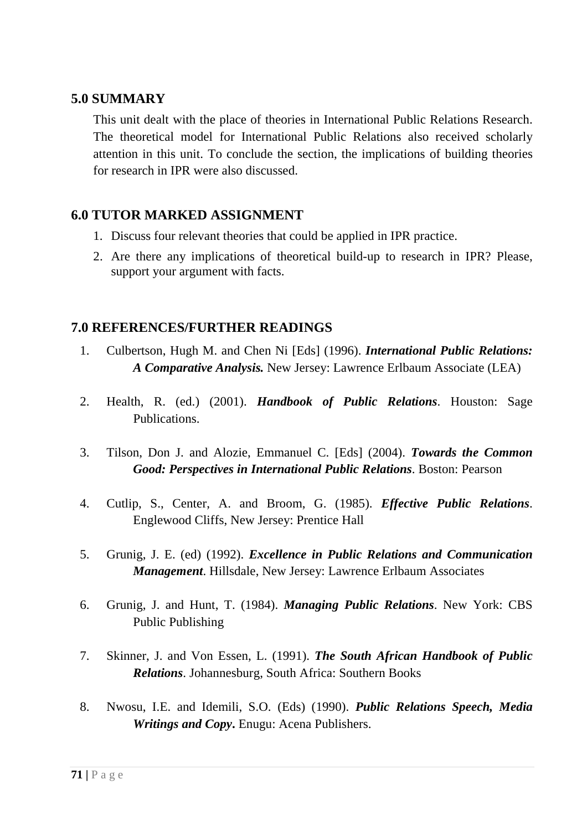#### **5.0 SUMMARY**

This unit dealt with the place of theories in International Public Relations Research. The theoretical model for International Public Relations also received scholarly attention in this unit. To conclude the section, the implications of building theories for research in IPR were also discussed.

### **6.0 TUTOR MARKED ASSIGNMENT**

- 1. Discuss four relevant theories that could be applied in IPR practice.
- 2. Are there any implications of theoretical build-up to research in IPR? Please, support your argument with facts.

#### **7.0 REFERENCES/FURTHER READINGS**

- 1. Culbertson, Hugh M. and Chen Ni [Eds] (1996). *International Public Relations: A Comparative Analysis.* New Jersey: Lawrence Erlbaum Associate (LEA)
- 2. Health, R. (ed.) (2001). *Handbook of Public Relations*. Houston: Sage Publications.
- 3. Tilson, Don J. and Alozie, Emmanuel C. [Eds] (2004). *Towards the Common Good: Perspectives in International Public Relations*. Boston: Pearson
- 4. Cutlip, S., Center, A. and Broom, G. (1985). *Effective Public Relations*. Englewood Cliffs, New Jersey: Prentice Hall
- 5. Grunig, J. E. (ed) (1992). *Excellence in Public Relations and Communication Management*. Hillsdale, New Jersey: Lawrence Erlbaum Associates
- 6. Grunig, J. and Hunt, T. (1984). *Managing Public Relations*. New York: CBS Public Publishing
- 7. Skinner, J. and Von Essen, L. (1991). *The South African Handbook of Public Relations*. Johannesburg, South Africa: Southern Books
- 8. Nwosu, I.E. and Idemili, S.O. (Eds) (1990). *Public Relations Speech, Media Writings and Copy***.** Enugu: Acena Publishers.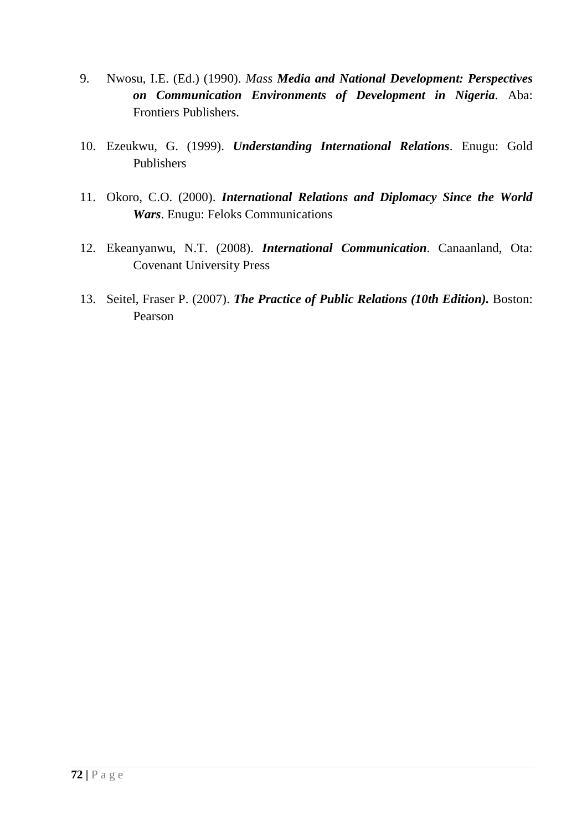- 9. Nwosu, I.E. (Ed.) (1990). *Mass Media and National Development: Perspectives on Communication Environments of Development in Nigeria.* Aba: Frontiers Publishers.
- 10. Ezeukwu, G. (1999). *Understanding International Relations*. Enugu: Gold Publishers
- 11. Okoro, C.O. (2000). *International Relations and Diplomacy Since the World Wars*. Enugu: Feloks Communications
- 12. Ekeanyanwu, N.T. (2008). *International Communication*. Canaanland, Ota: Covenant University Press
- 13. Seitel, Fraser P. (2007). *The Practice of Public Relations (10th Edition).* Boston: Pearson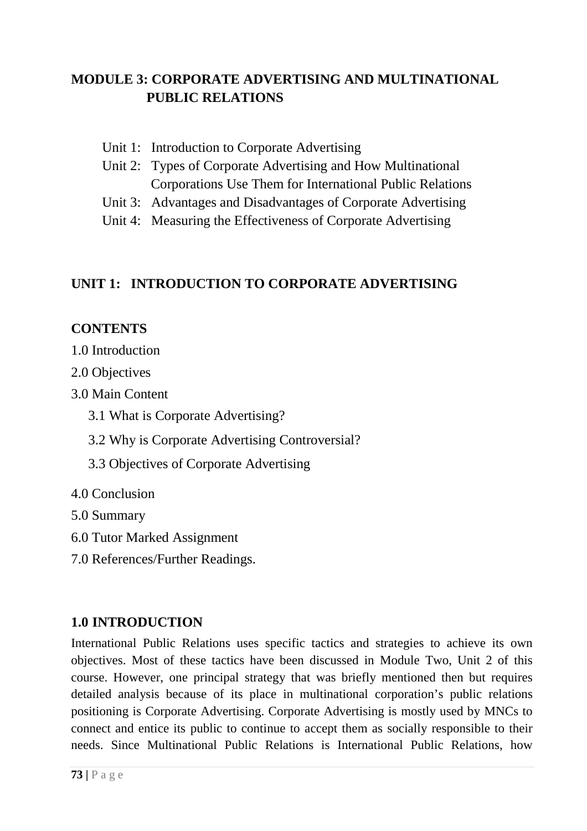# **MODULE 3: CORPORATE ADVERTISING AND MULTINATIONAL PUBLIC RELATIONS**

- Unit 1: Introduction to Corporate Advertising
- Unit 2: Types of Corporate Advertising and How Multinational Corporations Use Them for International Public Relations
- Unit 3: Advantages and Disadvantages of Corporate Advertising
- Unit 4: Measuring the Effectiveness of Corporate Advertising

## **UNIT 1: INTRODUCTION TO CORPORATE ADVERTISING**

## **CONTENTS**

- 1.0 Introduction
- 2.0 Objectives
- 3.0 Main Content
	- 3.1 What is Corporate Advertising?
	- 3.2 Why is Corporate Advertising Controversial?
	- 3.3 Objectives of Corporate Advertising
- 4.0 Conclusion
- 5.0 Summary
- 6.0 Tutor Marked Assignment
- 7.0 References/Further Readings.

## **1.0 INTRODUCTION**

International Public Relations uses specific tactics and strategies to achieve its own objectives. Most of these tactics have been discussed in Module Two, Unit 2 of this course. However, one principal strategy that was briefly mentioned then but requires detailed analysis because of its place in multinational corporation's public relations positioning is Corporate Advertising. Corporate Advertising is mostly used by MNCs to connect and entice its public to continue to accept them as socially responsible to their needs. Since Multinational Public Relations is International Public Relations, how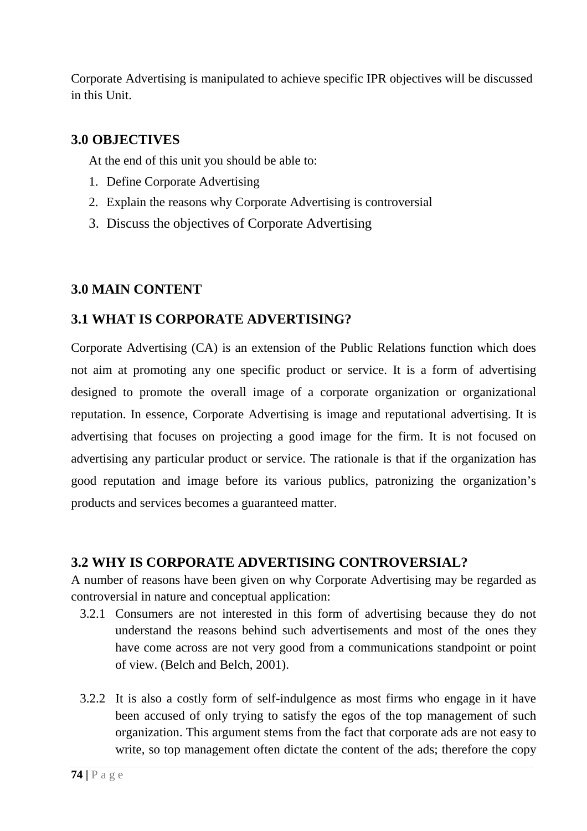Corporate Advertising is manipulated to achieve specific IPR objectives will be discussed in this Unit.

### **3.0 OBJECTIVES**

At the end of this unit you should be able to:

- 1. Define Corporate Advertising
- 2. Explain the reasons why Corporate Advertising is controversial
- 3. Discuss the objectives of Corporate Advertising

## **3.0 MAIN CONTENT**

## **3.1 WHAT IS CORPORATE ADVERTISING?**

Corporate Advertising (CA) is an extension of the Public Relations function which does not aim at promoting any one specific product or service. It is a form of advertising designed to promote the overall image of a corporate organization or organizational reputation. In essence, Corporate Advertising is image and reputational advertising. It is advertising that focuses on projecting a good image for the firm. It is not focused on advertising any particular product or service. The rationale is that if the organization has good reputation and image before its various publics, patronizing the organization's products and services becomes a guaranteed matter.

### **3.2 WHY IS CORPORATE ADVERTISING CONTROVERSIAL?**

A number of reasons have been given on why Corporate Advertising may be regarded as controversial in nature and conceptual application:

- 3.2.1 Consumers are not interested in this form of advertising because they do not understand the reasons behind such advertisements and most of the ones they have come across are not very good from a communications standpoint or point of view. (Belch and Belch, 2001).
- 3.2.2 It is also a costly form of self-indulgence as most firms who engage in it have been accused of only trying to satisfy the egos of the top management of such organization. This argument stems from the fact that corporate ads are not easy to write, so top management often dictate the content of the ads; therefore the copy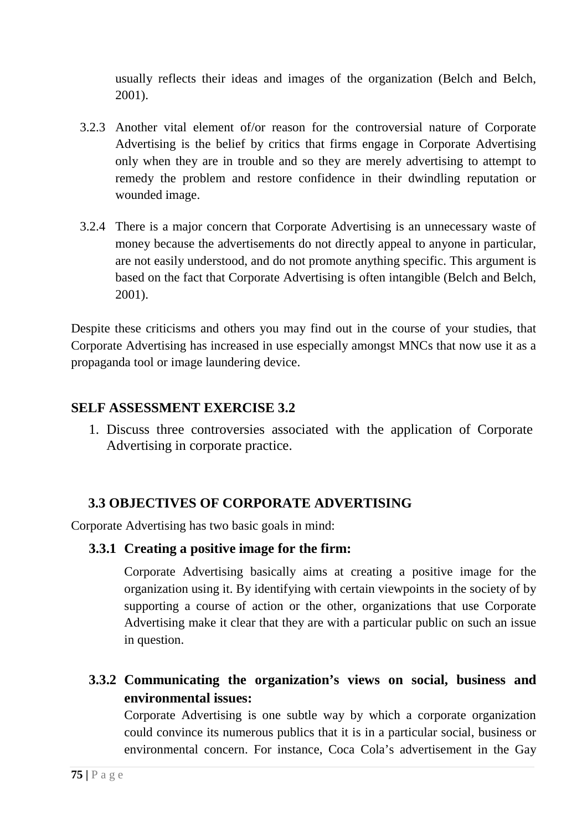usually reflects their ideas and images of the organization (Belch and Belch, 2001).

- 3.2.3 Another vital element of/or reason for the controversial nature of Corporate Advertising is the belief by critics that firms engage in Corporate Advertising only when they are in trouble and so they are merely advertising to attempt to remedy the problem and restore confidence in their dwindling reputation or wounded image.
- 3.2.4 There is a major concern that Corporate Advertising is an unnecessary waste of money because the advertisements do not directly appeal to anyone in particular, are not easily understood, and do not promote anything specific. This argument is based on the fact that Corporate Advertising is often intangible (Belch and Belch, 2001).

Despite these criticisms and others you may find out in the course of your studies, that Corporate Advertising has increased in use especially amongst MNCs that now use it as a propaganda tool or image laundering device.

## **SELF ASSESSMENT EXERCISE 3.2**

1. Discuss three controversies associated with the application of Corporate Advertising in corporate practice.

## **3.3 OBJECTIVES OF CORPORATE ADVERTISING**

Corporate Advertising has two basic goals in mind:

### **3.3.1 Creating a positive image for the firm:**

Corporate Advertising basically aims at creating a positive image for the organization using it. By identifying with certain viewpoints in the society of by supporting a course of action or the other, organizations that use Corporate Advertising make it clear that they are with a particular public on such an issue in question.

# **3.3.2 Communicating the organization's views on social, business and environmental issues:**

Corporate Advertising is one subtle way by which a corporate organization could convince its numerous publics that it is in a particular social, business or environmental concern. For instance, Coca Cola's advertisement in the Gay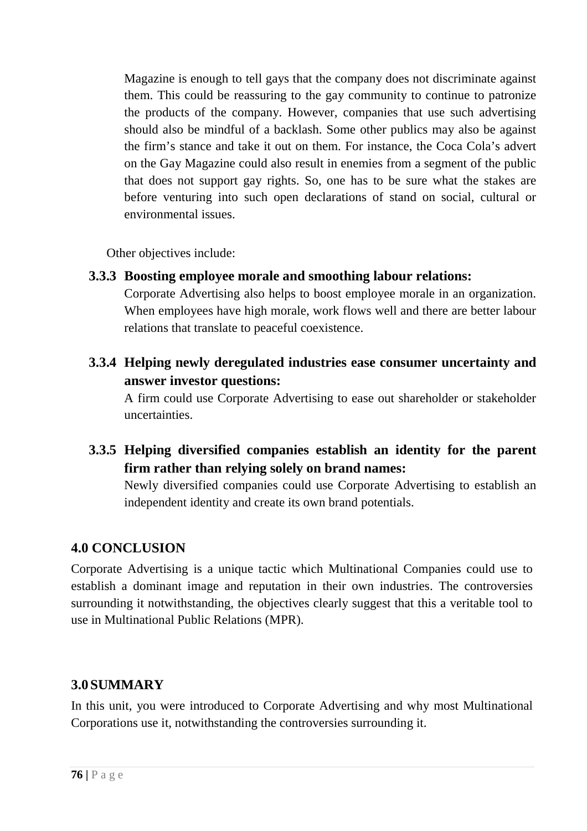Magazine is enough to tell gays that the company does not discriminate against them. This could be reassuring to the gay community to continue to patronize the products of the company. However, companies that use such advertising should also be mindful of a backlash. Some other publics may also be against the firm's stance and take it out on them. For instance, the Coca Cola's advert on the Gay Magazine could also result in enemies from a segment of the public that does not support gay rights. So, one has to be sure what the stakes are before venturing into such open declarations of stand on social, cultural or environmental issues.

Other objectives include:

**3.3.3 Boosting employee morale and smoothing labour relations:** 

Corporate Advertising also helps to boost employee morale in an organization. When employees have high morale, work flows well and there are better labour relations that translate to peaceful coexistence.

**3.3.4 Helping newly deregulated industries ease consumer uncertainty and answer investor questions:** 

A firm could use Corporate Advertising to ease out shareholder or stakeholder uncertainties.

**3.3.5 Helping diversified companies establish an identity for the parent firm rather than relying solely on brand names:** 

Newly diversified companies could use Corporate Advertising to establish an independent identity and create its own brand potentials.

# **4.0 CONCLUSION**

Corporate Advertising is a unique tactic which Multinational Companies could use to establish a dominant image and reputation in their own industries. The controversies surrounding it notwithstanding, the objectives clearly suggest that this a veritable tool to use in Multinational Public Relations (MPR).

# **3.0 SUMMARY**

In this unit, you were introduced to Corporate Advertising and why most Multinational Corporations use it, notwithstanding the controversies surrounding it.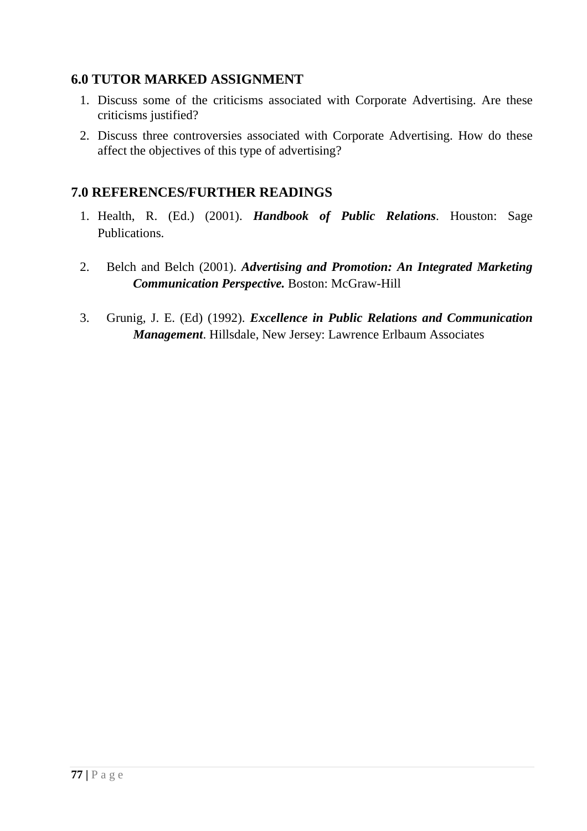## **6.0 TUTOR MARKED ASSIGNMENT**

- 1. Discuss some of the criticisms associated with Corporate Advertising. Are these criticisms justified?
- 2. Discuss three controversies associated with Corporate Advertising. How do these affect the objectives of this type of advertising?

### **7.0 REFERENCES/FURTHER READINGS**

- 1. Health, R. (Ed.) (2001). *Handbook of Public Relations*. Houston: Sage Publications.
- 2. Belch and Belch (2001). *Advertising and Promotion: An Integrated Marketing Communication Perspective.* Boston: McGraw-Hill
- 3. Grunig, J. E. (Ed) (1992). *Excellence in Public Relations and Communication Management*. Hillsdale, New Jersey: Lawrence Erlbaum Associates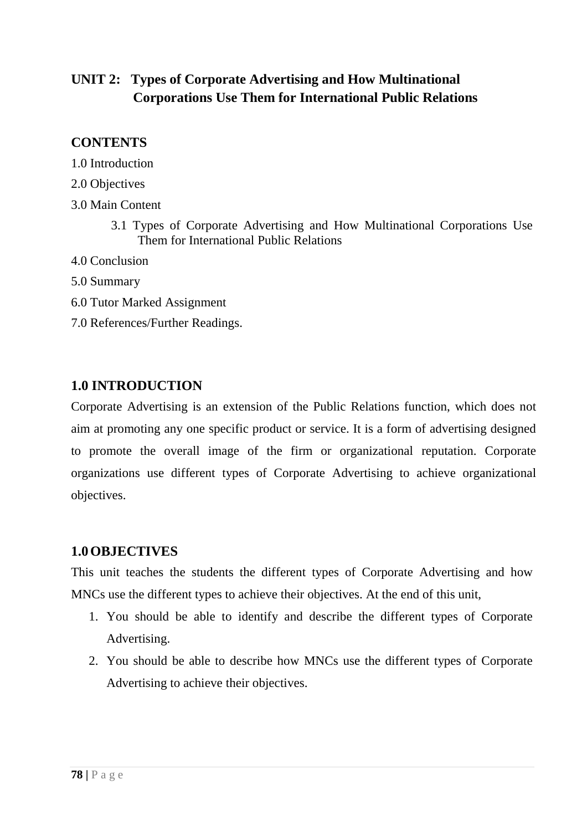# **UNIT 2: Types of Corporate Advertising and How Multinational Corporations Use Them for International Public Relations**

## **CONTENTS**

- 1.0 Introduction
- 2.0 Objectives
- 3.0 Main Content
	- 3.1 Types of Corporate Advertising and How Multinational Corporations Use Them for International Public Relations
- 4.0 Conclusion
- 5.0 Summary
- 6.0 Tutor Marked Assignment
- 7.0 References/Further Readings.

## **1.0 INTRODUCTION**

Corporate Advertising is an extension of the Public Relations function, which does not aim at promoting any one specific product or service. It is a form of advertising designed to promote the overall image of the firm or organizational reputation. Corporate organizations use different types of Corporate Advertising to achieve organizational objectives.

### **1.0OBJECTIVES**

This unit teaches the students the different types of Corporate Advertising and how MNCs use the different types to achieve their objectives. At the end of this unit,

- 1. You should be able to identify and describe the different types of Corporate Advertising.
- 2. You should be able to describe how MNCs use the different types of Corporate Advertising to achieve their objectives.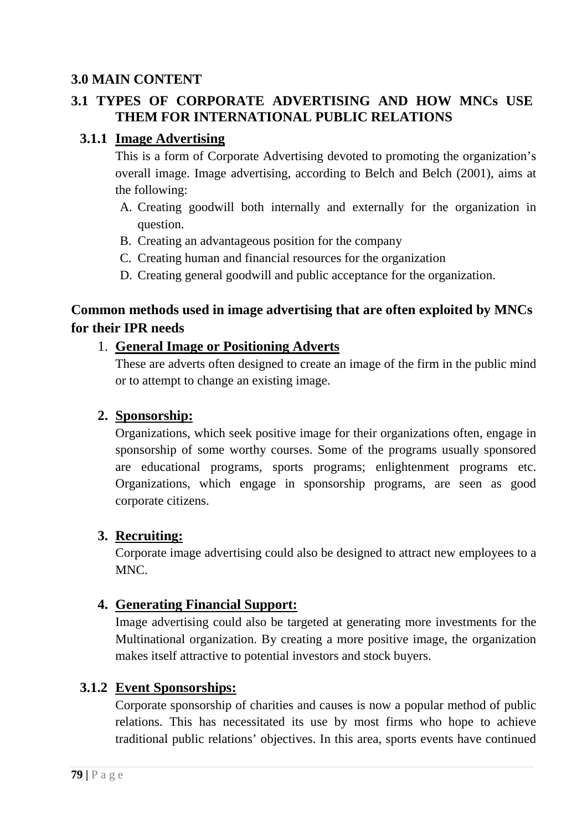## **3.0 MAIN CONTENT**

## **3.1 TYPES OF CORPORATE ADVERTISING AND HOW MNCs USE THEM FOR INTERNATIONAL PUBLIC RELATIONS**

### **3.1.1 Image Advertising**

This is a form of Corporate Advertising devoted to promoting the organization's overall image. Image advertising, according to Belch and Belch (2001), aims at the following:

- A. Creating goodwill both internally and externally for the organization in question.
- B. Creating an advantageous position for the company
- C. Creating human and financial resources for the organization
- D. Creating general goodwill and public acceptance for the organization.

## **Common methods used in image advertising that are often exploited by MNCs for their IPR needs**

#### 1. **General Image or Positioning Adverts**

These are adverts often designed to create an image of the firm in the public mind or to attempt to change an existing image.

### **2. Sponsorship:**

Organizations, which seek positive image for their organizations often, engage in sponsorship of some worthy courses. Some of the programs usually sponsored are educational programs, sports programs; enlightenment programs etc. Organizations, which engage in sponsorship programs, are seen as good corporate citizens.

### **3. Recruiting:**

Corporate image advertising could also be designed to attract new employees to a MNC.

### **4. Generating Financial Support:**

Image advertising could also be targeted at generating more investments for the Multinational organization. By creating a more positive image, the organization makes itself attractive to potential investors and stock buyers.

### **3.1.2 Event Sponsorships:**

Corporate sponsorship of charities and causes is now a popular method of public relations. This has necessitated its use by most firms who hope to achieve traditional public relations' objectives. In this area, sports events have continued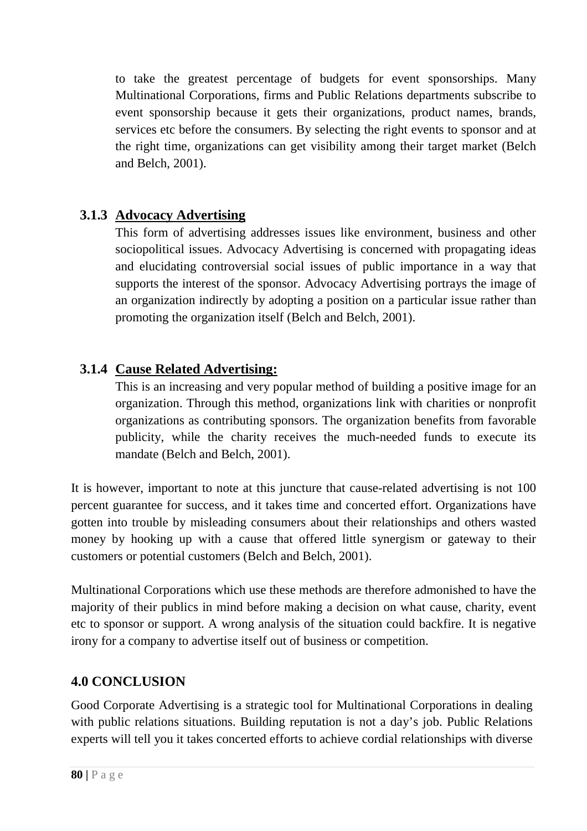to take the greatest percentage of budgets for event sponsorships. Many Multinational Corporations, firms and Public Relations departments subscribe to event sponsorship because it gets their organizations, product names, brands, services etc before the consumers. By selecting the right events to sponsor and at the right time, organizations can get visibility among their target market (Belch and Belch, 2001).

# **3.1.3 Advocacy Advertising**

This form of advertising addresses issues like environment, business and other sociopolitical issues. Advocacy Advertising is concerned with propagating ideas and elucidating controversial social issues of public importance in a way that supports the interest of the sponsor. Advocacy Advertising portrays the image of an organization indirectly by adopting a position on a particular issue rather than promoting the organization itself (Belch and Belch, 2001).

## **3.1.4 Cause Related Advertising:**

This is an increasing and very popular method of building a positive image for an organization. Through this method, organizations link with charities or nonprofit organizations as contributing sponsors. The organization benefits from favorable publicity, while the charity receives the much-needed funds to execute its mandate (Belch and Belch, 2001).

It is however, important to note at this juncture that cause-related advertising is not 100 percent guarantee for success, and it takes time and concerted effort. Organizations have gotten into trouble by misleading consumers about their relationships and others wasted money by hooking up with a cause that offered little synergism or gateway to their customers or potential customers (Belch and Belch, 2001).

Multinational Corporations which use these methods are therefore admonished to have the majority of their publics in mind before making a decision on what cause, charity, event etc to sponsor or support. A wrong analysis of the situation could backfire. It is negative irony for a company to advertise itself out of business or competition.

### **4.0 CONCLUSION**

Good Corporate Advertising is a strategic tool for Multinational Corporations in dealing with public relations situations. Building reputation is not a day's job. Public Relations experts will tell you it takes concerted efforts to achieve cordial relationships with diverse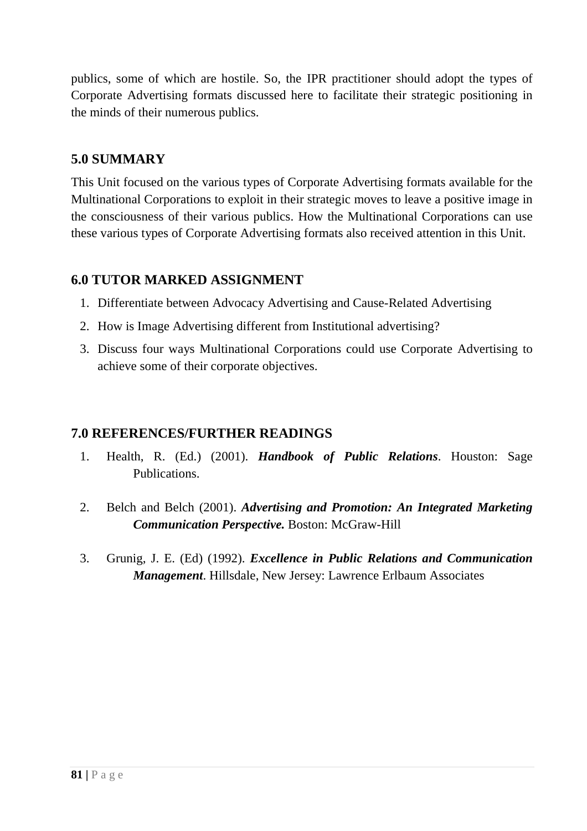publics, some of which are hostile. So, the IPR practitioner should adopt the types of Corporate Advertising formats discussed here to facilitate their strategic positioning in the minds of their numerous publics.

# **5.0 SUMMARY**

This Unit focused on the various types of Corporate Advertising formats available for the Multinational Corporations to exploit in their strategic moves to leave a positive image in the consciousness of their various publics. How the Multinational Corporations can use these various types of Corporate Advertising formats also received attention in this Unit.

## **6.0 TUTOR MARKED ASSIGNMENT**

- 1. Differentiate between Advocacy Advertising and Cause-Related Advertising
- 2. How is Image Advertising different from Institutional advertising?
- 3. Discuss four ways Multinational Corporations could use Corporate Advertising to achieve some of their corporate objectives.

## **7.0 REFERENCES/FURTHER READINGS**

- 1. Health, R. (Ed.) (2001). *Handbook of Public Relations*. Houston: Sage Publications.
- 2. Belch and Belch (2001). *Advertising and Promotion: An Integrated Marketing Communication Perspective.* Boston: McGraw-Hill
- 3. Grunig, J. E. (Ed) (1992). *Excellence in Public Relations and Communication Management*. Hillsdale, New Jersey: Lawrence Erlbaum Associates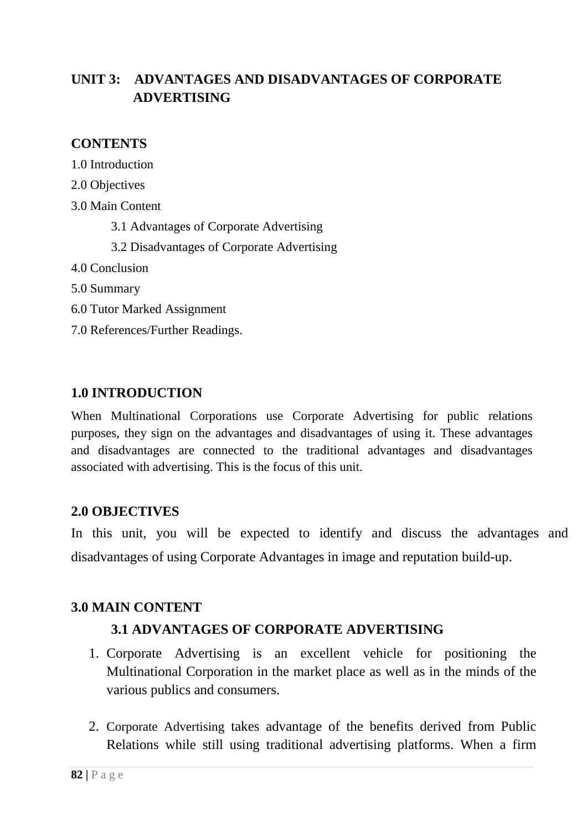# **UNIT 3: ADVANTAGES AND DISADVANTAGES OF CORPORATE ADVERTISING**

## **CONTENTS**

1.0 Introduction

2.0 Objectives

3.0 Main Content

3.1 Advantages of Corporate Advertising

3.2 Disadvantages of Corporate Advertising

- 4.0 Conclusion
- 5.0 Summary
- 6.0 Tutor Marked Assignment
- 7.0 References/Further Readings.

## **1.0 INTRODUCTION**

When Multinational Corporations use Corporate Advertising for public relations purposes, they sign on the advantages and disadvantages of using it. These advantages and disadvantages are connected to the traditional advantages and disadvantages associated with advertising. This is the focus of this unit.

## **2.0 OBJECTIVES**

In this unit, you will be expected to identify and discuss the advantages and disadvantages of using Corporate Advantages in image and reputation build-up.

## **3.0 MAIN CONTENT**

## **3.1 ADVANTAGES OF CORPORATE ADVERTISING**

- 1. Corporate Advertising is an excellent vehicle for positioning the Multinational Corporation in the market place as well as in the minds of the various publics and consumers.
- 2. Corporate Advertising takes advantage of the benefits derived from Public Relations while still using traditional advertising platforms. When a firm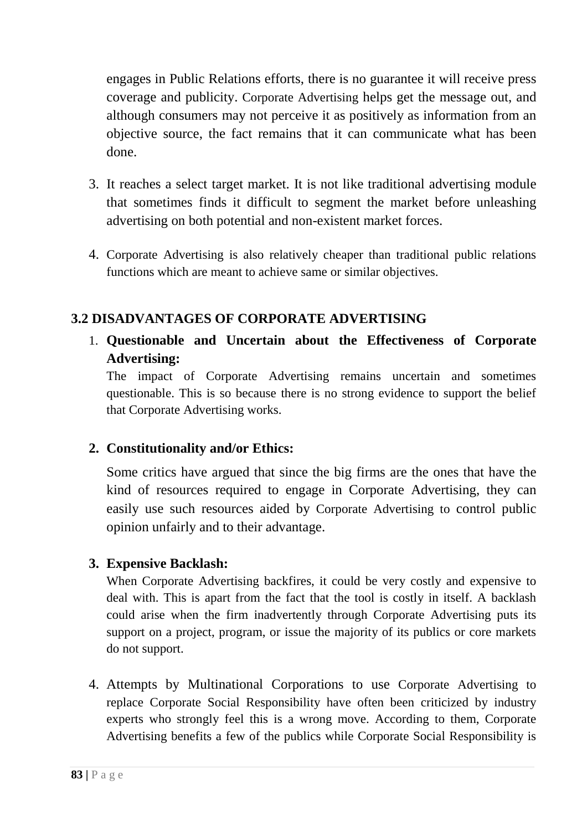engages in Public Relations efforts, there is no guarantee it will receive press coverage and publicity. Corporate Advertising helps get the message out, and although consumers may not perceive it as positively as information from an objective source, the fact remains that it can communicate what has been done.

- 3. It reaches a select target market. It is not like traditional advertising module that sometimes finds it difficult to segment the market before unleashing advertising on both potential and non-existent market forces.
- 4. Corporate Advertising is also relatively cheaper than traditional public relations functions which are meant to achieve same or similar objectives.

# **3.2 DISADVANTAGES OF CORPORATE ADVERTISING**

1. **Questionable and Uncertain about the Effectiveness of Corporate Advertising:**

The impact of Corporate Advertising remains uncertain and sometimes questionable. This is so because there is no strong evidence to support the belief that Corporate Advertising works.

## **2. Constitutionality and/or Ethics:**

Some critics have argued that since the big firms are the ones that have the kind of resources required to engage in Corporate Advertising, they can easily use such resources aided by Corporate Advertising to control public opinion unfairly and to their advantage.

## **3. Expensive Backlash:**

When Corporate Advertising backfires, it could be very costly and expensive to deal with. This is apart from the fact that the tool is costly in itself. A backlash could arise when the firm inadvertently through Corporate Advertising puts its support on a project, program, or issue the majority of its publics or core markets do not support.

4. Attempts by Multinational Corporations to use Corporate Advertising to replace Corporate Social Responsibility have often been criticized by industry experts who strongly feel this is a wrong move. According to them, Corporate Advertising benefits a few of the publics while Corporate Social Responsibility is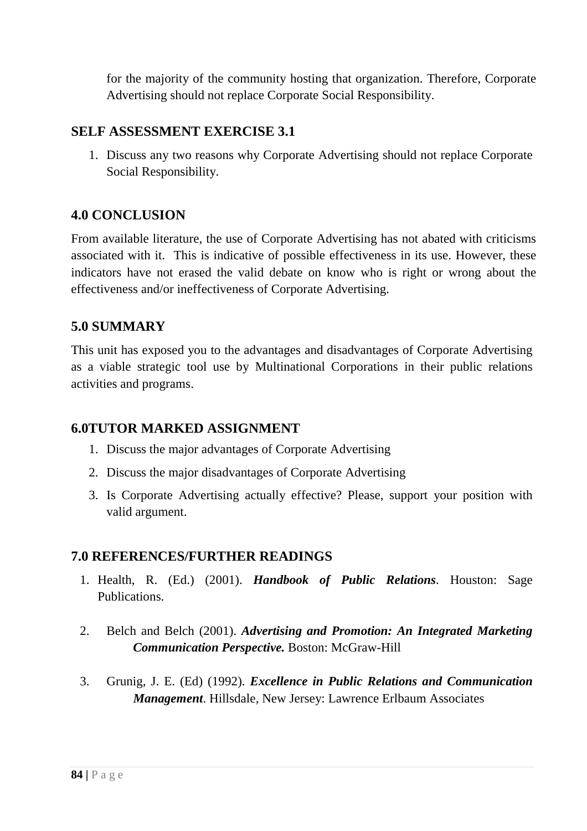for the majority of the community hosting that organization. Therefore, Corporate Advertising should not replace Corporate Social Responsibility.

### **SELF ASSESSMENT EXERCISE 3.1**

1. Discuss any two reasons why Corporate Advertising should not replace Corporate Social Responsibility.

## **4.0 CONCLUSION**

From available literature, the use of Corporate Advertising has not abated with criticisms associated with it. This is indicative of possible effectiveness in its use. However, these indicators have not erased the valid debate on know who is right or wrong about the effectiveness and/or ineffectiveness of Corporate Advertising.

## **5.0 SUMMARY**

This unit has exposed you to the advantages and disadvantages of Corporate Advertising as a viable strategic tool use by Multinational Corporations in their public relations activities and programs.

### **6.0TUTOR MARKED ASSIGNMENT**

- 1. Discuss the major advantages of Corporate Advertising
- 2. Discuss the major disadvantages of Corporate Advertising
- 3. Is Corporate Advertising actually effective? Please, support your position with valid argument.

### **7.0 REFERENCES/FURTHER READINGS**

- 1. Health, R. (Ed.) (2001). *Handbook of Public Relations*. Houston: Sage Publications.
- 2. Belch and Belch (2001). *Advertising and Promotion: An Integrated Marketing Communication Perspective.* Boston: McGraw-Hill
- 3. Grunig, J. E. (Ed) (1992). *Excellence in Public Relations and Communication Management*. Hillsdale, New Jersey: Lawrence Erlbaum Associates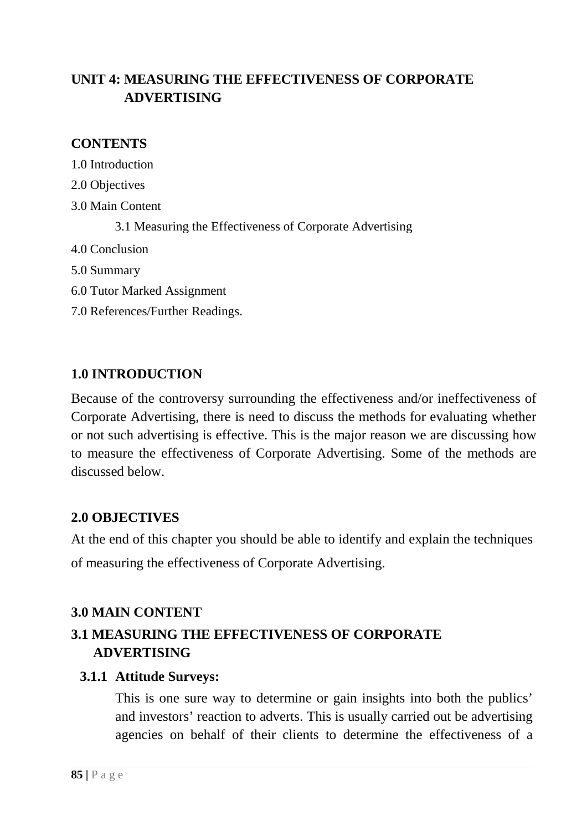# **UNIT 4: MEASURING THE EFFECTIVENESS OF CORPORATE ADVERTISING**

## **CONTENTS**

1.0 Introduction 2.0 Objectives 3.0 Main Content 3.1 Measuring the Effectiveness of Corporate Advertising 4.0 Conclusion 5.0 Summary 6.0 Tutor Marked Assignment

7.0 References/Further Readings.

# **1.0 INTRODUCTION**

Because of the controversy surrounding the effectiveness and/or ineffectiveness of Corporate Advertising, there is need to discuss the methods for evaluating whether or not such advertising is effective. This is the major reason we are discussing how to measure the effectiveness of Corporate Advertising. Some of the methods are discussed below.

## **2.0 OBJECTIVES**

At the end of this chapter you should be able to identify and explain the techniques of measuring the effectiveness of Corporate Advertising.

## **3.0 MAIN CONTENT**

# **3.1 MEASURING THE EFFECTIVENESS OF CORPORATE ADVERTISING**

### **3.1.1 Attitude Surveys:**

This is one sure way to determine or gain insights into both the publics' and investors' reaction to adverts. This is usually carried out be advertising agencies on behalf of their clients to determine the effectiveness of a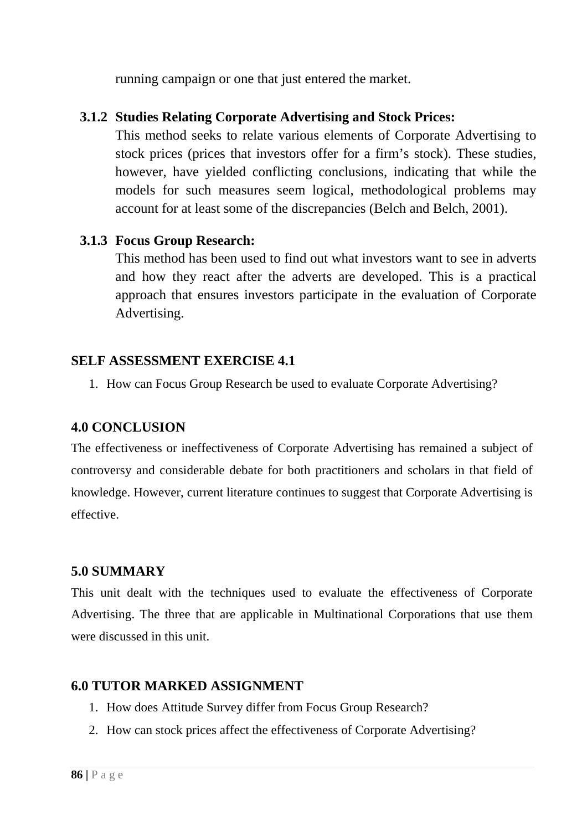running campaign or one that just entered the market.

## **3.1.2 Studies Relating Corporate Advertising and Stock Prices:**

This method seeks to relate various elements of Corporate Advertising to stock prices (prices that investors offer for a firm's stock). These studies, however, have yielded conflicting conclusions, indicating that while the models for such measures seem logical, methodological problems may account for at least some of the discrepancies (Belch and Belch, 2001).

## **3.1.3 Focus Group Research:**

This method has been used to find out what investors want to see in adverts and how they react after the adverts are developed. This is a practical approach that ensures investors participate in the evaluation of Corporate Advertising.

## **SELF ASSESSMENT EXERCISE 4.1**

1. How can Focus Group Research be used to evaluate Corporate Advertising?

### **4.0 CONCLUSION**

The effectiveness or ineffectiveness of Corporate Advertising has remained a subject of controversy and considerable debate for both practitioners and scholars in that field of knowledge. However, current literature continues to suggest that Corporate Advertising is effective.

## **5.0 SUMMARY**

This unit dealt with the techniques used to evaluate the effectiveness of Corporate Advertising. The three that are applicable in Multinational Corporations that use them were discussed in this unit.

## **6.0 TUTOR MARKED ASSIGNMENT**

- 1. How does Attitude Survey differ from Focus Group Research?
- 2. How can stock prices affect the effectiveness of Corporate Advertising?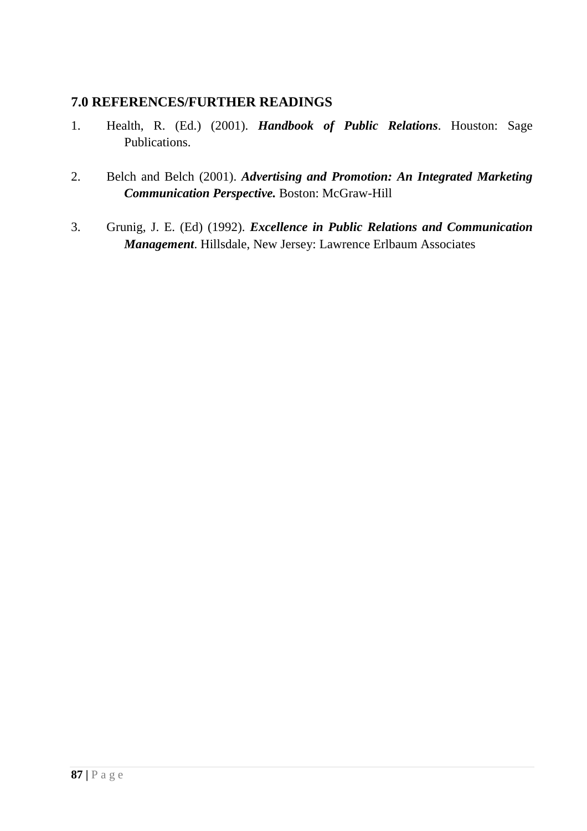### **7.0 REFERENCES/FURTHER READINGS**

- 1. Health, R. (Ed.) (2001). *Handbook of Public Relations*. Houston: Sage Publications.
- 2. Belch and Belch (2001). *Advertising and Promotion: An Integrated Marketing Communication Perspective.* Boston: McGraw-Hill
- 3. Grunig, J. E. (Ed) (1992). *Excellence in Public Relations and Communication Management*. Hillsdale, New Jersey: Lawrence Erlbaum Associates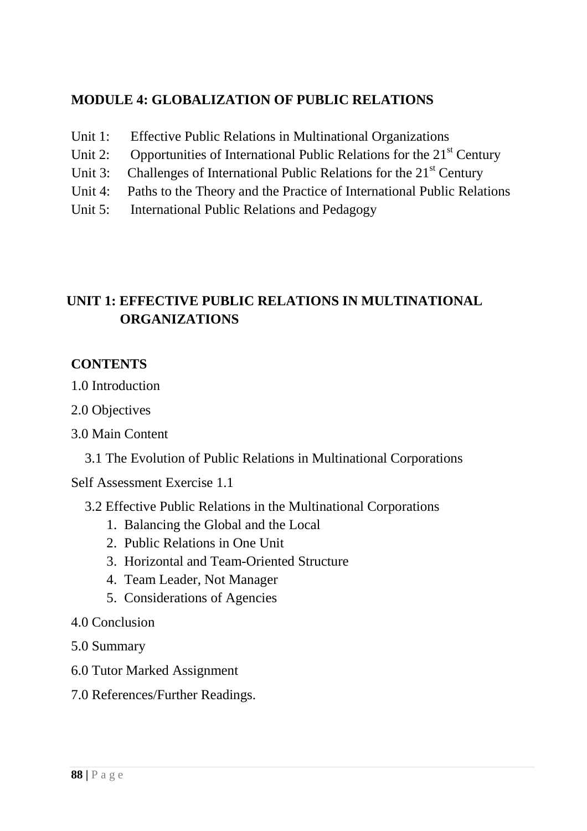# **MODULE 4: GLOBALIZATION OF PUBLIC RELATIONS**

- Unit 1: Effective Public Relations in Multinational Organizations
- Unit 2: Opportunities of International Public Relations for the  $21<sup>st</sup>$  Century
- Unit 3: Challenges of International Public Relations for the  $21<sup>st</sup>$  Century
- Unit 4: Paths to the Theory and the Practice of International Public Relations
- Unit 5: International Public Relations and Pedagogy

# **UNIT 1: EFFECTIVE PUBLIC RELATIONS IN MULTINATIONAL ORGANIZATIONS**

## **CONTENTS**

- 1.0 Introduction
- 2.0 Objectives
- 3.0 Main Content
	- 3.1 The Evolution of Public Relations in Multinational Corporations

Self Assessment Exercise 1.1

- 3.2 Effective Public Relations in the Multinational Corporations
	- 1. Balancing the Global and the Local
	- 2. Public Relations in One Unit
	- 3. Horizontal and Team-Oriented Structure
	- 4. Team Leader, Not Manager
	- 5. Considerations of Agencies
- 4.0 Conclusion
- 5.0 Summary
- 6.0 Tutor Marked Assignment
- 7.0 References/Further Readings.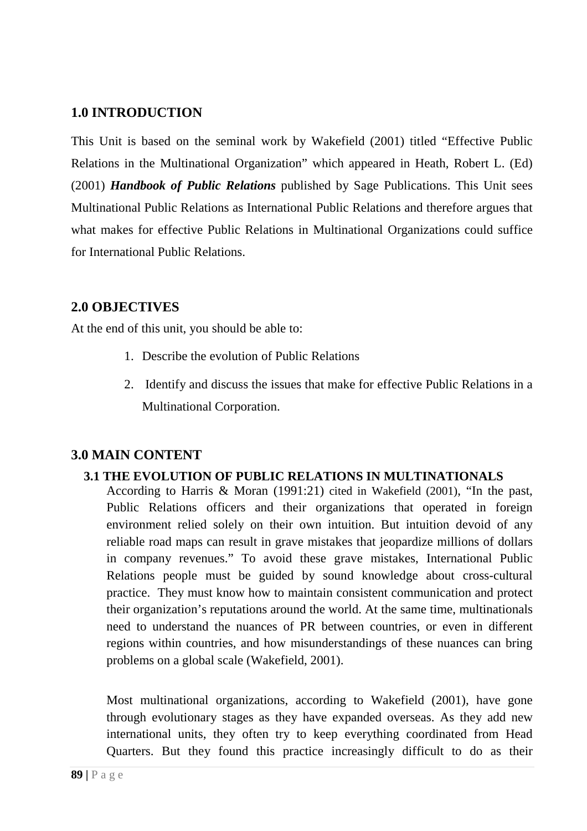### **1.0 INTRODUCTION**

This Unit is based on the seminal work by Wakefield (2001) titled "Effective Public Relations in the Multinational Organization" which appeared in Heath, Robert L. (Ed) (2001) *Handbook of Public Relations* published by Sage Publications. This Unit sees Multinational Public Relations as International Public Relations and therefore argues that what makes for effective Public Relations in Multinational Organizations could suffice for International Public Relations.

## **2.0 OBJECTIVES**

At the end of this unit, you should be able to:

- 1. Describe the evolution of Public Relations
- 2. Identify and discuss the issues that make for effective Public Relations in a Multinational Corporation.

### **3.0 MAIN CONTENT**

#### **3.1 THE EVOLUTION OF PUBLIC RELATIONS IN MULTINATIONALS**

According to Harris & Moran (1991:21) cited in Wakefield (2001), "In the past, Public Relations officers and their organizations that operated in foreign environment relied solely on their own intuition. But intuition devoid of any reliable road maps can result in grave mistakes that jeopardize millions of dollars in company revenues." To avoid these grave mistakes, International Public Relations people must be guided by sound knowledge about cross-cultural practice. They must know how to maintain consistent communication and protect their organization's reputations around the world. At the same time, multinationals need to understand the nuances of PR between countries, or even in different regions within countries, and how misunderstandings of these nuances can bring problems on a global scale (Wakefield, 2001).

Most multinational organizations, according to Wakefield (2001), have gone through evolutionary stages as they have expanded overseas. As they add new international units, they often try to keep everything coordinated from Head Quarters. But they found this practice increasingly difficult to do as their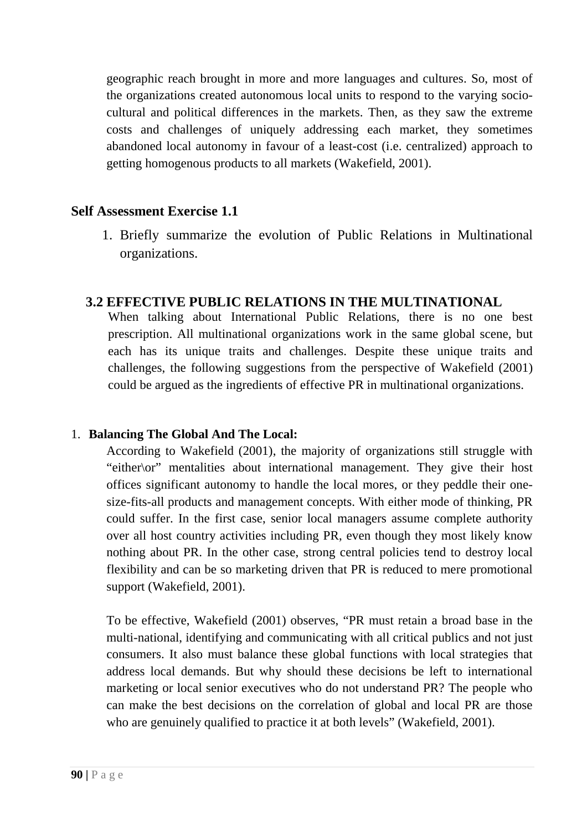geographic reach brought in more and more languages and cultures. So, most of the organizations created autonomous local units to respond to the varying sociocultural and political differences in the markets. Then, as they saw the extreme costs and challenges of uniquely addressing each market, they sometimes abandoned local autonomy in favour of a least-cost (i.e. centralized) approach to getting homogenous products to all markets (Wakefield, 2001).

### **Self Assessment Exercise 1.1**

1. Briefly summarize the evolution of Public Relations in Multinational organizations.

### **3.2 EFFECTIVE PUBLIC RELATIONS IN THE MULTINATIONAL**

When talking about International Public Relations, there is no one best prescription. All multinational organizations work in the same global scene, but each has its unique traits and challenges. Despite these unique traits and challenges, the following suggestions from the perspective of Wakefield (2001) could be argued as the ingredients of effective PR in multinational organizations.

#### 1. **Balancing The Global And The Local:**

According to Wakefield (2001), the majority of organizations still struggle with "either\or" mentalities about international management. They give their host offices significant autonomy to handle the local mores, or they peddle their onesize-fits-all products and management concepts. With either mode of thinking, PR could suffer. In the first case, senior local managers assume complete authority over all host country activities including PR, even though they most likely know nothing about PR. In the other case, strong central policies tend to destroy local flexibility and can be so marketing driven that PR is reduced to mere promotional support (Wakefield, 2001).

To be effective, Wakefield (2001) observes, "PR must retain a broad base in the multi-national, identifying and communicating with all critical publics and not just consumers. It also must balance these global functions with local strategies that address local demands. But why should these decisions be left to international marketing or local senior executives who do not understand PR? The people who can make the best decisions on the correlation of global and local PR are those who are genuinely qualified to practice it at both levels" (Wakefield, 2001).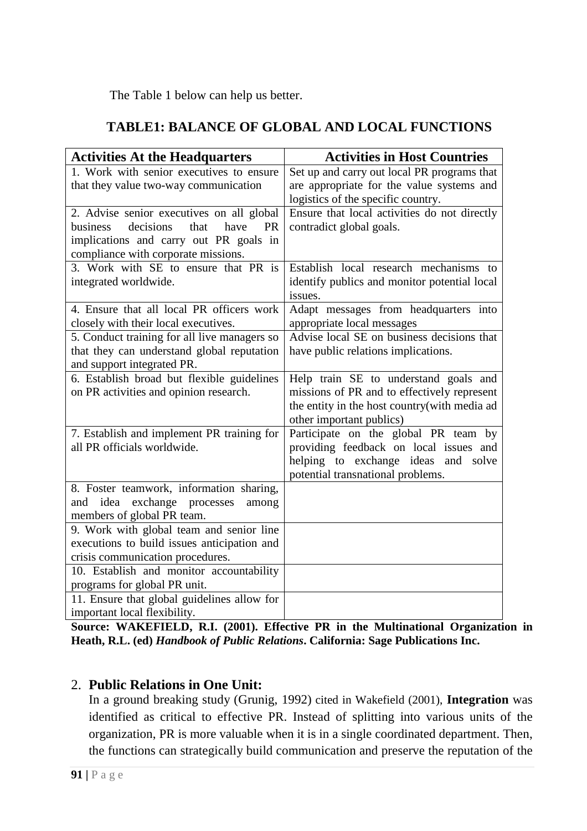The Table 1 below can help us better.

## **TABLE1: BALANCE OF GLOBAL AND LOCAL FUNCTIONS**

| <b>Activities At the Headquarters</b>                                  | <b>Activities in Host Countries</b>          |
|------------------------------------------------------------------------|----------------------------------------------|
| 1. Work with senior executives to ensure                               | Set up and carry out local PR programs that  |
| that they value two-way communication                                  | are appropriate for the value systems and    |
|                                                                        | logistics of the specific country.           |
| 2. Advise senior executives on all global                              | Ensure that local activities do not directly |
| decisions<br>that<br>business<br>have<br><b>PR</b>                     | contradict global goals.                     |
| implications and carry out PR goals in                                 |                                              |
| compliance with corporate missions.                                    |                                              |
| 3. Work with SE to ensure that PR is                                   | Establish local research mechanisms to       |
| integrated worldwide.                                                  | identify publics and monitor potential local |
|                                                                        | issues.                                      |
| 4. Ensure that all local PR officers work                              | Adapt messages from headquarters into        |
| closely with their local executives.                                   | appropriate local messages                   |
| 5. Conduct training for all live managers so                           | Advise local SE on business decisions that   |
| that they can understand global reputation                             | have public relations implications.          |
| and support integrated PR.                                             |                                              |
| 6. Establish broad but flexible guidelines                             | Help train SE to understand goals and        |
| on PR activities and opinion research.                                 | missions of PR and to effectively represent  |
|                                                                        | the entity in the host country(with media ad |
|                                                                        | other important publics)                     |
| 7. Establish and implement PR training for                             | Participate on the global PR team by         |
| all PR officials worldwide.                                            | providing feedback on local issues and       |
|                                                                        | helping to exchange ideas and solve          |
|                                                                        | potential transnational problems.            |
| 8. Foster teamwork, information sharing,                               |                                              |
| idea<br>exchange processes<br>and<br>among                             |                                              |
| members of global PR team.<br>9. Work with global team and senior line |                                              |
| executions to build issues anticipation and                            |                                              |
| crisis communication procedures.                                       |                                              |
| 10. Establish and monitor accountability                               |                                              |
| programs for global PR unit.                                           |                                              |
| 11. Ensure that global guidelines allow for                            |                                              |
| important local flexibility.                                           |                                              |

**Source: WAKEFIELD, R.I. (2001). Effective PR in the Multinational Organization in Heath, R.L. (ed)** *Handbook of Public Relations***. California: Sage Publications Inc.** 

### 2. **Public Relations in One Unit:**

In a ground breaking study (Grunig, 1992) cited in Wakefield (2001), **Integration** was identified as critical to effective PR. Instead of splitting into various units of the organization, PR is more valuable when it is in a single coordinated department. Then, the functions can strategically build communication and preserve the reputation of the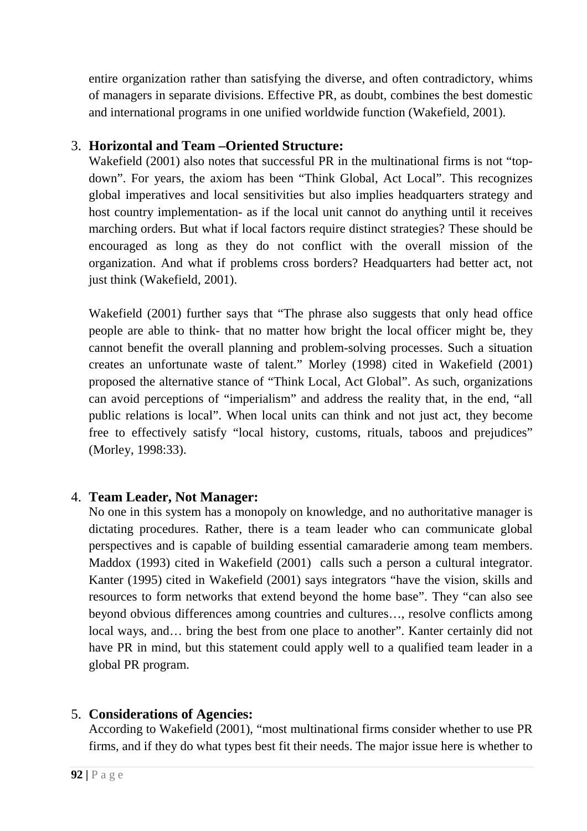entire organization rather than satisfying the diverse, and often contradictory, whims of managers in separate divisions. Effective PR, as doubt, combines the best domestic and international programs in one unified worldwide function (Wakefield, 2001).

## 3. **Horizontal and Team –Oriented Structure:**

Wakefield (2001) also notes that successful PR in the multinational firms is not "topdown". For years, the axiom has been "Think Global, Act Local". This recognizes global imperatives and local sensitivities but also implies headquarters strategy and host country implementation- as if the local unit cannot do anything until it receives marching orders. But what if local factors require distinct strategies? These should be encouraged as long as they do not conflict with the overall mission of the organization. And what if problems cross borders? Headquarters had better act, not just think (Wakefield, 2001).

Wakefield (2001) further says that "The phrase also suggests that only head office people are able to think- that no matter how bright the local officer might be, they cannot benefit the overall planning and problem-solving processes. Such a situation creates an unfortunate waste of talent." Morley (1998) cited in Wakefield (2001) proposed the alternative stance of "Think Local, Act Global". As such, organizations can avoid perceptions of "imperialism" and address the reality that, in the end, "all public relations is local". When local units can think and not just act, they become free to effectively satisfy "local history, customs, rituals, taboos and prejudices" (Morley, 1998:33).

## 4. **Team Leader, Not Manager:**

No one in this system has a monopoly on knowledge, and no authoritative manager is dictating procedures. Rather, there is a team leader who can communicate global perspectives and is capable of building essential camaraderie among team members. Maddox (1993) cited in Wakefield (2001) calls such a person a cultural integrator. Kanter (1995) cited in Wakefield (2001) says integrators "have the vision, skills and resources to form networks that extend beyond the home base". They "can also see beyond obvious differences among countries and cultures…, resolve conflicts among local ways, and… bring the best from one place to another". Kanter certainly did not have PR in mind, but this statement could apply well to a qualified team leader in a global PR program.

## 5. **Considerations of Agencies:**

According to Wakefield (2001), "most multinational firms consider whether to use PR firms, and if they do what types best fit their needs. The major issue here is whether to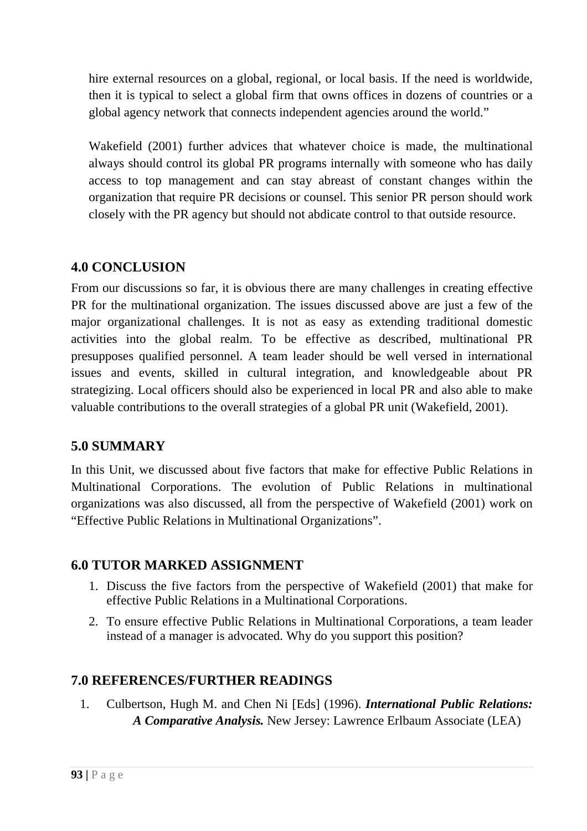hire external resources on a global, regional, or local basis. If the need is worldwide, then it is typical to select a global firm that owns offices in dozens of countries or a global agency network that connects independent agencies around the world."

Wakefield (2001) further advices that whatever choice is made, the multinational always should control its global PR programs internally with someone who has daily access to top management and can stay abreast of constant changes within the organization that require PR decisions or counsel. This senior PR person should work closely with the PR agency but should not abdicate control to that outside resource.

## **4.0 CONCLUSION**

From our discussions so far, it is obvious there are many challenges in creating effective PR for the multinational organization. The issues discussed above are just a few of the major organizational challenges. It is not as easy as extending traditional domestic activities into the global realm. To be effective as described, multinational PR presupposes qualified personnel. A team leader should be well versed in international issues and events, skilled in cultural integration, and knowledgeable about PR strategizing. Local officers should also be experienced in local PR and also able to make valuable contributions to the overall strategies of a global PR unit (Wakefield, 2001).

# **5.0 SUMMARY**

In this Unit, we discussed about five factors that make for effective Public Relations in Multinational Corporations. The evolution of Public Relations in multinational organizations was also discussed, all from the perspective of Wakefield (2001) work on "Effective Public Relations in Multinational Organizations".

## **6.0 TUTOR MARKED ASSIGNMENT**

- 1. Discuss the five factors from the perspective of Wakefield (2001) that make for effective Public Relations in a Multinational Corporations.
- 2. To ensure effective Public Relations in Multinational Corporations, a team leader instead of a manager is advocated. Why do you support this position?

## **7.0 REFERENCES/FURTHER READINGS**

1. Culbertson, Hugh M. and Chen Ni [Eds] (1996). *International Public Relations: A Comparative Analysis.* New Jersey: Lawrence Erlbaum Associate (LEA)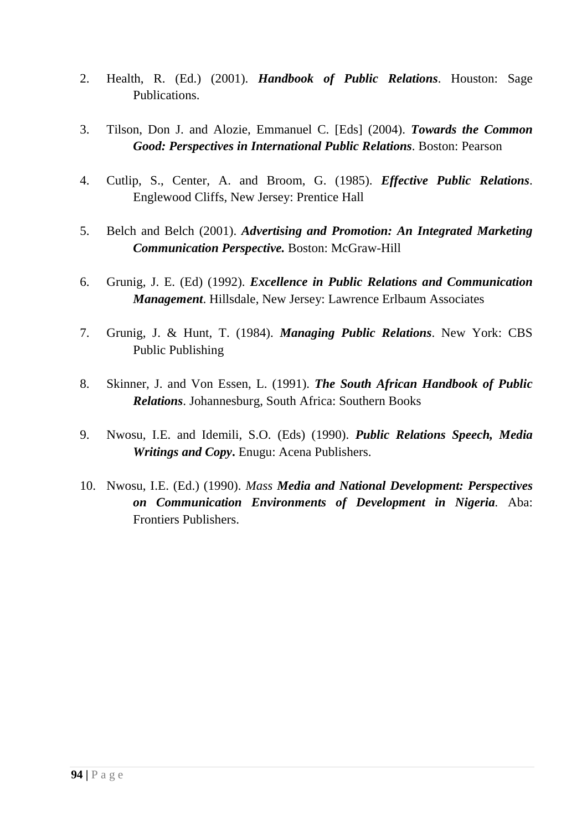- 2. Health, R. (Ed.) (2001). *Handbook of Public Relations*. Houston: Sage Publications.
- 3. Tilson, Don J. and Alozie, Emmanuel C. [Eds] (2004). *Towards the Common Good: Perspectives in International Public Relations*. Boston: Pearson
- 4. Cutlip, S., Center, A. and Broom, G. (1985). *Effective Public Relations*. Englewood Cliffs, New Jersey: Prentice Hall
- 5. Belch and Belch (2001). *Advertising and Promotion: An Integrated Marketing Communication Perspective.* Boston: McGraw-Hill
- 6. Grunig, J. E. (Ed) (1992). *Excellence in Public Relations and Communication Management*. Hillsdale, New Jersey: Lawrence Erlbaum Associates
- 7. Grunig, J. & Hunt, T. (1984). *Managing Public Relations*. New York: CBS Public Publishing
- 8. Skinner, J. and Von Essen, L. (1991). *The South African Handbook of Public Relations*. Johannesburg, South Africa: Southern Books
- 9. Nwosu, I.E. and Idemili, S.O. (Eds) (1990). *Public Relations Speech, Media Writings and Copy***.** Enugu: Acena Publishers.
- 10. Nwosu, I.E. (Ed.) (1990). *Mass Media and National Development: Perspectives on Communication Environments of Development in Nigeria.* Aba: Frontiers Publishers.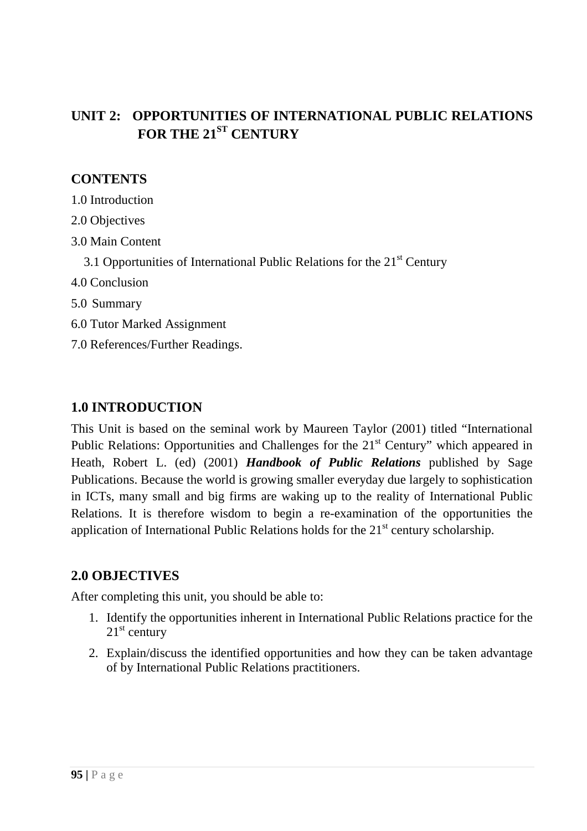# **UNIT 2: OPPORTUNITIES OF INTERNATIONAL PUBLIC RELATIONS FOR THE 21ST CENTURY**

## **CONTENTS**

- 1.0 Introduction
- 2.0 Objectives
- 3.0 Main Content
	- 3.1 Opportunities of International Public Relations for the  $21<sup>st</sup>$  Century
- 4.0 Conclusion
- 5.0 Summary
- 6.0 Tutor Marked Assignment
- 7.0 References/Further Readings.

## **1.0 INTRODUCTION**

This Unit is based on the seminal work by Maureen Taylor (2001) titled "International Public Relations: Opportunities and Challenges for the 21<sup>st</sup> Century" which appeared in Heath, Robert L. (ed) (2001) *Handbook of Public Relations* published by Sage Publications. Because the world is growing smaller everyday due largely to sophistication in ICTs, many small and big firms are waking up to the reality of International Public Relations. It is therefore wisdom to begin a re-examination of the opportunities the application of International Public Relations holds for the  $21<sup>st</sup>$  century scholarship.

### **2.0 OBJECTIVES**

After completing this unit, you should be able to:

- 1. Identify the opportunities inherent in International Public Relations practice for the  $21<sup>st</sup>$  century
- 2. Explain/discuss the identified opportunities and how they can be taken advantage of by International Public Relations practitioners.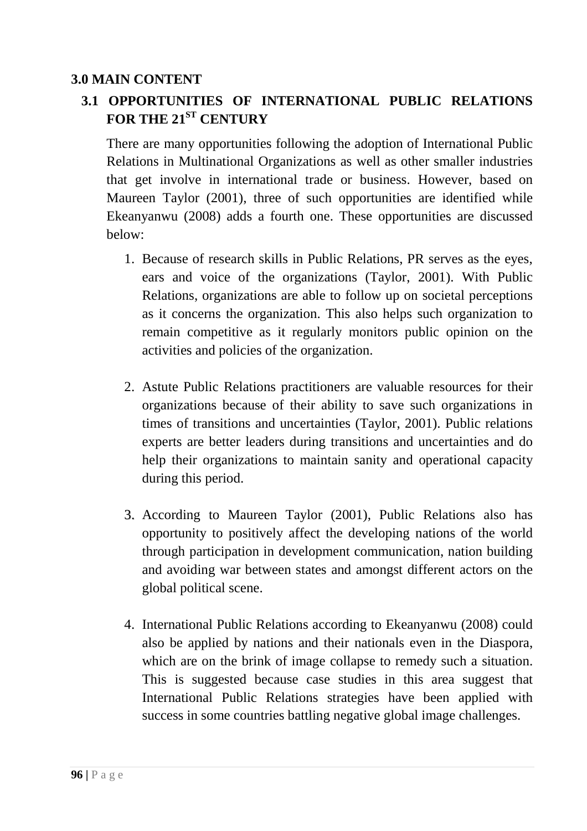## **3.0 MAIN CONTENT**

# **3.1 OPPORTUNITIES OF INTERNATIONAL PUBLIC RELATIONS FOR THE 21ST CENTURY**

There are many opportunities following the adoption of International Public Relations in Multinational Organizations as well as other smaller industries that get involve in international trade or business. However, based on Maureen Taylor (2001), three of such opportunities are identified while Ekeanyanwu (2008) adds a fourth one. These opportunities are discussed below:

- 1. Because of research skills in Public Relations, PR serves as the eyes, ears and voice of the organizations (Taylor, 2001). With Public Relations, organizations are able to follow up on societal perceptions as it concerns the organization. This also helps such organization to remain competitive as it regularly monitors public opinion on the activities and policies of the organization.
- 2. Astute Public Relations practitioners are valuable resources for their organizations because of their ability to save such organizations in times of transitions and uncertainties (Taylor, 2001). Public relations experts are better leaders during transitions and uncertainties and do help their organizations to maintain sanity and operational capacity during this period.
- 3. According to Maureen Taylor (2001), Public Relations also has opportunity to positively affect the developing nations of the world through participation in development communication, nation building and avoiding war between states and amongst different actors on the global political scene.
- 4. International Public Relations according to Ekeanyanwu (2008) could also be applied by nations and their nationals even in the Diaspora, which are on the brink of image collapse to remedy such a situation. This is suggested because case studies in this area suggest that International Public Relations strategies have been applied with success in some countries battling negative global image challenges.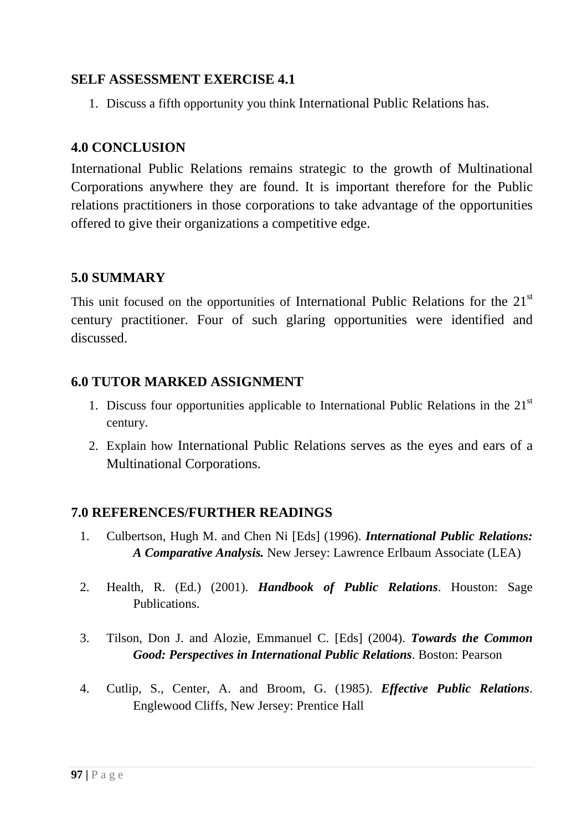### **SELF ASSESSMENT EXERCISE 4.1**

1. Discuss a fifth opportunity you think International Public Relations has.

### **4.0 CONCLUSION**

International Public Relations remains strategic to the growth of Multinational Corporations anywhere they are found. It is important therefore for the Public relations practitioners in those corporations to take advantage of the opportunities offered to give their organizations a competitive edge.

### **5.0 SUMMARY**

This unit focused on the opportunities of International Public Relations for the 21<sup>st</sup> century practitioner. Four of such glaring opportunities were identified and discussed.

## **6.0 TUTOR MARKED ASSIGNMENT**

- 1. Discuss four opportunities applicable to International Public Relations in the  $21<sup>st</sup>$ century.
- 2. Explain how International Public Relations serves as the eyes and ears of a Multinational Corporations.

### **7.0 REFERENCES/FURTHER READINGS**

- 1. Culbertson, Hugh M. and Chen Ni [Eds] (1996). *International Public Relations: A Comparative Analysis.* New Jersey: Lawrence Erlbaum Associate (LEA)
- 2. Health, R. (Ed.) (2001). *Handbook of Public Relations*. Houston: Sage Publications.
- 3. Tilson, Don J. and Alozie, Emmanuel C. [Eds] (2004). *Towards the Common Good: Perspectives in International Public Relations*. Boston: Pearson
- 4. Cutlip, S., Center, A. and Broom, G. (1985). *Effective Public Relations*. Englewood Cliffs, New Jersey: Prentice Hall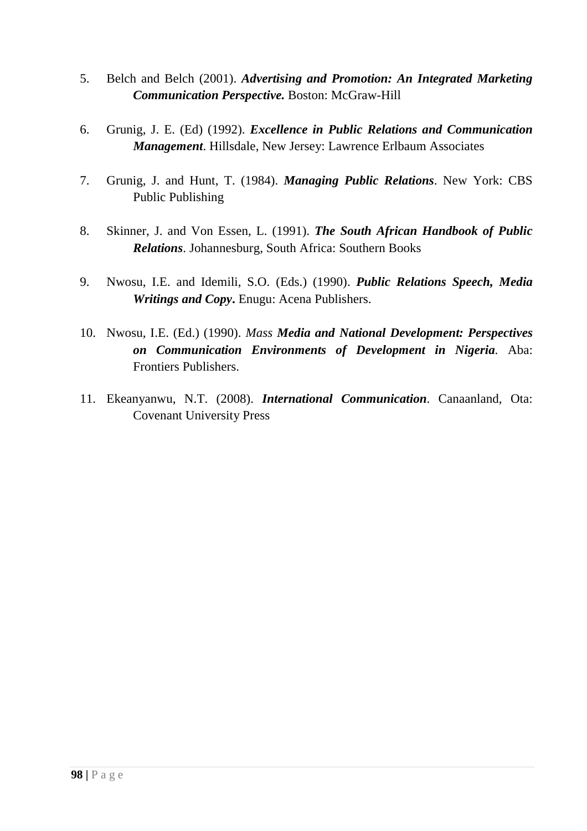- 5. Belch and Belch (2001). *Advertising and Promotion: An Integrated Marketing Communication Perspective.* Boston: McGraw-Hill
- 6. Grunig, J. E. (Ed) (1992). *Excellence in Public Relations and Communication Management*. Hillsdale, New Jersey: Lawrence Erlbaum Associates
- 7. Grunig, J. and Hunt, T. (1984). *Managing Public Relations*. New York: CBS Public Publishing
- 8. Skinner, J. and Von Essen, L. (1991). *The South African Handbook of Public Relations*. Johannesburg, South Africa: Southern Books
- 9. Nwosu, I.E. and Idemili, S.O. (Eds.) (1990). *Public Relations Speech, Media Writings and Copy***.** Enugu: Acena Publishers.
- 10. Nwosu, I.E. (Ed.) (1990). *Mass Media and National Development: Perspectives on Communication Environments of Development in Nigeria.* Aba: Frontiers Publishers.
- 11. Ekeanyanwu, N.T. (2008). *International Communication*. Canaanland, Ota: Covenant University Press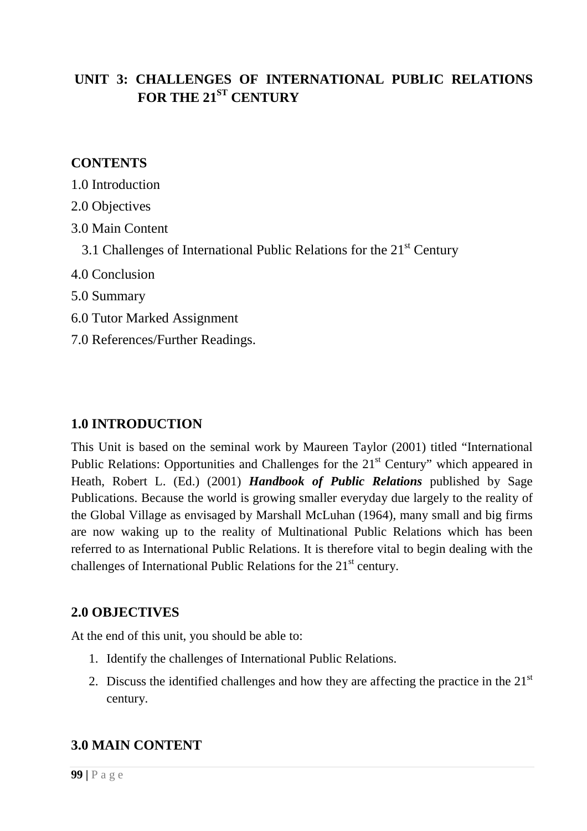# **UNIT 3: CHALLENGES OF INTERNATIONAL PUBLIC RELATIONS FOR THE 21ST CENTURY**

### **CONTENTS**

- 1.0 Introduction
- 2.0 Objectives
- 3.0 Main Content
	- 3.1 Challenges of International Public Relations for the  $21<sup>st</sup>$  Century
- 4.0 Conclusion
- 5.0 Summary
- 6.0 Tutor Marked Assignment
- 7.0 References/Further Readings.

### **1.0 INTRODUCTION**

This Unit is based on the seminal work by Maureen Taylor (2001) titled "International Public Relations: Opportunities and Challenges for the 21<sup>st</sup> Century" which appeared in Heath, Robert L. (Ed.) (2001) *Handbook of Public Relations* published by Sage Publications. Because the world is growing smaller everyday due largely to the reality of the Global Village as envisaged by Marshall McLuhan (1964), many small and big firms are now waking up to the reality of Multinational Public Relations which has been referred to as International Public Relations. It is therefore vital to begin dealing with the challenges of International Public Relations for the  $21<sup>st</sup>$  century.

### **2.0 OBJECTIVES**

At the end of this unit, you should be able to:

- 1. Identify the challenges of International Public Relations.
- 2. Discuss the identified challenges and how they are affecting the practice in the  $21<sup>st</sup>$ century.

### **3.0 MAIN CONTENT**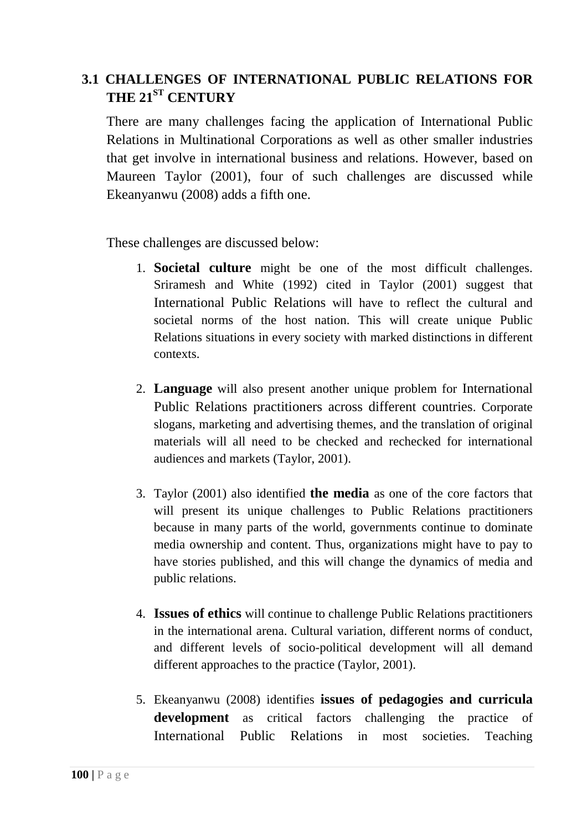# **3.1 CHALLENGES OF INTERNATIONAL PUBLIC RELATIONS FOR THE 21ST CENTURY**

There are many challenges facing the application of International Public Relations in Multinational Corporations as well as other smaller industries that get involve in international business and relations. However, based on Maureen Taylor (2001), four of such challenges are discussed while Ekeanyanwu (2008) adds a fifth one.

These challenges are discussed below:

- 1. **Societal culture** might be one of the most difficult challenges. Sriramesh and White (1992) cited in Taylor (2001) suggest that International Public Relations will have to reflect the cultural and societal norms of the host nation. This will create unique Public Relations situations in every society with marked distinctions in different contexts.
- 2. **Language** will also present another unique problem for International Public Relations practitioners across different countries. Corporate slogans, marketing and advertising themes, and the translation of original materials will all need to be checked and rechecked for international audiences and markets (Taylor, 2001).
- 3. Taylor (2001) also identified **the media** as one of the core factors that will present its unique challenges to Public Relations practitioners because in many parts of the world, governments continue to dominate media ownership and content. Thus, organizations might have to pay to have stories published, and this will change the dynamics of media and public relations.
- 4. **Issues of ethics** will continue to challenge Public Relations practitioners in the international arena. Cultural variation, different norms of conduct, and different levels of socio-political development will all demand different approaches to the practice (Taylor, 2001).
- 5. Ekeanyanwu (2008) identifies **issues of pedagogies and curricula development** as critical factors challenging the practice of International Public Relations in most societies. Teaching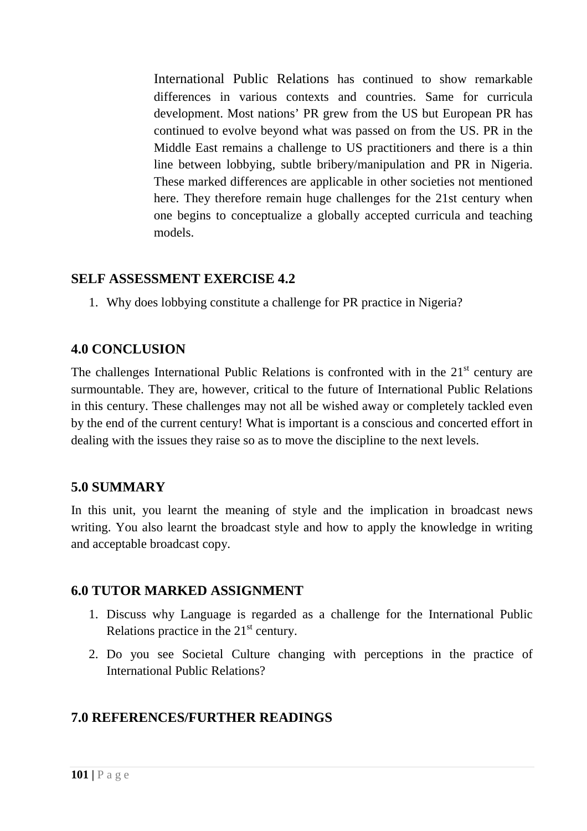International Public Relations has continued to show remarkable differences in various contexts and countries. Same for curricula development. Most nations' PR grew from the US but European PR has continued to evolve beyond what was passed on from the US. PR in the Middle East remains a challenge to US practitioners and there is a thin line between lobbying, subtle bribery/manipulation and PR in Nigeria. These marked differences are applicable in other societies not mentioned here. They therefore remain huge challenges for the 21st century when one begins to conceptualize a globally accepted curricula and teaching models.

### **SELF ASSESSMENT EXERCISE 4.2**

1. Why does lobbying constitute a challenge for PR practice in Nigeria?

#### **4.0 CONCLUSION**

The challenges International Public Relations is confronted with in the  $21<sup>st</sup>$  century are surmountable. They are, however, critical to the future of International Public Relations in this century. These challenges may not all be wished away or completely tackled even by the end of the current century! What is important is a conscious and concerted effort in dealing with the issues they raise so as to move the discipline to the next levels.

### **5.0 SUMMARY**

In this unit, you learnt the meaning of style and the implication in broadcast news writing. You also learnt the broadcast style and how to apply the knowledge in writing and acceptable broadcast copy.

#### **6.0 TUTOR MARKED ASSIGNMENT**

- 1. Discuss why Language is regarded as a challenge for the International Public Relations practice in the  $21<sup>st</sup>$  century.
- 2. Do you see Societal Culture changing with perceptions in the practice of International Public Relations?

### **7.0 REFERENCES/FURTHER READINGS**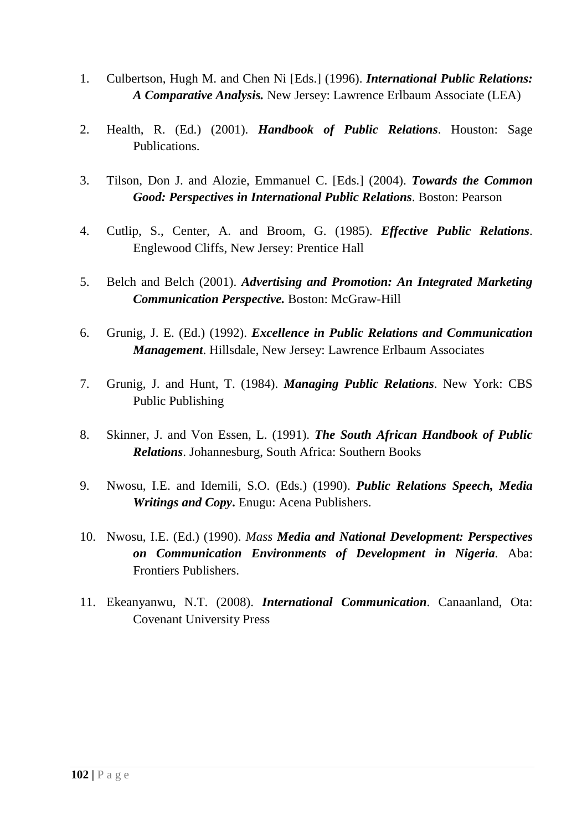- 1. Culbertson, Hugh M. and Chen Ni [Eds.] (1996). *International Public Relations: A Comparative Analysis.* New Jersey: Lawrence Erlbaum Associate (LEA)
- 2. Health, R. (Ed.) (2001). *Handbook of Public Relations*. Houston: Sage Publications.
- 3. Tilson, Don J. and Alozie, Emmanuel C. [Eds.] (2004). *Towards the Common Good: Perspectives in International Public Relations*. Boston: Pearson
- 4. Cutlip, S., Center, A. and Broom, G. (1985). *Effective Public Relations*. Englewood Cliffs, New Jersey: Prentice Hall
- 5. Belch and Belch (2001). *Advertising and Promotion: An Integrated Marketing Communication Perspective.* Boston: McGraw-Hill
- 6. Grunig, J. E. (Ed.) (1992). *Excellence in Public Relations and Communication Management*. Hillsdale, New Jersey: Lawrence Erlbaum Associates
- 7. Grunig, J. and Hunt, T. (1984). *Managing Public Relations*. New York: CBS Public Publishing
- 8. Skinner, J. and Von Essen, L. (1991). *The South African Handbook of Public Relations*. Johannesburg, South Africa: Southern Books
- 9. Nwosu, I.E. and Idemili, S.O. (Eds.) (1990). *Public Relations Speech, Media Writings and Copy***.** Enugu: Acena Publishers.
- 10. Nwosu, I.E. (Ed.) (1990). *Mass Media and National Development: Perspectives on Communication Environments of Development in Nigeria.* Aba: Frontiers Publishers.
- 11. Ekeanyanwu, N.T. (2008). *International Communication*. Canaanland, Ota: Covenant University Press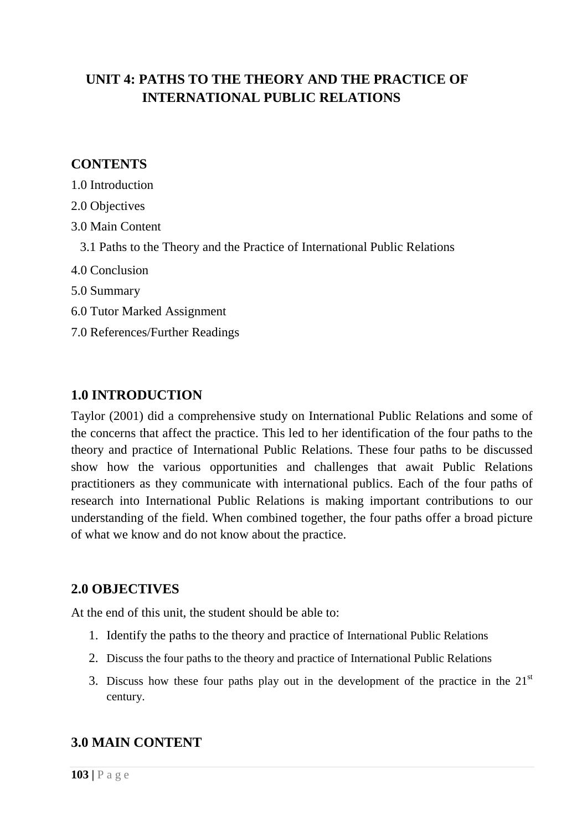# **UNIT 4: PATHS TO THE THEORY AND THE PRACTICE OF INTERNATIONAL PUBLIC RELATIONS**

### **CONTENTS**

- 1.0 Introduction
- 2.0 Objectives
- 3.0 Main Content
	- 3.1 Paths to the Theory and the Practice of International Public Relations
- 4.0 Conclusion
- 5.0 Summary
- 6.0 Tutor Marked Assignment
- 7.0 References/Further Readings

### **1.0 INTRODUCTION**

Taylor (2001) did a comprehensive study on International Public Relations and some of the concerns that affect the practice. This led to her identification of the four paths to the theory and practice of International Public Relations. These four paths to be discussed show how the various opportunities and challenges that await Public Relations practitioners as they communicate with international publics. Each of the four paths of research into International Public Relations is making important contributions to our understanding of the field. When combined together, the four paths offer a broad picture of what we know and do not know about the practice.

### **2.0 OBJECTIVES**

At the end of this unit, the student should be able to:

- 1. Identify the paths to the theory and practice of International Public Relations
- 2. Discuss the four paths to the theory and practice of International Public Relations
- 3. Discuss how these four paths play out in the development of the practice in the  $21<sup>st</sup>$ century.

### **3.0 MAIN CONTENT**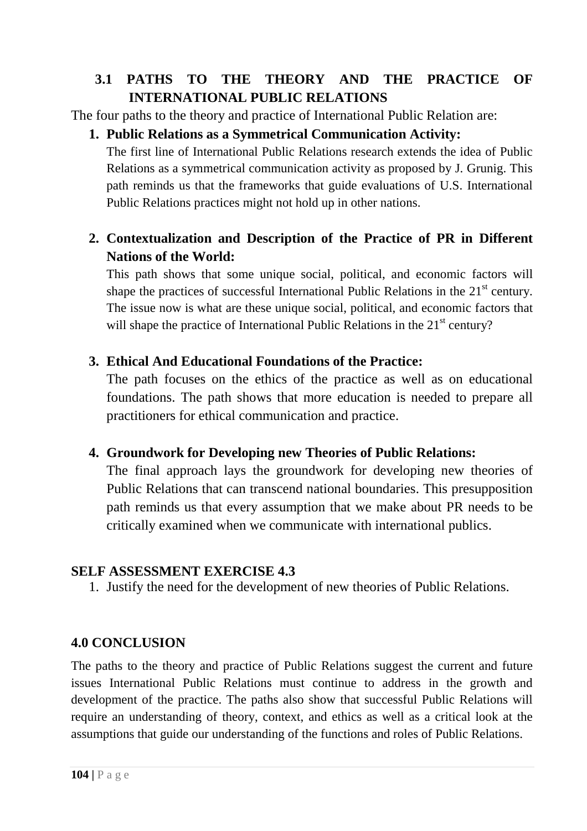# **3.1 PATHS TO THE THEORY AND THE PRACTICE OF INTERNATIONAL PUBLIC RELATIONS**

The four paths to the theory and practice of International Public Relation are:

# **1. Public Relations as a Symmetrical Communication Activity:**

The first line of International Public Relations research extends the idea of Public Relations as a symmetrical communication activity as proposed by J. Grunig. This path reminds us that the frameworks that guide evaluations of U.S. International Public Relations practices might not hold up in other nations.

# **2. Contextualization and Description of the Practice of PR in Different Nations of the World:**

This path shows that some unique social, political, and economic factors will shape the practices of successful International Public Relations in the  $21<sup>st</sup>$  century. The issue now is what are these unique social, political, and economic factors that will shape the practice of International Public Relations in the 21<sup>st</sup> century?

## **3. Ethical And Educational Foundations of the Practice:**

The path focuses on the ethics of the practice as well as on educational foundations. The path shows that more education is needed to prepare all practitioners for ethical communication and practice.

## **4. Groundwork for Developing new Theories of Public Relations:**

The final approach lays the groundwork for developing new theories of Public Relations that can transcend national boundaries. This presupposition path reminds us that every assumption that we make about PR needs to be critically examined when we communicate with international publics.

## **SELF ASSESSMENT EXERCISE 4.3**

1. Justify the need for the development of new theories of Public Relations.

## **4.0 CONCLUSION**

The paths to the theory and practice of Public Relations suggest the current and future issues International Public Relations must continue to address in the growth and development of the practice. The paths also show that successful Public Relations will require an understanding of theory, context, and ethics as well as a critical look at the assumptions that guide our understanding of the functions and roles of Public Relations.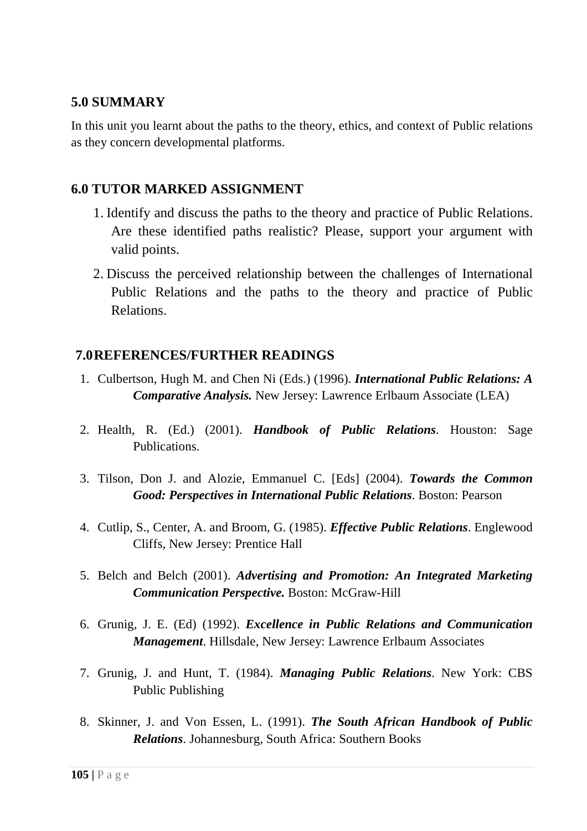## **5.0 SUMMARY**

In this unit you learnt about the paths to the theory, ethics, and context of Public relations as they concern developmental platforms.

### **6.0 TUTOR MARKED ASSIGNMENT**

- 1. Identify and discuss the paths to the theory and practice of Public Relations. Are these identified paths realistic? Please, support your argument with valid points.
- 2. Discuss the perceived relationship between the challenges of International Public Relations and the paths to the theory and practice of Public Relations.

## **7.0REFERENCES/FURTHER READINGS**

- 1. Culbertson, Hugh M. and Chen Ni (Eds.) (1996). *International Public Relations: A Comparative Analysis.* New Jersey: Lawrence Erlbaum Associate (LEA)
- 2. Health, R. (Ed.) (2001). *Handbook of Public Relations*. Houston: Sage Publications.
- 3. Tilson, Don J. and Alozie, Emmanuel C. [Eds] (2004). *Towards the Common Good: Perspectives in International Public Relations*. Boston: Pearson
- 4. Cutlip, S., Center, A. and Broom, G. (1985). *Effective Public Relations*. Englewood Cliffs, New Jersey: Prentice Hall
- 5. Belch and Belch (2001). *Advertising and Promotion: An Integrated Marketing Communication Perspective.* Boston: McGraw-Hill
- 6. Grunig, J. E. (Ed) (1992). *Excellence in Public Relations and Communication Management*. Hillsdale, New Jersey: Lawrence Erlbaum Associates
- 7. Grunig, J. and Hunt, T. (1984). *Managing Public Relations*. New York: CBS Public Publishing
- 8. Skinner, J. and Von Essen, L. (1991). *The South African Handbook of Public Relations*. Johannesburg, South Africa: Southern Books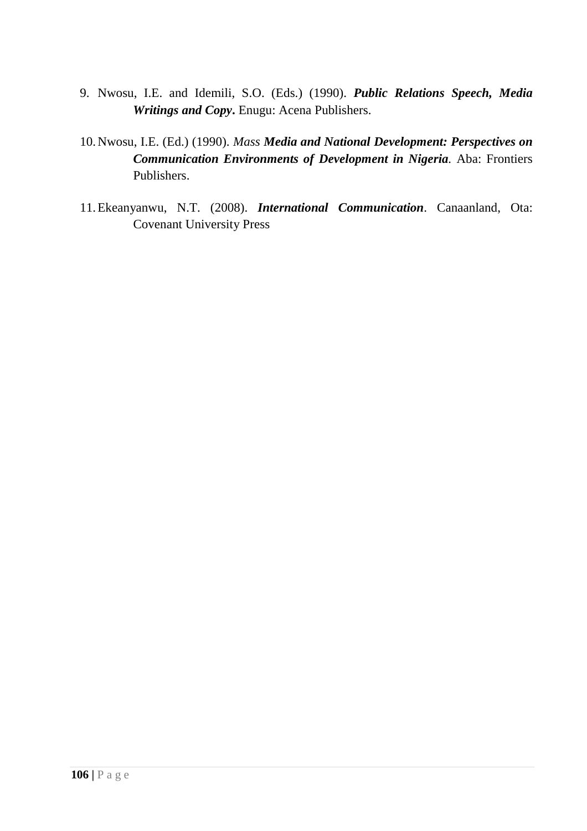- 9. Nwosu, I.E. and Idemili, S.O. (Eds.) (1990). *Public Relations Speech, Media Writings and Copy***.** Enugu: Acena Publishers.
- 10.Nwosu, I.E. (Ed.) (1990). *Mass Media and National Development: Perspectives on Communication Environments of Development in Nigeria.* Aba: Frontiers Publishers.
- 11.Ekeanyanwu, N.T. (2008). *International Communication*. Canaanland, Ota: Covenant University Press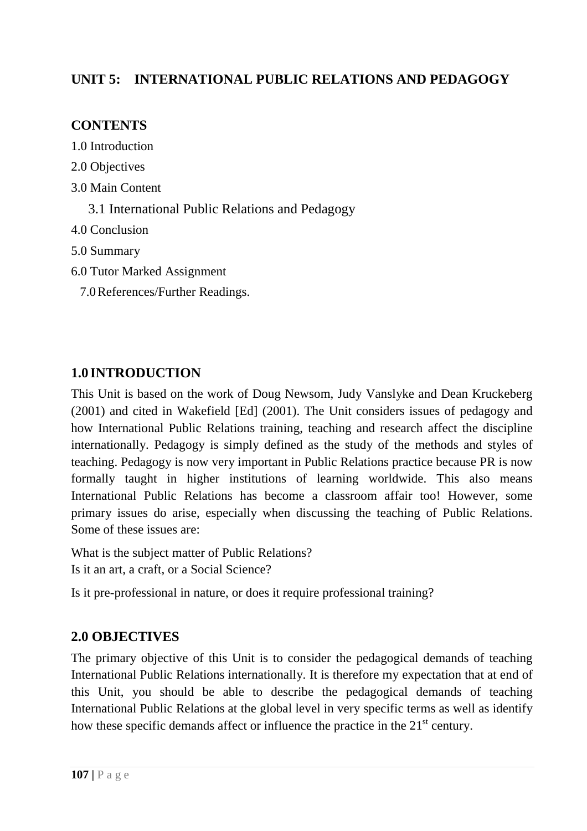## **UNIT 5: INTERNATIONAL PUBLIC RELATIONS AND PEDAGOGY**

## **CONTENTS**

- 1.0 Introduction
- 2.0 Objectives
- 3.0 Main Content
	- 3.1 International Public Relations and Pedagogy
- 4.0 Conclusion
- 5.0 Summary
- 6.0 Tutor Marked Assignment
	- 7.0References/Further Readings.

# **1.0 INTRODUCTION**

This Unit is based on the work of Doug Newsom, Judy Vanslyke and Dean Kruckeberg (2001) and cited in Wakefield [Ed] (2001). The Unit considers issues of pedagogy and how International Public Relations training, teaching and research affect the discipline internationally. Pedagogy is simply defined as the study of the methods and styles of teaching. Pedagogy is now very important in Public Relations practice because PR is now formally taught in higher institutions of learning worldwide. This also means International Public Relations has become a classroom affair too! However, some primary issues do arise, especially when discussing the teaching of Public Relations. Some of these issues are:

What is the subject matter of Public Relations? Is it an art, a craft, or a Social Science?

Is it pre-professional in nature, or does it require professional training?

# **2.0 OBJECTIVES**

The primary objective of this Unit is to consider the pedagogical demands of teaching International Public Relations internationally. It is therefore my expectation that at end of this Unit, you should be able to describe the pedagogical demands of teaching International Public Relations at the global level in very specific terms as well as identify how these specific demands affect or influence the practice in the  $21<sup>st</sup>$  century.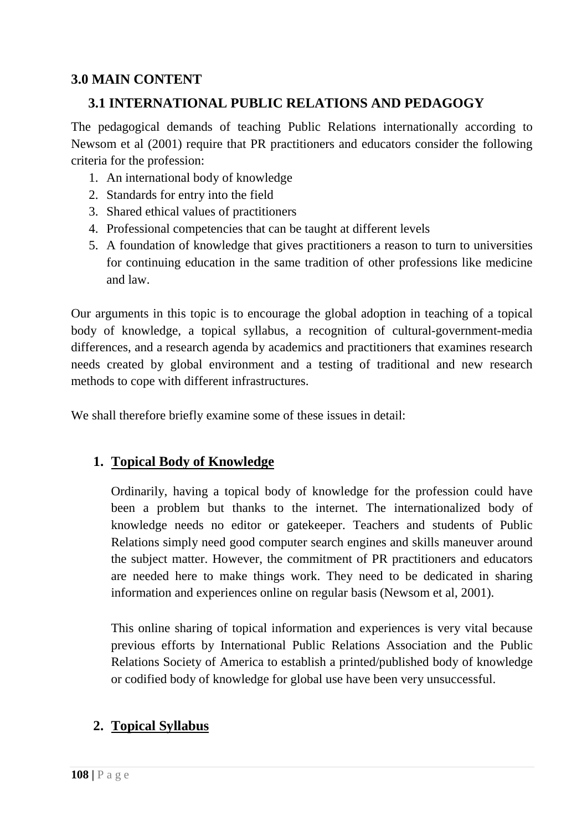## **3.0 MAIN CONTENT**

## **3.1 INTERNATIONAL PUBLIC RELATIONS AND PEDAGOGY**

The pedagogical demands of teaching Public Relations internationally according to Newsom et al (2001) require that PR practitioners and educators consider the following criteria for the profession:

- 1. An international body of knowledge
- 2. Standards for entry into the field
- 3. Shared ethical values of practitioners
- 4. Professional competencies that can be taught at different levels
- 5. A foundation of knowledge that gives practitioners a reason to turn to universities for continuing education in the same tradition of other professions like medicine and law.

Our arguments in this topic is to encourage the global adoption in teaching of a topical body of knowledge, a topical syllabus, a recognition of cultural-government-media differences, and a research agenda by academics and practitioners that examines research needs created by global environment and a testing of traditional and new research methods to cope with different infrastructures.

We shall therefore briefly examine some of these issues in detail:

### **1. Topical Body of Knowledge**

Ordinarily, having a topical body of knowledge for the profession could have been a problem but thanks to the internet. The internationalized body of knowledge needs no editor or gatekeeper. Teachers and students of Public Relations simply need good computer search engines and skills maneuver around the subject matter. However, the commitment of PR practitioners and educators are needed here to make things work. They need to be dedicated in sharing information and experiences online on regular basis (Newsom et al, 2001).

This online sharing of topical information and experiences is very vital because previous efforts by International Public Relations Association and the Public Relations Society of America to establish a printed/published body of knowledge or codified body of knowledge for global use have been very unsuccessful.

## **2. Topical Syllabus**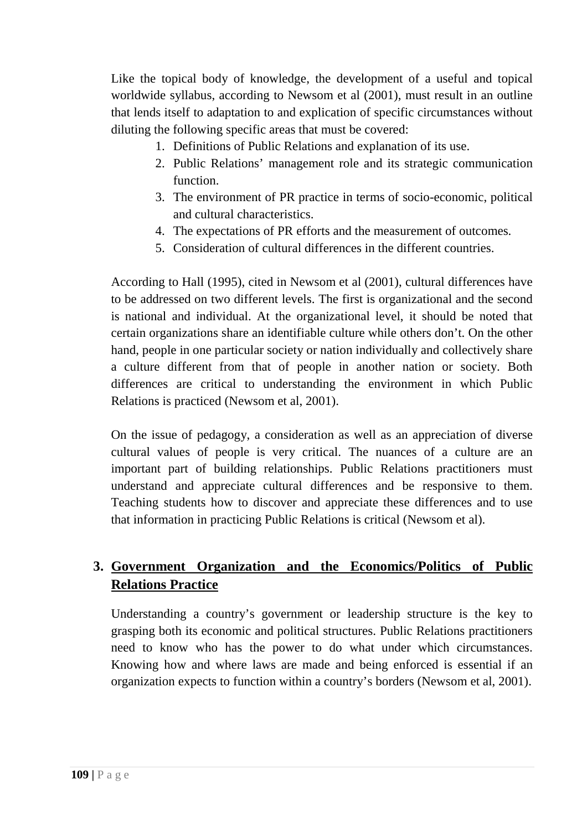Like the topical body of knowledge, the development of a useful and topical worldwide syllabus, according to Newsom et al (2001), must result in an outline that lends itself to adaptation to and explication of specific circumstances without diluting the following specific areas that must be covered:

- 1. Definitions of Public Relations and explanation of its use.
- 2. Public Relations' management role and its strategic communication function.
- 3. The environment of PR practice in terms of socio-economic, political and cultural characteristics.
- 4. The expectations of PR efforts and the measurement of outcomes.
- 5. Consideration of cultural differences in the different countries.

According to Hall (1995), cited in Newsom et al (2001), cultural differences have to be addressed on two different levels. The first is organizational and the second is national and individual. At the organizational level, it should be noted that certain organizations share an identifiable culture while others don't. On the other hand, people in one particular society or nation individually and collectively share a culture different from that of people in another nation or society. Both differences are critical to understanding the environment in which Public Relations is practiced (Newsom et al, 2001).

On the issue of pedagogy, a consideration as well as an appreciation of diverse cultural values of people is very critical. The nuances of a culture are an important part of building relationships. Public Relations practitioners must understand and appreciate cultural differences and be responsive to them. Teaching students how to discover and appreciate these differences and to use that information in practicing Public Relations is critical (Newsom et al).

# **3. Government Organization and the Economics/Politics of Public Relations Practice**

Understanding a country's government or leadership structure is the key to grasping both its economic and political structures. Public Relations practitioners need to know who has the power to do what under which circumstances. Knowing how and where laws are made and being enforced is essential if an organization expects to function within a country's borders (Newsom et al, 2001).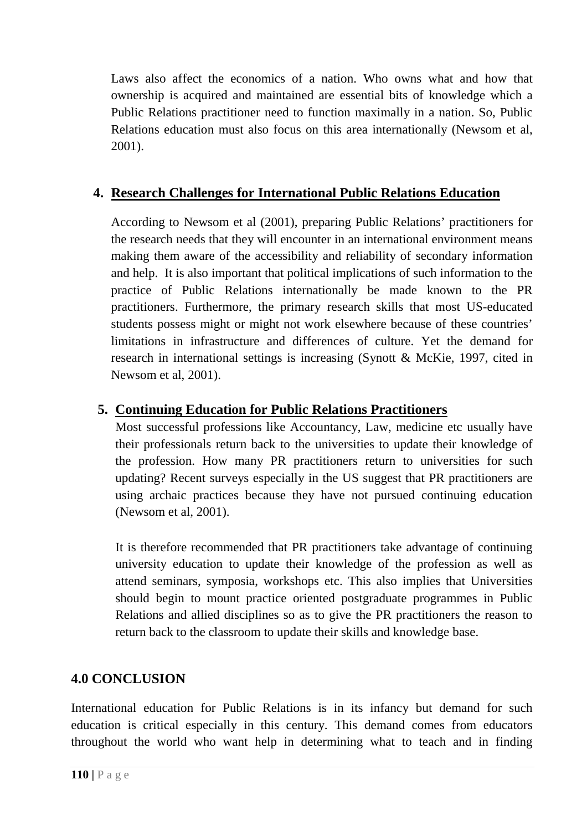Laws also affect the economics of a nation. Who owns what and how that ownership is acquired and maintained are essential bits of knowledge which a Public Relations practitioner need to function maximally in a nation. So, Public Relations education must also focus on this area internationally (Newsom et al, 2001).

# **4. Research Challenges for International Public Relations Education**

According to Newsom et al (2001), preparing Public Relations' practitioners for the research needs that they will encounter in an international environment means making them aware of the accessibility and reliability of secondary information and help. It is also important that political implications of such information to the practice of Public Relations internationally be made known to the PR practitioners. Furthermore, the primary research skills that most US-educated students possess might or might not work elsewhere because of these countries' limitations in infrastructure and differences of culture. Yet the demand for research in international settings is increasing (Synott & McKie, 1997, cited in Newsom et al, 2001).

## **5. Continuing Education for Public Relations Practitioners**

Most successful professions like Accountancy, Law, medicine etc usually have their professionals return back to the universities to update their knowledge of the profession. How many PR practitioners return to universities for such updating? Recent surveys especially in the US suggest that PR practitioners are using archaic practices because they have not pursued continuing education (Newsom et al, 2001).

It is therefore recommended that PR practitioners take advantage of continuing university education to update their knowledge of the profession as well as attend seminars, symposia, workshops etc. This also implies that Universities should begin to mount practice oriented postgraduate programmes in Public Relations and allied disciplines so as to give the PR practitioners the reason to return back to the classroom to update their skills and knowledge base.

## **4.0 CONCLUSION**

International education for Public Relations is in its infancy but demand for such education is critical especially in this century. This demand comes from educators throughout the world who want help in determining what to teach and in finding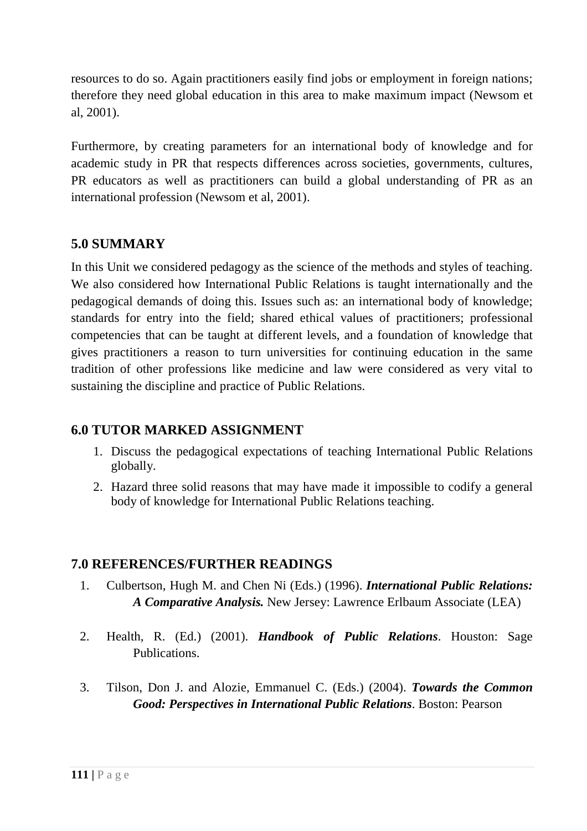resources to do so. Again practitioners easily find jobs or employment in foreign nations; therefore they need global education in this area to make maximum impact (Newsom et al, 2001).

Furthermore, by creating parameters for an international body of knowledge and for academic study in PR that respects differences across societies, governments, cultures, PR educators as well as practitioners can build a global understanding of PR as an international profession (Newsom et al, 2001).

## **5.0 SUMMARY**

In this Unit we considered pedagogy as the science of the methods and styles of teaching. We also considered how International Public Relations is taught internationally and the pedagogical demands of doing this. Issues such as: an international body of knowledge; standards for entry into the field; shared ethical values of practitioners; professional competencies that can be taught at different levels, and a foundation of knowledge that gives practitioners a reason to turn universities for continuing education in the same tradition of other professions like medicine and law were considered as very vital to sustaining the discipline and practice of Public Relations.

## **6.0 TUTOR MARKED ASSIGNMENT**

- 1. Discuss the pedagogical expectations of teaching International Public Relations globally.
- 2. Hazard three solid reasons that may have made it impossible to codify a general body of knowledge for International Public Relations teaching.

- 1. Culbertson, Hugh M. and Chen Ni (Eds.) (1996). *International Public Relations: A Comparative Analysis.* New Jersey: Lawrence Erlbaum Associate (LEA)
- 2. Health, R. (Ed.) (2001). *Handbook of Public Relations*. Houston: Sage Publications.
- 3. Tilson, Don J. and Alozie, Emmanuel C. (Eds.) (2004). *Towards the Common Good: Perspectives in International Public Relations*. Boston: Pearson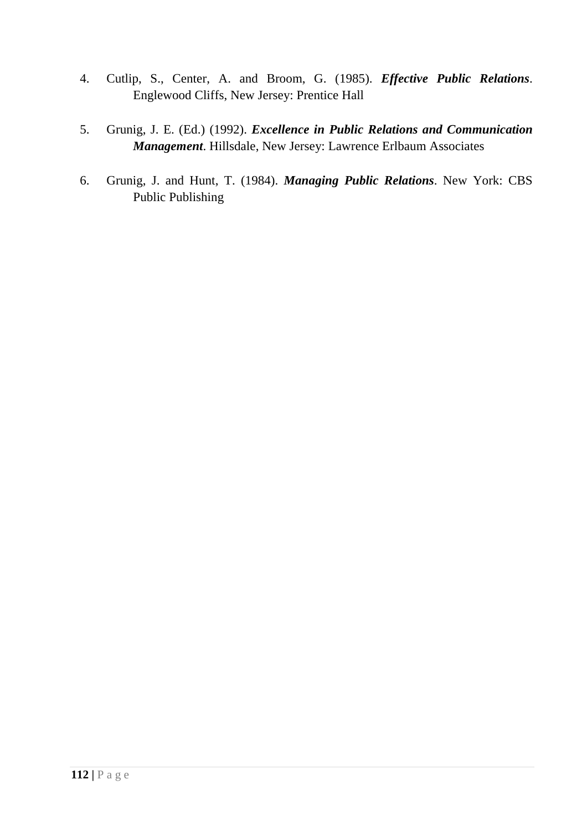- 4. Cutlip, S., Center, A. and Broom, G. (1985). *Effective Public Relations*. Englewood Cliffs, New Jersey: Prentice Hall
- 5. Grunig, J. E. (Ed.) (1992). *Excellence in Public Relations and Communication Management*. Hillsdale, New Jersey: Lawrence Erlbaum Associates
- 6. Grunig, J. and Hunt, T. (1984). *Managing Public Relations*. New York: CBS Public Publishing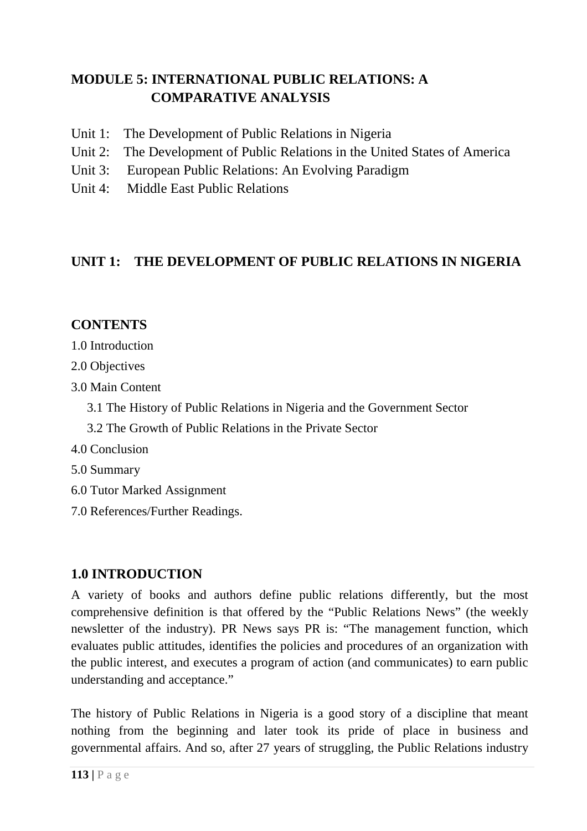# **MODULE 5: INTERNATIONAL PUBLIC RELATIONS: A COMPARATIVE ANALYSIS**

- Unit 1: The Development of Public Relations in Nigeria
- Unit 2: The Development of Public Relations in the United States of America
- Unit 3: European Public Relations: An Evolving Paradigm
- Unit 4: Middle East Public Relations

## **UNIT 1: THE DEVELOPMENT OF PUBLIC RELATIONS IN NIGERIA**

## **CONTENTS**

- 1.0 Introduction
- 2.0 Objectives
- 3.0 Main Content
	- 3.1 The History of Public Relations in Nigeria and the Government Sector
	- 3.2 The Growth of Public Relations in the Private Sector
- 4.0 Conclusion
- 5.0 Summary
- 6.0 Tutor Marked Assignment
- 7.0 References/Further Readings.

## **1.0 INTRODUCTION**

A variety of books and authors define public relations differently, but the most comprehensive definition is that offered by the "Public Relations News" (the weekly newsletter of the industry). PR News says PR is: "The management function, which evaluates public attitudes, identifies the policies and procedures of an organization with the public interest, and executes a program of action (and communicates) to earn public understanding and acceptance."

The history of Public Relations in Nigeria is a good story of a discipline that meant nothing from the beginning and later took its pride of place in business and governmental affairs. And so, after 27 years of struggling, the Public Relations industry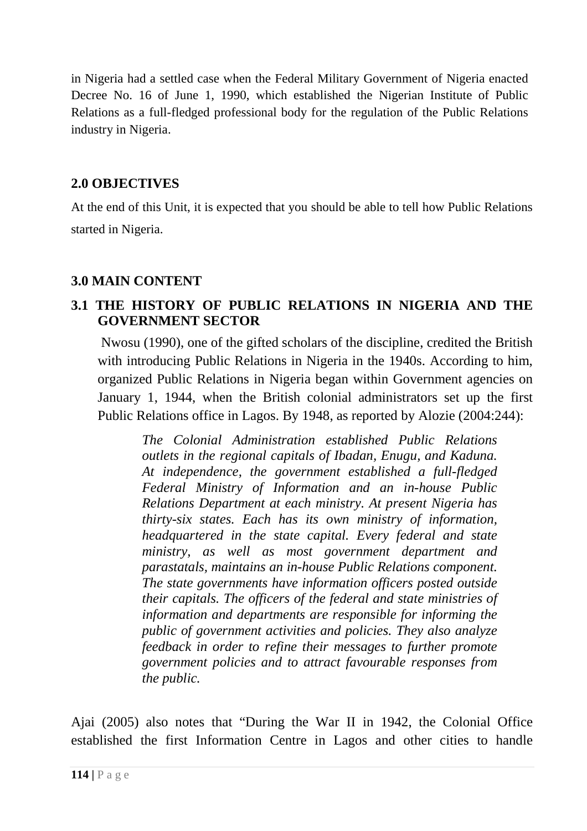in Nigeria had a settled case when the Federal Military Government of Nigeria enacted Decree No. 16 of June 1, 1990, which established the Nigerian Institute of Public Relations as a full-fledged professional body for the regulation of the Public Relations industry in Nigeria.

## **2.0 OBJECTIVES**

At the end of this Unit, it is expected that you should be able to tell how Public Relations started in Nigeria.

## **3.0 MAIN CONTENT**

## **3.1 THE HISTORY OF PUBLIC RELATIONS IN NIGERIA AND THE GOVERNMENT SECTOR**

 Nwosu (1990), one of the gifted scholars of the discipline, credited the British with introducing Public Relations in Nigeria in the 1940s. According to him, organized Public Relations in Nigeria began within Government agencies on January 1, 1944, when the British colonial administrators set up the first Public Relations office in Lagos. By 1948, as reported by Alozie (2004:244):

*The Colonial Administration established Public Relations outlets in the regional capitals of Ibadan, Enugu, and Kaduna. At independence, the government established a full-fledged Federal Ministry of Information and an in-house Public Relations Department at each ministry. At present Nigeria has thirty-six states. Each has its own ministry of information, headquartered in the state capital. Every federal and state ministry, as well as most government department and parastatals, maintains an in-house Public Relations component. The state governments have information officers posted outside their capitals. The officers of the federal and state ministries of information and departments are responsible for informing the public of government activities and policies. They also analyze feedback in order to refine their messages to further promote government policies and to attract favourable responses from the public.* 

Ajai (2005) also notes that "During the War II in 1942, the Colonial Office established the first Information Centre in Lagos and other cities to handle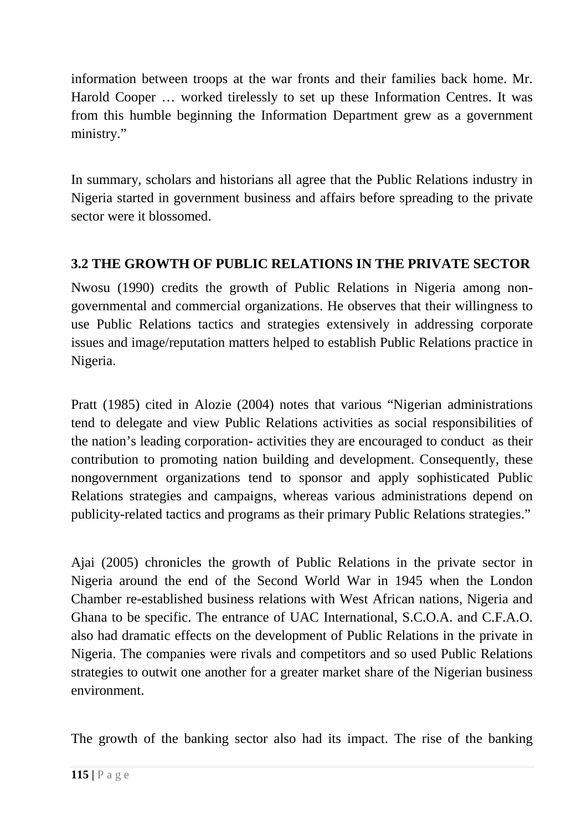information between troops at the war fronts and their families back home. Mr. Harold Cooper … worked tirelessly to set up these Information Centres. It was from this humble beginning the Information Department grew as a government ministry."

In summary, scholars and historians all agree that the Public Relations industry in Nigeria started in government business and affairs before spreading to the private sector were it blossomed.

# **3.2 THE GROWTH OF PUBLIC RELATIONS IN THE PRIVATE SECTOR**

Nwosu (1990) credits the growth of Public Relations in Nigeria among nongovernmental and commercial organizations. He observes that their willingness to use Public Relations tactics and strategies extensively in addressing corporate issues and image/reputation matters helped to establish Public Relations practice in Nigeria.

Pratt (1985) cited in Alozie (2004) notes that various "Nigerian administrations tend to delegate and view Public Relations activities as social responsibilities of the nation's leading corporation- activities they are encouraged to conduct as their contribution to promoting nation building and development. Consequently, these nongovernment organizations tend to sponsor and apply sophisticated Public Relations strategies and campaigns, whereas various administrations depend on publicity-related tactics and programs as their primary Public Relations strategies."

Ajai (2005) chronicles the growth of Public Relations in the private sector in Nigeria around the end of the Second World War in 1945 when the London Chamber re-established business relations with West African nations, Nigeria and Ghana to be specific. The entrance of UAC International, S.C.O.A. and C.F.A.O. also had dramatic effects on the development of Public Relations in the private in Nigeria. The companies were rivals and competitors and so used Public Relations strategies to outwit one another for a greater market share of the Nigerian business environment.

The growth of the banking sector also had its impact. The rise of the banking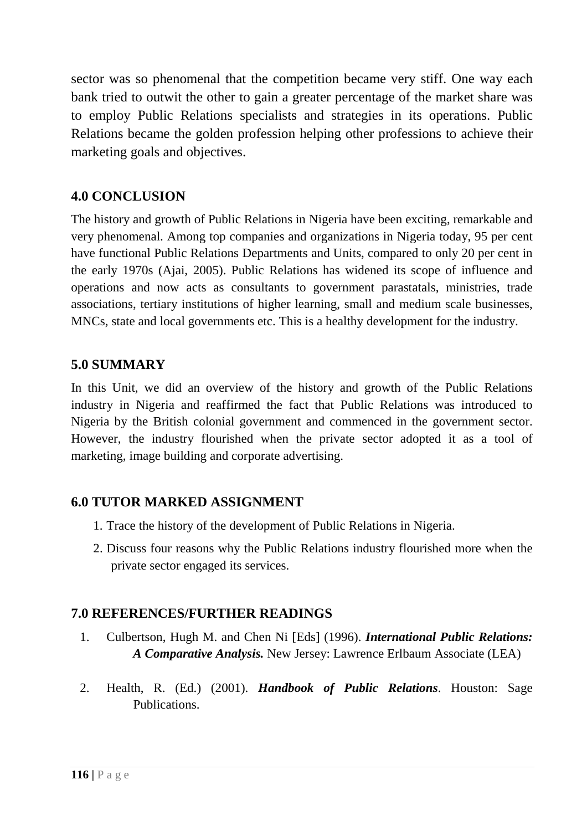sector was so phenomenal that the competition became very stiff. One way each bank tried to outwit the other to gain a greater percentage of the market share was to employ Public Relations specialists and strategies in its operations. Public Relations became the golden profession helping other professions to achieve their marketing goals and objectives.

## **4.0 CONCLUSION**

The history and growth of Public Relations in Nigeria have been exciting, remarkable and very phenomenal. Among top companies and organizations in Nigeria today, 95 per cent have functional Public Relations Departments and Units, compared to only 20 per cent in the early 1970s (Ajai, 2005). Public Relations has widened its scope of influence and operations and now acts as consultants to government parastatals, ministries, trade associations, tertiary institutions of higher learning, small and medium scale businesses, MNCs, state and local governments etc. This is a healthy development for the industry.

### **5.0 SUMMARY**

In this Unit, we did an overview of the history and growth of the Public Relations industry in Nigeria and reaffirmed the fact that Public Relations was introduced to Nigeria by the British colonial government and commenced in the government sector. However, the industry flourished when the private sector adopted it as a tool of marketing, image building and corporate advertising.

## **6.0 TUTOR MARKED ASSIGNMENT**

- 1. Trace the history of the development of Public Relations in Nigeria.
- 2. Discuss four reasons why the Public Relations industry flourished more when the private sector engaged its services.

- 1. Culbertson, Hugh M. and Chen Ni [Eds] (1996). *International Public Relations: A Comparative Analysis.* New Jersey: Lawrence Erlbaum Associate (LEA)
- 2. Health, R. (Ed.) (2001). *Handbook of Public Relations*. Houston: Sage **Publications**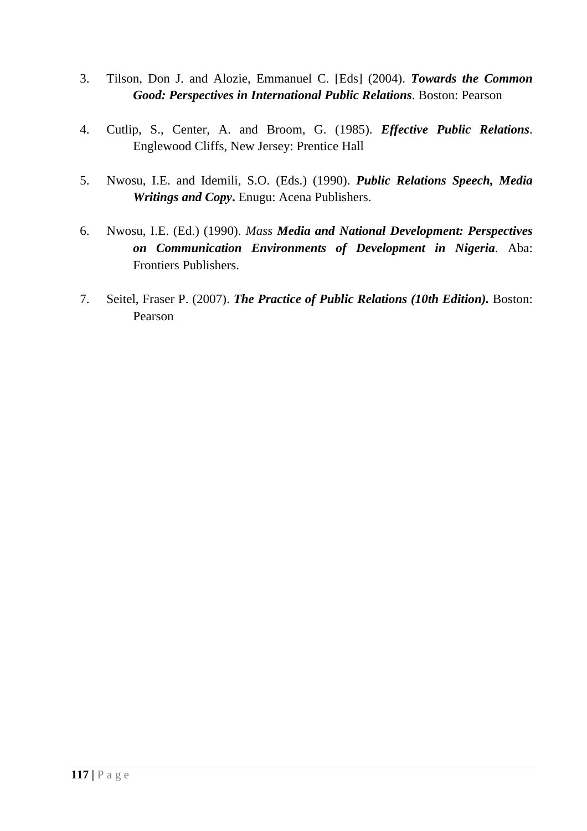- 3. Tilson, Don J. and Alozie, Emmanuel C. [Eds] (2004). *Towards the Common Good: Perspectives in International Public Relations*. Boston: Pearson
- 4. Cutlip, S., Center, A. and Broom, G. (1985). *Effective Public Relations*. Englewood Cliffs, New Jersey: Prentice Hall
- 5. Nwosu, I.E. and Idemili, S.O. (Eds.) (1990). *Public Relations Speech, Media Writings and Copy***.** Enugu: Acena Publishers.
- 6. Nwosu, I.E. (Ed.) (1990). *Mass Media and National Development: Perspectives on Communication Environments of Development in Nigeria.* Aba: Frontiers Publishers.
- 7. Seitel, Fraser P. (2007). *The Practice of Public Relations (10th Edition).* Boston: Pearson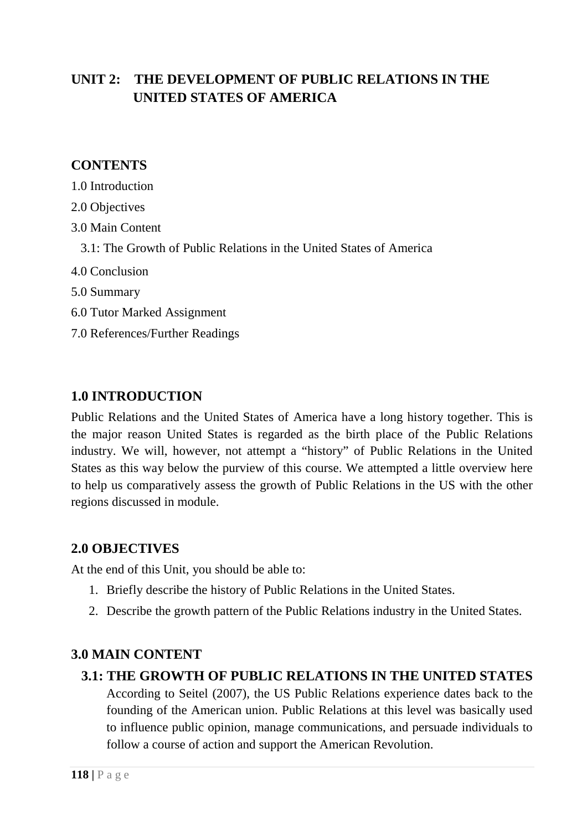# **UNIT 2: THE DEVELOPMENT OF PUBLIC RELATIONS IN THE UNITED STATES OF AMERICA**

### **CONTENTS**

- 1.0 Introduction
- 2.0 Objectives
- 3.0 Main Content
	- 3.1: The Growth of Public Relations in the United States of America
- 4.0 Conclusion
- 5.0 Summary
- 6.0 Tutor Marked Assignment
- 7.0 References/Further Readings

## **1.0 INTRODUCTION**

Public Relations and the United States of America have a long history together. This is the major reason United States is regarded as the birth place of the Public Relations industry. We will, however, not attempt a "history" of Public Relations in the United States as this way below the purview of this course. We attempted a little overview here to help us comparatively assess the growth of Public Relations in the US with the other regions discussed in module.

### **2.0 OBJECTIVES**

At the end of this Unit, you should be able to:

- 1. Briefly describe the history of Public Relations in the United States.
- 2. Describe the growth pattern of the Public Relations industry in the United States.

## **3.0 MAIN CONTENT**

### **3.1: THE GROWTH OF PUBLIC RELATIONS IN THE UNITED STATES**

According to Seitel (2007), the US Public Relations experience dates back to the founding of the American union. Public Relations at this level was basically used to influence public opinion, manage communications, and persuade individuals to follow a course of action and support the American Revolution.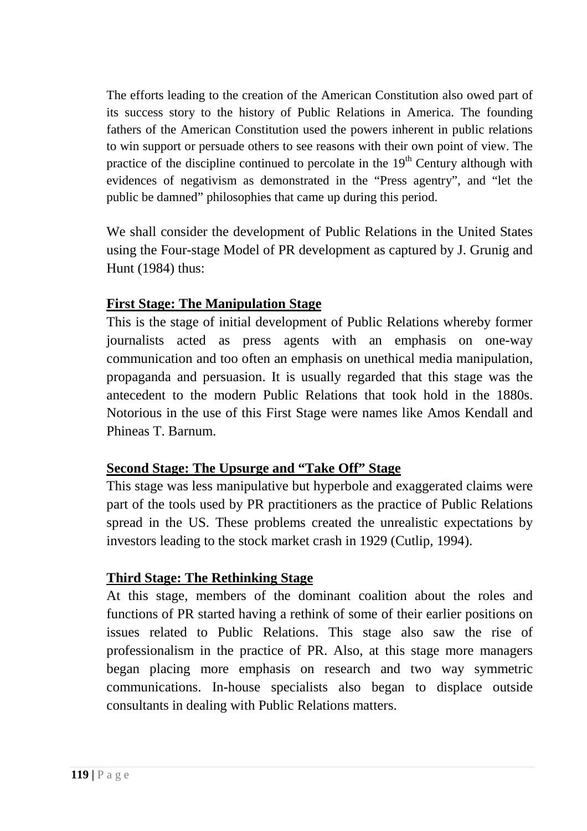The efforts leading to the creation of the American Constitution also owed part of its success story to the history of Public Relations in America. The founding fathers of the American Constitution used the powers inherent in public relations to win support or persuade others to see reasons with their own point of view. The practice of the discipline continued to percolate in the  $19<sup>th</sup>$  Century although with evidences of negativism as demonstrated in the "Press agentry", and "let the public be damned" philosophies that came up during this period.

We shall consider the development of Public Relations in the United States using the Four-stage Model of PR development as captured by J. Grunig and Hunt (1984) thus:

### **First Stage: The Manipulation Stage**

This is the stage of initial development of Public Relations whereby former journalists acted as press agents with an emphasis on one-way communication and too often an emphasis on unethical media manipulation, propaganda and persuasion. It is usually regarded that this stage was the antecedent to the modern Public Relations that took hold in the 1880s. Notorious in the use of this First Stage were names like Amos Kendall and Phineas T. Barnum.

## **Second Stage: The Upsurge and "Take Off" Stage**

This stage was less manipulative but hyperbole and exaggerated claims were part of the tools used by PR practitioners as the practice of Public Relations spread in the US. These problems created the unrealistic expectations by investors leading to the stock market crash in 1929 (Cutlip, 1994).

## **Third Stage: The Rethinking Stage**

At this stage, members of the dominant coalition about the roles and functions of PR started having a rethink of some of their earlier positions on issues related to Public Relations. This stage also saw the rise of professionalism in the practice of PR. Also, at this stage more managers began placing more emphasis on research and two way symmetric communications. In-house specialists also began to displace outside consultants in dealing with Public Relations matters.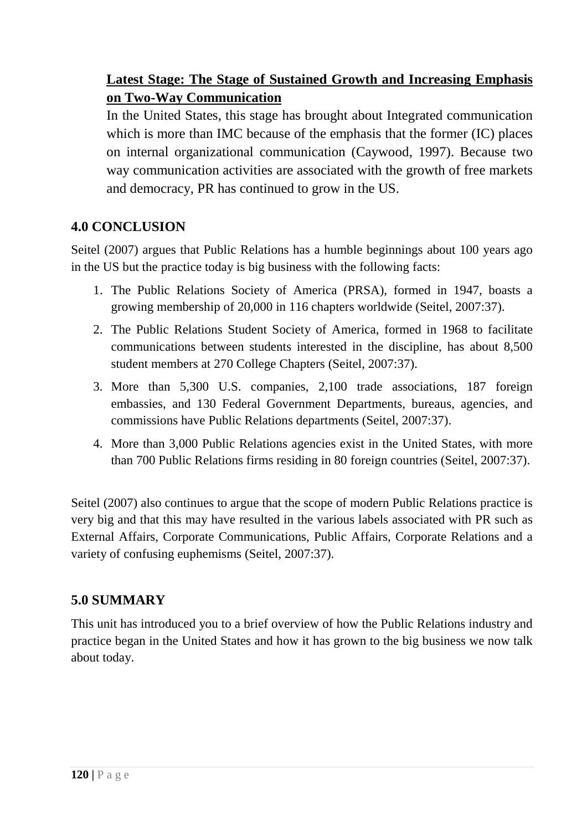# **Latest Stage: The Stage of Sustained Growth and Increasing Emphasis on Two-Way Communication**

In the United States, this stage has brought about Integrated communication which is more than IMC because of the emphasis that the former (IC) places on internal organizational communication (Caywood, 1997). Because two way communication activities are associated with the growth of free markets and democracy, PR has continued to grow in the US.

## **4.0 CONCLUSION**

Seitel (2007) argues that Public Relations has a humble beginnings about 100 years ago in the US but the practice today is big business with the following facts:

- 1. The Public Relations Society of America (PRSA), formed in 1947, boasts a growing membership of 20,000 in 116 chapters worldwide (Seitel, 2007:37).
- 2. The Public Relations Student Society of America, formed in 1968 to facilitate communications between students interested in the discipline, has about 8,500 student members at 270 College Chapters (Seitel, 2007:37).
- 3. More than 5,300 U.S. companies, 2,100 trade associations, 187 foreign embassies, and 130 Federal Government Departments, bureaus, agencies, and commissions have Public Relations departments (Seitel, 2007:37).
- 4. More than 3,000 Public Relations agencies exist in the United States, with more than 700 Public Relations firms residing in 80 foreign countries (Seitel, 2007:37).

Seitel (2007) also continues to argue that the scope of modern Public Relations practice is very big and that this may have resulted in the various labels associated with PR such as External Affairs, Corporate Communications, Public Affairs, Corporate Relations and a variety of confusing euphemisms (Seitel, 2007:37).

## **5.0 SUMMARY**

This unit has introduced you to a brief overview of how the Public Relations industry and practice began in the United States and how it has grown to the big business we now talk about today.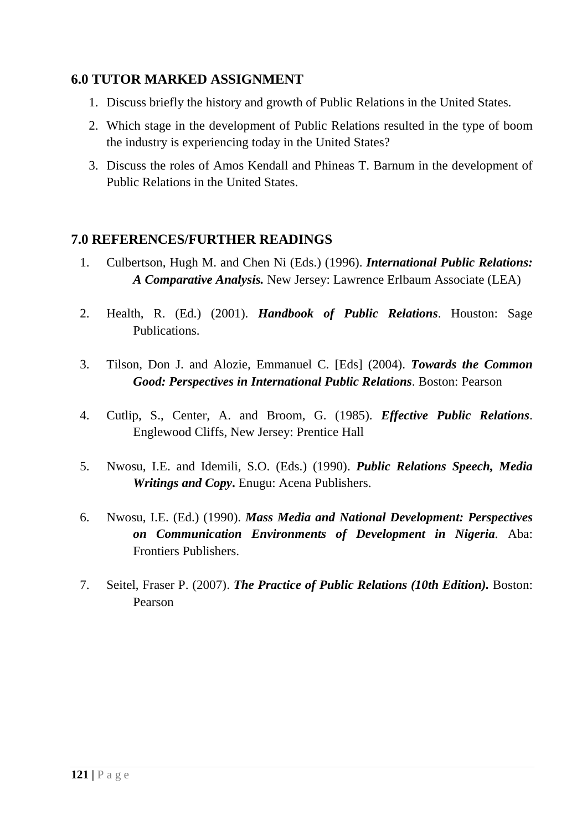### **6.0 TUTOR MARKED ASSIGNMENT**

- 1. Discuss briefly the history and growth of Public Relations in the United States.
- 2. Which stage in the development of Public Relations resulted in the type of boom the industry is experiencing today in the United States?
- 3. Discuss the roles of Amos Kendall and Phineas T. Barnum in the development of Public Relations in the United States.

- 1. Culbertson, Hugh M. and Chen Ni (Eds.) (1996). *International Public Relations: A Comparative Analysis.* New Jersey: Lawrence Erlbaum Associate (LEA)
- 2. Health, R. (Ed.) (2001). *Handbook of Public Relations*. Houston: Sage Publications.
- 3. Tilson, Don J. and Alozie, Emmanuel C. [Eds] (2004). *Towards the Common Good: Perspectives in International Public Relations*. Boston: Pearson
- 4. Cutlip, S., Center, A. and Broom, G. (1985). *Effective Public Relations*. Englewood Cliffs, New Jersey: Prentice Hall
- 5. Nwosu, I.E. and Idemili, S.O. (Eds.) (1990). *Public Relations Speech, Media Writings and Copy***.** Enugu: Acena Publishers.
- 6. Nwosu, I.E. (Ed.) (1990). *Mass Media and National Development: Perspectives on Communication Environments of Development in Nigeria.* Aba: Frontiers Publishers.
- 7. Seitel, Fraser P. (2007). *The Practice of Public Relations (10th Edition).* Boston: Pearson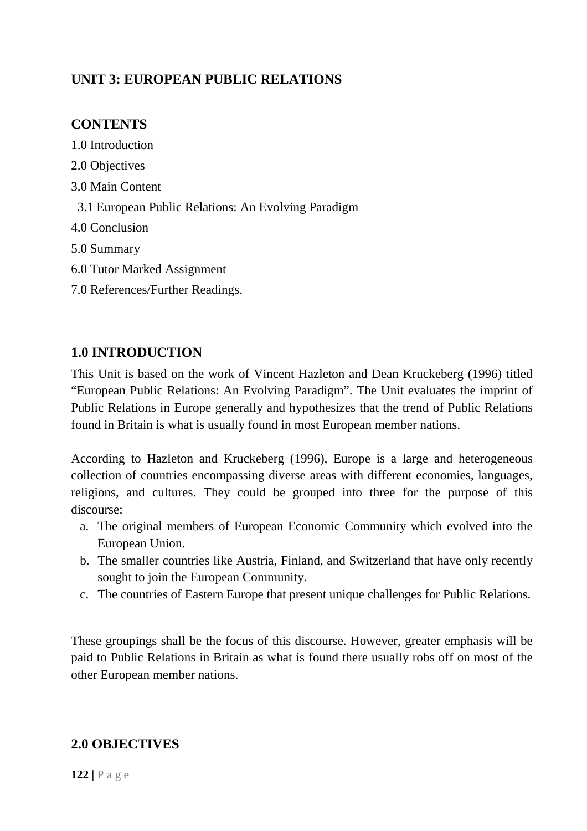## **UNIT 3: EUROPEAN PUBLIC RELATIONS**

### **CONTENTS**

1.0 Introduction 2.0 Objectives 3.0 Main Content 3.1 European Public Relations: An Evolving Paradigm 4.0 Conclusion 5.0 Summary 6.0 Tutor Marked Assignment 7.0 References/Further Readings.

### **1.0 INTRODUCTION**

This Unit is based on the work of Vincent Hazleton and Dean Kruckeberg (1996) titled "European Public Relations: An Evolving Paradigm". The Unit evaluates the imprint of Public Relations in Europe generally and hypothesizes that the trend of Public Relations found in Britain is what is usually found in most European member nations.

According to Hazleton and Kruckeberg (1996), Europe is a large and heterogeneous collection of countries encompassing diverse areas with different economies, languages, religions, and cultures. They could be grouped into three for the purpose of this discourse:

- a. The original members of European Economic Community which evolved into the European Union.
- b. The smaller countries like Austria, Finland, and Switzerland that have only recently sought to join the European Community.
- c. The countries of Eastern Europe that present unique challenges for Public Relations.

These groupings shall be the focus of this discourse. However, greater emphasis will be paid to Public Relations in Britain as what is found there usually robs off on most of the other European member nations.

### **2.0 OBJECTIVES**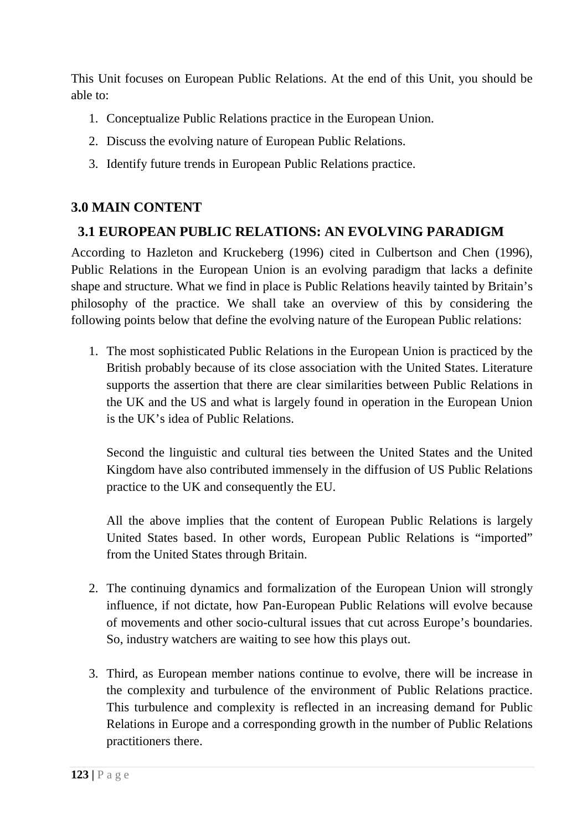This Unit focuses on European Public Relations. At the end of this Unit, you should be able to:

- 1. Conceptualize Public Relations practice in the European Union.
- 2. Discuss the evolving nature of European Public Relations.
- 3. Identify future trends in European Public Relations practice.

## **3.0 MAIN CONTENT**

## **3.1 EUROPEAN PUBLIC RELATIONS: AN EVOLVING PARADIGM**

According to Hazleton and Kruckeberg (1996) cited in Culbertson and Chen (1996), Public Relations in the European Union is an evolving paradigm that lacks a definite shape and structure. What we find in place is Public Relations heavily tainted by Britain's philosophy of the practice. We shall take an overview of this by considering the following points below that define the evolving nature of the European Public relations:

1. The most sophisticated Public Relations in the European Union is practiced by the British probably because of its close association with the United States. Literature supports the assertion that there are clear similarities between Public Relations in the UK and the US and what is largely found in operation in the European Union is the UK's idea of Public Relations.

Second the linguistic and cultural ties between the United States and the United Kingdom have also contributed immensely in the diffusion of US Public Relations practice to the UK and consequently the EU.

All the above implies that the content of European Public Relations is largely United States based. In other words, European Public Relations is "imported" from the United States through Britain.

- 2. The continuing dynamics and formalization of the European Union will strongly influence, if not dictate, how Pan-European Public Relations will evolve because of movements and other socio-cultural issues that cut across Europe's boundaries. So, industry watchers are waiting to see how this plays out.
- 3. Third, as European member nations continue to evolve, there will be increase in the complexity and turbulence of the environment of Public Relations practice. This turbulence and complexity is reflected in an increasing demand for Public Relations in Europe and a corresponding growth in the number of Public Relations practitioners there.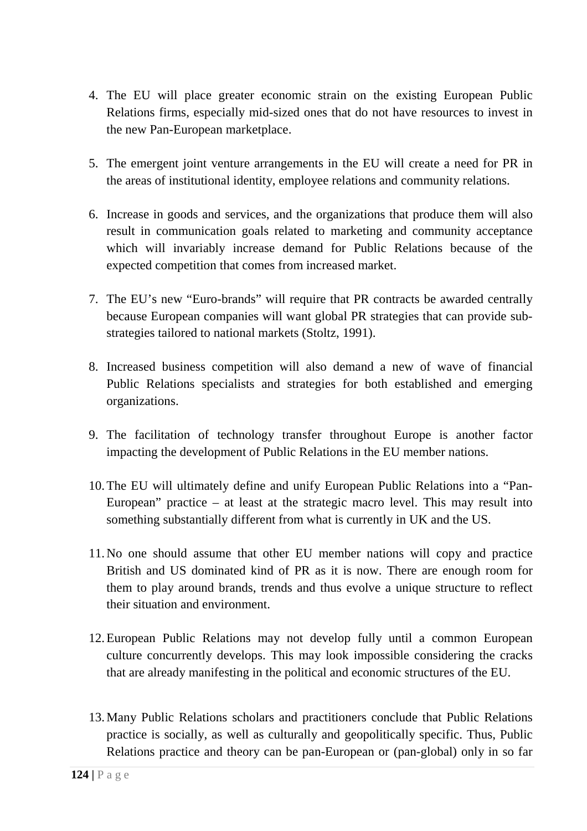- 4. The EU will place greater economic strain on the existing European Public Relations firms, especially mid-sized ones that do not have resources to invest in the new Pan-European marketplace.
- 5. The emergent joint venture arrangements in the EU will create a need for PR in the areas of institutional identity, employee relations and community relations.
- 6. Increase in goods and services, and the organizations that produce them will also result in communication goals related to marketing and community acceptance which will invariably increase demand for Public Relations because of the expected competition that comes from increased market.
- 7. The EU's new "Euro-brands" will require that PR contracts be awarded centrally because European companies will want global PR strategies that can provide substrategies tailored to national markets (Stoltz, 1991).
- 8. Increased business competition will also demand a new of wave of financial Public Relations specialists and strategies for both established and emerging organizations.
- 9. The facilitation of technology transfer throughout Europe is another factor impacting the development of Public Relations in the EU member nations.
- 10.The EU will ultimately define and unify European Public Relations into a "Pan-European" practice – at least at the strategic macro level. This may result into something substantially different from what is currently in UK and the US.
- 11.No one should assume that other EU member nations will copy and practice British and US dominated kind of PR as it is now. There are enough room for them to play around brands, trends and thus evolve a unique structure to reflect their situation and environment.
- 12.European Public Relations may not develop fully until a common European culture concurrently develops. This may look impossible considering the cracks that are already manifesting in the political and economic structures of the EU.
- 13.Many Public Relations scholars and practitioners conclude that Public Relations practice is socially, as well as culturally and geopolitically specific. Thus, Public Relations practice and theory can be pan-European or (pan-global) only in so far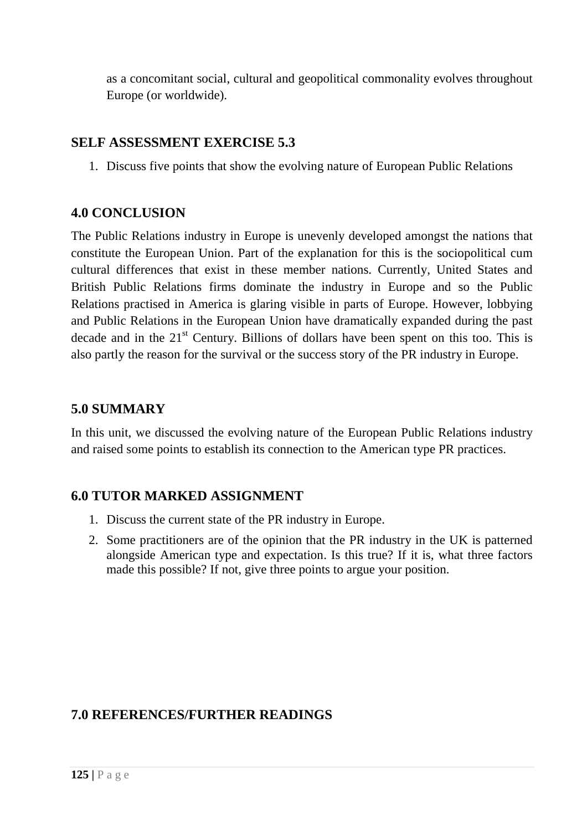as a concomitant social, cultural and geopolitical commonality evolves throughout Europe (or worldwide).

#### **SELF ASSESSMENT EXERCISE 5.3**

1. Discuss five points that show the evolving nature of European Public Relations

### **4.0 CONCLUSION**

The Public Relations industry in Europe is unevenly developed amongst the nations that constitute the European Union. Part of the explanation for this is the sociopolitical cum cultural differences that exist in these member nations. Currently, United States and British Public Relations firms dominate the industry in Europe and so the Public Relations practised in America is glaring visible in parts of Europe. However, lobbying and Public Relations in the European Union have dramatically expanded during the past decade and in the  $21<sup>st</sup>$  Century. Billions of dollars have been spent on this too. This is also partly the reason for the survival or the success story of the PR industry in Europe.

### **5.0 SUMMARY**

In this unit, we discussed the evolving nature of the European Public Relations industry and raised some points to establish its connection to the American type PR practices.

### **6.0 TUTOR MARKED ASSIGNMENT**

- 1. Discuss the current state of the PR industry in Europe.
- 2. Some practitioners are of the opinion that the PR industry in the UK is patterned alongside American type and expectation. Is this true? If it is, what three factors made this possible? If not, give three points to argue your position.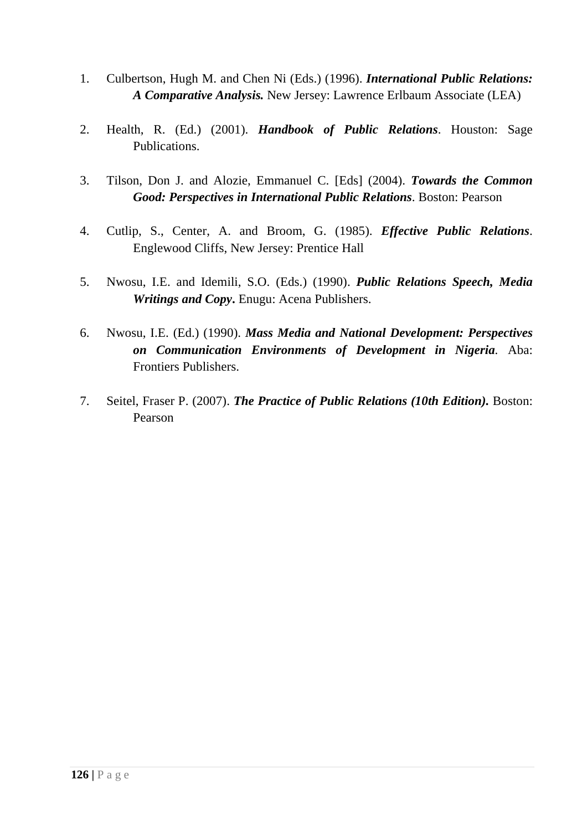- 1. Culbertson, Hugh M. and Chen Ni (Eds.) (1996). *International Public Relations: A Comparative Analysis.* New Jersey: Lawrence Erlbaum Associate (LEA)
- 2. Health, R. (Ed.) (2001). *Handbook of Public Relations*. Houston: Sage Publications.
- 3. Tilson, Don J. and Alozie, Emmanuel C. [Eds] (2004). *Towards the Common Good: Perspectives in International Public Relations*. Boston: Pearson
- 4. Cutlip, S., Center, A. and Broom, G. (1985). *Effective Public Relations*. Englewood Cliffs, New Jersey: Prentice Hall
- 5. Nwosu, I.E. and Idemili, S.O. (Eds.) (1990). *Public Relations Speech, Media Writings and Copy***.** Enugu: Acena Publishers.
- 6. Nwosu, I.E. (Ed.) (1990). *Mass Media and National Development: Perspectives on Communication Environments of Development in Nigeria.* Aba: Frontiers Publishers.
- 7. Seitel, Fraser P. (2007). *The Practice of Public Relations (10th Edition).* Boston: Pearson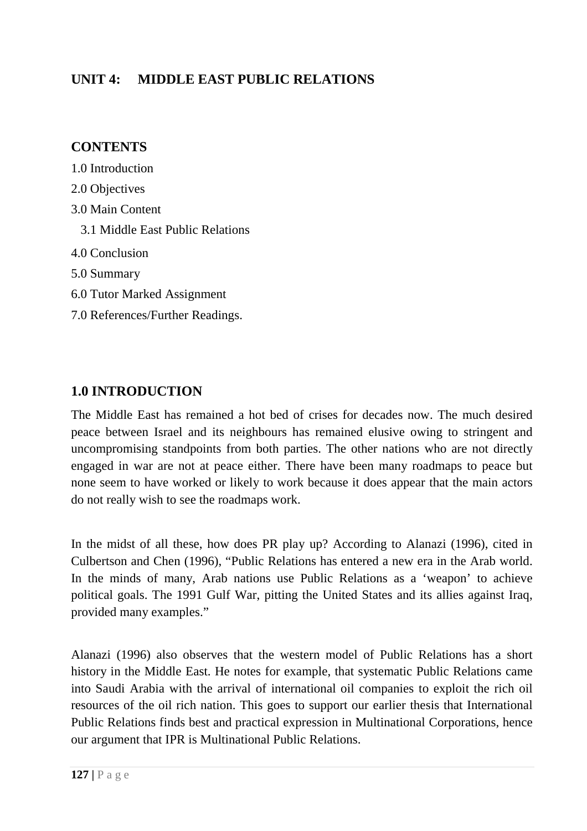## **UNIT 4: MIDDLE EAST PUBLIC RELATIONS**

### **CONTENTS**

- 1.0 Introduction
- 2.0 Objectives
- 3.0 Main Content
	- 3.1 Middle East Public Relations
- 4.0 Conclusion
- 5.0 Summary
- 6.0 Tutor Marked Assignment
- 7.0 References/Further Readings.

## **1.0 INTRODUCTION**

The Middle East has remained a hot bed of crises for decades now. The much desired peace between Israel and its neighbours has remained elusive owing to stringent and uncompromising standpoints from both parties. The other nations who are not directly engaged in war are not at peace either. There have been many roadmaps to peace but none seem to have worked or likely to work because it does appear that the main actors do not really wish to see the roadmaps work.

In the midst of all these, how does PR play up? According to Alanazi (1996), cited in Culbertson and Chen (1996), "Public Relations has entered a new era in the Arab world. In the minds of many, Arab nations use Public Relations as a 'weapon' to achieve political goals. The 1991 Gulf War, pitting the United States and its allies against Iraq, provided many examples."

Alanazi (1996) also observes that the western model of Public Relations has a short history in the Middle East. He notes for example, that systematic Public Relations came into Saudi Arabia with the arrival of international oil companies to exploit the rich oil resources of the oil rich nation. This goes to support our earlier thesis that International Public Relations finds best and practical expression in Multinational Corporations, hence our argument that IPR is Multinational Public Relations.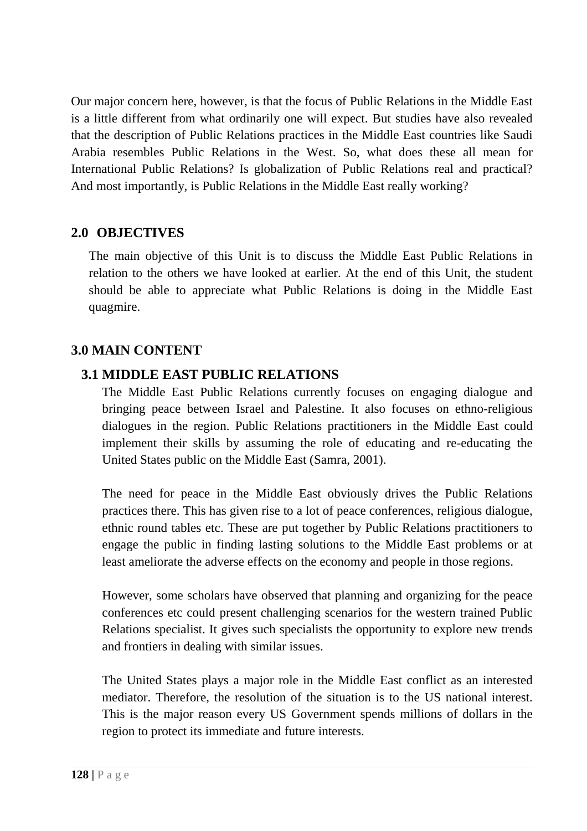Our major concern here, however, is that the focus of Public Relations in the Middle East is a little different from what ordinarily one will expect. But studies have also revealed that the description of Public Relations practices in the Middle East countries like Saudi Arabia resembles Public Relations in the West. So, what does these all mean for International Public Relations? Is globalization of Public Relations real and practical? And most importantly, is Public Relations in the Middle East really working?

### **2.0 OBJECTIVES**

The main objective of this Unit is to discuss the Middle East Public Relations in relation to the others we have looked at earlier. At the end of this Unit, the student should be able to appreciate what Public Relations is doing in the Middle East quagmire.

### **3.0 MAIN CONTENT**

### **3.1 MIDDLE EAST PUBLIC RELATIONS**

The Middle East Public Relations currently focuses on engaging dialogue and bringing peace between Israel and Palestine. It also focuses on ethno-religious dialogues in the region. Public Relations practitioners in the Middle East could implement their skills by assuming the role of educating and re-educating the United States public on the Middle East (Samra, 2001).

The need for peace in the Middle East obviously drives the Public Relations practices there. This has given rise to a lot of peace conferences, religious dialogue, ethnic round tables etc. These are put together by Public Relations practitioners to engage the public in finding lasting solutions to the Middle East problems or at least ameliorate the adverse effects on the economy and people in those regions.

However, some scholars have observed that planning and organizing for the peace conferences etc could present challenging scenarios for the western trained Public Relations specialist. It gives such specialists the opportunity to explore new trends and frontiers in dealing with similar issues.

The United States plays a major role in the Middle East conflict as an interested mediator. Therefore, the resolution of the situation is to the US national interest. This is the major reason every US Government spends millions of dollars in the region to protect its immediate and future interests.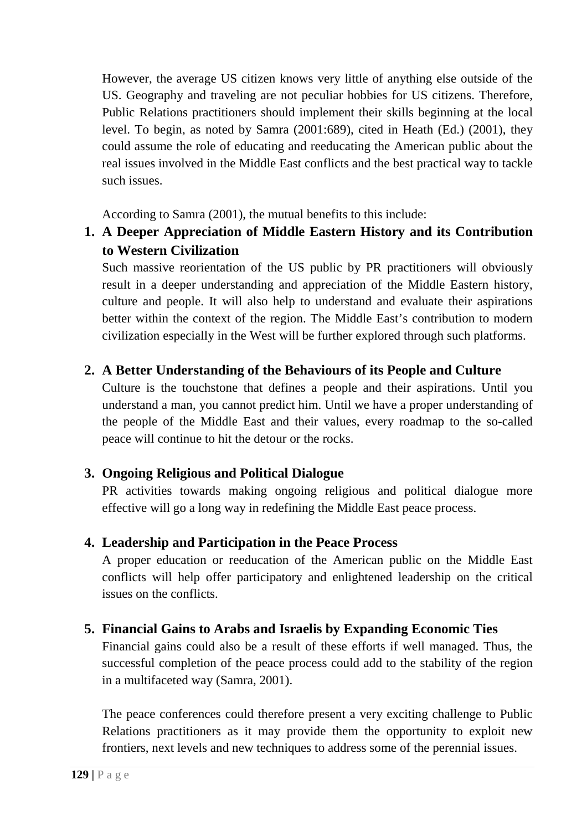However, the average US citizen knows very little of anything else outside of the US. Geography and traveling are not peculiar hobbies for US citizens. Therefore, Public Relations practitioners should implement their skills beginning at the local level. To begin, as noted by Samra (2001:689), cited in Heath (Ed.) (2001), they could assume the role of educating and reeducating the American public about the real issues involved in the Middle East conflicts and the best practical way to tackle such issues.

According to Samra (2001), the mutual benefits to this include:

# **1. A Deeper Appreciation of Middle Eastern History and its Contribution to Western Civilization**

Such massive reorientation of the US public by PR practitioners will obviously result in a deeper understanding and appreciation of the Middle Eastern history, culture and people. It will also help to understand and evaluate their aspirations better within the context of the region. The Middle East's contribution to modern civilization especially in the West will be further explored through such platforms.

## **2. A Better Understanding of the Behaviours of its People and Culture**

Culture is the touchstone that defines a people and their aspirations. Until you understand a man, you cannot predict him. Until we have a proper understanding of the people of the Middle East and their values, every roadmap to the so-called peace will continue to hit the detour or the rocks.

## **3. Ongoing Religious and Political Dialogue**

PR activities towards making ongoing religious and political dialogue more effective will go a long way in redefining the Middle East peace process.

## **4. Leadership and Participation in the Peace Process**

A proper education or reeducation of the American public on the Middle East conflicts will help offer participatory and enlightened leadership on the critical issues on the conflicts.

## **5. Financial Gains to Arabs and Israelis by Expanding Economic Ties**

Financial gains could also be a result of these efforts if well managed. Thus, the successful completion of the peace process could add to the stability of the region in a multifaceted way (Samra, 2001).

The peace conferences could therefore present a very exciting challenge to Public Relations practitioners as it may provide them the opportunity to exploit new frontiers, next levels and new techniques to address some of the perennial issues.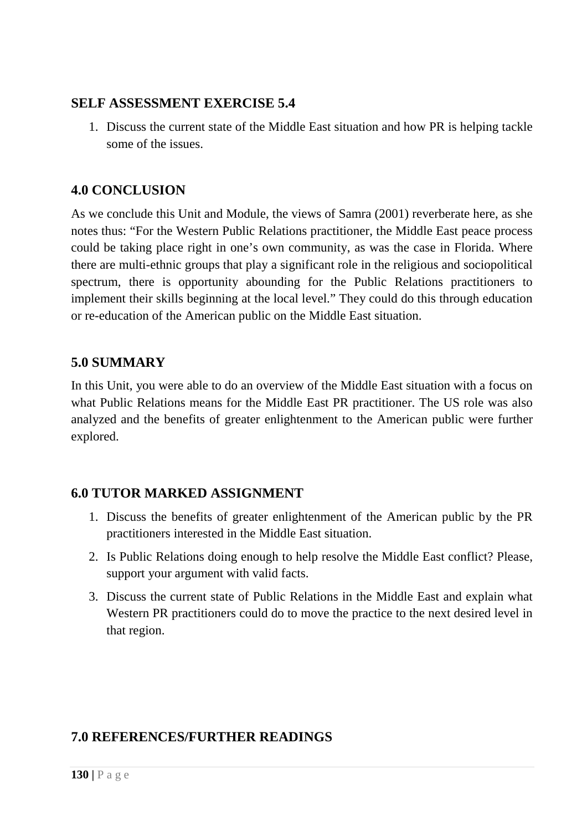### **SELF ASSESSMENT EXERCISE 5.4**

1. Discuss the current state of the Middle East situation and how PR is helping tackle some of the issues.

## **4.0 CONCLUSION**

As we conclude this Unit and Module, the views of Samra (2001) reverberate here, as she notes thus: "For the Western Public Relations practitioner, the Middle East peace process could be taking place right in one's own community, as was the case in Florida. Where there are multi-ethnic groups that play a significant role in the religious and sociopolitical spectrum, there is opportunity abounding for the Public Relations practitioners to implement their skills beginning at the local level." They could do this through education or re-education of the American public on the Middle East situation.

## **5.0 SUMMARY**

In this Unit, you were able to do an overview of the Middle East situation with a focus on what Public Relations means for the Middle East PR practitioner. The US role was also analyzed and the benefits of greater enlightenment to the American public were further explored.

## **6.0 TUTOR MARKED ASSIGNMENT**

- 1. Discuss the benefits of greater enlightenment of the American public by the PR practitioners interested in the Middle East situation.
- 2. Is Public Relations doing enough to help resolve the Middle East conflict? Please, support your argument with valid facts.
- 3. Discuss the current state of Public Relations in the Middle East and explain what Western PR practitioners could do to move the practice to the next desired level in that region.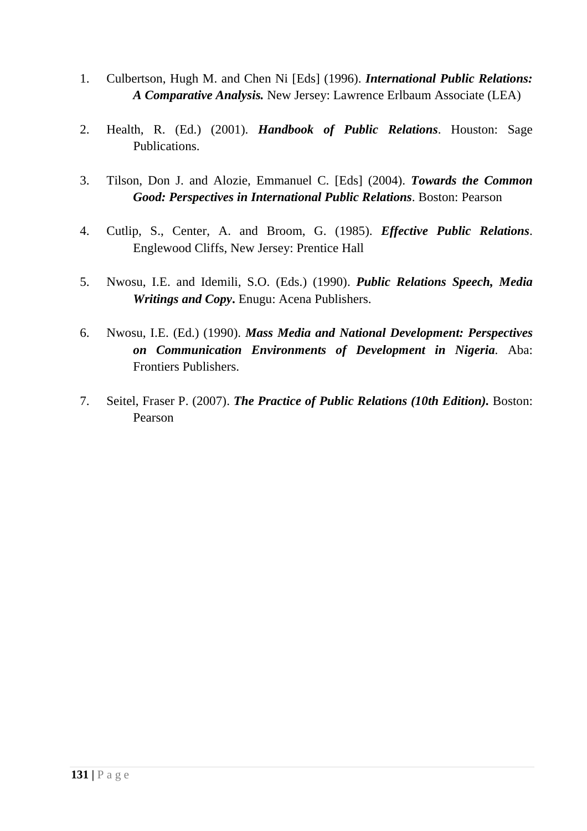- 1. Culbertson, Hugh M. and Chen Ni [Eds] (1996). *International Public Relations: A Comparative Analysis.* New Jersey: Lawrence Erlbaum Associate (LEA)
- 2. Health, R. (Ed.) (2001). *Handbook of Public Relations*. Houston: Sage Publications.
- 3. Tilson, Don J. and Alozie, Emmanuel C. [Eds] (2004). *Towards the Common Good: Perspectives in International Public Relations*. Boston: Pearson
- 4. Cutlip, S., Center, A. and Broom, G. (1985). *Effective Public Relations*. Englewood Cliffs, New Jersey: Prentice Hall
- 5. Nwosu, I.E. and Idemili, S.O. (Eds.) (1990). *Public Relations Speech, Media Writings and Copy***.** Enugu: Acena Publishers.
- 6. Nwosu, I.E. (Ed.) (1990). *Mass Media and National Development: Perspectives on Communication Environments of Development in Nigeria.* Aba: Frontiers Publishers.
- 7. Seitel, Fraser P. (2007). *The Practice of Public Relations (10th Edition).* Boston: Pearson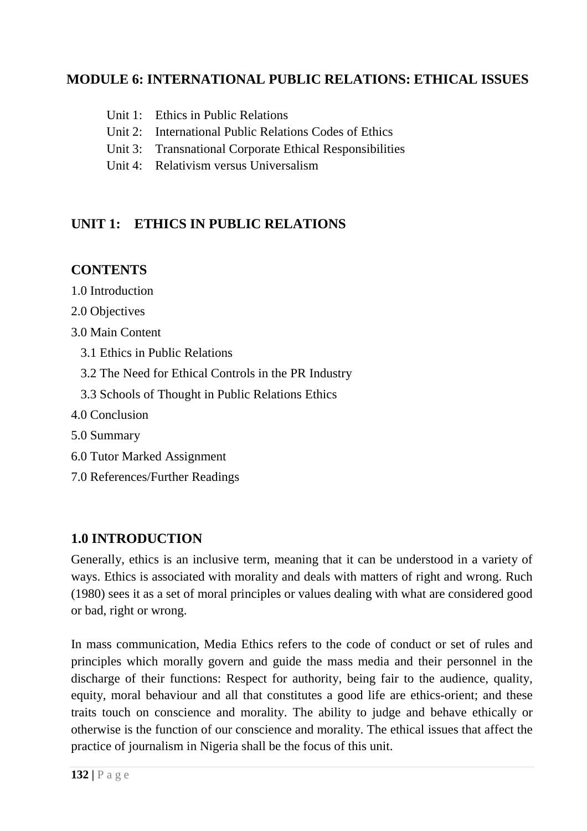## **MODULE 6: INTERNATIONAL PUBLIC RELATIONS: ETHICAL ISSUES**

- Unit 1: Ethics in Public Relations
- Unit 2: International Public Relations Codes of Ethics
- Unit 3: Transnational Corporate Ethical Responsibilities
- Unit 4: Relativism versus Universalism

## **UNIT 1: ETHICS IN PUBLIC RELATIONS**

## **CONTENTS**

- 1.0 Introduction
- 2.0 Objectives
- 3.0 Main Content
	- 3.1 Ethics in Public Relations
	- 3.2 The Need for Ethical Controls in the PR Industry
	- 3.3 Schools of Thought in Public Relations Ethics
- 4.0 Conclusion
- 5.0 Summary
- 6.0 Tutor Marked Assignment
- 7.0 References/Further Readings

## **1.0 INTRODUCTION**

Generally, ethics is an inclusive term, meaning that it can be understood in a variety of ways. Ethics is associated with morality and deals with matters of right and wrong. Ruch (1980) sees it as a set of moral principles or values dealing with what are considered good or bad, right or wrong.

In mass communication, Media Ethics refers to the code of conduct or set of rules and principles which morally govern and guide the mass media and their personnel in the discharge of their functions: Respect for authority, being fair to the audience, quality, equity, moral behaviour and all that constitutes a good life are ethics-orient; and these traits touch on conscience and morality. The ability to judge and behave ethically or otherwise is the function of our conscience and morality. The ethical issues that affect the practice of journalism in Nigeria shall be the focus of this unit.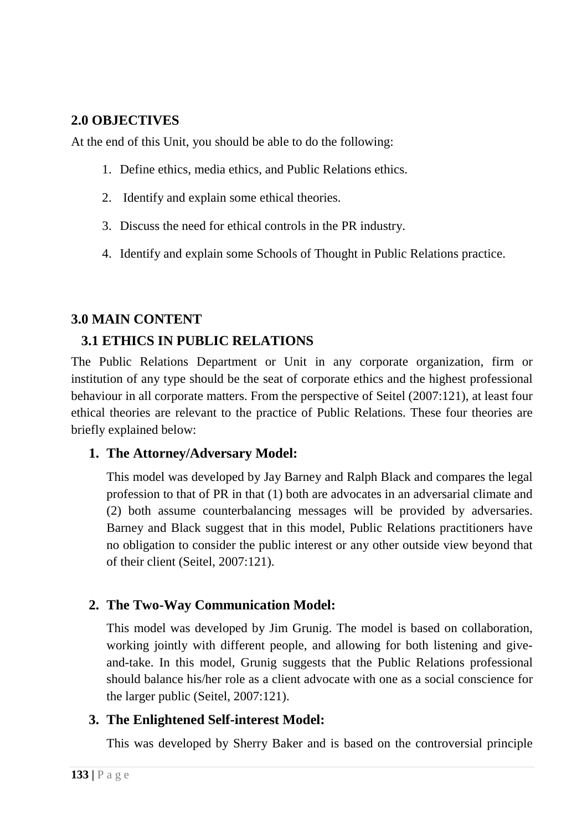## **2.0 OBJECTIVES**

At the end of this Unit, you should be able to do the following:

- 1. Define ethics, media ethics, and Public Relations ethics.
- 2. Identify and explain some ethical theories.
- 3. Discuss the need for ethical controls in the PR industry.
- 4. Identify and explain some Schools of Thought in Public Relations practice.

## **3.0 MAIN CONTENT**

# **3.1 ETHICS IN PUBLIC RELATIONS**

The Public Relations Department or Unit in any corporate organization, firm or institution of any type should be the seat of corporate ethics and the highest professional behaviour in all corporate matters. From the perspective of Seitel (2007:121), at least four ethical theories are relevant to the practice of Public Relations. These four theories are briefly explained below:

## **1. The Attorney/Adversary Model:**

This model was developed by Jay Barney and Ralph Black and compares the legal profession to that of PR in that (1) both are advocates in an adversarial climate and (2) both assume counterbalancing messages will be provided by adversaries. Barney and Black suggest that in this model, Public Relations practitioners have no obligation to consider the public interest or any other outside view beyond that of their client (Seitel, 2007:121).

## **2. The Two-Way Communication Model:**

This model was developed by Jim Grunig. The model is based on collaboration, working jointly with different people, and allowing for both listening and giveand-take. In this model, Grunig suggests that the Public Relations professional should balance his/her role as a client advocate with one as a social conscience for the larger public (Seitel, 2007:121).

## **3. The Enlightened Self-interest Model:**

This was developed by Sherry Baker and is based on the controversial principle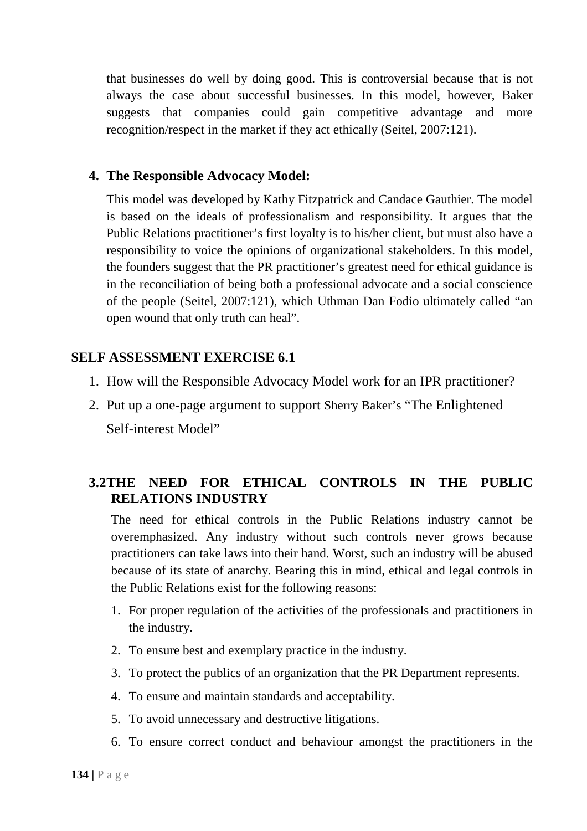that businesses do well by doing good. This is controversial because that is not always the case about successful businesses. In this model, however, Baker suggests that companies could gain competitive advantage and more recognition/respect in the market if they act ethically (Seitel, 2007:121).

#### **4. The Responsible Advocacy Model:**

This model was developed by Kathy Fitzpatrick and Candace Gauthier. The model is based on the ideals of professionalism and responsibility. It argues that the Public Relations practitioner's first loyalty is to his/her client, but must also have a responsibility to voice the opinions of organizational stakeholders. In this model, the founders suggest that the PR practitioner's greatest need for ethical guidance is in the reconciliation of being both a professional advocate and a social conscience of the people (Seitel, 2007:121), which Uthman Dan Fodio ultimately called "an open wound that only truth can heal".

### **SELF ASSESSMENT EXERCISE 6.1**

- 1. How will the Responsible Advocacy Model work for an IPR practitioner?
- 2. Put up a one-page argument to support Sherry Baker's "The Enlightened Self-interest Model"

## **3.2THE NEED FOR ETHICAL CONTROLS IN THE PUBLIC RELATIONS INDUSTRY**

The need for ethical controls in the Public Relations industry cannot be overemphasized. Any industry without such controls never grows because practitioners can take laws into their hand. Worst, such an industry will be abused because of its state of anarchy. Bearing this in mind, ethical and legal controls in the Public Relations exist for the following reasons:

- 1. For proper regulation of the activities of the professionals and practitioners in the industry.
- 2. To ensure best and exemplary practice in the industry.
- 3. To protect the publics of an organization that the PR Department represents.
- 4. To ensure and maintain standards and acceptability.
- 5. To avoid unnecessary and destructive litigations.
- 6. To ensure correct conduct and behaviour amongst the practitioners in the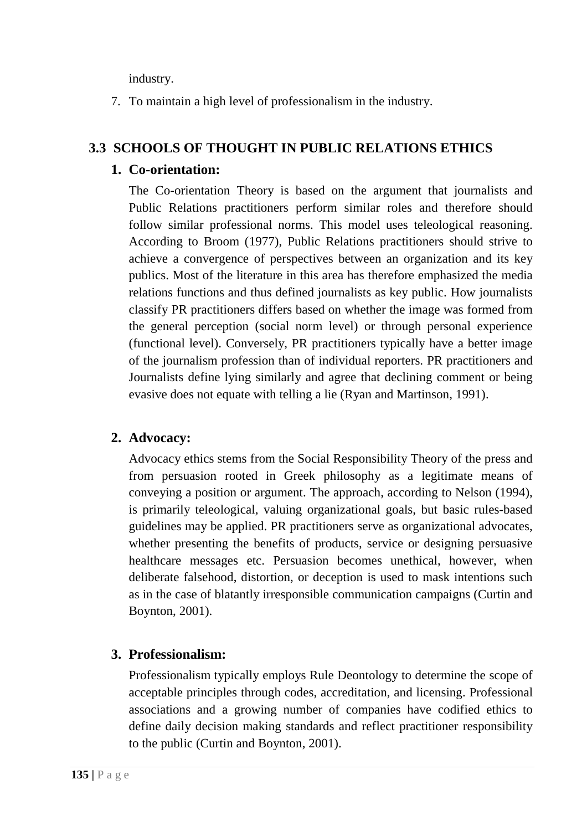industry.

7. To maintain a high level of professionalism in the industry.

## **3.3 SCHOOLS OF THOUGHT IN PUBLIC RELATIONS ETHICS**

### **1. Co-orientation:**

The Co-orientation Theory is based on the argument that journalists and Public Relations practitioners perform similar roles and therefore should follow similar professional norms. This model uses teleological reasoning. According to Broom (1977), Public Relations practitioners should strive to achieve a convergence of perspectives between an organization and its key publics. Most of the literature in this area has therefore emphasized the media relations functions and thus defined journalists as key public. How journalists classify PR practitioners differs based on whether the image was formed from the general perception (social norm level) or through personal experience (functional level). Conversely, PR practitioners typically have a better image of the journalism profession than of individual reporters. PR practitioners and Journalists define lying similarly and agree that declining comment or being evasive does not equate with telling a lie (Ryan and Martinson, 1991).

## **2. Advocacy:**

Advocacy ethics stems from the Social Responsibility Theory of the press and from persuasion rooted in Greek philosophy as a legitimate means of conveying a position or argument. The approach, according to Nelson (1994), is primarily teleological, valuing organizational goals, but basic rules-based guidelines may be applied. PR practitioners serve as organizational advocates, whether presenting the benefits of products, service or designing persuasive healthcare messages etc. Persuasion becomes unethical, however, when deliberate falsehood, distortion, or deception is used to mask intentions such as in the case of blatantly irresponsible communication campaigns (Curtin and Boynton, 2001).

## **3. Professionalism:**

Professionalism typically employs Rule Deontology to determine the scope of acceptable principles through codes, accreditation, and licensing. Professional associations and a growing number of companies have codified ethics to define daily decision making standards and reflect practitioner responsibility to the public (Curtin and Boynton, 2001).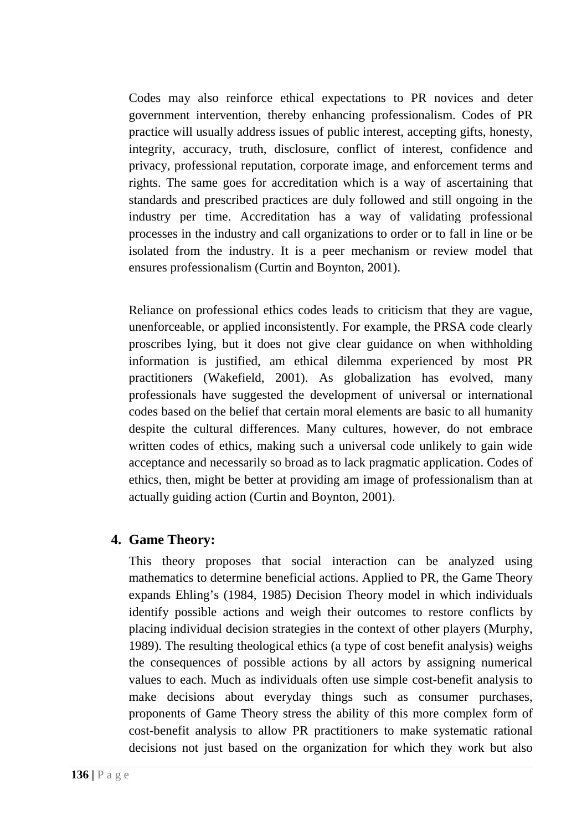Codes may also reinforce ethical expectations to PR novices and deter government intervention, thereby enhancing professionalism. Codes of PR practice will usually address issues of public interest, accepting gifts, honesty, integrity, accuracy, truth, disclosure, conflict of interest, confidence and privacy, professional reputation, corporate image, and enforcement terms and rights. The same goes for accreditation which is a way of ascertaining that standards and prescribed practices are duly followed and still ongoing in the industry per time. Accreditation has a way of validating professional processes in the industry and call organizations to order or to fall in line or be isolated from the industry. It is a peer mechanism or review model that ensures professionalism (Curtin and Boynton, 2001).

Reliance on professional ethics codes leads to criticism that they are vague, unenforceable, or applied inconsistently. For example, the PRSA code clearly proscribes lying, but it does not give clear guidance on when withholding information is justified, am ethical dilemma experienced by most PR practitioners (Wakefield, 2001). As globalization has evolved, many professionals have suggested the development of universal or international codes based on the belief that certain moral elements are basic to all humanity despite the cultural differences. Many cultures, however, do not embrace written codes of ethics, making such a universal code unlikely to gain wide acceptance and necessarily so broad as to lack pragmatic application. Codes of ethics, then, might be better at providing am image of professionalism than at actually guiding action (Curtin and Boynton, 2001).

### **4. Game Theory:**

This theory proposes that social interaction can be analyzed using mathematics to determine beneficial actions. Applied to PR, the Game Theory expands Ehling's (1984, 1985) Decision Theory model in which individuals identify possible actions and weigh their outcomes to restore conflicts by placing individual decision strategies in the context of other players (Murphy, 1989). The resulting theological ethics (a type of cost benefit analysis) weighs the consequences of possible actions by all actors by assigning numerical values to each. Much as individuals often use simple cost-benefit analysis to make decisions about everyday things such as consumer purchases, proponents of Game Theory stress the ability of this more complex form of cost-benefit analysis to allow PR practitioners to make systematic rational decisions not just based on the organization for which they work but also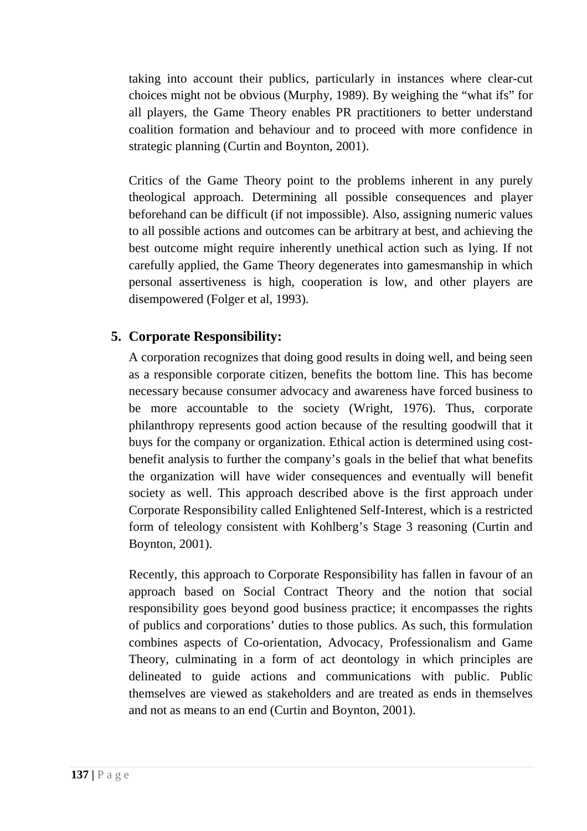taking into account their publics, particularly in instances where clear-cut choices might not be obvious (Murphy, 1989). By weighing the "what ifs" for all players, the Game Theory enables PR practitioners to better understand coalition formation and behaviour and to proceed with more confidence in strategic planning (Curtin and Boynton, 2001).

Critics of the Game Theory point to the problems inherent in any purely theological approach. Determining all possible consequences and player beforehand can be difficult (if not impossible). Also, assigning numeric values to all possible actions and outcomes can be arbitrary at best, and achieving the best outcome might require inherently unethical action such as lying. If not carefully applied, the Game Theory degenerates into gamesmanship in which personal assertiveness is high, cooperation is low, and other players are disempowered (Folger et al, 1993).

## **5. Corporate Responsibility:**

A corporation recognizes that doing good results in doing well, and being seen as a responsible corporate citizen, benefits the bottom line. This has become necessary because consumer advocacy and awareness have forced business to be more accountable to the society (Wright, 1976). Thus, corporate philanthropy represents good action because of the resulting goodwill that it buys for the company or organization. Ethical action is determined using costbenefit analysis to further the company's goals in the belief that what benefits the organization will have wider consequences and eventually will benefit society as well. This approach described above is the first approach under Corporate Responsibility called Enlightened Self-Interest, which is a restricted form of teleology consistent with Kohlberg's Stage 3 reasoning (Curtin and Boynton, 2001).

Recently, this approach to Corporate Responsibility has fallen in favour of an approach based on Social Contract Theory and the notion that social responsibility goes beyond good business practice; it encompasses the rights of publics and corporations' duties to those publics. As such, this formulation combines aspects of Co-orientation, Advocacy, Professionalism and Game Theory, culminating in a form of act deontology in which principles are delineated to guide actions and communications with public. Public themselves are viewed as stakeholders and are treated as ends in themselves and not as means to an end (Curtin and Boynton, 2001).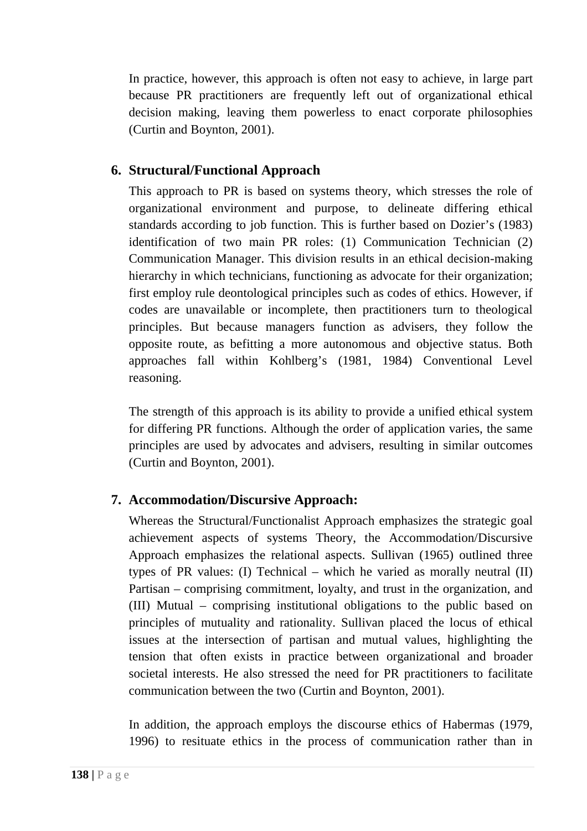In practice, however, this approach is often not easy to achieve, in large part because PR practitioners are frequently left out of organizational ethical decision making, leaving them powerless to enact corporate philosophies (Curtin and Boynton, 2001).

### **6. Structural/Functional Approach**

This approach to PR is based on systems theory, which stresses the role of organizational environment and purpose, to delineate differing ethical standards according to job function. This is further based on Dozier's (1983) identification of two main PR roles: (1) Communication Technician (2) Communication Manager. This division results in an ethical decision-making hierarchy in which technicians, functioning as advocate for their organization; first employ rule deontological principles such as codes of ethics. However, if codes are unavailable or incomplete, then practitioners turn to theological principles. But because managers function as advisers, they follow the opposite route, as befitting a more autonomous and objective status. Both approaches fall within Kohlberg's (1981, 1984) Conventional Level reasoning.

The strength of this approach is its ability to provide a unified ethical system for differing PR functions. Although the order of application varies, the same principles are used by advocates and advisers, resulting in similar outcomes (Curtin and Boynton, 2001).

## **7. Accommodation/Discursive Approach:**

Whereas the Structural/Functionalist Approach emphasizes the strategic goal achievement aspects of systems Theory, the Accommodation/Discursive Approach emphasizes the relational aspects. Sullivan (1965) outlined three types of PR values: (I) Technical – which he varied as morally neutral (II) Partisan – comprising commitment, loyalty, and trust in the organization, and (III) Mutual – comprising institutional obligations to the public based on principles of mutuality and rationality. Sullivan placed the locus of ethical issues at the intersection of partisan and mutual values, highlighting the tension that often exists in practice between organizational and broader societal interests. He also stressed the need for PR practitioners to facilitate communication between the two (Curtin and Boynton, 2001).

In addition, the approach employs the discourse ethics of Habermas (1979, 1996) to resituate ethics in the process of communication rather than in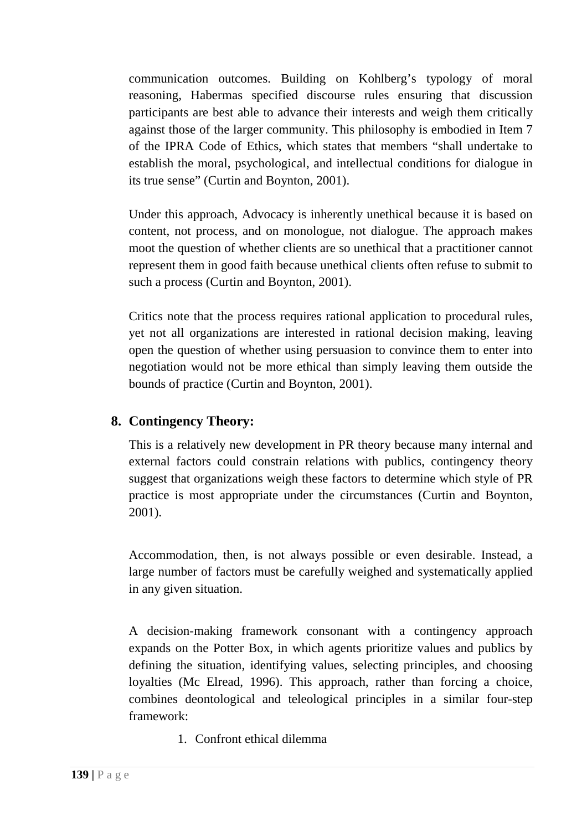communication outcomes. Building on Kohlberg's typology of moral reasoning, Habermas specified discourse rules ensuring that discussion participants are best able to advance their interests and weigh them critically against those of the larger community. This philosophy is embodied in Item 7 of the IPRA Code of Ethics, which states that members "shall undertake to establish the moral, psychological, and intellectual conditions for dialogue in its true sense" (Curtin and Boynton, 2001).

Under this approach, Advocacy is inherently unethical because it is based on content, not process, and on monologue, not dialogue. The approach makes moot the question of whether clients are so unethical that a practitioner cannot represent them in good faith because unethical clients often refuse to submit to such a process (Curtin and Boynton, 2001).

Critics note that the process requires rational application to procedural rules, yet not all organizations are interested in rational decision making, leaving open the question of whether using persuasion to convince them to enter into negotiation would not be more ethical than simply leaving them outside the bounds of practice (Curtin and Boynton, 2001).

## **8. Contingency Theory:**

This is a relatively new development in PR theory because many internal and external factors could constrain relations with publics, contingency theory suggest that organizations weigh these factors to determine which style of PR practice is most appropriate under the circumstances (Curtin and Boynton, 2001).

Accommodation, then, is not always possible or even desirable. Instead, a large number of factors must be carefully weighed and systematically applied in any given situation.

A decision-making framework consonant with a contingency approach expands on the Potter Box, in which agents prioritize values and publics by defining the situation, identifying values, selecting principles, and choosing loyalties (Mc Elread, 1996). This approach, rather than forcing a choice, combines deontological and teleological principles in a similar four-step framework:

1. Confront ethical dilemma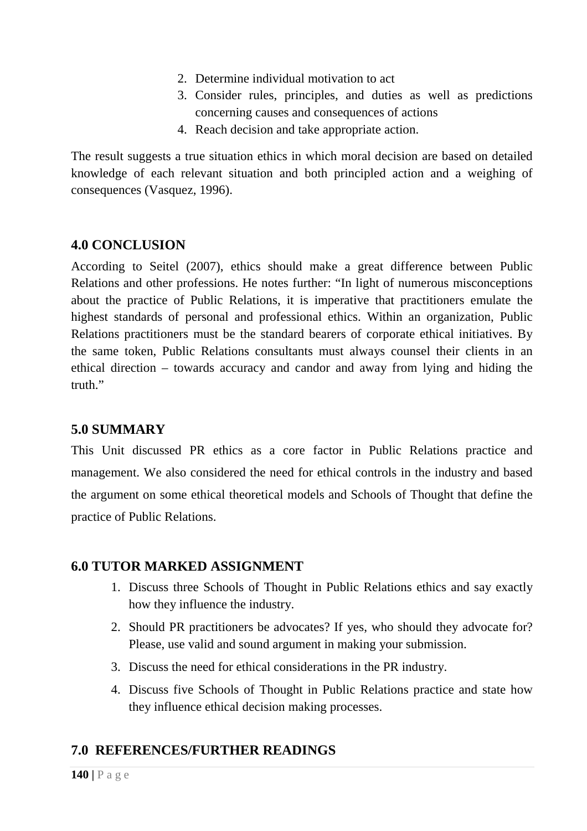- 2. Determine individual motivation to act
- 3. Consider rules, principles, and duties as well as predictions concerning causes and consequences of actions
- 4. Reach decision and take appropriate action.

The result suggests a true situation ethics in which moral decision are based on detailed knowledge of each relevant situation and both principled action and a weighing of consequences (Vasquez, 1996).

### **4.0 CONCLUSION**

According to Seitel (2007), ethics should make a great difference between Public Relations and other professions. He notes further: "In light of numerous misconceptions about the practice of Public Relations, it is imperative that practitioners emulate the highest standards of personal and professional ethics. Within an organization, Public Relations practitioners must be the standard bearers of corporate ethical initiatives. By the same token, Public Relations consultants must always counsel their clients in an ethical direction – towards accuracy and candor and away from lying and hiding the truth."

### **5.0 SUMMARY**

This Unit discussed PR ethics as a core factor in Public Relations practice and management. We also considered the need for ethical controls in the industry and based the argument on some ethical theoretical models and Schools of Thought that define the practice of Public Relations.

### **6.0 TUTOR MARKED ASSIGNMENT**

- 1. Discuss three Schools of Thought in Public Relations ethics and say exactly how they influence the industry.
- 2. Should PR practitioners be advocates? If yes, who should they advocate for? Please, use valid and sound argument in making your submission.
- 3. Discuss the need for ethical considerations in the PR industry.
- 4. Discuss five Schools of Thought in Public Relations practice and state how they influence ethical decision making processes.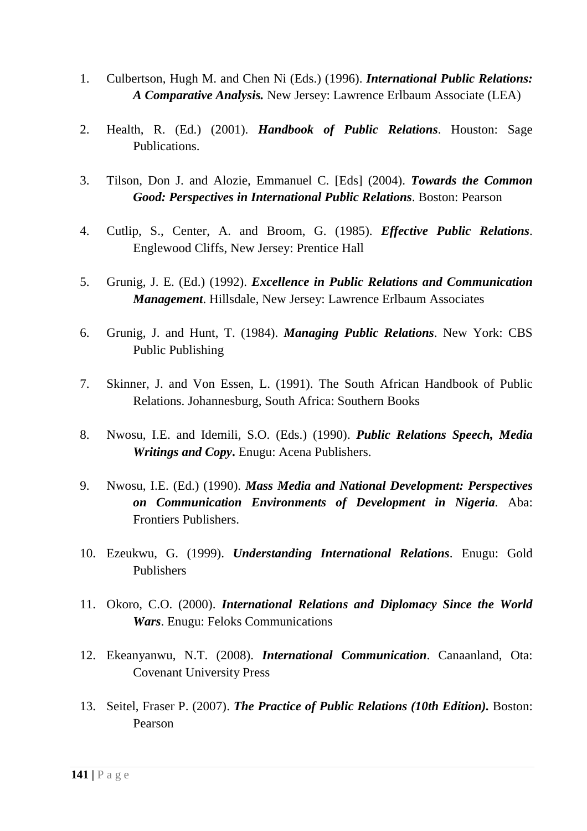- 1. Culbertson, Hugh M. and Chen Ni (Eds.) (1996). *International Public Relations: A Comparative Analysis.* New Jersey: Lawrence Erlbaum Associate (LEA)
- 2. Health, R. (Ed.) (2001). *Handbook of Public Relations*. Houston: Sage Publications.
- 3. Tilson, Don J. and Alozie, Emmanuel C. [Eds] (2004). *Towards the Common Good: Perspectives in International Public Relations*. Boston: Pearson
- 4. Cutlip, S., Center, A. and Broom, G. (1985). *Effective Public Relations*. Englewood Cliffs, New Jersey: Prentice Hall
- 5. Grunig, J. E. (Ed.) (1992). *Excellence in Public Relations and Communication Management*. Hillsdale, New Jersey: Lawrence Erlbaum Associates
- 6. Grunig, J. and Hunt, T. (1984). *Managing Public Relations*. New York: CBS Public Publishing
- 7. Skinner, J. and Von Essen, L. (1991). The South African Handbook of Public Relations. Johannesburg, South Africa: Southern Books
- 8. Nwosu, I.E. and Idemili, S.O. (Eds.) (1990). *Public Relations Speech, Media Writings and Copy***.** Enugu: Acena Publishers.
- 9. Nwosu, I.E. (Ed.) (1990). *Mass Media and National Development: Perspectives on Communication Environments of Development in Nigeria.* Aba: Frontiers Publishers.
- 10. Ezeukwu, G. (1999). *Understanding International Relations*. Enugu: Gold Publishers
- 11. Okoro, C.O. (2000). *International Relations and Diplomacy Since the World Wars*. Enugu: Feloks Communications
- 12. Ekeanyanwu, N.T. (2008). *International Communication*. Canaanland, Ota: Covenant University Press
- 13. Seitel, Fraser P. (2007). *The Practice of Public Relations (10th Edition).* Boston: Pearson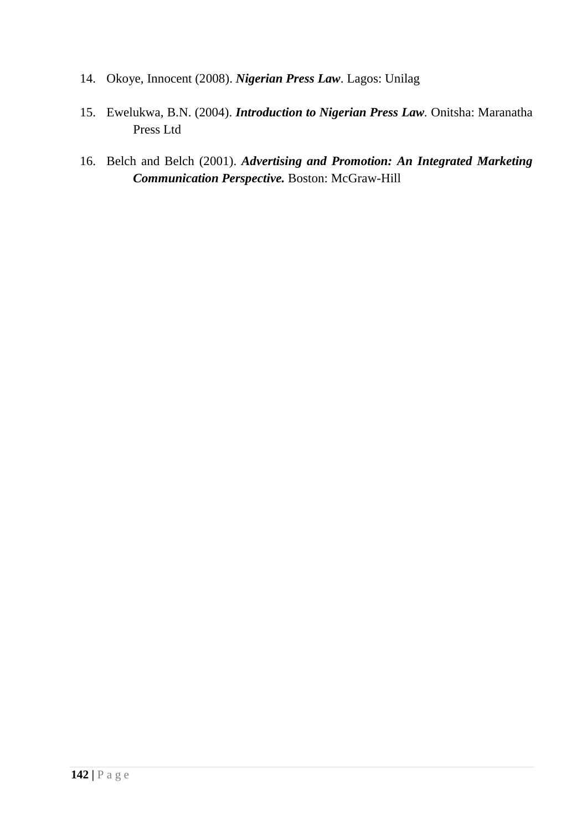- 14. Okoye, Innocent (2008). *Nigerian Press Law*. Lagos: Unilag
- 15. Ewelukwa, B.N. (2004). *Introduction to Nigerian Press Law.* Onitsha: Maranatha Press Ltd
- 16. Belch and Belch (2001). *Advertising and Promotion: An Integrated Marketing Communication Perspective.* Boston: McGraw-Hill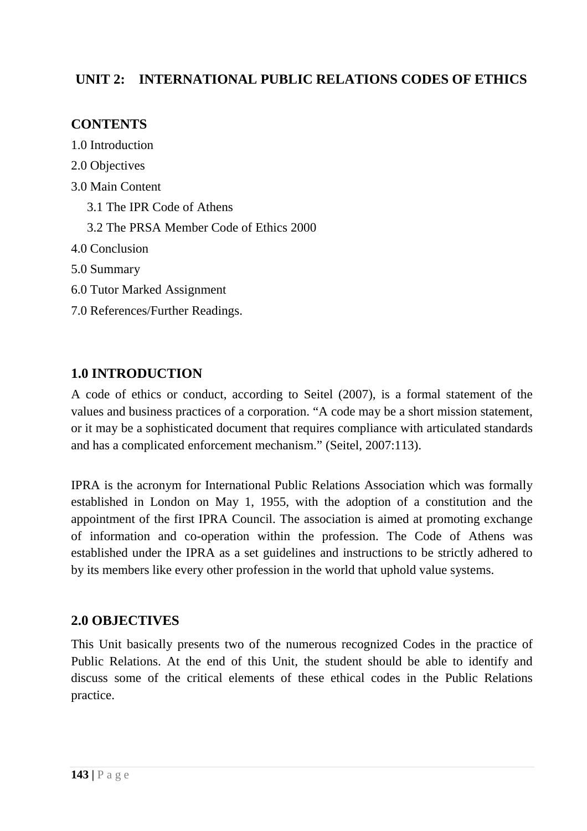## **UNIT 2: INTERNATIONAL PUBLIC RELATIONS CODES OF ETHICS**

### **CONTENTS**

- 1.0 Introduction
- 2.0 Objectives
- 3.0 Main Content
	- 3.1 The IPR Code of Athens
	- 3.2 The PRSA Member Code of Ethics 2000
- 4.0 Conclusion
- 5.0 Summary
- 6.0 Tutor Marked Assignment
- 7.0 References/Further Readings.

## **1.0 INTRODUCTION**

A code of ethics or conduct, according to Seitel (2007), is a formal statement of the values and business practices of a corporation. "A code may be a short mission statement, or it may be a sophisticated document that requires compliance with articulated standards and has a complicated enforcement mechanism." (Seitel, 2007:113).

IPRA is the acronym for International Public Relations Association which was formally established in London on May 1, 1955, with the adoption of a constitution and the appointment of the first IPRA Council. The association is aimed at promoting exchange of information and co-operation within the profession. The Code of Athens was established under the IPRA as a set guidelines and instructions to be strictly adhered to by its members like every other profession in the world that uphold value systems.

## **2.0 OBJECTIVES**

This Unit basically presents two of the numerous recognized Codes in the practice of Public Relations. At the end of this Unit, the student should be able to identify and discuss some of the critical elements of these ethical codes in the Public Relations practice.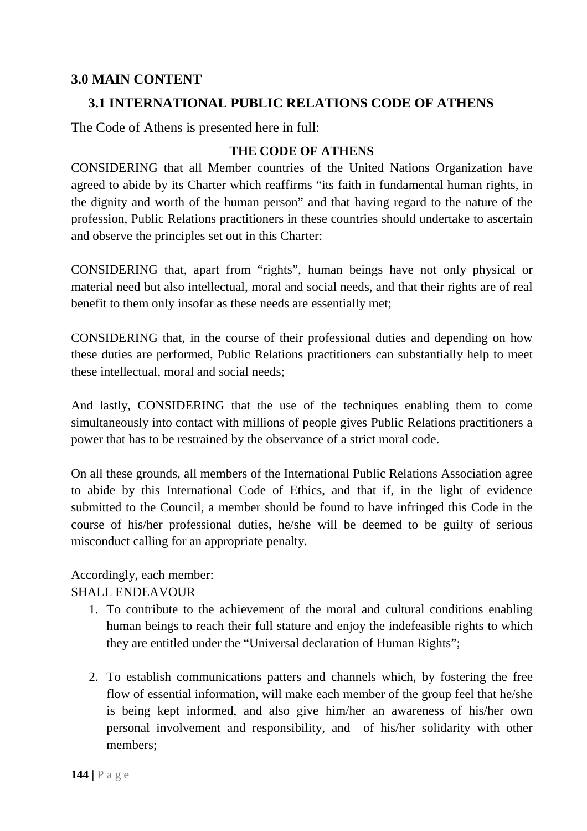### **3.0 MAIN CONTENT**

### **3.1 INTERNATIONAL PUBLIC RELATIONS CODE OF ATHENS**

The Code of Athens is presented here in full:

#### **THE CODE OF ATHENS**

CONSIDERING that all Member countries of the United Nations Organization have agreed to abide by its Charter which reaffirms "its faith in fundamental human rights, in the dignity and worth of the human person" and that having regard to the nature of the profession, Public Relations practitioners in these countries should undertake to ascertain and observe the principles set out in this Charter:

CONSIDERING that, apart from "rights", human beings have not only physical or material need but also intellectual, moral and social needs, and that their rights are of real benefit to them only insofar as these needs are essentially met;

CONSIDERING that, in the course of their professional duties and depending on how these duties are performed, Public Relations practitioners can substantially help to meet these intellectual, moral and social needs;

And lastly, CONSIDERING that the use of the techniques enabling them to come simultaneously into contact with millions of people gives Public Relations practitioners a power that has to be restrained by the observance of a strict moral code.

On all these grounds, all members of the International Public Relations Association agree to abide by this International Code of Ethics, and that if, in the light of evidence submitted to the Council, a member should be found to have infringed this Code in the course of his/her professional duties, he/she will be deemed to be guilty of serious misconduct calling for an appropriate penalty.

### Accordingly, each member:

#### SHALL ENDEAVOUR

- 1. To contribute to the achievement of the moral and cultural conditions enabling human beings to reach their full stature and enjoy the indefeasible rights to which they are entitled under the "Universal declaration of Human Rights";
- 2. To establish communications patters and channels which, by fostering the free flow of essential information, will make each member of the group feel that he/she is being kept informed, and also give him/her an awareness of his/her own personal involvement and responsibility, and of his/her solidarity with other members;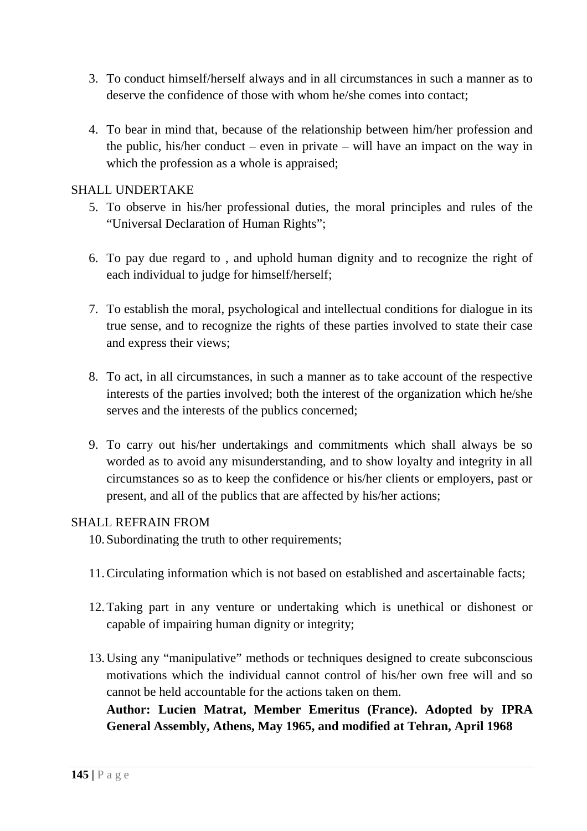- 3. To conduct himself/herself always and in all circumstances in such a manner as to deserve the confidence of those with whom he/she comes into contact;
- 4. To bear in mind that, because of the relationship between him/her profession and the public, his/her conduct – even in private – will have an impact on the way in which the profession as a whole is appraised:

#### SHALL UNDERTAKE

- 5. To observe in his/her professional duties, the moral principles and rules of the "Universal Declaration of Human Rights";
- 6. To pay due regard to , and uphold human dignity and to recognize the right of each individual to judge for himself/herself;
- 7. To establish the moral, psychological and intellectual conditions for dialogue in its true sense, and to recognize the rights of these parties involved to state their case and express their views;
- 8. To act, in all circumstances, in such a manner as to take account of the respective interests of the parties involved; both the interest of the organization which he/she serves and the interests of the publics concerned;
- 9. To carry out his/her undertakings and commitments which shall always be so worded as to avoid any misunderstanding, and to show loyalty and integrity in all circumstances so as to keep the confidence or his/her clients or employers, past or present, and all of the publics that are affected by his/her actions;

#### SHALL REFRAIN FROM

- 10. Subordinating the truth to other requirements;
- 11.Circulating information which is not based on established and ascertainable facts;
- 12.Taking part in any venture or undertaking which is unethical or dishonest or capable of impairing human dignity or integrity;
- 13.Using any "manipulative" methods or techniques designed to create subconscious motivations which the individual cannot control of his/her own free will and so cannot be held accountable for the actions taken on them. **Author: Lucien Matrat, Member Emeritus (France). Adopted by IPRA General Assembly, Athens, May 1965, and modified at Tehran, April 1968**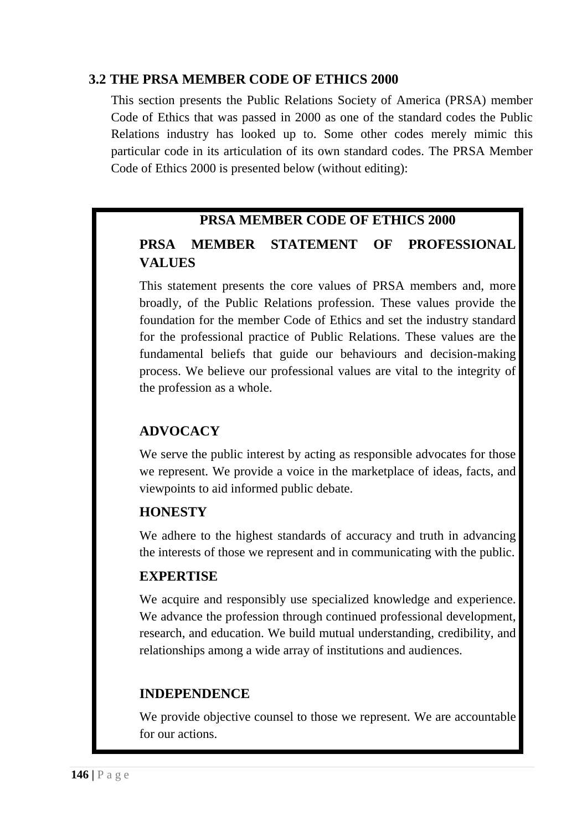### **3.2 THE PRSA MEMBER CODE OF ETHICS 2000**

This section presents the Public Relations Society of America (PRSA) member Code of Ethics that was passed in 2000 as one of the standard codes the Public Relations industry has looked up to. Some other codes merely mimic this particular code in its articulation of its own standard codes. The PRSA Member Code of Ethics 2000 is presented below (without editing):

## **PRSA MEMBER CODE OF ETHICS 2000**

# **PRSA MEMBER STATEMENT OF PROFESSIONAL VALUES**

This statement presents the core values of PRSA members and, more broadly, of the Public Relations profession. These values provide the foundation for the member Code of Ethics and set the industry standard for the professional practice of Public Relations. These values are the fundamental beliefs that guide our behaviours and decision-making process. We believe our professional values are vital to the integrity of the profession as a whole.

# **ADVOCACY**

We serve the public interest by acting as responsible advocates for those we represent. We provide a voice in the marketplace of ideas, facts, and viewpoints to aid informed public debate.

### **HONESTY**

We adhere to the highest standards of accuracy and truth in advancing the interests of those we represent and in communicating with the public.

### **EXPERTISE**

We acquire and responsibly use specialized knowledge and experience. We advance the profession through continued professional development, research, and education. We build mutual understanding, credibility, and relationships among a wide array of institutions and audiences.

### **INDEPENDENCE**

We provide objective counsel to those we represent. We are accountable for our actions.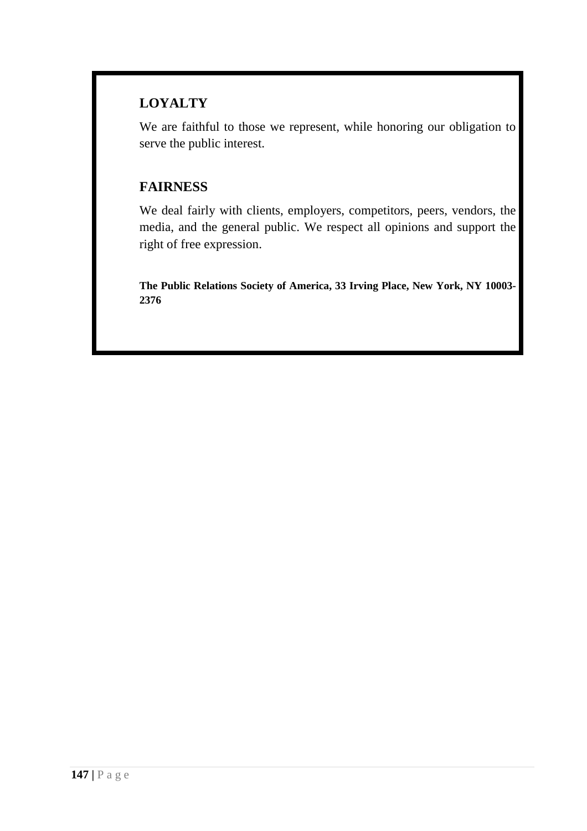# **LOYALTY**

We are faithful to those we represent, while honoring our obligation to serve the public interest.

## **FAIRNESS**

We deal fairly with clients, employers, competitors, peers, vendors, the media, and the general public. We respect all opinions and support the right of free expression.

**The Public Relations Society of America, 33 Irving Place, New York, NY 10003- 2376**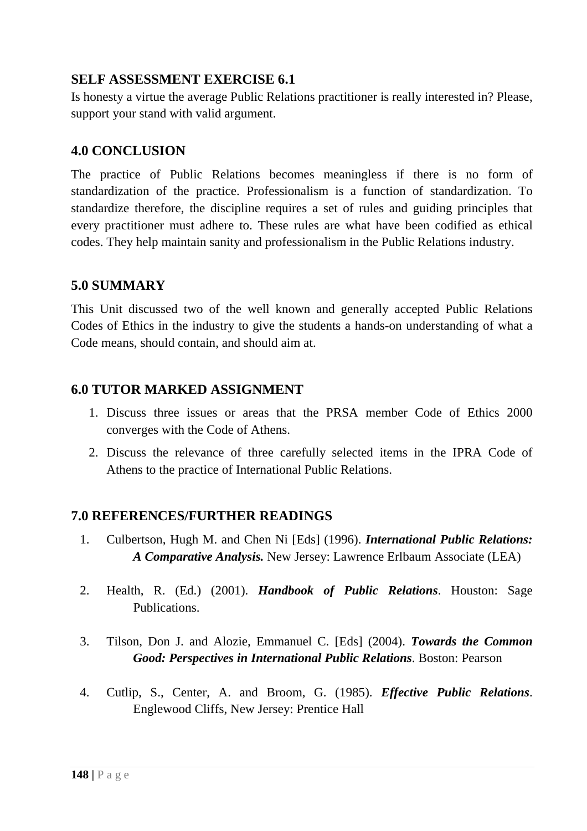### **SELF ASSESSMENT EXERCISE 6.1**

Is honesty a virtue the average Public Relations practitioner is really interested in? Please, support your stand with valid argument.

### **4.0 CONCLUSION**

The practice of Public Relations becomes meaningless if there is no form of standardization of the practice. Professionalism is a function of standardization. To standardize therefore, the discipline requires a set of rules and guiding principles that every practitioner must adhere to. These rules are what have been codified as ethical codes. They help maintain sanity and professionalism in the Public Relations industry.

# **5.0 SUMMARY**

This Unit discussed two of the well known and generally accepted Public Relations Codes of Ethics in the industry to give the students a hands-on understanding of what a Code means, should contain, and should aim at.

## **6.0 TUTOR MARKED ASSIGNMENT**

- 1. Discuss three issues or areas that the PRSA member Code of Ethics 2000 converges with the Code of Athens.
- 2. Discuss the relevance of three carefully selected items in the IPRA Code of Athens to the practice of International Public Relations.

- 1. Culbertson, Hugh M. and Chen Ni [Eds] (1996). *International Public Relations: A Comparative Analysis.* New Jersey: Lawrence Erlbaum Associate (LEA)
- 2. Health, R. (Ed.) (2001). *Handbook of Public Relations*. Houston: Sage Publications.
- 3. Tilson, Don J. and Alozie, Emmanuel C. [Eds] (2004). *Towards the Common Good: Perspectives in International Public Relations*. Boston: Pearson
- 4. Cutlip, S., Center, A. and Broom, G. (1985). *Effective Public Relations*. Englewood Cliffs, New Jersey: Prentice Hall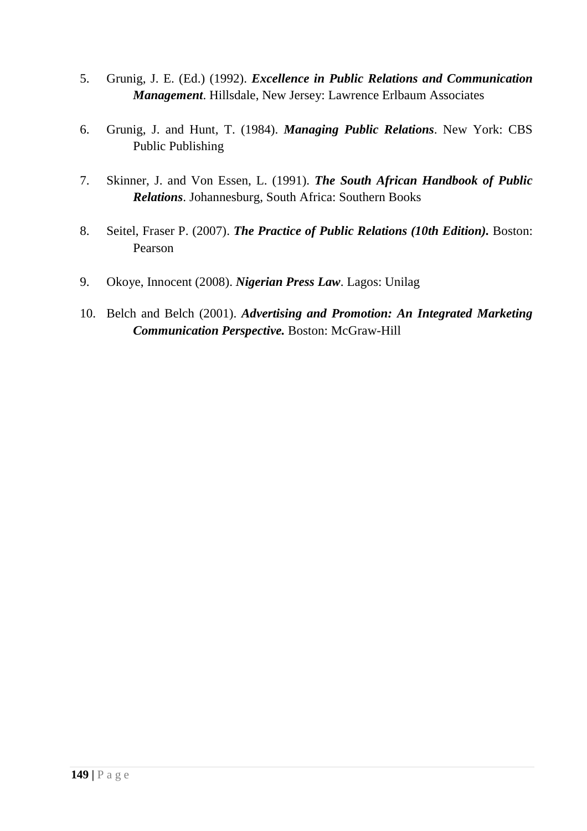- 5. Grunig, J. E. (Ed.) (1992). *Excellence in Public Relations and Communication Management*. Hillsdale, New Jersey: Lawrence Erlbaum Associates
- 6. Grunig, J. and Hunt, T. (1984). *Managing Public Relations*. New York: CBS Public Publishing
- 7. Skinner, J. and Von Essen, L. (1991). *The South African Handbook of Public Relations*. Johannesburg, South Africa: Southern Books
- 8. Seitel, Fraser P. (2007). *The Practice of Public Relations (10th Edition).* Boston: Pearson
- 9. Okoye, Innocent (2008). *Nigerian Press Law*. Lagos: Unilag
- 10. Belch and Belch (2001). *Advertising and Promotion: An Integrated Marketing Communication Perspective.* Boston: McGraw-Hill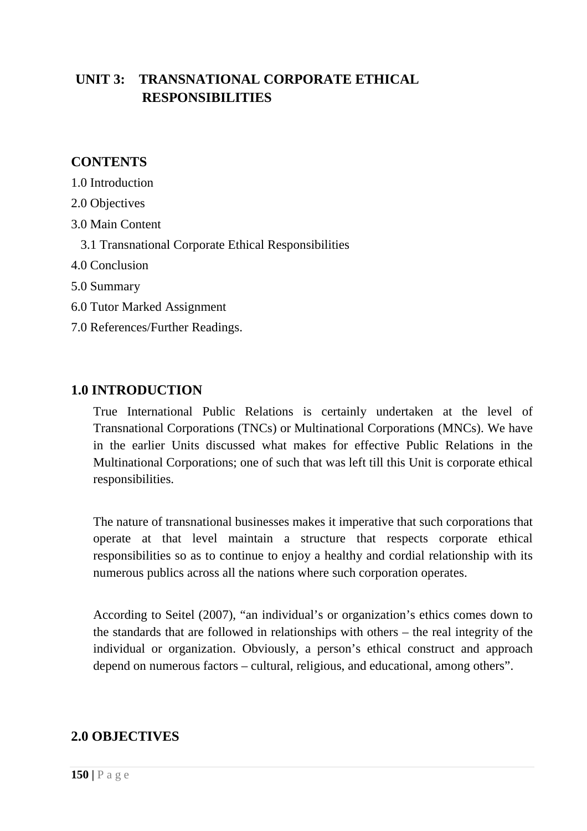# **UNIT 3: TRANSNATIONAL CORPORATE ETHICAL RESPONSIBILITIES**

## **CONTENTS**

1.0 Introduction

- 2.0 Objectives
- 3.0 Main Content
	- 3.1 Transnational Corporate Ethical Responsibilities
- 4.0 Conclusion
- 5.0 Summary
- 6.0 Tutor Marked Assignment
- 7.0 References/Further Readings.

### **1.0 INTRODUCTION**

True International Public Relations is certainly undertaken at the level of Transnational Corporations (TNCs) or Multinational Corporations (MNCs). We have in the earlier Units discussed what makes for effective Public Relations in the Multinational Corporations; one of such that was left till this Unit is corporate ethical responsibilities.

The nature of transnational businesses makes it imperative that such corporations that operate at that level maintain a structure that respects corporate ethical responsibilities so as to continue to enjoy a healthy and cordial relationship with its numerous publics across all the nations where such corporation operates.

According to Seitel (2007), "an individual's or organization's ethics comes down to the standards that are followed in relationships with others – the real integrity of the individual or organization. Obviously, a person's ethical construct and approach depend on numerous factors – cultural, religious, and educational, among others".

### **2.0 OBJECTIVES**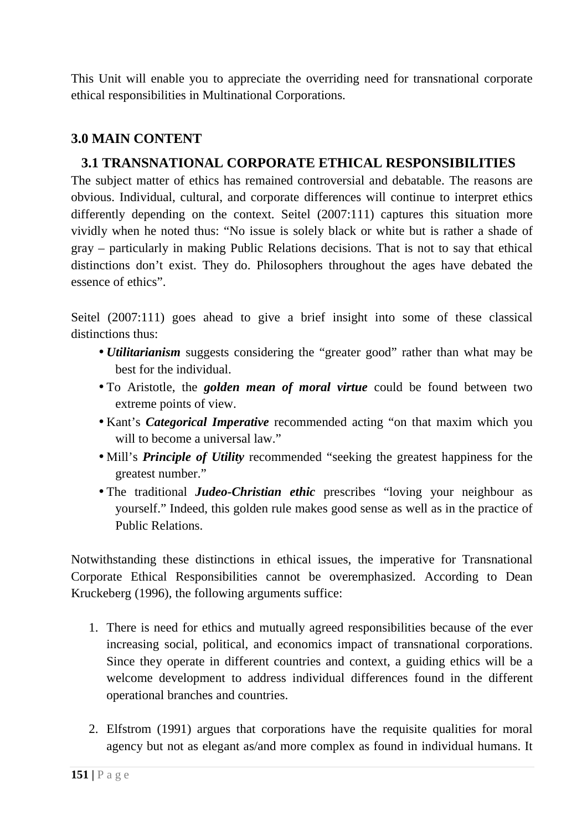This Unit will enable you to appreciate the overriding need for transnational corporate ethical responsibilities in Multinational Corporations.

# **3.0 MAIN CONTENT**

## **3.1 TRANSNATIONAL CORPORATE ETHICAL RESPONSIBILITIES**

The subject matter of ethics has remained controversial and debatable. The reasons are obvious. Individual, cultural, and corporate differences will continue to interpret ethics differently depending on the context. Seitel (2007:111) captures this situation more vividly when he noted thus: "No issue is solely black or white but is rather a shade of gray – particularly in making Public Relations decisions. That is not to say that ethical distinctions don't exist. They do. Philosophers throughout the ages have debated the essence of ethics".

Seitel (2007:111) goes ahead to give a brief insight into some of these classical distinctions thus:

- *Utilitarianism* suggests considering the "greater good" rather than what may be best for the individual.
- To Aristotle, the *golden mean of moral virtue* could be found between two extreme points of view.
- Kant's *Categorical Imperative* recommended acting "on that maxim which you will to become a universal law."
- Mill's *Principle of Utility* recommended "seeking the greatest happiness for the greatest number."
- The traditional *Judeo-Christian ethic* prescribes "loving your neighbour as yourself." Indeed, this golden rule makes good sense as well as in the practice of Public Relations.

Notwithstanding these distinctions in ethical issues, the imperative for Transnational Corporate Ethical Responsibilities cannot be overemphasized. According to Dean Kruckeberg (1996), the following arguments suffice:

- 1. There is need for ethics and mutually agreed responsibilities because of the ever increasing social, political, and economics impact of transnational corporations. Since they operate in different countries and context, a guiding ethics will be a welcome development to address individual differences found in the different operational branches and countries.
- 2. Elfstrom (1991) argues that corporations have the requisite qualities for moral agency but not as elegant as/and more complex as found in individual humans. It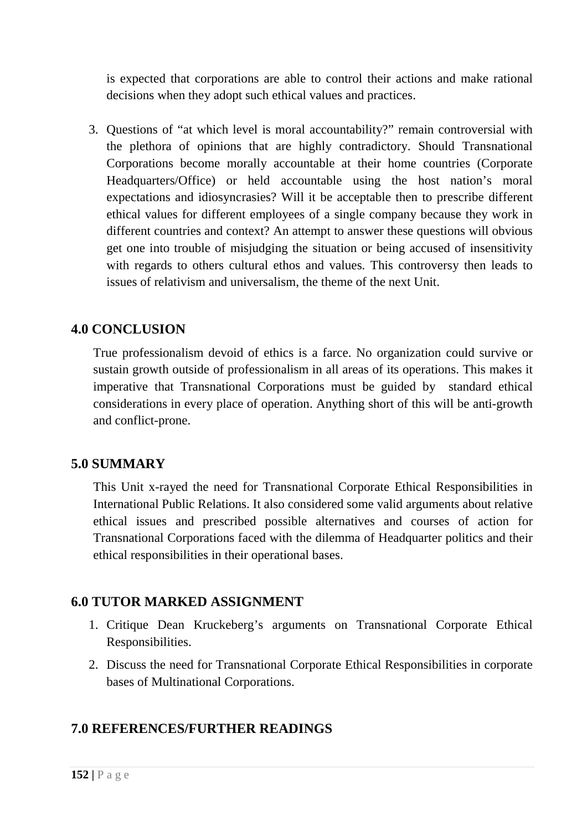is expected that corporations are able to control their actions and make rational decisions when they adopt such ethical values and practices.

3. Questions of "at which level is moral accountability?" remain controversial with the plethora of opinions that are highly contradictory. Should Transnational Corporations become morally accountable at their home countries (Corporate Headquarters/Office) or held accountable using the host nation's moral expectations and idiosyncrasies? Will it be acceptable then to prescribe different ethical values for different employees of a single company because they work in different countries and context? An attempt to answer these questions will obvious get one into trouble of misjudging the situation or being accused of insensitivity with regards to others cultural ethos and values. This controversy then leads to issues of relativism and universalism, the theme of the next Unit.

## **4.0 CONCLUSION**

True professionalism devoid of ethics is a farce. No organization could survive or sustain growth outside of professionalism in all areas of its operations. This makes it imperative that Transnational Corporations must be guided by standard ethical considerations in every place of operation. Anything short of this will be anti-growth and conflict-prone.

### **5.0 SUMMARY**

This Unit x-rayed the need for Transnational Corporate Ethical Responsibilities in International Public Relations. It also considered some valid arguments about relative ethical issues and prescribed possible alternatives and courses of action for Transnational Corporations faced with the dilemma of Headquarter politics and their ethical responsibilities in their operational bases.

#### **6.0 TUTOR MARKED ASSIGNMENT**

- 1. Critique Dean Kruckeberg's arguments on Transnational Corporate Ethical Responsibilities.
- 2. Discuss the need for Transnational Corporate Ethical Responsibilities in corporate bases of Multinational Corporations.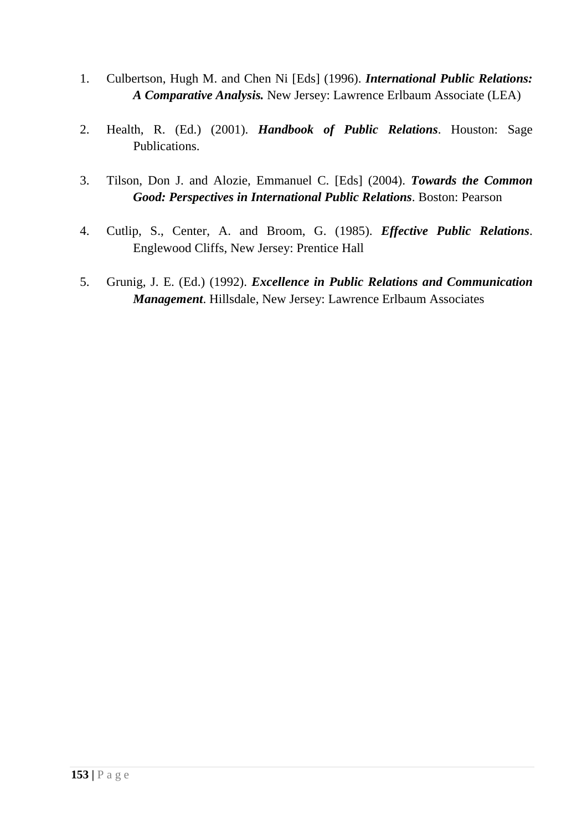- 1. Culbertson, Hugh M. and Chen Ni [Eds] (1996). *International Public Relations: A Comparative Analysis.* New Jersey: Lawrence Erlbaum Associate (LEA)
- 2. Health, R. (Ed.) (2001). *Handbook of Public Relations*. Houston: Sage Publications.
- 3. Tilson, Don J. and Alozie, Emmanuel C. [Eds] (2004). *Towards the Common Good: Perspectives in International Public Relations*. Boston: Pearson
- 4. Cutlip, S., Center, A. and Broom, G. (1985). *Effective Public Relations*. Englewood Cliffs, New Jersey: Prentice Hall
- 5. Grunig, J. E. (Ed.) (1992). *Excellence in Public Relations and Communication Management*. Hillsdale, New Jersey: Lawrence Erlbaum Associates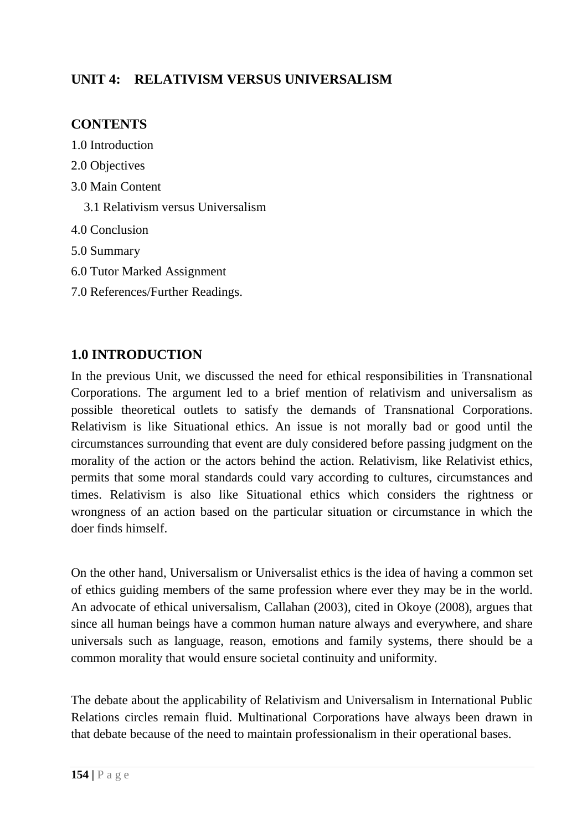# **UNIT 4: RELATIVISM VERSUS UNIVERSALISM**

# **CONTENTS**

- 1.0 Introduction
- 2.0 Objectives
- 3.0 Main Content
	- 3.1 Relativism versus Universalism
- 4.0 Conclusion
- 5.0 Summary
- 6.0 Tutor Marked Assignment
- 7.0 References/Further Readings.

# **1.0 INTRODUCTION**

In the previous Unit, we discussed the need for ethical responsibilities in Transnational Corporations. The argument led to a brief mention of relativism and universalism as possible theoretical outlets to satisfy the demands of Transnational Corporations. Relativism is like Situational ethics. An issue is not morally bad or good until the circumstances surrounding that event are duly considered before passing judgment on the morality of the action or the actors behind the action. Relativism, like Relativist ethics, permits that some moral standards could vary according to cultures, circumstances and times. Relativism is also like Situational ethics which considers the rightness or wrongness of an action based on the particular situation or circumstance in which the doer finds himself.

On the other hand, Universalism or Universalist ethics is the idea of having a common set of ethics guiding members of the same profession where ever they may be in the world. An advocate of ethical universalism, Callahan (2003), cited in Okoye (2008), argues that since all human beings have a common human nature always and everywhere, and share universals such as language, reason, emotions and family systems, there should be a common morality that would ensure societal continuity and uniformity.

The debate about the applicability of Relativism and Universalism in International Public Relations circles remain fluid. Multinational Corporations have always been drawn in that debate because of the need to maintain professionalism in their operational bases.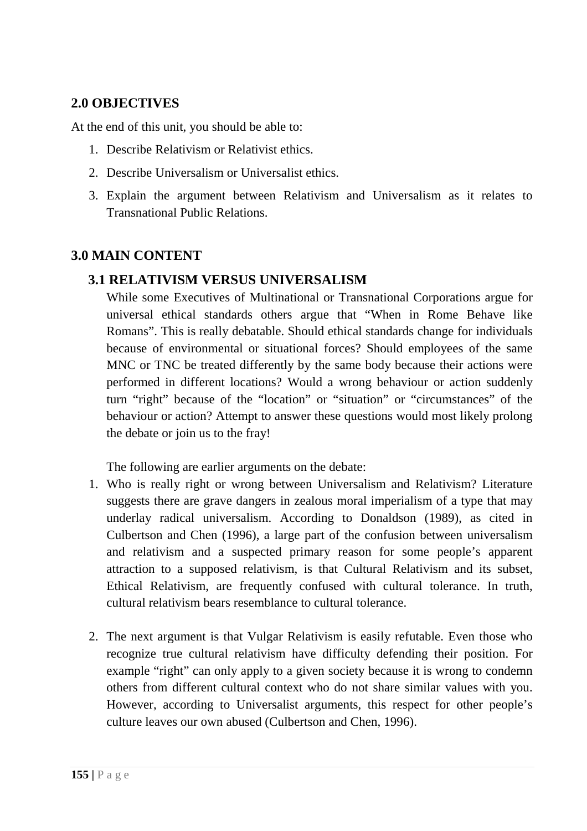# **2.0 OBJECTIVES**

At the end of this unit, you should be able to:

- 1. Describe Relativism or Relativist ethics.
- 2. Describe Universalism or Universalist ethics.
- 3. Explain the argument between Relativism and Universalism as it relates to Transnational Public Relations.

### **3.0 MAIN CONTENT**

### **3.1 RELATIVISM VERSUS UNIVERSALISM**

While some Executives of Multinational or Transnational Corporations argue for universal ethical standards others argue that "When in Rome Behave like Romans". This is really debatable. Should ethical standards change for individuals because of environmental or situational forces? Should employees of the same MNC or TNC be treated differently by the same body because their actions were performed in different locations? Would a wrong behaviour or action suddenly turn "right" because of the "location" or "situation" or "circumstances" of the behaviour or action? Attempt to answer these questions would most likely prolong the debate or join us to the fray!

The following are earlier arguments on the debate:

- 1. Who is really right or wrong between Universalism and Relativism? Literature suggests there are grave dangers in zealous moral imperialism of a type that may underlay radical universalism. According to Donaldson (1989), as cited in Culbertson and Chen (1996), a large part of the confusion between universalism and relativism and a suspected primary reason for some people's apparent attraction to a supposed relativism, is that Cultural Relativism and its subset, Ethical Relativism, are frequently confused with cultural tolerance. In truth, cultural relativism bears resemblance to cultural tolerance.
- 2. The next argument is that Vulgar Relativism is easily refutable. Even those who recognize true cultural relativism have difficulty defending their position. For example "right" can only apply to a given society because it is wrong to condemn others from different cultural context who do not share similar values with you. However, according to Universalist arguments, this respect for other people's culture leaves our own abused (Culbertson and Chen, 1996).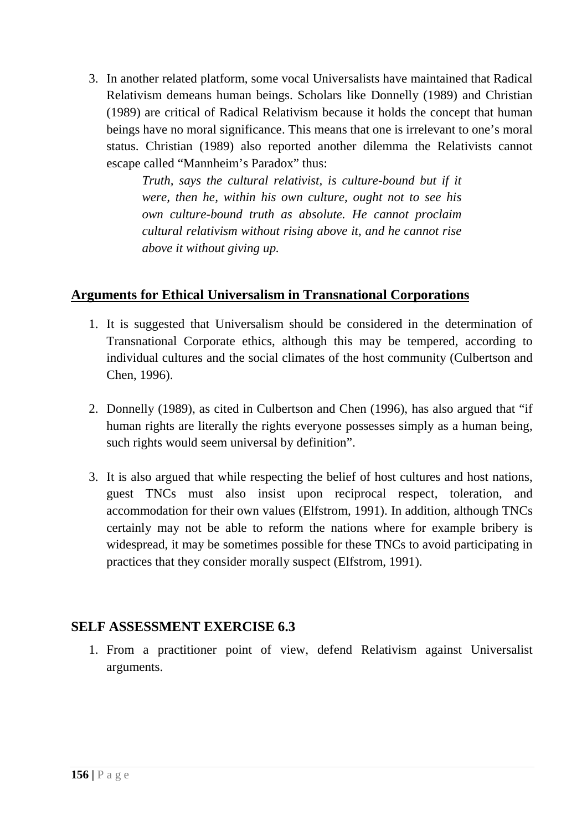3. In another related platform, some vocal Universalists have maintained that Radical Relativism demeans human beings. Scholars like Donnelly (1989) and Christian (1989) are critical of Radical Relativism because it holds the concept that human beings have no moral significance. This means that one is irrelevant to one's moral status. Christian (1989) also reported another dilemma the Relativists cannot escape called "Mannheim's Paradox" thus:

> *Truth, says the cultural relativist, is culture-bound but if it were, then he, within his own culture, ought not to see his own culture-bound truth as absolute. He cannot proclaim cultural relativism without rising above it, and he cannot rise above it without giving up.*

### **Arguments for Ethical Universalism in Transnational Corporations**

- 1. It is suggested that Universalism should be considered in the determination of Transnational Corporate ethics, although this may be tempered, according to individual cultures and the social climates of the host community (Culbertson and Chen, 1996).
- 2. Donnelly (1989), as cited in Culbertson and Chen (1996), has also argued that "if human rights are literally the rights everyone possesses simply as a human being, such rights would seem universal by definition".
- 3. It is also argued that while respecting the belief of host cultures and host nations, guest TNCs must also insist upon reciprocal respect, toleration, and accommodation for their own values (Elfstrom, 1991). In addition, although TNCs certainly may not be able to reform the nations where for example bribery is widespread, it may be sometimes possible for these TNCs to avoid participating in practices that they consider morally suspect (Elfstrom, 1991).

### **SELF ASSESSMENT EXERCISE 6.3**

1. From a practitioner point of view, defend Relativism against Universalist arguments.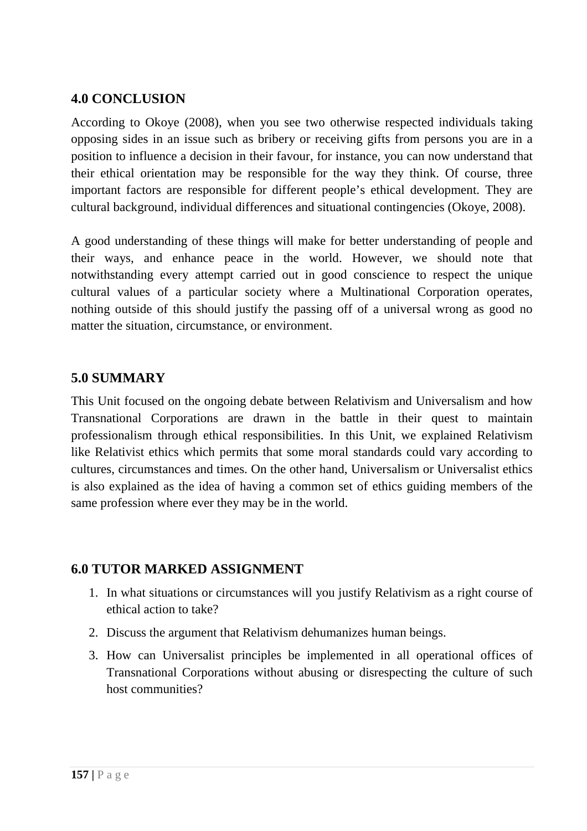### **4.0 CONCLUSION**

According to Okoye (2008), when you see two otherwise respected individuals taking opposing sides in an issue such as bribery or receiving gifts from persons you are in a position to influence a decision in their favour, for instance, you can now understand that their ethical orientation may be responsible for the way they think. Of course, three important factors are responsible for different people's ethical development. They are cultural background, individual differences and situational contingencies (Okoye, 2008).

A good understanding of these things will make for better understanding of people and their ways, and enhance peace in the world. However, we should note that notwithstanding every attempt carried out in good conscience to respect the unique cultural values of a particular society where a Multinational Corporation operates, nothing outside of this should justify the passing off of a universal wrong as good no matter the situation, circumstance, or environment.

### **5.0 SUMMARY**

This Unit focused on the ongoing debate between Relativism and Universalism and how Transnational Corporations are drawn in the battle in their quest to maintain professionalism through ethical responsibilities. In this Unit, we explained Relativism like Relativist ethics which permits that some moral standards could vary according to cultures, circumstances and times. On the other hand, Universalism or Universalist ethics is also explained as the idea of having a common set of ethics guiding members of the same profession where ever they may be in the world.

### **6.0 TUTOR MARKED ASSIGNMENT**

- 1. In what situations or circumstances will you justify Relativism as a right course of ethical action to take?
- 2. Discuss the argument that Relativism dehumanizes human beings.
- 3. How can Universalist principles be implemented in all operational offices of Transnational Corporations without abusing or disrespecting the culture of such host communities?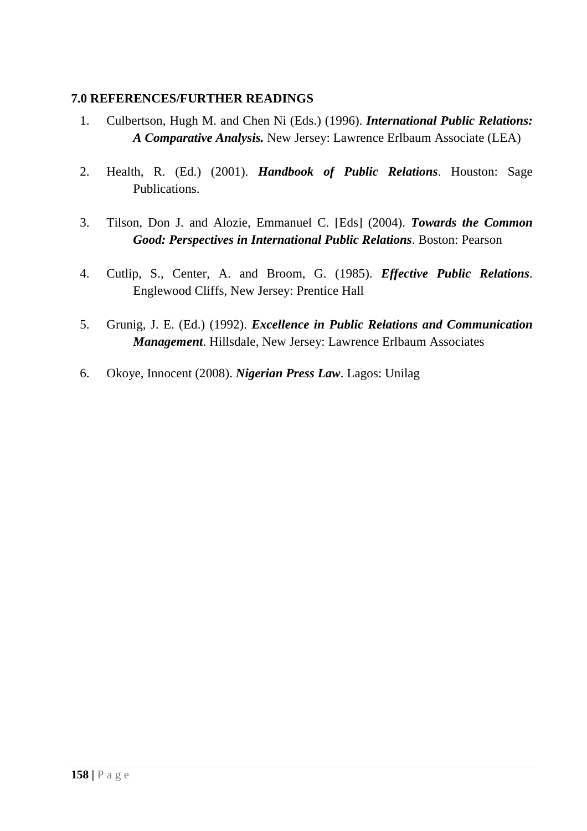- 1. Culbertson, Hugh M. and Chen Ni (Eds.) (1996). *International Public Relations: A Comparative Analysis.* New Jersey: Lawrence Erlbaum Associate (LEA)
- 2. Health, R. (Ed.) (2001). *Handbook of Public Relations*. Houston: Sage Publications.
- 3. Tilson, Don J. and Alozie, Emmanuel C. [Eds] (2004). *Towards the Common Good: Perspectives in International Public Relations*. Boston: Pearson
- 4. Cutlip, S., Center, A. and Broom, G. (1985). *Effective Public Relations*. Englewood Cliffs, New Jersey: Prentice Hall
- 5. Grunig, J. E. (Ed.) (1992). *Excellence in Public Relations and Communication Management*. Hillsdale, New Jersey: Lawrence Erlbaum Associates
- 6. Okoye, Innocent (2008). *Nigerian Press Law*. Lagos: Unilag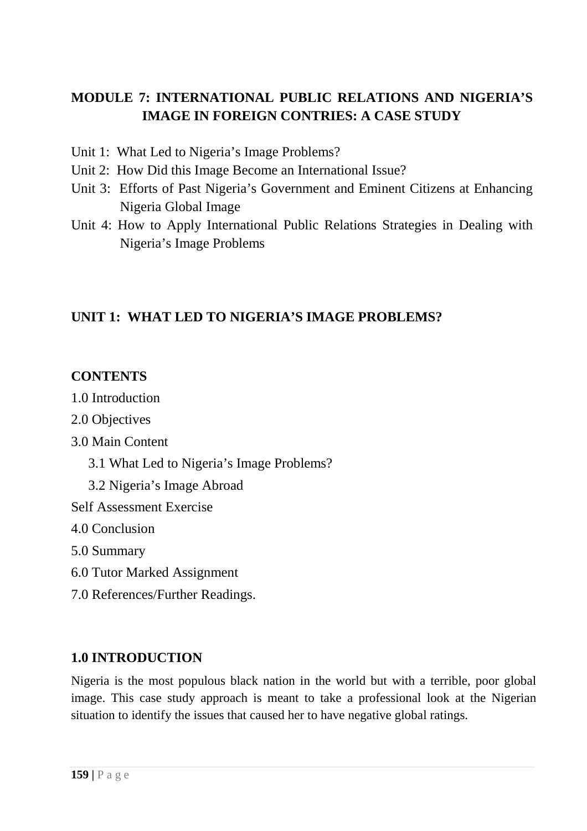# **MODULE 7: INTERNATIONAL PUBLIC RELATIONS AND NIGERIA'S IMAGE IN FOREIGN CONTRIES: A CASE STUDY**

- Unit 1: What Led to Nigeria's Image Problems?
- Unit 2: How Did this Image Become an International Issue?
- Unit 3: Efforts of Past Nigeria's Government and Eminent Citizens at Enhancing Nigeria Global Image
- Unit 4: How to Apply International Public Relations Strategies in Dealing with Nigeria's Image Problems

# **UNIT 1: WHAT LED TO NIGERIA'S IMAGE PROBLEMS?**

# **CONTENTS**

- 1.0 Introduction
- 2.0 Objectives
- 3.0 Main Content
	- 3.1 What Led to Nigeria's Image Problems?
	- 3.2 Nigeria's Image Abroad
- Self Assessment Exercise
- 4.0 Conclusion
- 5.0 Summary
- 6.0 Tutor Marked Assignment
- 7.0 References/Further Readings.

# **1.0 INTRODUCTION**

Nigeria is the most populous black nation in the world but with a terrible, poor global image. This case study approach is meant to take a professional look at the Nigerian situation to identify the issues that caused her to have negative global ratings.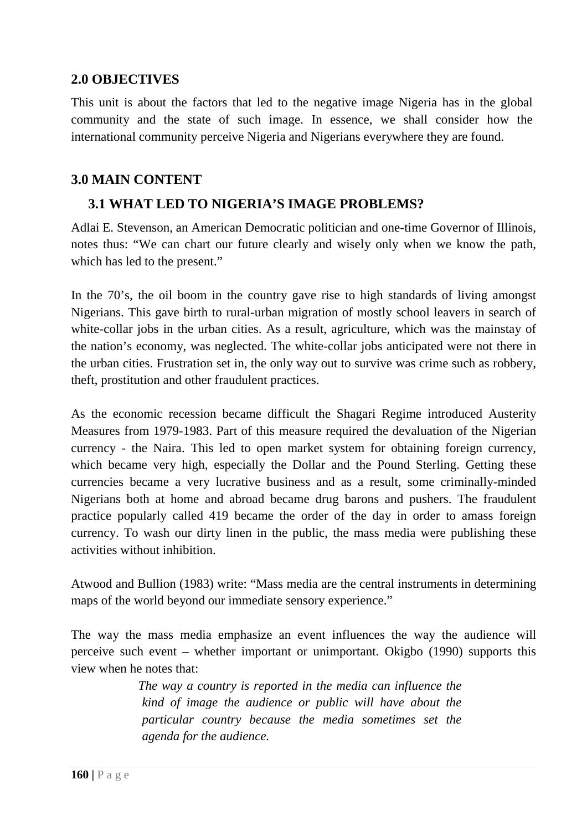### **2.0 OBJECTIVES**

This unit is about the factors that led to the negative image Nigeria has in the global community and the state of such image. In essence, we shall consider how the international community perceive Nigeria and Nigerians everywhere they are found.

### **3.0 MAIN CONTENT**

# **3.1 WHAT LED TO NIGERIA'S IMAGE PROBLEMS?**

Adlai E. Stevenson, an American Democratic politician and one-time Governor of Illinois, notes thus: "We can chart our future clearly and wisely only when we know the path, which has led to the present."

In the 70's, the oil boom in the country gave rise to high standards of living amongst Nigerians. This gave birth to rural-urban migration of mostly school leavers in search of white-collar jobs in the urban cities. As a result, agriculture, which was the mainstay of the nation's economy, was neglected. The white-collar jobs anticipated were not there in the urban cities. Frustration set in, the only way out to survive was crime such as robbery, theft, prostitution and other fraudulent practices.

As the economic recession became difficult the Shagari Regime introduced Austerity Measures from 1979-1983. Part of this measure required the devaluation of the Nigerian currency - the Naira. This led to open market system for obtaining foreign currency, which became very high, especially the Dollar and the Pound Sterling. Getting these currencies became a very lucrative business and as a result, some criminally-minded Nigerians both at home and abroad became drug barons and pushers. The fraudulent practice popularly called 419 became the order of the day in order to amass foreign currency. To wash our dirty linen in the public, the mass media were publishing these activities without inhibition.

Atwood and Bullion (1983) write: "Mass media are the central instruments in determining maps of the world beyond our immediate sensory experience."

The way the mass media emphasize an event influences the way the audience will perceive such event – whether important or unimportant. Okigbo (1990) supports this view when he notes that:

> *The way a country is reported in the media can influence the kind of image the audience or public will have about the particular country because the media sometimes set the agenda for the audience.*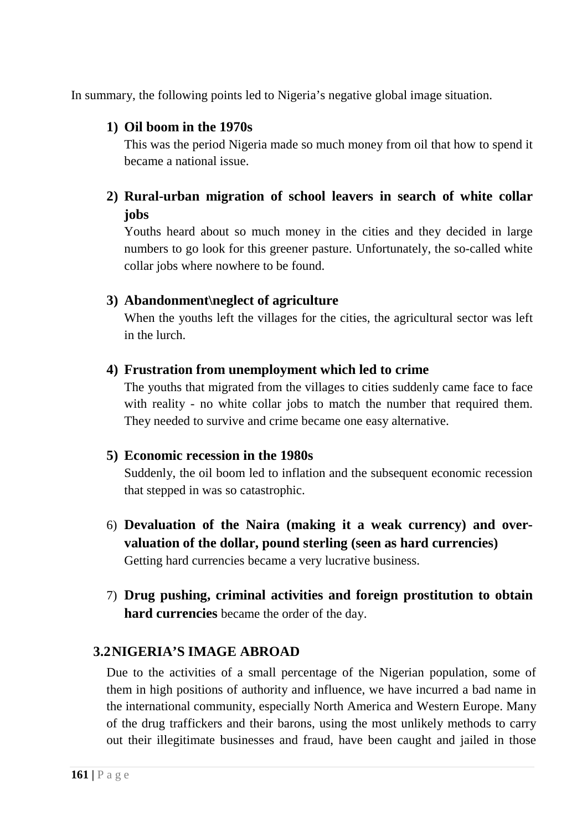In summary, the following points led to Nigeria's negative global image situation.

### **1) Oil boom in the 1970s**

This was the period Nigeria made so much money from oil that how to spend it became a national issue.

# **2) Rural-urban migration of school leavers in search of white collar jobs**

Youths heard about so much money in the cities and they decided in large numbers to go look for this greener pasture. Unfortunately, the so-called white collar jobs where nowhere to be found.

## **3) Abandonment\neglect of agriculture**

When the youths left the villages for the cities, the agricultural sector was left in the lurch.

## **4) Frustration from unemployment which led to crime**

The youths that migrated from the villages to cities suddenly came face to face with reality - no white collar jobs to match the number that required them. They needed to survive and crime became one easy alternative.

### **5) Economic recession in the 1980s**

Suddenly, the oil boom led to inflation and the subsequent economic recession that stepped in was so catastrophic.

- 6) **Devaluation of the Naira (making it a weak currency) and overvaluation of the dollar, pound sterling (seen as hard currencies)** Getting hard currencies became a very lucrative business.
- 7) **Drug pushing, criminal activities and foreign prostitution to obtain hard currencies** became the order of the day.

# **3.2NIGERIA'S IMAGE ABROAD**

Due to the activities of a small percentage of the Nigerian population, some of them in high positions of authority and influence, we have incurred a bad name in the international community, especially North America and Western Europe. Many of the drug traffickers and their barons, using the most unlikely methods to carry out their illegitimate businesses and fraud, have been caught and jailed in those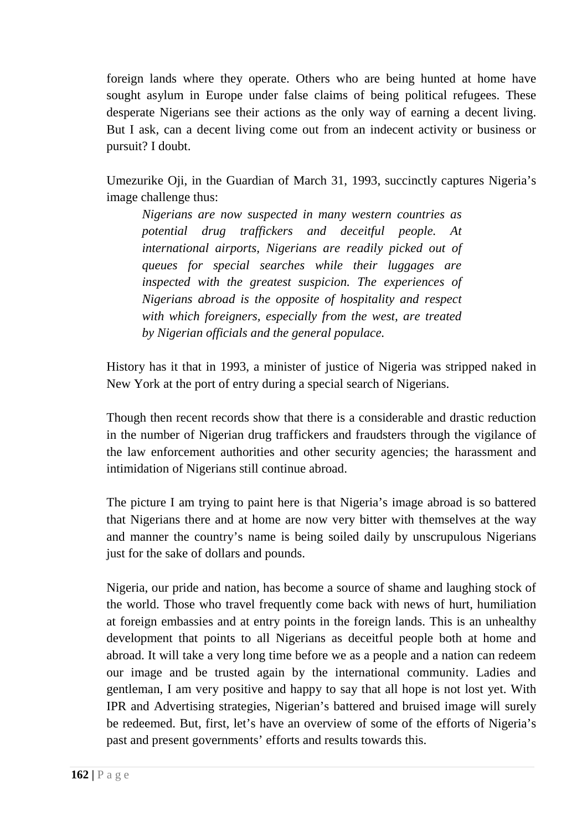foreign lands where they operate. Others who are being hunted at home have sought asylum in Europe under false claims of being political refugees. These desperate Nigerians see their actions as the only way of earning a decent living. But I ask, can a decent living come out from an indecent activity or business or pursuit? I doubt.

Umezurike Oji, in the Guardian of March 31, 1993, succinctly captures Nigeria's image challenge thus:

*Nigerians are now suspected in many western countries as potential drug traffickers and deceitful people. At international airports, Nigerians are readily picked out of queues for special searches while their luggages are inspected with the greatest suspicion. The experiences of Nigerians abroad is the opposite of hospitality and respect with which foreigners, especially from the west, are treated by Nigerian officials and the general populace.* 

History has it that in 1993, a minister of justice of Nigeria was stripped naked in New York at the port of entry during a special search of Nigerians.

Though then recent records show that there is a considerable and drastic reduction in the number of Nigerian drug traffickers and fraudsters through the vigilance of the law enforcement authorities and other security agencies; the harassment and intimidation of Nigerians still continue abroad.

The picture I am trying to paint here is that Nigeria's image abroad is so battered that Nigerians there and at home are now very bitter with themselves at the way and manner the country's name is being soiled daily by unscrupulous Nigerians just for the sake of dollars and pounds.

Nigeria, our pride and nation, has become a source of shame and laughing stock of the world. Those who travel frequently come back with news of hurt, humiliation at foreign embassies and at entry points in the foreign lands. This is an unhealthy development that points to all Nigerians as deceitful people both at home and abroad. It will take a very long time before we as a people and a nation can redeem our image and be trusted again by the international community. Ladies and gentleman, I am very positive and happy to say that all hope is not lost yet. With IPR and Advertising strategies, Nigerian's battered and bruised image will surely be redeemed. But, first, let's have an overview of some of the efforts of Nigeria's past and present governments' efforts and results towards this.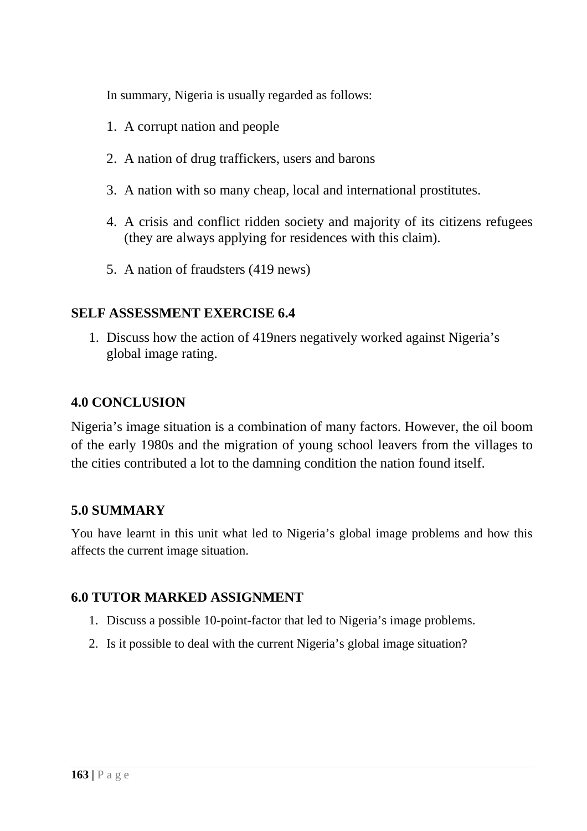In summary, Nigeria is usually regarded as follows:

- 1. A corrupt nation and people
- 2. A nation of drug traffickers, users and barons
- 3. A nation with so many cheap, local and international prostitutes.
- 4. A crisis and conflict ridden society and majority of its citizens refugees (they are always applying for residences with this claim).
- 5. A nation of fraudsters (419 news)

## **SELF ASSESSMENT EXERCISE 6.4**

1. Discuss how the action of 419ners negatively worked against Nigeria's global image rating.

### **4.0 CONCLUSION**

Nigeria's image situation is a combination of many factors. However, the oil boom of the early 1980s and the migration of young school leavers from the villages to the cities contributed a lot to the damning condition the nation found itself.

# **5.0 SUMMARY**

You have learnt in this unit what led to Nigeria's global image problems and how this affects the current image situation.

### **6.0 TUTOR MARKED ASSIGNMENT**

- 1. Discuss a possible 10-point-factor that led to Nigeria's image problems.
- 2. Is it possible to deal with the current Nigeria's global image situation?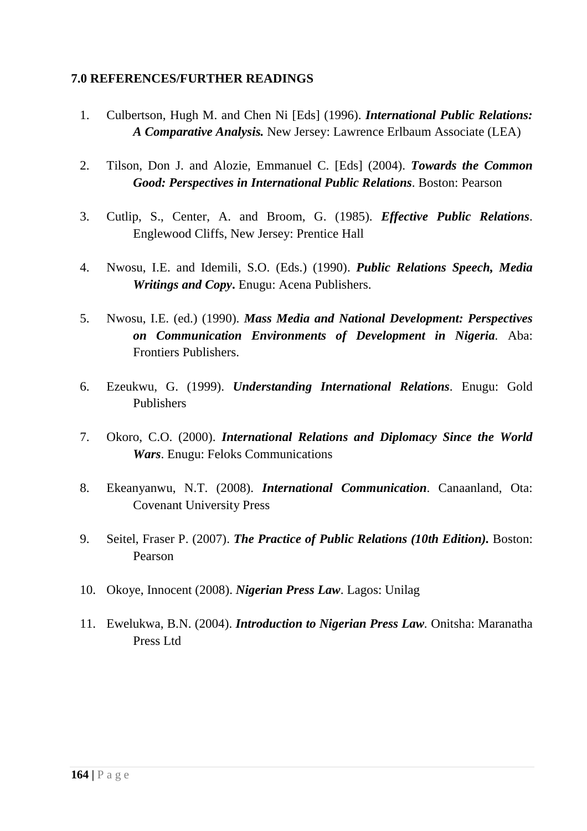- 1. Culbertson, Hugh M. and Chen Ni [Eds] (1996). *International Public Relations: A Comparative Analysis.* New Jersey: Lawrence Erlbaum Associate (LEA)
- 2. Tilson, Don J. and Alozie, Emmanuel C. [Eds] (2004). *Towards the Common Good: Perspectives in International Public Relations*. Boston: Pearson
- 3. Cutlip, S., Center, A. and Broom, G. (1985). *Effective Public Relations*. Englewood Cliffs, New Jersey: Prentice Hall
- 4. Nwosu, I.E. and Idemili, S.O. (Eds.) (1990). *Public Relations Speech, Media Writings and Copy***.** Enugu: Acena Publishers.
- 5. Nwosu, I.E. (ed.) (1990). *Mass Media and National Development: Perspectives on Communication Environments of Development in Nigeria.* Aba: Frontiers Publishers.
- 6. Ezeukwu, G. (1999). *Understanding International Relations*. Enugu: Gold Publishers
- 7. Okoro, C.O. (2000). *International Relations and Diplomacy Since the World Wars*. Enugu: Feloks Communications
- 8. Ekeanyanwu, N.T. (2008). *International Communication*. Canaanland, Ota: Covenant University Press
- 9. Seitel, Fraser P. (2007). *The Practice of Public Relations (10th Edition).* Boston: Pearson
- 10. Okoye, Innocent (2008). *Nigerian Press Law*. Lagos: Unilag
- 11. Ewelukwa, B.N. (2004). *Introduction to Nigerian Press Law.* Onitsha: Maranatha Press Ltd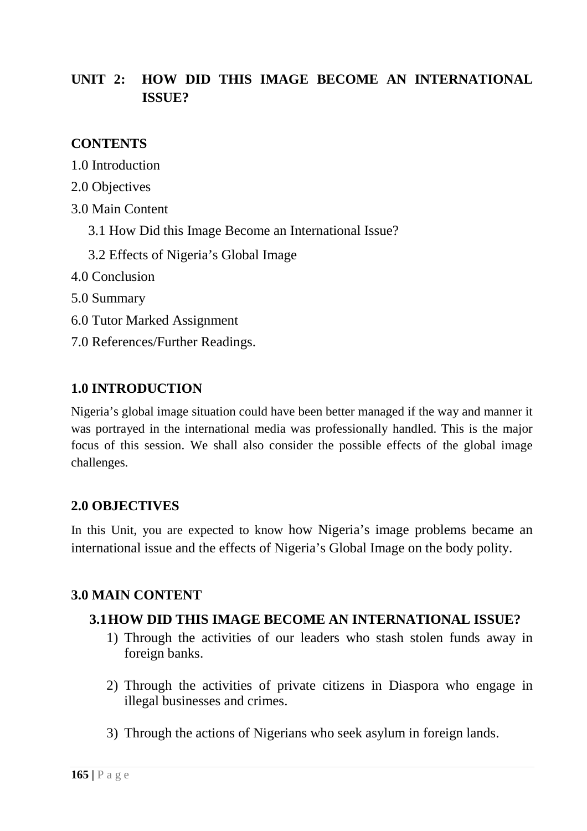# **UNIT 2: HOW DID THIS IMAGE BECOME AN INTERNATIONAL ISSUE?**

# **CONTENTS**

- 1.0 Introduction
- 2.0 Objectives
- 3.0 Main Content
	- 3.1 How Did this Image Become an International Issue?
	- 3.2 Effects of Nigeria's Global Image
- 4.0 Conclusion
- 5.0 Summary
- 6.0 Tutor Marked Assignment
- 7.0 References/Further Readings.

# **1.0 INTRODUCTION**

Nigeria's global image situation could have been better managed if the way and manner it was portrayed in the international media was professionally handled. This is the major focus of this session. We shall also consider the possible effects of the global image challenges.

# **2.0 OBJECTIVES**

In this Unit, you are expected to know how Nigeria's image problems became an international issue and the effects of Nigeria's Global Image on the body polity.

# **3.0 MAIN CONTENT**

# **3.1HOW DID THIS IMAGE BECOME AN INTERNATIONAL ISSUE?**

- 1) Through the activities of our leaders who stash stolen funds away in foreign banks.
- 2) Through the activities of private citizens in Diaspora who engage in illegal businesses and crimes.
- 3) Through the actions of Nigerians who seek asylum in foreign lands.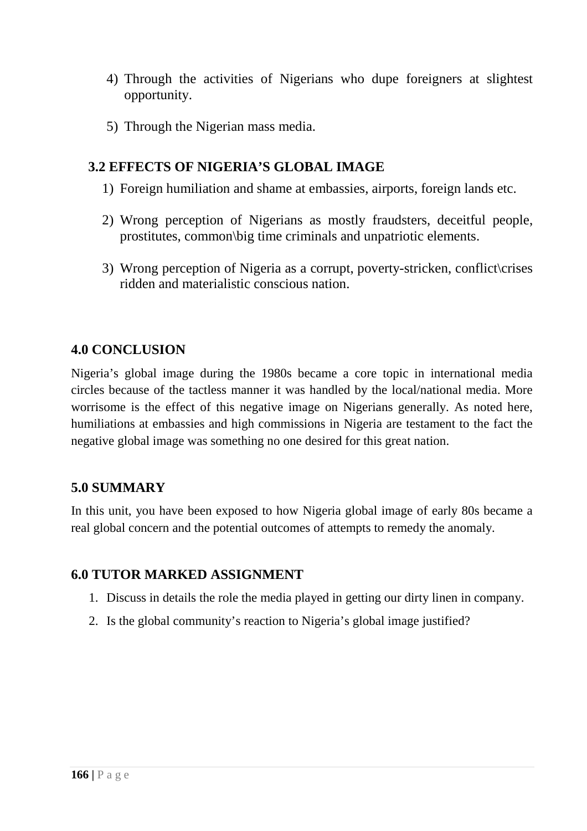- 4) Through the activities of Nigerians who dupe foreigners at slightest opportunity.
- 5) Through the Nigerian mass media.

## **3.2 EFFECTS OF NIGERIA'S GLOBAL IMAGE**

- 1) Foreign humiliation and shame at embassies, airports, foreign lands etc.
- 2) Wrong perception of Nigerians as mostly fraudsters, deceitful people, prostitutes, common\big time criminals and unpatriotic elements.
- 3) Wrong perception of Nigeria as a corrupt, poverty-stricken, conflict crises ridden and materialistic conscious nation.

### **4.0 CONCLUSION**

Nigeria's global image during the 1980s became a core topic in international media circles because of the tactless manner it was handled by the local/national media. More worrisome is the effect of this negative image on Nigerians generally. As noted here, humiliations at embassies and high commissions in Nigeria are testament to the fact the negative global image was something no one desired for this great nation.

### **5.0 SUMMARY**

In this unit, you have been exposed to how Nigeria global image of early 80s became a real global concern and the potential outcomes of attempts to remedy the anomaly.

### **6.0 TUTOR MARKED ASSIGNMENT**

- 1. Discuss in details the role the media played in getting our dirty linen in company.
- 2. Is the global community's reaction to Nigeria's global image justified?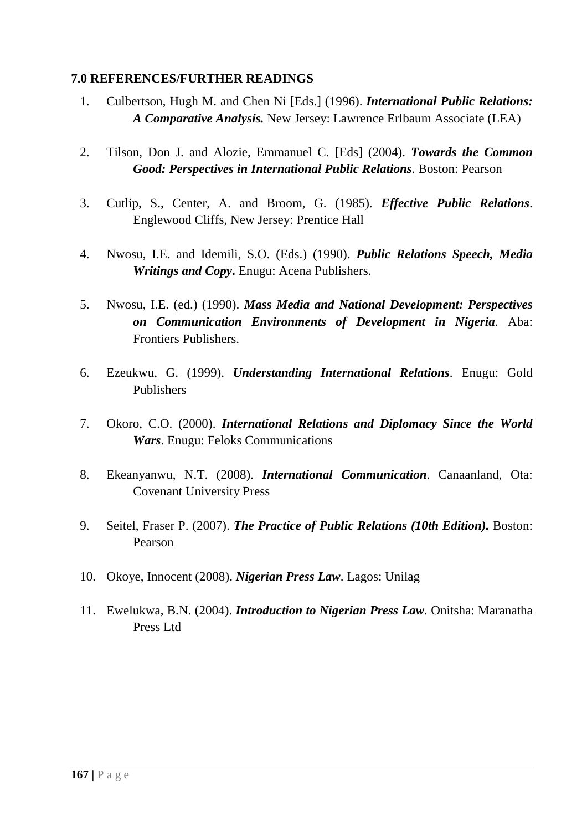- 1. Culbertson, Hugh M. and Chen Ni [Eds.] (1996). *International Public Relations: A Comparative Analysis.* New Jersey: Lawrence Erlbaum Associate (LEA)
- 2. Tilson, Don J. and Alozie, Emmanuel C. [Eds] (2004). *Towards the Common Good: Perspectives in International Public Relations*. Boston: Pearson
- 3. Cutlip, S., Center, A. and Broom, G. (1985). *Effective Public Relations*. Englewood Cliffs, New Jersey: Prentice Hall
- 4. Nwosu, I.E. and Idemili, S.O. (Eds.) (1990). *Public Relations Speech, Media Writings and Copy***.** Enugu: Acena Publishers.
- 5. Nwosu, I.E. (ed.) (1990). *Mass Media and National Development: Perspectives on Communication Environments of Development in Nigeria.* Aba: Frontiers Publishers.
- 6. Ezeukwu, G. (1999). *Understanding International Relations*. Enugu: Gold Publishers
- 7. Okoro, C.O. (2000). *International Relations and Diplomacy Since the World Wars*. Enugu: Feloks Communications
- 8. Ekeanyanwu, N.T. (2008). *International Communication*. Canaanland, Ota: Covenant University Press
- 9. Seitel, Fraser P. (2007). *The Practice of Public Relations (10th Edition).* Boston: Pearson
- 10. Okoye, Innocent (2008). *Nigerian Press Law*. Lagos: Unilag
- 11. Ewelukwa, B.N. (2004). *Introduction to Nigerian Press Law.* Onitsha: Maranatha Press Ltd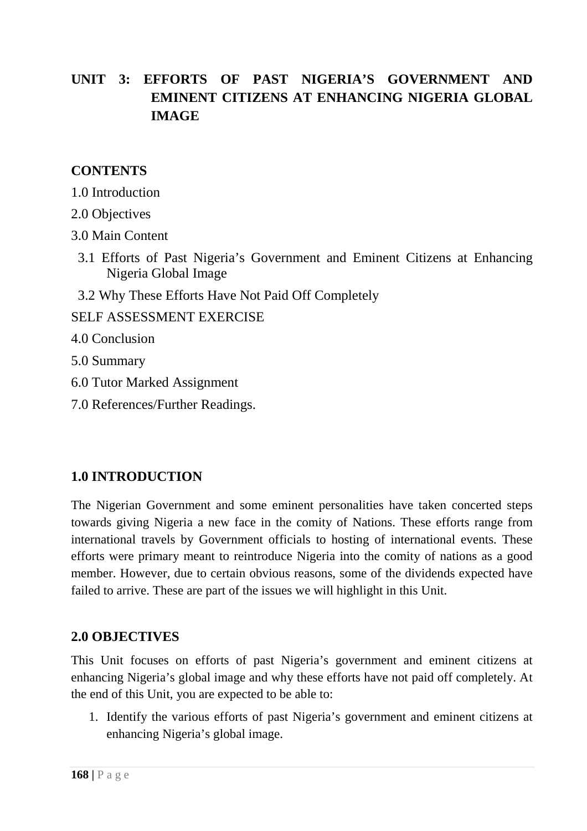# **UNIT 3: EFFORTS OF PAST NIGERIA'S GOVERNMENT AND EMINENT CITIZENS AT ENHANCING NIGERIA GLOBAL IMAGE**

# **CONTENTS**

- 1.0 Introduction
- 2.0 Objectives
- 3.0 Main Content
	- 3.1 Efforts of Past Nigeria's Government and Eminent Citizens at Enhancing Nigeria Global Image
	- 3.2 Why These Efforts Have Not Paid Off Completely
- SELF ASSESSMENT EXERCISE
- 4.0 Conclusion
- 5.0 Summary
- 6.0 Tutor Marked Assignment
- 7.0 References/Further Readings.

# **1.0 INTRODUCTION**

The Nigerian Government and some eminent personalities have taken concerted steps towards giving Nigeria a new face in the comity of Nations. These efforts range from international travels by Government officials to hosting of international events. These efforts were primary meant to reintroduce Nigeria into the comity of nations as a good member. However, due to certain obvious reasons, some of the dividends expected have failed to arrive. These are part of the issues we will highlight in this Unit.

### **2.0 OBJECTIVES**

This Unit focuses on efforts of past Nigeria's government and eminent citizens at enhancing Nigeria's global image and why these efforts have not paid off completely. At the end of this Unit, you are expected to be able to:

1. Identify the various efforts of past Nigeria's government and eminent citizens at enhancing Nigeria's global image.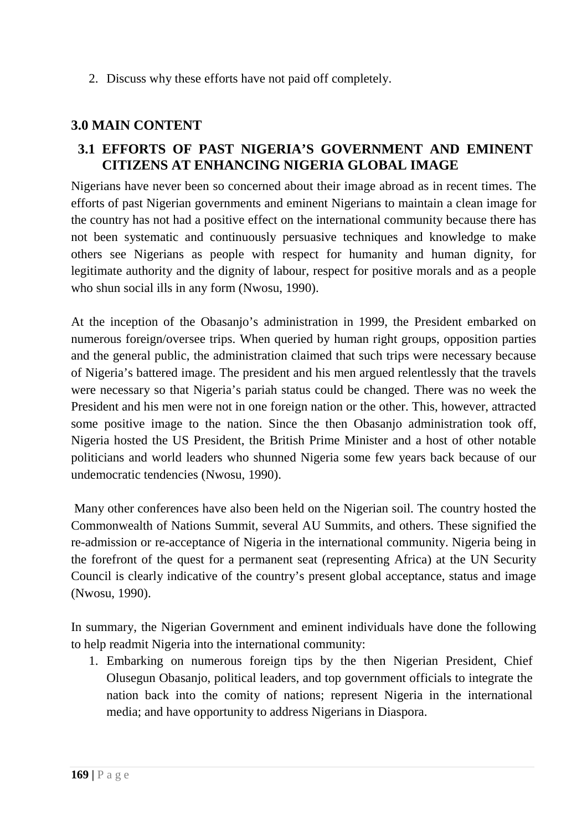2. Discuss why these efforts have not paid off completely.

## **3.0 MAIN CONTENT**

## **3.1 EFFORTS OF PAST NIGERIA'S GOVERNMENT AND EMINENT CITIZENS AT ENHANCING NIGERIA GLOBAL IMAGE**

Nigerians have never been so concerned about their image abroad as in recent times. The efforts of past Nigerian governments and eminent Nigerians to maintain a clean image for the country has not had a positive effect on the international community because there has not been systematic and continuously persuasive techniques and knowledge to make others see Nigerians as people with respect for humanity and human dignity, for legitimate authority and the dignity of labour, respect for positive morals and as a people who shun social ills in any form (Nwosu, 1990).

At the inception of the Obasanjo's administration in 1999, the President embarked on numerous foreign/oversee trips. When queried by human right groups, opposition parties and the general public, the administration claimed that such trips were necessary because of Nigeria's battered image. The president and his men argued relentlessly that the travels were necessary so that Nigeria's pariah status could be changed. There was no week the President and his men were not in one foreign nation or the other. This, however, attracted some positive image to the nation. Since the then Obasanjo administration took off, Nigeria hosted the US President, the British Prime Minister and a host of other notable politicians and world leaders who shunned Nigeria some few years back because of our undemocratic tendencies (Nwosu, 1990).

 Many other conferences have also been held on the Nigerian soil. The country hosted the Commonwealth of Nations Summit, several AU Summits, and others. These signified the re-admission or re-acceptance of Nigeria in the international community. Nigeria being in the forefront of the quest for a permanent seat (representing Africa) at the UN Security Council is clearly indicative of the country's present global acceptance, status and image (Nwosu, 1990).

In summary, the Nigerian Government and eminent individuals have done the following to help readmit Nigeria into the international community:

1. Embarking on numerous foreign tips by the then Nigerian President, Chief Olusegun Obasanjo, political leaders, and top government officials to integrate the nation back into the comity of nations; represent Nigeria in the international media; and have opportunity to address Nigerians in Diaspora.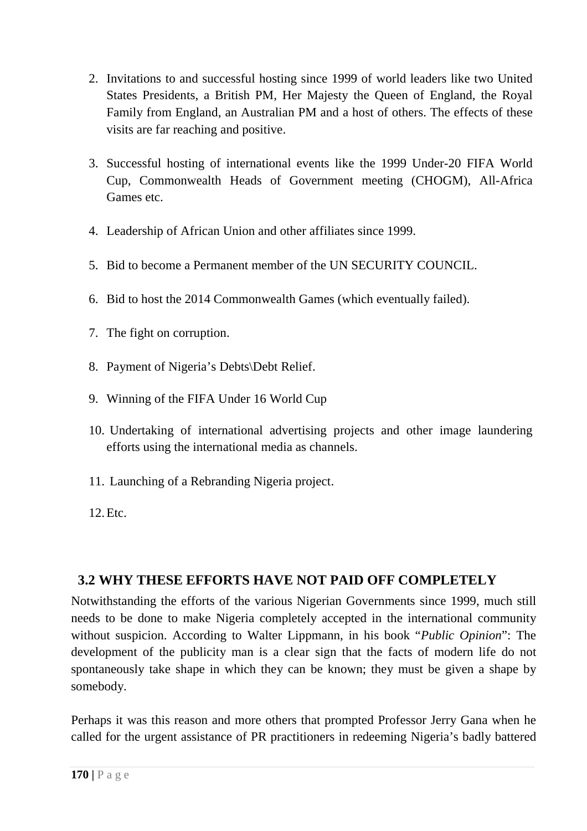- 2. Invitations to and successful hosting since 1999 of world leaders like two United States Presidents, a British PM, Her Majesty the Queen of England, the Royal Family from England, an Australian PM and a host of others. The effects of these visits are far reaching and positive.
- 3. Successful hosting of international events like the 1999 Under-20 FIFA World Cup, Commonwealth Heads of Government meeting (CHOGM), All-Africa Games etc.
- 4. Leadership of African Union and other affiliates since 1999.
- 5. Bid to become a Permanent member of the UN SECURITY COUNCIL.
- 6. Bid to host the 2014 Commonwealth Games (which eventually failed).
- 7. The fight on corruption.
- 8. Payment of Nigeria's Debts\Debt Relief.
- 9. Winning of the FIFA Under 16 World Cup
- 10. Undertaking of international advertising projects and other image laundering efforts using the international media as channels.
- 11. Launching of a Rebranding Nigeria project.
- 12.Etc.

# **3.2 WHY THESE EFFORTS HAVE NOT PAID OFF COMPLETELY**

Notwithstanding the efforts of the various Nigerian Governments since 1999, much still needs to be done to make Nigeria completely accepted in the international community without suspicion. According to Walter Lippmann, in his book "*Public Opinion*": The development of the publicity man is a clear sign that the facts of modern life do not spontaneously take shape in which they can be known; they must be given a shape by somebody.

Perhaps it was this reason and more others that prompted Professor Jerry Gana when he called for the urgent assistance of PR practitioners in redeeming Nigeria's badly battered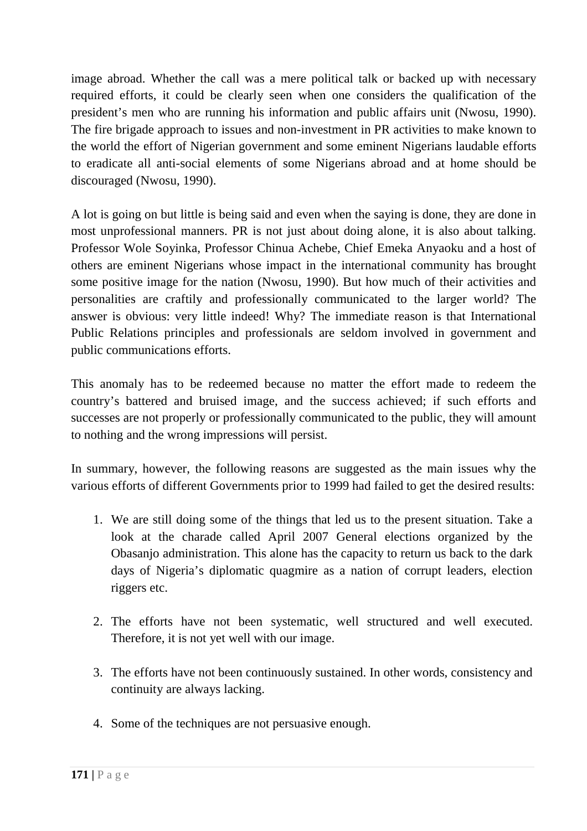image abroad. Whether the call was a mere political talk or backed up with necessary required efforts, it could be clearly seen when one considers the qualification of the president's men who are running his information and public affairs unit (Nwosu, 1990). The fire brigade approach to issues and non-investment in PR activities to make known to the world the effort of Nigerian government and some eminent Nigerians laudable efforts to eradicate all anti-social elements of some Nigerians abroad and at home should be discouraged (Nwosu, 1990).

A lot is going on but little is being said and even when the saying is done, they are done in most unprofessional manners. PR is not just about doing alone, it is also about talking. Professor Wole Soyinka, Professor Chinua Achebe, Chief Emeka Anyaoku and a host of others are eminent Nigerians whose impact in the international community has brought some positive image for the nation (Nwosu, 1990). But how much of their activities and personalities are craftily and professionally communicated to the larger world? The answer is obvious: very little indeed! Why? The immediate reason is that International Public Relations principles and professionals are seldom involved in government and public communications efforts.

This anomaly has to be redeemed because no matter the effort made to redeem the country's battered and bruised image, and the success achieved; if such efforts and successes are not properly or professionally communicated to the public, they will amount to nothing and the wrong impressions will persist.

In summary, however, the following reasons are suggested as the main issues why the various efforts of different Governments prior to 1999 had failed to get the desired results:

- 1. We are still doing some of the things that led us to the present situation. Take a look at the charade called April 2007 General elections organized by the Obasanjo administration. This alone has the capacity to return us back to the dark days of Nigeria's diplomatic quagmire as a nation of corrupt leaders, election riggers etc.
- 2. The efforts have not been systematic, well structured and well executed. Therefore, it is not yet well with our image.
- 3. The efforts have not been continuously sustained. In other words, consistency and continuity are always lacking.
- 4. Some of the techniques are not persuasive enough.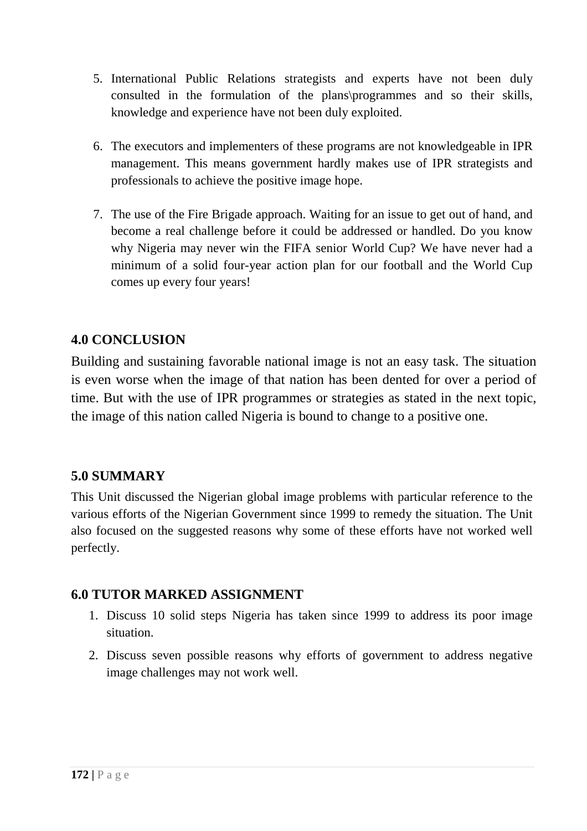- 5. International Public Relations strategists and experts have not been duly consulted in the formulation of the plans\programmes and so their skills, knowledge and experience have not been duly exploited.
- 6. The executors and implementers of these programs are not knowledgeable in IPR management. This means government hardly makes use of IPR strategists and professionals to achieve the positive image hope.
- 7. The use of the Fire Brigade approach. Waiting for an issue to get out of hand, and become a real challenge before it could be addressed or handled. Do you know why Nigeria may never win the FIFA senior World Cup? We have never had a minimum of a solid four-year action plan for our football and the World Cup comes up every four years!

# **4.0 CONCLUSION**

Building and sustaining favorable national image is not an easy task. The situation is even worse when the image of that nation has been dented for over a period of time. But with the use of IPR programmes or strategies as stated in the next topic, the image of this nation called Nigeria is bound to change to a positive one.

# **5.0 SUMMARY**

This Unit discussed the Nigerian global image problems with particular reference to the various efforts of the Nigerian Government since 1999 to remedy the situation. The Unit also focused on the suggested reasons why some of these efforts have not worked well perfectly.

# **6.0 TUTOR MARKED ASSIGNMENT**

- 1. Discuss 10 solid steps Nigeria has taken since 1999 to address its poor image situation.
- 2. Discuss seven possible reasons why efforts of government to address negative image challenges may not work well.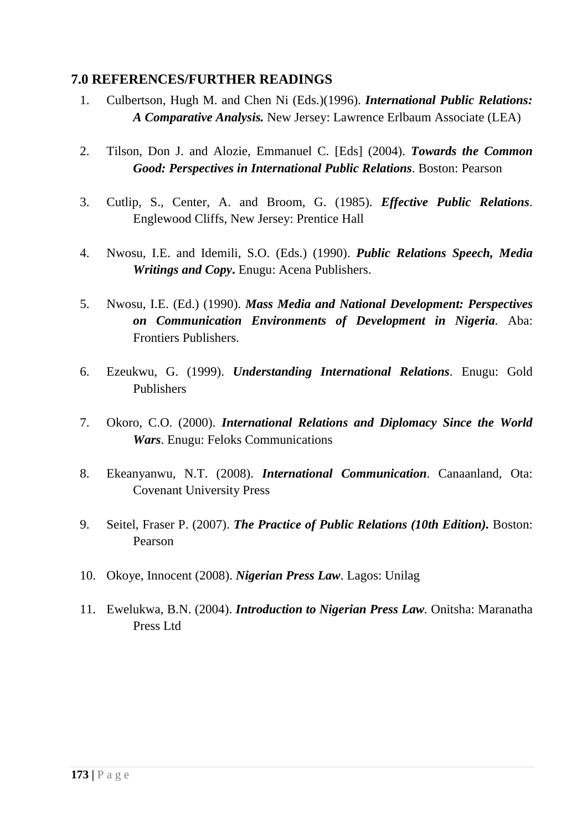- 1. Culbertson, Hugh M. and Chen Ni (Eds.)(1996). *International Public Relations: A Comparative Analysis.* New Jersey: Lawrence Erlbaum Associate (LEA)
- 2. Tilson, Don J. and Alozie, Emmanuel C. [Eds] (2004). *Towards the Common Good: Perspectives in International Public Relations*. Boston: Pearson
- 3. Cutlip, S., Center, A. and Broom, G. (1985). *Effective Public Relations*. Englewood Cliffs, New Jersey: Prentice Hall
- 4. Nwosu, I.E. and Idemili, S.O. (Eds.) (1990). *Public Relations Speech, Media Writings and Copy***.** Enugu: Acena Publishers.
- 5. Nwosu, I.E. (Ed.) (1990). *Mass Media and National Development: Perspectives on Communication Environments of Development in Nigeria.* Aba: Frontiers Publishers.
- 6. Ezeukwu, G. (1999). *Understanding International Relations*. Enugu: Gold Publishers
- 7. Okoro, C.O. (2000). *International Relations and Diplomacy Since the World Wars*. Enugu: Feloks Communications
- 8. Ekeanyanwu, N.T. (2008). *International Communication*. Canaanland, Ota: Covenant University Press
- 9. Seitel, Fraser P. (2007). *The Practice of Public Relations (10th Edition).* Boston: Pearson
- 10. Okoye, Innocent (2008). *Nigerian Press Law*. Lagos: Unilag
- 11. Ewelukwa, B.N. (2004). *Introduction to Nigerian Press Law.* Onitsha: Maranatha Press Ltd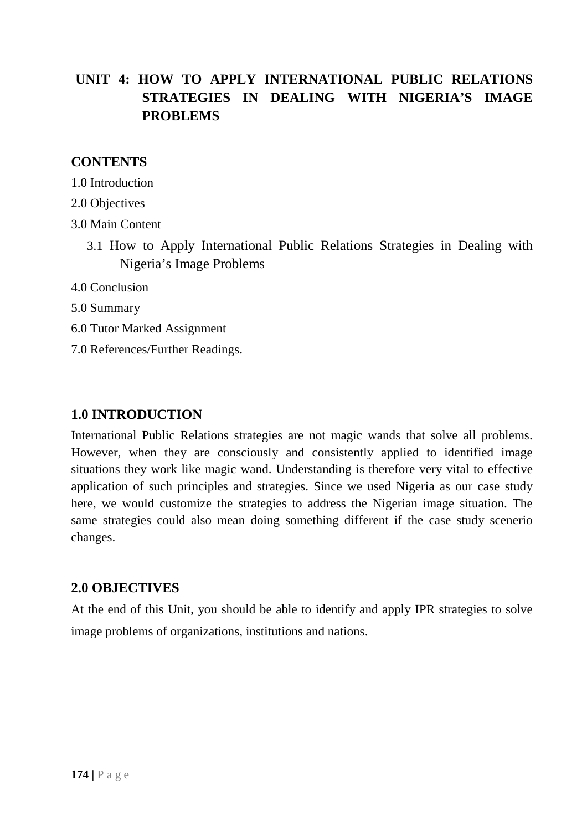# **UNIT 4: HOW TO APPLY INTERNATIONAL PUBLIC RELATIONS STRATEGIES IN DEALING WITH NIGERIA'S IMAGE PROBLEMS**

### **CONTENTS**

1.0 Introduction

- 2.0 Objectives
- 3.0 Main Content
	- 3.1 How to Apply International Public Relations Strategies in Dealing with Nigeria's Image Problems
- 4.0 Conclusion
- 5.0 Summary
- 6.0 Tutor Marked Assignment
- 7.0 References/Further Readings.

### **1.0 INTRODUCTION**

International Public Relations strategies are not magic wands that solve all problems. However, when they are consciously and consistently applied to identified image situations they work like magic wand. Understanding is therefore very vital to effective application of such principles and strategies. Since we used Nigeria as our case study here, we would customize the strategies to address the Nigerian image situation. The same strategies could also mean doing something different if the case study scenerio changes.

### **2.0 OBJECTIVES**

At the end of this Unit, you should be able to identify and apply IPR strategies to solve image problems of organizations, institutions and nations.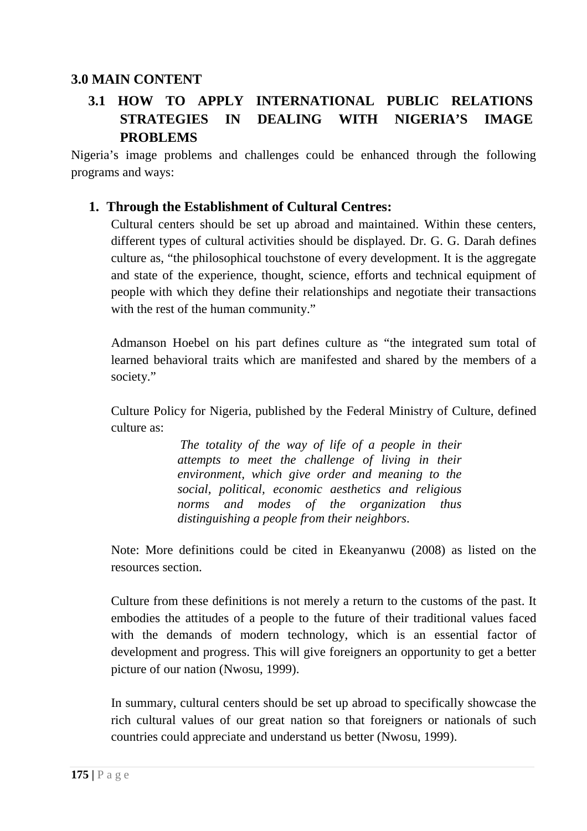## **3.0 MAIN CONTENT**

# **3.1 HOW TO APPLY INTERNATIONAL PUBLIC RELATIONS STRATEGIES IN DEALING WITH NIGERIA'S IMAGE PROBLEMS**

Nigeria's image problems and challenges could be enhanced through the following programs and ways:

#### **1. Through the Establishment of Cultural Centres:**

Cultural centers should be set up abroad and maintained. Within these centers, different types of cultural activities should be displayed. Dr. G. G. Darah defines culture as, "the philosophical touchstone of every development. It is the aggregate and state of the experience, thought, science, efforts and technical equipment of people with which they define their relationships and negotiate their transactions with the rest of the human community."

Admanson Hoebel on his part defines culture as "the integrated sum total of learned behavioral traits which are manifested and shared by the members of a society."

Culture Policy for Nigeria, published by the Federal Ministry of Culture, defined culture as:

> *The totality of the way of life of a people in their attempts to meet the challenge of living in their environment, which give order and meaning to the social, political, economic aesthetics and religious norms and modes of the organization thus distinguishing a people from their neighbors*.

Note: More definitions could be cited in Ekeanyanwu (2008) as listed on the resources section.

Culture from these definitions is not merely a return to the customs of the past. It embodies the attitudes of a people to the future of their traditional values faced with the demands of modern technology, which is an essential factor of development and progress. This will give foreigners an opportunity to get a better picture of our nation (Nwosu, 1999).

In summary, cultural centers should be set up abroad to specifically showcase the rich cultural values of our great nation so that foreigners or nationals of such countries could appreciate and understand us better (Nwosu, 1999).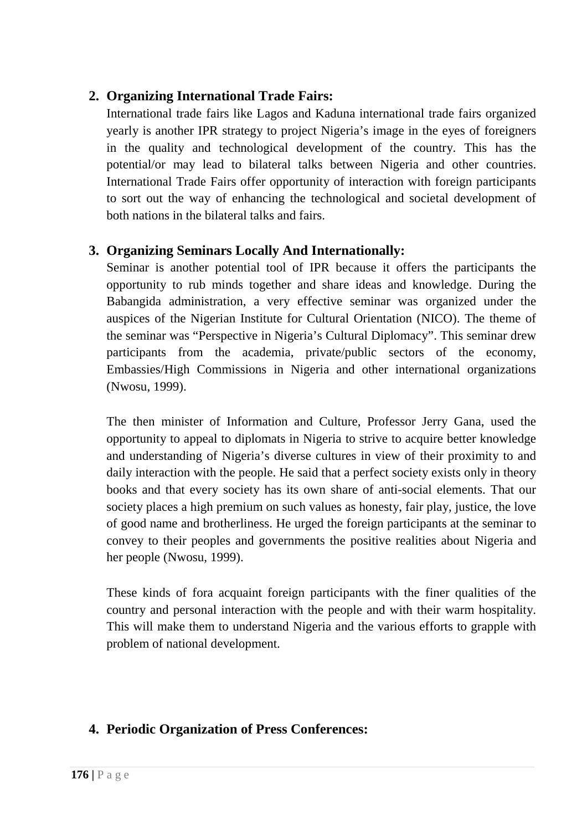## **2. Organizing International Trade Fairs:**

International trade fairs like Lagos and Kaduna international trade fairs organized yearly is another IPR strategy to project Nigeria's image in the eyes of foreigners in the quality and technological development of the country. This has the potential/or may lead to bilateral talks between Nigeria and other countries. International Trade Fairs offer opportunity of interaction with foreign participants to sort out the way of enhancing the technological and societal development of both nations in the bilateral talks and fairs.

# **3. Organizing Seminars Locally And Internationally:**

Seminar is another potential tool of IPR because it offers the participants the opportunity to rub minds together and share ideas and knowledge. During the Babangida administration, a very effective seminar was organized under the auspices of the Nigerian Institute for Cultural Orientation (NICO). The theme of the seminar was "Perspective in Nigeria's Cultural Diplomacy". This seminar drew participants from the academia, private/public sectors of the economy, Embassies/High Commissions in Nigeria and other international organizations (Nwosu, 1999).

The then minister of Information and Culture, Professor Jerry Gana, used the opportunity to appeal to diplomats in Nigeria to strive to acquire better knowledge and understanding of Nigeria's diverse cultures in view of their proximity to and daily interaction with the people. He said that a perfect society exists only in theory books and that every society has its own share of anti-social elements. That our society places a high premium on such values as honesty, fair play, justice, the love of good name and brotherliness. He urged the foreign participants at the seminar to convey to their peoples and governments the positive realities about Nigeria and her people (Nwosu, 1999).

These kinds of fora acquaint foreign participants with the finer qualities of the country and personal interaction with the people and with their warm hospitality. This will make them to understand Nigeria and the various efforts to grapple with problem of national development.

# **4. Periodic Organization of Press Conferences:**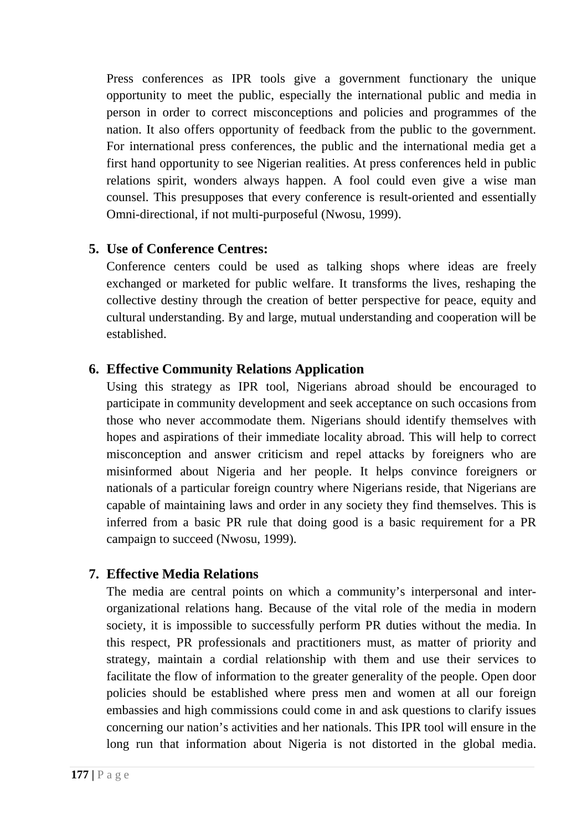Press conferences as IPR tools give a government functionary the unique opportunity to meet the public, especially the international public and media in person in order to correct misconceptions and policies and programmes of the nation. It also offers opportunity of feedback from the public to the government. For international press conferences, the public and the international media get a first hand opportunity to see Nigerian realities. At press conferences held in public relations spirit, wonders always happen. A fool could even give a wise man counsel. This presupposes that every conference is result-oriented and essentially Omni-directional, if not multi-purposeful (Nwosu, 1999).

## **5. Use of Conference Centres:**

Conference centers could be used as talking shops where ideas are freely exchanged or marketed for public welfare. It transforms the lives, reshaping the collective destiny through the creation of better perspective for peace, equity and cultural understanding. By and large, mutual understanding and cooperation will be established.

## **6. Effective Community Relations Application**

Using this strategy as IPR tool, Nigerians abroad should be encouraged to participate in community development and seek acceptance on such occasions from those who never accommodate them. Nigerians should identify themselves with hopes and aspirations of their immediate locality abroad. This will help to correct misconception and answer criticism and repel attacks by foreigners who are misinformed about Nigeria and her people. It helps convince foreigners or nationals of a particular foreign country where Nigerians reside, that Nigerians are capable of maintaining laws and order in any society they find themselves. This is inferred from a basic PR rule that doing good is a basic requirement for a PR campaign to succeed (Nwosu, 1999).

### **7. Effective Media Relations**

The media are central points on which a community's interpersonal and interorganizational relations hang. Because of the vital role of the media in modern society, it is impossible to successfully perform PR duties without the media. In this respect, PR professionals and practitioners must, as matter of priority and strategy, maintain a cordial relationship with them and use their services to facilitate the flow of information to the greater generality of the people. Open door policies should be established where press men and women at all our foreign embassies and high commissions could come in and ask questions to clarify issues concerning our nation's activities and her nationals. This IPR tool will ensure in the long run that information about Nigeria is not distorted in the global media.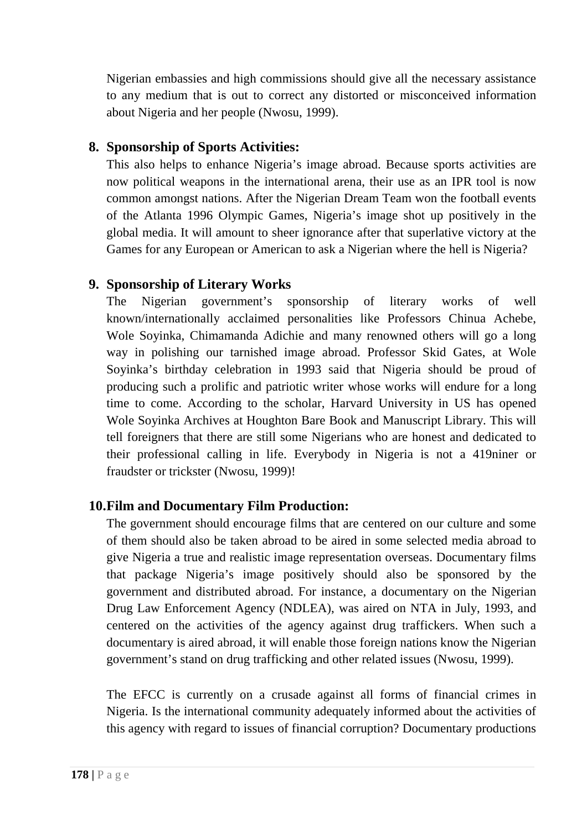Nigerian embassies and high commissions should give all the necessary assistance to any medium that is out to correct any distorted or misconceived information about Nigeria and her people (Nwosu, 1999).

## **8. Sponsorship of Sports Activities:**

This also helps to enhance Nigeria's image abroad. Because sports activities are now political weapons in the international arena, their use as an IPR tool is now common amongst nations. After the Nigerian Dream Team won the football events of the Atlanta 1996 Olympic Games, Nigeria's image shot up positively in the global media. It will amount to sheer ignorance after that superlative victory at the Games for any European or American to ask a Nigerian where the hell is Nigeria?

# **9. Sponsorship of Literary Works**

The Nigerian government's sponsorship of literary works of well known/internationally acclaimed personalities like Professors Chinua Achebe, Wole Soyinka, Chimamanda Adichie and many renowned others will go a long way in polishing our tarnished image abroad. Professor Skid Gates, at Wole Soyinka's birthday celebration in 1993 said that Nigeria should be proud of producing such a prolific and patriotic writer whose works will endure for a long time to come. According to the scholar, Harvard University in US has opened Wole Soyinka Archives at Houghton Bare Book and Manuscript Library. This will tell foreigners that there are still some Nigerians who are honest and dedicated to their professional calling in life. Everybody in Nigeria is not a 419niner or fraudster or trickster (Nwosu, 1999)!

# **10.Film and Documentary Film Production:**

The government should encourage films that are centered on our culture and some of them should also be taken abroad to be aired in some selected media abroad to give Nigeria a true and realistic image representation overseas. Documentary films that package Nigeria's image positively should also be sponsored by the government and distributed abroad. For instance, a documentary on the Nigerian Drug Law Enforcement Agency (NDLEA), was aired on NTA in July, 1993, and centered on the activities of the agency against drug traffickers. When such a documentary is aired abroad, it will enable those foreign nations know the Nigerian government's stand on drug trafficking and other related issues (Nwosu, 1999).

The EFCC is currently on a crusade against all forms of financial crimes in Nigeria. Is the international community adequately informed about the activities of this agency with regard to issues of financial corruption? Documentary productions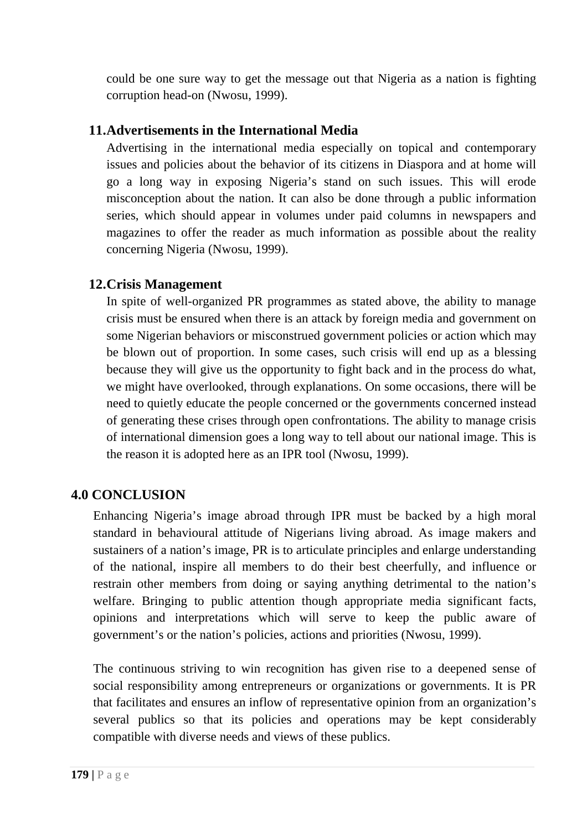could be one sure way to get the message out that Nigeria as a nation is fighting corruption head-on (Nwosu, 1999).

## **11.Advertisements in the International Media**

Advertising in the international media especially on topical and contemporary issues and policies about the behavior of its citizens in Diaspora and at home will go a long way in exposing Nigeria's stand on such issues. This will erode misconception about the nation. It can also be done through a public information series, which should appear in volumes under paid columns in newspapers and magazines to offer the reader as much information as possible about the reality concerning Nigeria (Nwosu, 1999).

## **12.Crisis Management**

In spite of well-organized PR programmes as stated above, the ability to manage crisis must be ensured when there is an attack by foreign media and government on some Nigerian behaviors or misconstrued government policies or action which may be blown out of proportion. In some cases, such crisis will end up as a blessing because they will give us the opportunity to fight back and in the process do what, we might have overlooked, through explanations. On some occasions, there will be need to quietly educate the people concerned or the governments concerned instead of generating these crises through open confrontations. The ability to manage crisis of international dimension goes a long way to tell about our national image. This is the reason it is adopted here as an IPR tool (Nwosu, 1999).

# **4.0 CONCLUSION**

Enhancing Nigeria's image abroad through IPR must be backed by a high moral standard in behavioural attitude of Nigerians living abroad. As image makers and sustainers of a nation's image, PR is to articulate principles and enlarge understanding of the national, inspire all members to do their best cheerfully, and influence or restrain other members from doing or saying anything detrimental to the nation's welfare. Bringing to public attention though appropriate media significant facts, opinions and interpretations which will serve to keep the public aware of government's or the nation's policies, actions and priorities (Nwosu, 1999).

The continuous striving to win recognition has given rise to a deepened sense of social responsibility among entrepreneurs or organizations or governments. It is PR that facilitates and ensures an inflow of representative opinion from an organization's several publics so that its policies and operations may be kept considerably compatible with diverse needs and views of these publics.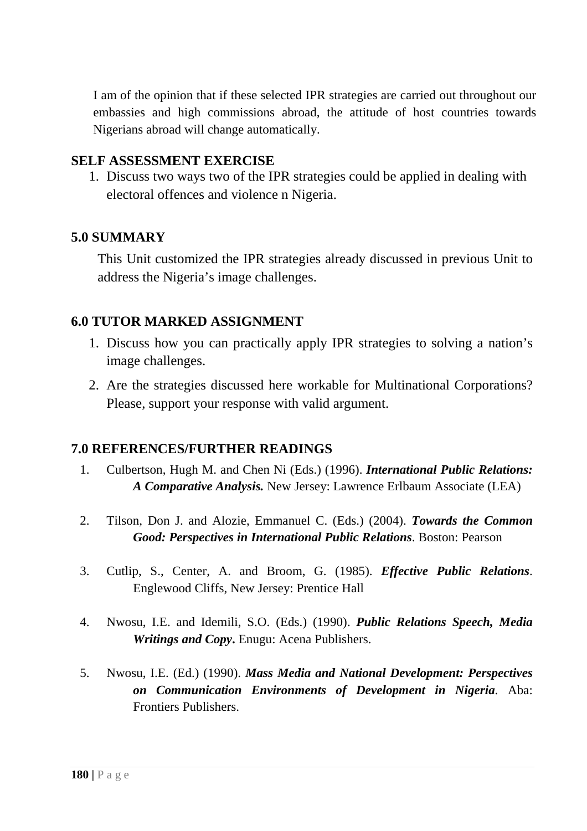I am of the opinion that if these selected IPR strategies are carried out throughout our embassies and high commissions abroad, the attitude of host countries towards Nigerians abroad will change automatically.

### **SELF ASSESSMENT EXERCISE**

1. Discuss two ways two of the IPR strategies could be applied in dealing with electoral offences and violence n Nigeria.

### **5.0 SUMMARY**

This Unit customized the IPR strategies already discussed in previous Unit to address the Nigeria's image challenges.

### **6.0 TUTOR MARKED ASSIGNMENT**

- 1. Discuss how you can practically apply IPR strategies to solving a nation's image challenges.
- 2. Are the strategies discussed here workable for Multinational Corporations? Please, support your response with valid argument.

- 1. Culbertson, Hugh M. and Chen Ni (Eds.) (1996). *International Public Relations: A Comparative Analysis.* New Jersey: Lawrence Erlbaum Associate (LEA)
- 2. Tilson, Don J. and Alozie, Emmanuel C. (Eds.) (2004). *Towards the Common Good: Perspectives in International Public Relations*. Boston: Pearson
- 3. Cutlip, S., Center, A. and Broom, G. (1985). *Effective Public Relations*. Englewood Cliffs, New Jersey: Prentice Hall
- 4. Nwosu, I.E. and Idemili, S.O. (Eds.) (1990). *Public Relations Speech, Media Writings and Copy***.** Enugu: Acena Publishers.
- 5. Nwosu, I.E. (Ed.) (1990). *Mass Media and National Development: Perspectives on Communication Environments of Development in Nigeria.* Aba: Frontiers Publishers.